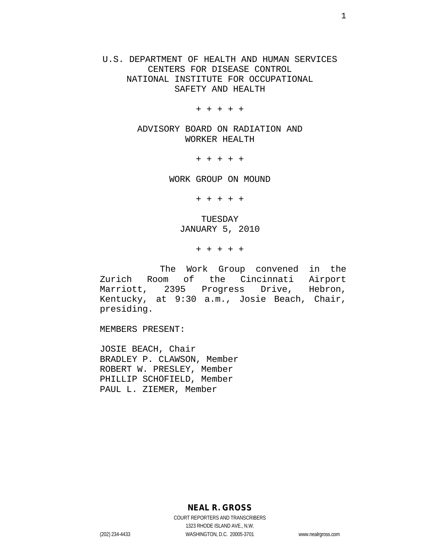U.S. DEPARTMENT OF HEALTH AND HUMAN SERVICES CENTERS FOR DISEASE CONTROL NATIONAL INSTITUTE FOR OCCUPATIONAL SAFETY AND HEALTH

+ + + + +

ADVISORY BOARD ON RADIATION AND WORKER HEALTH

+ + + + +

WORK GROUP ON MOUND

+ + + + +

TUESDAY JANUARY 5, 2010

+ + + + +

The Work Group convened in the Zurich Room of the Cincinnati Airport<br>Marriott, 2395 Progress Drive, Hebron, Marriott, 2395 Progress Kentucky, at 9:30 a.m., Josie Beach, Chair, presiding.

MEMBERS PRESENT:

JOSIE BEACH, Chair BRADLEY P. CLAWSON, Member ROBERT W. PRESLEY, Member PHILLIP SCHOFIELD, Member PAUL L. ZIEMER, Member

**NEAL R. GROSS**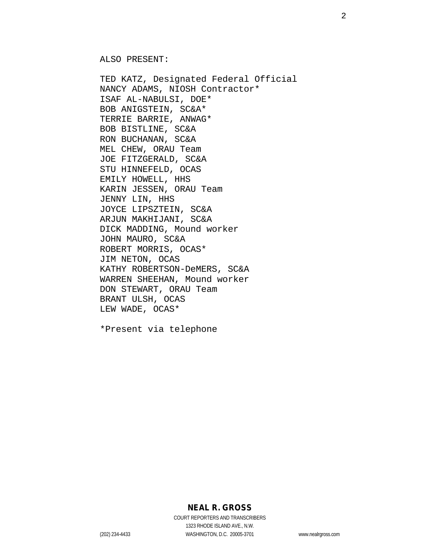ALSO PRESENT:

TED KATZ, Designated Federal Official NANCY ADAMS, NIOSH Contractor\* ISAF AL-NABULSI, DOE\* BOB ANIGSTEIN, SC&A\* TERRIE BARRIE, ANWAG\* BOB BISTLINE, SC&A RON BUCHANAN, SC&A MEL CHEW, ORAU Team JOE FITZGERALD, SC&A STU HINNEFELD, OCAS EMILY HOWELL, HHS KARIN JESSEN, ORAU Team JENNY LIN, HHS JOYCE LIPSZTEIN, SC&A ARJUN MAKHIJANI, SC&A DICK MADDING, Mound worker JOHN MAURO, SC&A ROBERT MORRIS, OCAS\* JIM NETON, OCAS KATHY ROBERTSON-DeMERS, SC&A WARREN SHEEHAN, Mound worker DON STEWART, ORAU Team BRANT ULSH, OCAS LEW WADE, OCAS\*

\*Present via telephone

**NEAL R. GROSS**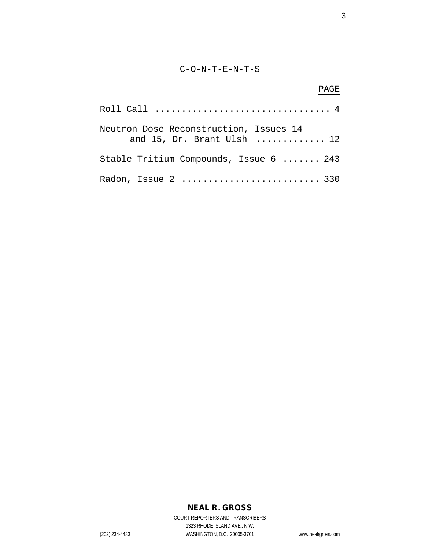#### C-O-N-T-E-N-T-S

# PAGE Roll Call ................................. 4 Neutron Dose Reconstruction, Issues 14 and 15, Dr. Brant Ulsh ............. 12 Stable Tritium Compounds, Issue 6 ....... 243 Radon, Issue 2 .............................. 330

## **NEAL R. GROSS**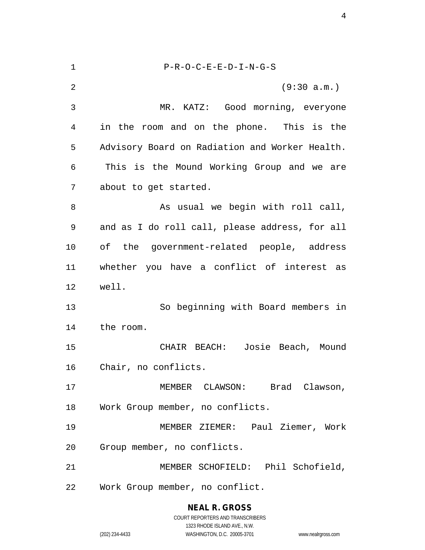| $\mathbf 1$    | $P-R-O-C-E-E-D-I-N-G-S$                        |
|----------------|------------------------------------------------|
| $\overline{2}$ | (9:30 a.m.)                                    |
| 3              | MR. KATZ: Good morning, everyone               |
| 4              | in the room and on the phone. This is the      |
| 5              | Advisory Board on Radiation and Worker Health. |
| 6              | This is the Mound Working Group and we are     |
| 7              | about to get started.                          |
| 8              | As usual we begin with roll call,              |
| 9              | and as I do roll call, please address, for all |
| 10             | of the government-related people, address      |
| 11             | whether you have a conflict of interest as     |
| 12             | well.                                          |
| 13             | So beginning with Board members in             |
| 14             | the room.                                      |
| 15             | CHAIR BEACH: Josie Beach, Mound                |
| 16             | Chair, no conflicts.                           |
| 17             | MEMBER CLAWSON: Brad Clawson,                  |
| 18             | Work Group member, no conflicts.               |
| 19             | MEMBER ZIEMER: Paul Ziemer, Work               |
| 20             | Group member, no conflicts.                    |
| 21             | MEMBER SCHOFIELD: Phil Schofield,              |
| 22             | Work Group member, no conflict.                |
|                |                                                |

**NEAL R. GROSS** COURT REPORTERS AND TRANSCRIBERS 1323 RHODE ISLAND AVE., N.W.

(202) 234-4433 WASHINGTON, D.C. 20005-3701 www.nealrgross.com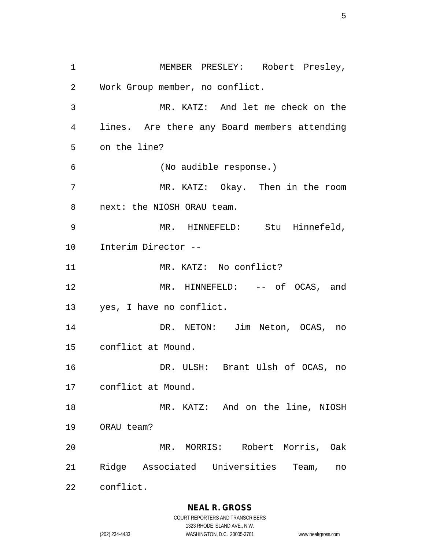MEMBER PRESLEY: Robert Presley, Work Group member, no conflict. MR. KATZ: And let me check on the lines. Are there any Board members attending on the line? (No audible response.) MR. KATZ: Okay. Then in the room next: the NIOSH ORAU team. MR. HINNEFELD: Stu Hinnefeld, Interim Director -- 11 MR. KATZ: No conflict? MR. HINNEFELD: -- of OCAS, and yes, I have no conflict. DR. NETON: Jim Neton, OCAS, no conflict at Mound. DR. ULSH: Brant Ulsh of OCAS, no conflict at Mound. 18 MR. KATZ: And on the line, NIOSH ORAU team? MR. MORRIS: Robert Morris, Oak Ridge Associated Universities Team, no conflict.

COURT REPORTERS AND TRANSCRIBERS 1323 RHODE ISLAND AVE., N.W. (202) 234-4433 WASHINGTON, D.C. 20005-3701 www.nealrgross.com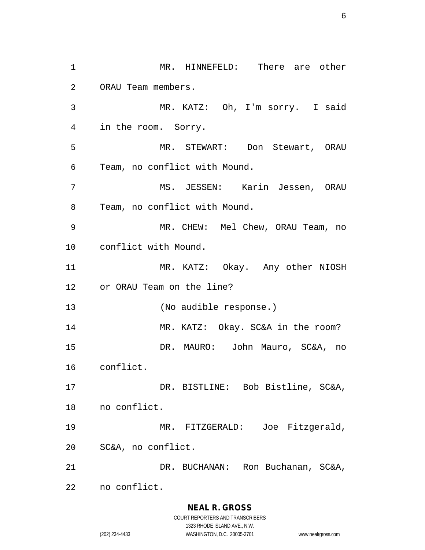1 MR. HINNEFELD: There are other ORAU Team members. MR. KATZ: Oh, I'm sorry. I said in the room. Sorry. MR. STEWART: Don Stewart, ORAU Team, no conflict with Mound. MS. JESSEN: Karin Jessen, ORAU Team, no conflict with Mound. MR. CHEW: Mel Chew, ORAU Team, no conflict with Mound. MR. KATZ: Okay. Any other NIOSH or ORAU Team on the line? (No audible response.) MR. KATZ: Okay. SC&A in the room? DR. MAURO: John Mauro, SC&A, no conflict. DR. BISTLINE: Bob Bistline, SC&A, no conflict. MR. FITZGERALD: Joe Fitzgerald, SC&A, no conflict. DR. BUCHANAN: Ron Buchanan, SC&A, no conflict.

#### **NEAL R. GROSS**

COURT REPORTERS AND TRANSCRIBERS 1323 RHODE ISLAND AVE., N.W. (202) 234-4433 WASHINGTON, D.C. 20005-3701 www.nealrgross.com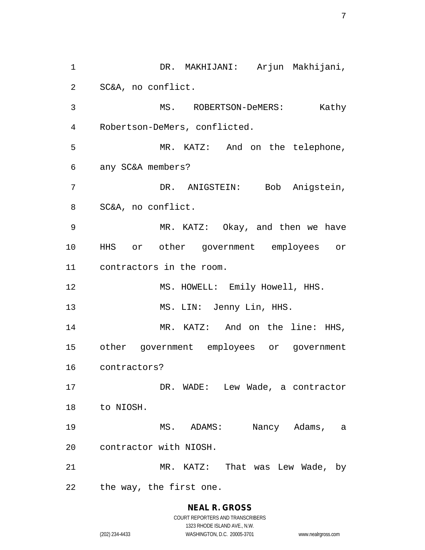DR. MAKHIJANI: Arjun Makhijani, SC&A, no conflict. MS. ROBERTSON-DeMERS: Kathy Robertson-DeMers, conflicted. MR. KATZ: And on the telephone, any SC&A members? DR. ANIGSTEIN: Bob Anigstein, SC&A, no conflict. MR. KATZ: Okay, and then we have HHS or other government employees or contractors in the room. 12 MS. HOWELL: Emily Howell, HHS. 13 MS. LIN: Jenny Lin, HHS. 14 MR. KATZ: And on the line: HHS, other government employees or government contractors? 17 DR. WADE: Lew Wade, a contractor to NIOSH. MS. ADAMS: Nancy Adams, a contractor with NIOSH. MR. KATZ: That was Lew Wade, by the way, the first one.

> **NEAL R. GROSS** COURT REPORTERS AND TRANSCRIBERS 1323 RHODE ISLAND AVE., N.W.

(202) 234-4433 WASHINGTON, D.C. 20005-3701 www.nealrgross.com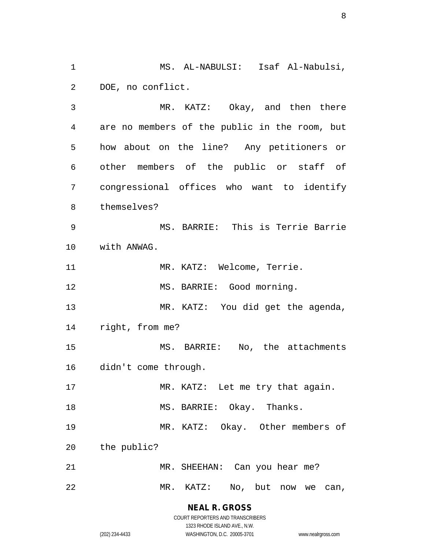MS. AL-NABULSI: Isaf Al-Nabulsi, DOE, no conflict.

 MR. KATZ: Okay, and then there are no members of the public in the room, but how about on the line? Any petitioners or other members of the public or staff of congressional offices who want to identify themselves? MS. BARRIE: This is Terrie Barrie with ANWAG. 11 MR. KATZ: Welcome, Terrie. 12 MS. BARRIE: Good morning. MR. KATZ: You did get the agenda, right, from me? MS. BARRIE: No, the attachments didn't come through. 17 MR. KATZ: Let me try that again. 18 MS. BARRIE: Okay. Thanks. MR. KATZ: Okay. Other members of the public? MR. SHEEHAN: Can you hear me?

MR. KATZ: No, but now we can,

**NEAL R. GROSS** COURT REPORTERS AND TRANSCRIBERS

1323 RHODE ISLAND AVE., N.W.

(202) 234-4433 WASHINGTON, D.C. 20005-3701 www.nealrgross.com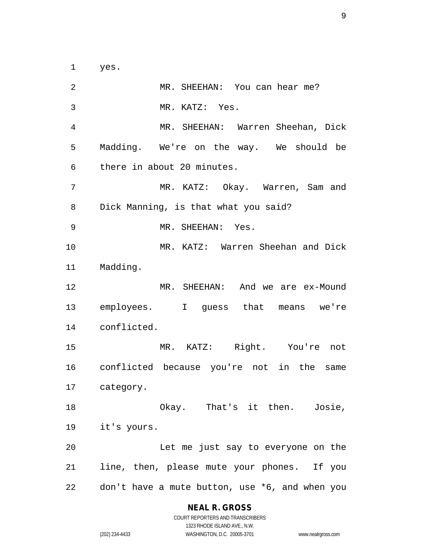yes.

2 MR. SHEEHAN: You can hear me? MR. KATZ: Yes. MR. SHEEHAN: Warren Sheehan, Dick Madding. We're on the way. We should be there in about 20 minutes. MR. KATZ: Okay. Warren, Sam and Dick Manning, is that what you said? MR. SHEEHAN: Yes. MR. KATZ: Warren Sheehan and Dick Madding. MR. SHEEHAN: And we are ex-Mound employees. I guess that means we're conflicted. MR. KATZ: Right. You're not conflicted because you're not in the same category. Okay. That's it then. Josie, it's yours. Let me just say to everyone on the line, then, please mute your phones. If you don't have a mute button, use \*6, and when you

#### **NEAL R. GROSS**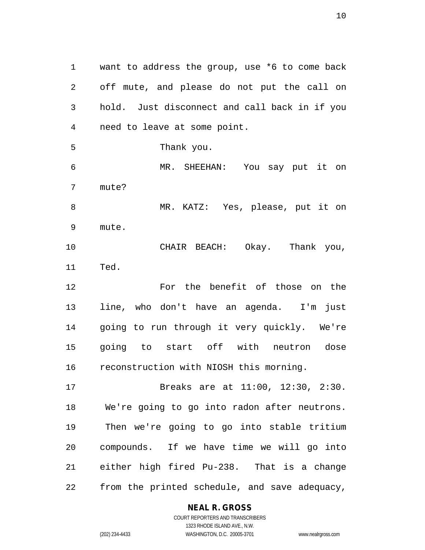want to address the group, use \*6 to come back off mute, and please do not put the call on hold. Just disconnect and call back in if you need to leave at some point. Thank you. MR. SHEEHAN: You say put it on mute? MR. KATZ: Yes, please, put it on mute. CHAIR BEACH: Okay. Thank you, Ted. For the benefit of those on the line, who don't have an agenda. I'm just

 going to run through it very quickly. We're going to start off with neutron dose reconstruction with NIOSH this morning.

 Breaks are at 11:00, 12:30, 2:30. We're going to go into radon after neutrons. Then we're going to go into stable tritium compounds. If we have time we will go into either high fired Pu-238. That is a change from the printed schedule, and save adequacy,

#### **NEAL R. GROSS**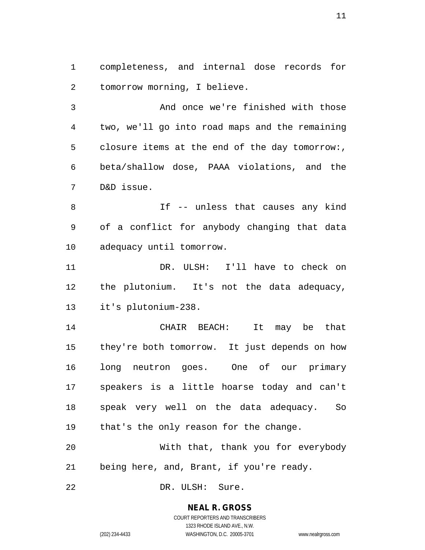completeness, and internal dose records for tomorrow morning, I believe.

 And once we're finished with those two, we'll go into road maps and the remaining closure items at the end of the day tomorrow:, beta/shallow dose, PAAA violations, and the D&D issue.

 If -- unless that causes any kind of a conflict for anybody changing that data adequacy until tomorrow.

 DR. ULSH: I'll have to check on the plutonium. It's not the data adequacy, it's plutonium-238.

 CHAIR BEACH: It may be that they're both tomorrow. It just depends on how long neutron goes. One of our primary speakers is a little hoarse today and can't speak very well on the data adequacy. So that's the only reason for the change.

 With that, thank you for everybody being here, and, Brant, if you're ready.

DR. ULSH: Sure.

#### **NEAL R. GROSS**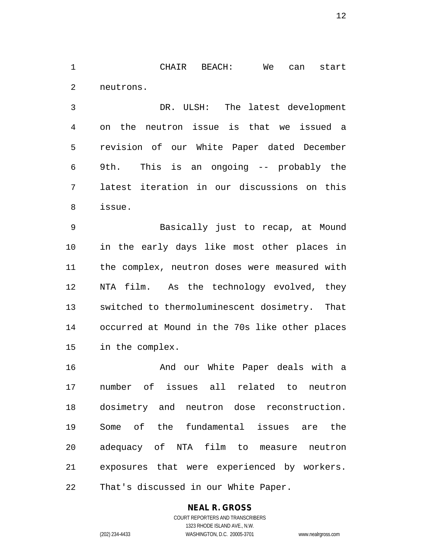CHAIR BEACH: We can start neutrons.

 DR. ULSH: The latest development on the neutron issue is that we issued a revision of our White Paper dated December 9th. This is an ongoing -- probably the latest iteration in our discussions on this issue.

 Basically just to recap, at Mound in the early days like most other places in the complex, neutron doses were measured with NTA film. As the technology evolved, they switched to thermoluminescent dosimetry. That occurred at Mound in the 70s like other places in the complex.

**And our White Paper deals with a**  number of issues all related to neutron dosimetry and neutron dose reconstruction. Some of the fundamental issues are the adequacy of NTA film to measure neutron exposures that were experienced by workers. That's discussed in our White Paper.

#### **NEAL R. GROSS** COURT REPORTERS AND TRANSCRIBERS

1323 RHODE ISLAND AVE., N.W.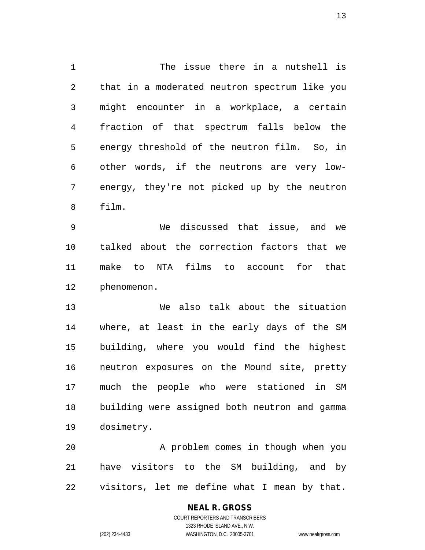The issue there in a nutshell is that in a moderated neutron spectrum like you might encounter in a workplace, a certain fraction of that spectrum falls below the energy threshold of the neutron film. So, in other words, if the neutrons are very low- energy, they're not picked up by the neutron film.

 We discussed that issue, and we talked about the correction factors that we make to NTA films to account for that phenomenon.

 We also talk about the situation where, at least in the early days of the SM building, where you would find the highest neutron exposures on the Mound site, pretty much the people who were stationed in SM building were assigned both neutron and gamma dosimetry.

 A problem comes in though when you have visitors to the SM building, and by visitors, let me define what I mean by that.

#### **NEAL R. GROSS** COURT REPORTERS AND TRANSCRIBERS 1323 RHODE ISLAND AVE., N.W. (202) 234-4433 WASHINGTON, D.C. 20005-3701 www.nealrgross.com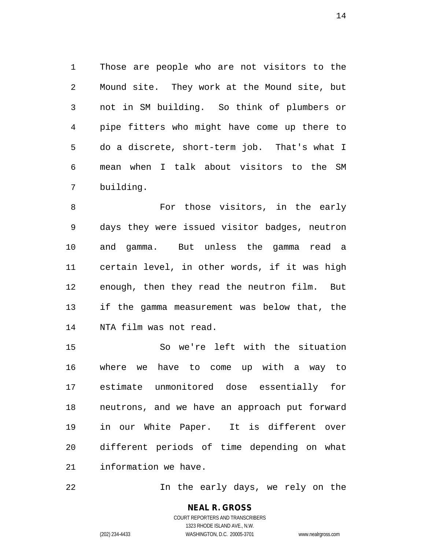Those are people who are not visitors to the Mound site. They work at the Mound site, but not in SM building. So think of plumbers or pipe fitters who might have come up there to do a discrete, short-term job. That's what I mean when I talk about visitors to the SM building.

 For those visitors, in the early days they were issued visitor badges, neutron and gamma. But unless the gamma read a certain level, in other words, if it was high enough, then they read the neutron film. But if the gamma measurement was below that, the NTA film was not read.

 So we're left with the situation where we have to come up with a way to estimate unmonitored dose essentially for neutrons, and we have an approach put forward in our White Paper. It is different over different periods of time depending on what information we have.

In the early days, we rely on the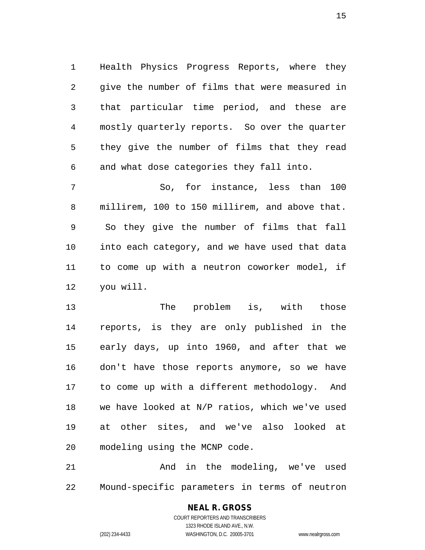Health Physics Progress Reports, where they give the number of films that were measured in that particular time period, and these are mostly quarterly reports. So over the quarter they give the number of films that they read and what dose categories they fall into.

 So, for instance, less than 100 millirem, 100 to 150 millirem, and above that. So they give the number of films that fall into each category, and we have used that data to come up with a neutron coworker model, if you will.

13 The problem is, with those reports, is they are only published in the early days, up into 1960, and after that we don't have those reports anymore, so we have to come up with a different methodology. And we have looked at N/P ratios, which we've used at other sites, and we've also looked at modeling using the MCNP code.

 And in the modeling, we've used Mound-specific parameters in terms of neutron

# **NEAL R. GROSS**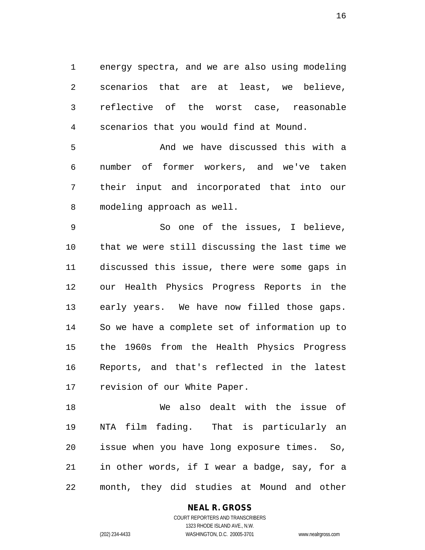energy spectra, and we are also using modeling scenarios that are at least, we believe, reflective of the worst case, reasonable scenarios that you would find at Mound.

 And we have discussed this with a number of former workers, and we've taken their input and incorporated that into our modeling approach as well.

 So one of the issues, I believe, that we were still discussing the last time we discussed this issue, there were some gaps in our Health Physics Progress Reports in the early years. We have now filled those gaps. So we have a complete set of information up to the 1960s from the Health Physics Progress Reports, and that's reflected in the latest revision of our White Paper.

 We also dealt with the issue of NTA film fading. That is particularly an issue when you have long exposure times. So, in other words, if I wear a badge, say, for a month, they did studies at Mound and other

#### **NEAL R. GROSS** COURT REPORTERS AND TRANSCRIBERS

1323 RHODE ISLAND AVE., N.W. (202) 234-4433 WASHINGTON, D.C. 20005-3701 www.nealrgross.com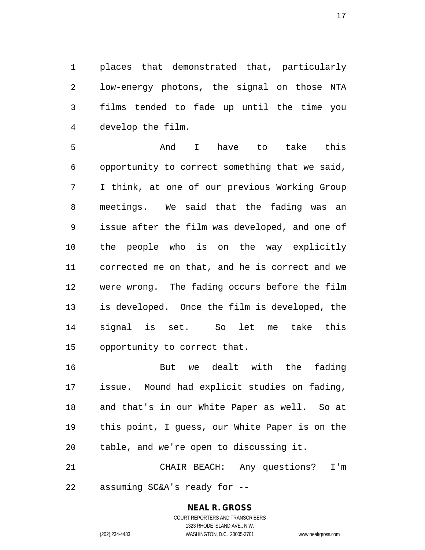places that demonstrated that, particularly low-energy photons, the signal on those NTA films tended to fade up until the time you develop the film.

 And I have to take this opportunity to correct something that we said, I think, at one of our previous Working Group meetings. We said that the fading was an issue after the film was developed, and one of the people who is on the way explicitly corrected me on that, and he is correct and we were wrong. The fading occurs before the film is developed. Once the film is developed, the signal is set. So let me take this opportunity to correct that.

 But we dealt with the fading issue. Mound had explicit studies on fading, and that's in our White Paper as well. So at this point, I guess, our White Paper is on the table, and we're open to discussing it.

 CHAIR BEACH: Any questions? I'm assuming SC&A's ready for --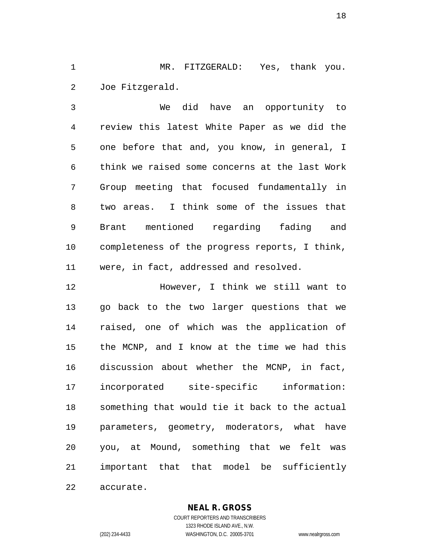MR. FITZGERALD: Yes, thank you. Joe Fitzgerald.

 We did have an opportunity to review this latest White Paper as we did the one before that and, you know, in general, I think we raised some concerns at the last Work Group meeting that focused fundamentally in two areas. I think some of the issues that Brant mentioned regarding fading and completeness of the progress reports, I think, were, in fact, addressed and resolved.

 However, I think we still want to go back to the two larger questions that we raised, one of which was the application of the MCNP, and I know at the time we had this discussion about whether the MCNP, in fact, incorporated site-specific information: something that would tie it back to the actual parameters, geometry, moderators, what have you, at Mound, something that we felt was important that that model be sufficiently

accurate.

**NEAL R. GROSS**

COURT REPORTERS AND TRANSCRIBERS 1323 RHODE ISLAND AVE., N.W. (202) 234-4433 WASHINGTON, D.C. 20005-3701 www.nealrgross.com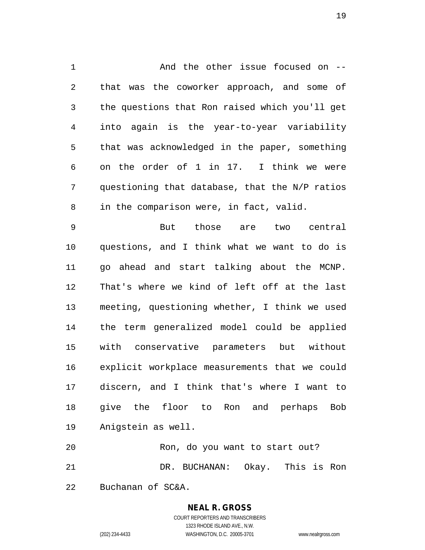1 and the other issue focused on -- that was the coworker approach, and some of the questions that Ron raised which you'll get into again is the year-to-year variability that was acknowledged in the paper, something on the order of 1 in 17. I think we were questioning that database, that the N/P ratios in the comparison were, in fact, valid.

 But those are two central questions, and I think what we want to do is go ahead and start talking about the MCNP. That's where we kind of left off at the last meeting, questioning whether, I think we used the term generalized model could be applied with conservative parameters but without explicit workplace measurements that we could discern, and I think that's where I want to give the floor to Ron and perhaps Bob Anigstein as well.

 Ron, do you want to start out? DR. BUCHANAN: Okay. This is Ron Buchanan of SC&A.

## **NEAL R. GROSS**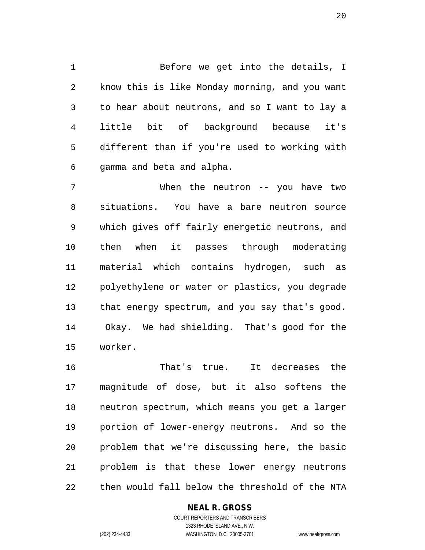Before we get into the details, I know this is like Monday morning, and you want to hear about neutrons, and so I want to lay a little bit of background because it's different than if you're used to working with gamma and beta and alpha.

 When the neutron -- you have two situations. You have a bare neutron source which gives off fairly energetic neutrons, and then when it passes through moderating material which contains hydrogen, such as polyethylene or water or plastics, you degrade that energy spectrum, and you say that's good. Okay. We had shielding. That's good for the worker.

 That's true. It decreases the magnitude of dose, but it also softens the neutron spectrum, which means you get a larger portion of lower-energy neutrons. And so the problem that we're discussing here, the basic problem is that these lower energy neutrons then would fall below the threshold of the NTA

#### **NEAL R. GROSS**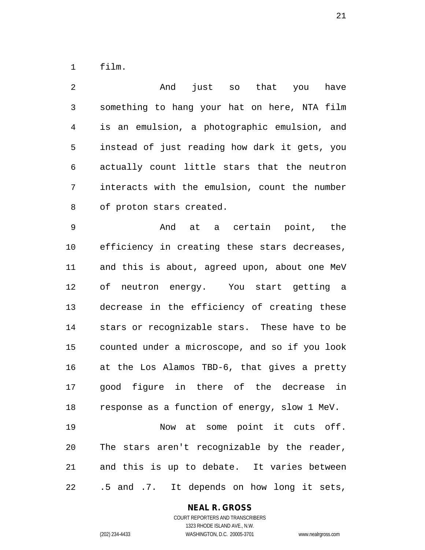film.

 And just so that you have something to hang your hat on here, NTA film is an emulsion, a photographic emulsion, and instead of just reading how dark it gets, you actually count little stars that the neutron interacts with the emulsion, count the number of proton stars created. And at a certain point, the efficiency in creating these stars decreases, and this is about, agreed upon, about one MeV of neutron energy. You start getting a decrease in the efficiency of creating these stars or recognizable stars. These have to be counted under a microscope, and so if you look at the Los Alamos TBD-6, that gives a pretty good figure in there of the decrease in response as a function of energy, slow 1 MeV. Now at some point it cuts off. The stars aren't recognizable by the reader, and this is up to debate. It varies between .5 and .7. It depends on how long it sets,

#### **NEAL R. GROSS**

COURT REPORTERS AND TRANSCRIBERS 1323 RHODE ISLAND AVE., N.W. (202) 234-4433 WASHINGTON, D.C. 20005-3701 www.nealrgross.com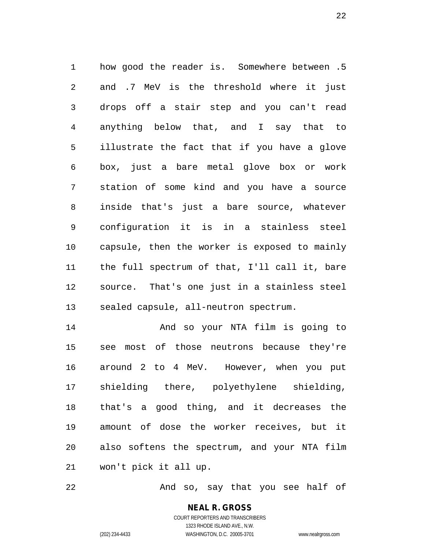how good the reader is. Somewhere between .5 and .7 MeV is the threshold where it just drops off a stair step and you can't read anything below that, and I say that to illustrate the fact that if you have a glove box, just a bare metal glove box or work station of some kind and you have a source inside that's just a bare source, whatever configuration it is in a stainless steel capsule, then the worker is exposed to mainly the full spectrum of that, I'll call it, bare source. That's one just in a stainless steel sealed capsule, all-neutron spectrum.

 And so your NTA film is going to see most of those neutrons because they're around 2 to 4 MeV. However, when you put shielding there, polyethylene shielding, that's a good thing, and it decreases the amount of dose the worker receives, but it also softens the spectrum, and your NTA film won't pick it all up.

And so, say that you see half of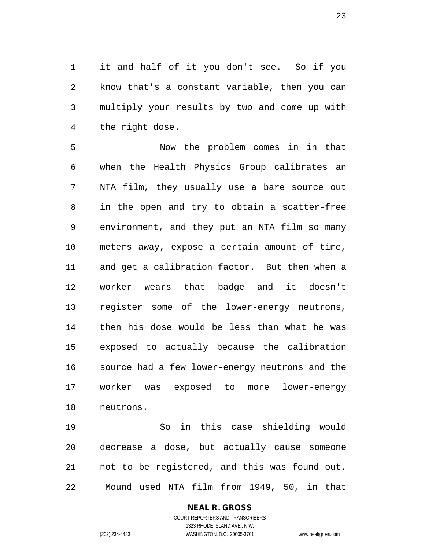it and half of it you don't see. So if you know that's a constant variable, then you can multiply your results by two and come up with the right dose.

 Now the problem comes in in that when the Health Physics Group calibrates an NTA film, they usually use a bare source out in the open and try to obtain a scatter-free environment, and they put an NTA film so many meters away, expose a certain amount of time, and get a calibration factor. But then when a worker wears that badge and it doesn't register some of the lower-energy neutrons, then his dose would be less than what he was exposed to actually because the calibration source had a few lower-energy neutrons and the worker was exposed to more lower-energy neutrons.

 So in this case shielding would decrease a dose, but actually cause someone not to be registered, and this was found out. Mound used NTA film from 1949, 50, in that

#### **NEAL R. GROSS**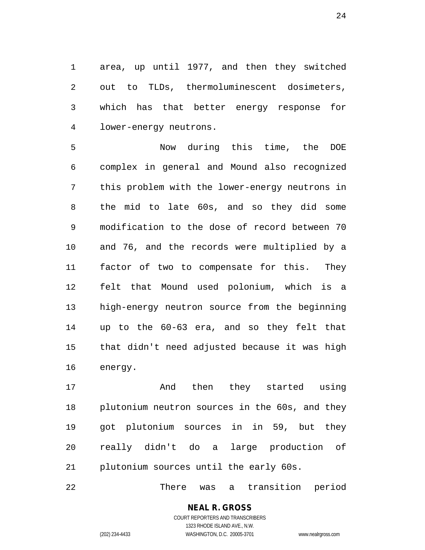area, up until 1977, and then they switched out to TLDs, thermoluminescent dosimeters, which has that better energy response for lower-energy neutrons.

 Now during this time, the DOE complex in general and Mound also recognized this problem with the lower-energy neutrons in the mid to late 60s, and so they did some modification to the dose of record between 70 and 76, and the records were multiplied by a factor of two to compensate for this. They felt that Mound used polonium, which is a high-energy neutron source from the beginning up to the 60-63 era, and so they felt that that didn't need adjusted because it was high energy.

 And then they started using plutonium neutron sources in the 60s, and they got plutonium sources in in 59, but they really didn't do a large production of plutonium sources until the early 60s.

There was a transition period

#### **NEAL R. GROSS** COURT REPORTERS AND TRANSCRIBERS

1323 RHODE ISLAND AVE., N.W. (202) 234-4433 WASHINGTON, D.C. 20005-3701 www.nealrgross.com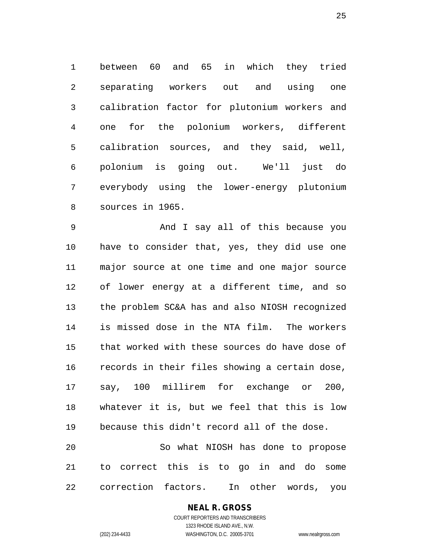between 60 and 65 in which they tried separating workers out and using one calibration factor for plutonium workers and one for the polonium workers, different calibration sources, and they said, well, polonium is going out. We'll just do everybody using the lower-energy plutonium sources in 1965.

 And I say all of this because you have to consider that, yes, they did use one major source at one time and one major source of lower energy at a different time, and so the problem SC&A has and also NIOSH recognized is missed dose in the NTA film. The workers that worked with these sources do have dose of records in their files showing a certain dose, say, 100 millirem for exchange or 200, whatever it is, but we feel that this is low because this didn't record all of the dose. So what NIOSH has done to propose

 to correct this is to go in and do some correction factors. In other words, you

#### **NEAL R. GROSS**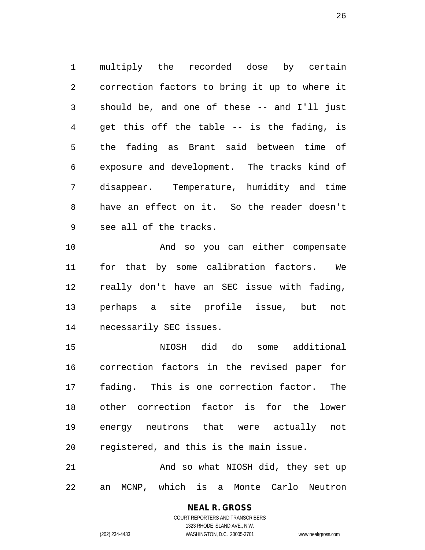multiply the recorded dose by certain correction factors to bring it up to where it should be, and one of these -- and I'll just get this off the table -- is the fading, is the fading as Brant said between time of exposure and development. The tracks kind of disappear. Temperature, humidity and time have an effect on it. So the reader doesn't see all of the tracks.

 And so you can either compensate for that by some calibration factors. We really don't have an SEC issue with fading, perhaps a site profile issue, but not necessarily SEC issues.

 NIOSH did do some additional correction factors in the revised paper for fading. This is one correction factor. The other correction factor is for the lower energy neutrons that were actually not registered, and this is the main issue.

21 And so what NIOSH did, they set up an MCNP, which is a Monte Carlo Neutron

> **NEAL R. GROSS** COURT REPORTERS AND TRANSCRIBERS

1323 RHODE ISLAND AVE., N.W. (202) 234-4433 WASHINGTON, D.C. 20005-3701 www.nealrgross.com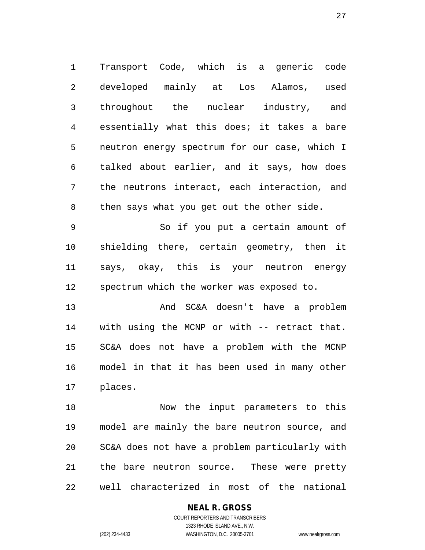Transport Code, which is a generic code developed mainly at Los Alamos, used throughout the nuclear industry, and essentially what this does; it takes a bare neutron energy spectrum for our case, which I talked about earlier, and it says, how does the neutrons interact, each interaction, and then says what you get out the other side.

 So if you put a certain amount of shielding there, certain geometry, then it says, okay, this is your neutron energy spectrum which the worker was exposed to.

 And SC&A doesn't have a problem with using the MCNP or with -- retract that. SC&A does not have a problem with the MCNP model in that it has been used in many other places.

 Now the input parameters to this model are mainly the bare neutron source, and SC&A does not have a problem particularly with the bare neutron source. These were pretty well characterized in most of the national

# **NEAL R. GROSS**

COURT REPORTERS AND TRANSCRIBERS 1323 RHODE ISLAND AVE., N.W. (202) 234-4433 WASHINGTON, D.C. 20005-3701 www.nealrgross.com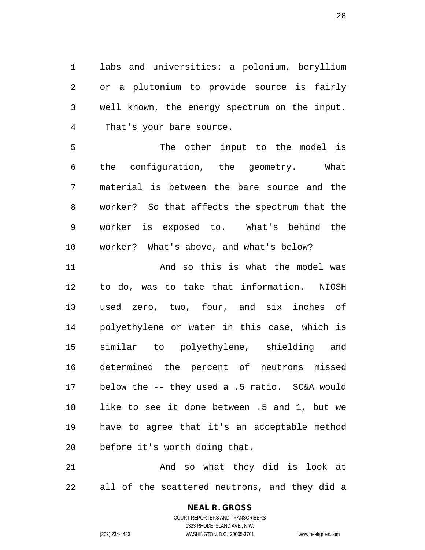labs and universities: a polonium, beryllium or a plutonium to provide source is fairly well known, the energy spectrum on the input. That's your bare source.

 The other input to the model is the configuration, the geometry. What material is between the bare source and the worker? So that affects the spectrum that the worker is exposed to. What's behind the worker? What's above, and what's below?

 And so this is what the model was to do, was to take that information. NIOSH used zero, two, four, and six inches of polyethylene or water in this case, which is similar to polyethylene, shielding and determined the percent of neutrons missed below the -- they used a .5 ratio. SC&A would like to see it done between .5 and 1, but we have to agree that it's an acceptable method before it's worth doing that.

 And so what they did is look at all of the scattered neutrons, and they did a

## **NEAL R. GROSS**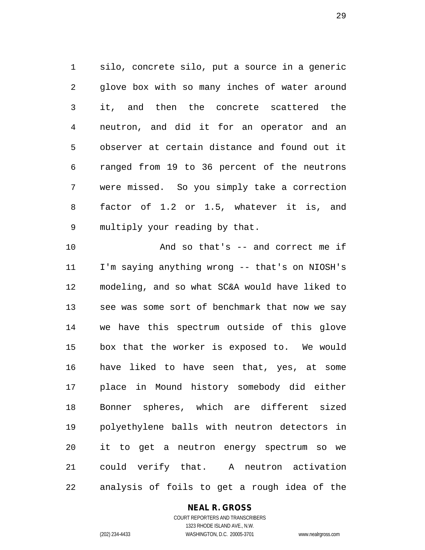silo, concrete silo, put a source in a generic glove box with so many inches of water around it, and then the concrete scattered the neutron, and did it for an operator and an observer at certain distance and found out it ranged from 19 to 36 percent of the neutrons were missed. So you simply take a correction factor of 1.2 or 1.5, whatever it is, and multiply your reading by that.

 And so that's -- and correct me if I'm saying anything wrong -- that's on NIOSH's modeling, and so what SC&A would have liked to see was some sort of benchmark that now we say we have this spectrum outside of this glove box that the worker is exposed to. We would have liked to have seen that, yes, at some place in Mound history somebody did either Bonner spheres, which are different sized polyethylene balls with neutron detectors in it to get a neutron energy spectrum so we could verify that. A neutron activation analysis of foils to get a rough idea of the

#### **NEAL R. GROSS**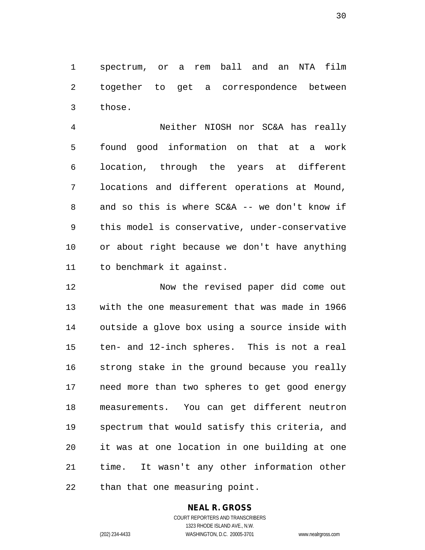spectrum, or a rem ball and an NTA film together to get a correspondence between those.

 Neither NIOSH nor SC&A has really found good information on that at a work location, through the years at different locations and different operations at Mound, and so this is where SC&A -- we don't know if this model is conservative, under-conservative or about right because we don't have anything to benchmark it against.

 Now the revised paper did come out with the one measurement that was made in 1966 outside a glove box using a source inside with ten- and 12-inch spheres. This is not a real strong stake in the ground because you really need more than two spheres to get good energy measurements. You can get different neutron spectrum that would satisfy this criteria, and it was at one location in one building at one time. It wasn't any other information other than that one measuring point.

# **NEAL R. GROSS**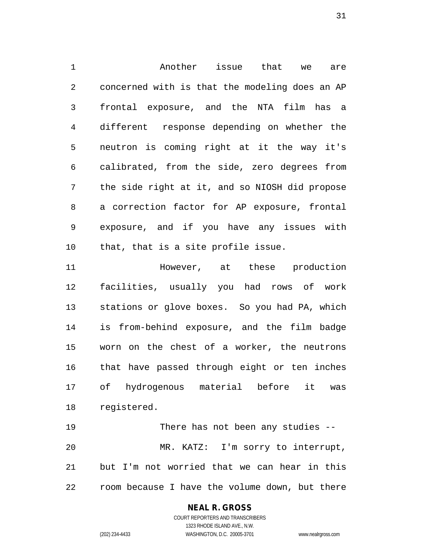Another issue that we are concerned with is that the modeling does an AP frontal exposure, and the NTA film has a different response depending on whether the neutron is coming right at it the way it's calibrated, from the side, zero degrees from the side right at it, and so NIOSH did propose a correction factor for AP exposure, frontal exposure, and if you have any issues with that, that is a site profile issue.

**However,** at these production facilities, usually you had rows of work stations or glove boxes. So you had PA, which is from-behind exposure, and the film badge worn on the chest of a worker, the neutrons that have passed through eight or ten inches of hydrogenous material before it was registered.

 There has not been any studies -- MR. KATZ: I'm sorry to interrupt, but I'm not worried that we can hear in this room because I have the volume down, but there

#### **NEAL R. GROSS**

COURT REPORTERS AND TRANSCRIBERS 1323 RHODE ISLAND AVE., N.W. (202) 234-4433 WASHINGTON, D.C. 20005-3701 www.nealrgross.com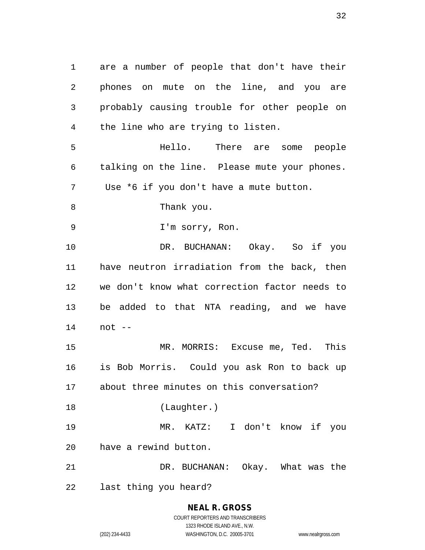are a number of people that don't have their phones on mute on the line, and you are probably causing trouble for other people on the line who are trying to listen. Hello. There are some people talking on the line. Please mute your phones. Use \*6 if you don't have a mute button. Thank you. I'm sorry, Ron. DR. BUCHANAN: Okay. So if you have neutron irradiation from the back, then we don't know what correction factor needs to be added to that NTA reading, and we have not -- MR. MORRIS: Excuse me, Ted. This is Bob Morris. Could you ask Ron to back up about three minutes on this conversation? (Laughter.) MR. KATZ: I don't know if you have a rewind button. DR. BUCHANAN: Okay. What was the last thing you heard?

> **NEAL R. GROSS** COURT REPORTERS AND TRANSCRIBERS 1323 RHODE ISLAND AVE., N.W. (202) 234-4433 WASHINGTON, D.C. 20005-3701 www.nealrgross.com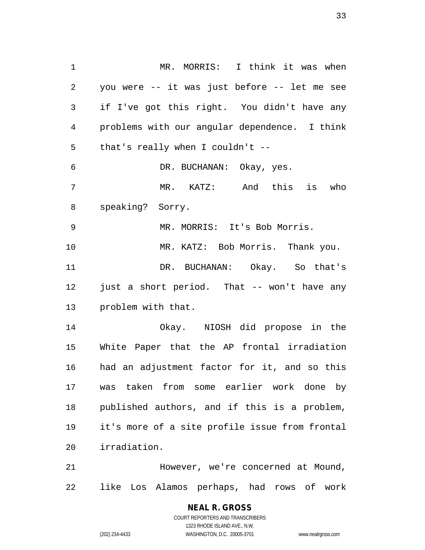MR. MORRIS: I think it was when you were -- it was just before -- let me see if I've got this right. You didn't have any problems with our angular dependence. I think that's really when I couldn't -- DR. BUCHANAN: Okay, yes. MR. KATZ: And this is who speaking? Sorry. MR. MORRIS: It's Bob Morris. MR. KATZ: Bob Morris. Thank you. DR. BUCHANAN: Okay. So that's just a short period. That -- won't have any problem with that. Okay. NIOSH did propose in the White Paper that the AP frontal irradiation had an adjustment factor for it, and so this was taken from some earlier work done by published authors, and if this is a problem, it's more of a site profile issue from frontal irradiation.

 However, we're concerned at Mound, like Los Alamos perhaps, had rows of work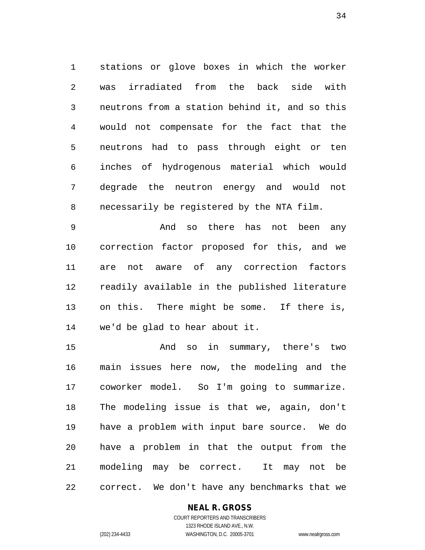stations or glove boxes in which the worker was irradiated from the back side with neutrons from a station behind it, and so this would not compensate for the fact that the neutrons had to pass through eight or ten inches of hydrogenous material which would degrade the neutron energy and would not necessarily be registered by the NTA film.

 And so there has not been any correction factor proposed for this, and we are not aware of any correction factors readily available in the published literature on this. There might be some. If there is, we'd be glad to hear about it.

 And so in summary, there's two main issues here now, the modeling and the coworker model. So I'm going to summarize. The modeling issue is that we, again, don't have a problem with input bare source. We do have a problem in that the output from the modeling may be correct. It may not be correct. We don't have any benchmarks that we

#### **NEAL R. GROSS**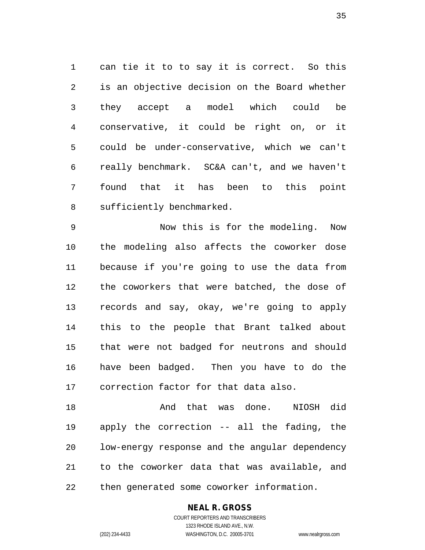can tie it to to say it is correct. So this is an objective decision on the Board whether they accept a model which could be conservative, it could be right on, or it could be under-conservative, which we can't really benchmark. SC&A can't, and we haven't found that it has been to this point sufficiently benchmarked.

 Now this is for the modeling. Now the modeling also affects the coworker dose because if you're going to use the data from the coworkers that were batched, the dose of records and say, okay, we're going to apply this to the people that Brant talked about that were not badged for neutrons and should have been badged. Then you have to do the correction factor for that data also.

 And that was done. NIOSH did apply the correction -- all the fading, the low-energy response and the angular dependency to the coworker data that was available, and then generated some coworker information.

#### **NEAL R. GROSS**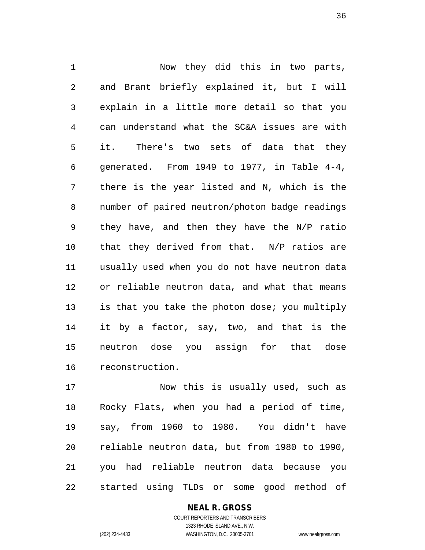Now they did this in two parts, and Brant briefly explained it, but I will explain in a little more detail so that you can understand what the SC&A issues are with it. There's two sets of data that they generated. From 1949 to 1977, in Table 4-4, there is the year listed and N, which is the number of paired neutron/photon badge readings they have, and then they have the N/P ratio that they derived from that. N/P ratios are usually used when you do not have neutron data or reliable neutron data, and what that means is that you take the photon dose; you multiply it by a factor, say, two, and that is the neutron dose you assign for that dose reconstruction.

 Now this is usually used, such as Rocky Flats, when you had a period of time, say, from 1960 to 1980. You didn't have reliable neutron data, but from 1980 to 1990, you had reliable neutron data because you started using TLDs or some good method of

> **NEAL R. GROSS** COURT REPORTERS AND TRANSCRIBERS 1323 RHODE ISLAND AVE., N.W.

(202) 234-4433 WASHINGTON, D.C. 20005-3701 www.nealrgross.com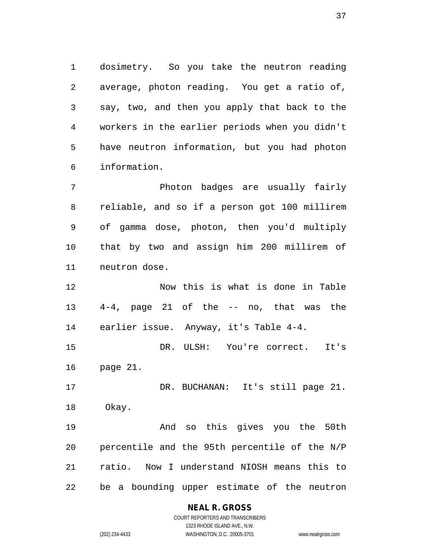dosimetry. So you take the neutron reading average, photon reading. You get a ratio of, say, two, and then you apply that back to the workers in the earlier periods when you didn't have neutron information, but you had photon information.

 Photon badges are usually fairly reliable, and so if a person got 100 millirem of gamma dose, photon, then you'd multiply that by two and assign him 200 millirem of neutron dose.

 Now this is what is done in Table 4-4, page 21 of the -- no, that was the earlier issue. Anyway, it's Table 4-4.

 DR. ULSH: You're correct. It's page 21.

 DR. BUCHANAN: It's still page 21. Okay.

 And so this gives you the 50th percentile and the 95th percentile of the N/P ratio. Now I understand NIOSH means this to be a bounding upper estimate of the neutron

#### **NEAL R. GROSS**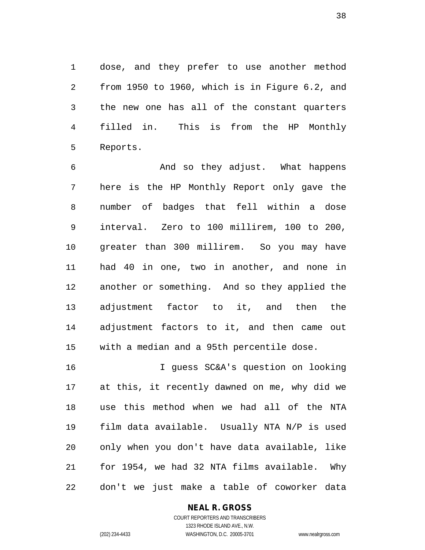dose, and they prefer to use another method from 1950 to 1960, which is in Figure 6.2, and the new one has all of the constant quarters filled in. This is from the HP Monthly Reports.

 And so they adjust. What happens here is the HP Monthly Report only gave the number of badges that fell within a dose interval. Zero to 100 millirem, 100 to 200, greater than 300 millirem. So you may have had 40 in one, two in another, and none in another or something. And so they applied the adjustment factor to it, and then the adjustment factors to it, and then came out with a median and a 95th percentile dose.

 I guess SC&A's question on looking at this, it recently dawned on me, why did we use this method when we had all of the NTA film data available. Usually NTA N/P is used only when you don't have data available, like for 1954, we had 32 NTA films available. Why don't we just make a table of coworker data

#### **NEAL R. GROSS**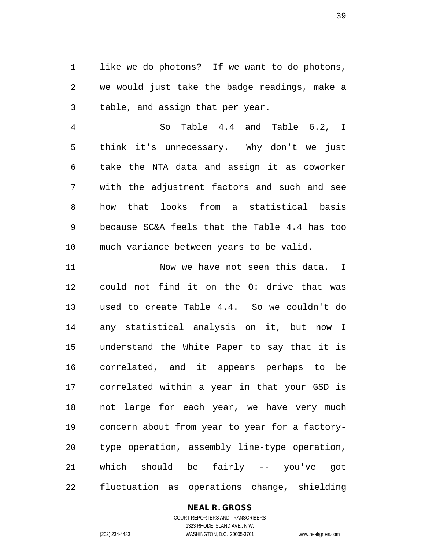like we do photons? If we want to do photons, we would just take the badge readings, make a table, and assign that per year.

 So Table 4.4 and Table 6.2, I think it's unnecessary. Why don't we just take the NTA data and assign it as coworker with the adjustment factors and such and see how that looks from a statistical basis because SC&A feels that the Table 4.4 has too much variance between years to be valid.

11 Now we have not seen this data. I could not find it on the O: drive that was used to create Table 4.4. So we couldn't do any statistical analysis on it, but now I understand the White Paper to say that it is correlated, and it appears perhaps to be correlated within a year in that your GSD is not large for each year, we have very much concern about from year to year for a factory- type operation, assembly line-type operation, which should be fairly -- you've got fluctuation as operations change, shielding

#### **NEAL R. GROSS**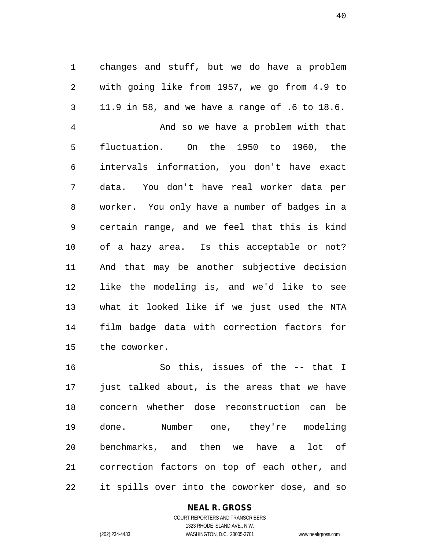changes and stuff, but we do have a problem with going like from 1957, we go from 4.9 to 11.9 in 58, and we have a range of .6 to 18.6. And so we have a problem with that fluctuation. On the 1950 to 1960, the intervals information, you don't have exact data. You don't have real worker data per worker. You only have a number of badges in a certain range, and we feel that this is kind of a hazy area. Is this acceptable or not? And that may be another subjective decision like the modeling is, and we'd like to see what it looked like if we just used the NTA film badge data with correction factors for the coworker.

 So this, issues of the -- that I just talked about, is the areas that we have concern whether dose reconstruction can be done. Number one, they're modeling benchmarks, and then we have a lot of correction factors on top of each other, and it spills over into the coworker dose, and so

#### **NEAL R. GROSS**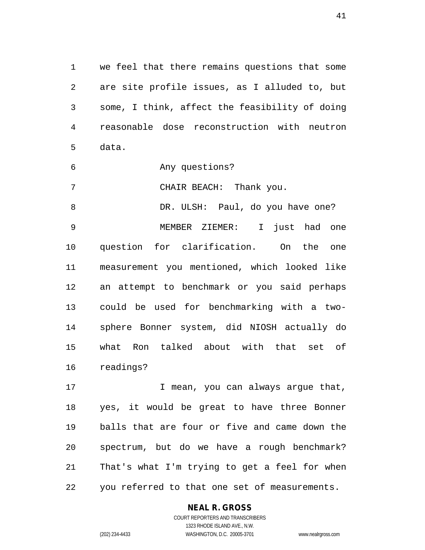we feel that there remains questions that some are site profile issues, as I alluded to, but some, I think, affect the feasibility of doing reasonable dose reconstruction with neutron data.

Any questions?

CHAIR BEACH: Thank you.

8 DR. ULSH: Paul, do you have one? MEMBER ZIEMER: I just had one question for clarification. On the one measurement you mentioned, which looked like an attempt to benchmark or you said perhaps could be used for benchmarking with a two- sphere Bonner system, did NIOSH actually do what Ron talked about with that set of readings?

17 I mean, you can always argue that, yes, it would be great to have three Bonner balls that are four or five and came down the spectrum, but do we have a rough benchmark? That's what I'm trying to get a feel for when you referred to that one set of measurements.

#### **NEAL R. GROSS**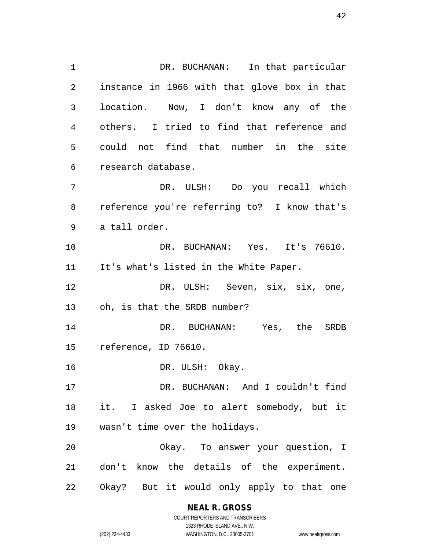DR. BUCHANAN: In that particular instance in 1966 with that glove box in that location. Now, I don't know any of the others. I tried to find that reference and could not find that number in the site research database. DR. ULSH: Do you recall which reference you're referring to? I know that's a tall order. DR. BUCHANAN: Yes. It's 76610. It's what's listed in the White Paper. DR. ULSH: Seven, six, six, one, oh, is that the SRDB number? DR. BUCHANAN: Yes, the SRDB reference, ID 76610. 16 DR. ULSH: Okay. DR. BUCHANAN: And I couldn't find it. I asked Joe to alert somebody, but it wasn't time over the holidays.

 Okay. To answer your question, I don't know the details of the experiment. Okay? But it would only apply to that one

#### **NEAL R. GROSS**

COURT REPORTERS AND TRANSCRIBERS 1323 RHODE ISLAND AVE., N.W. (202) 234-4433 WASHINGTON, D.C. 20005-3701 www.nealrgross.com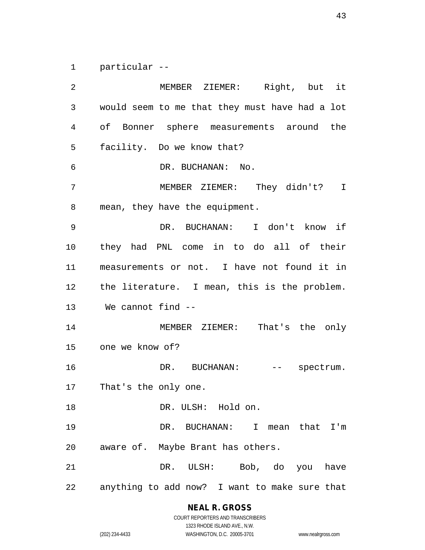particular --

 MEMBER ZIEMER: Right, but it would seem to me that they must have had a lot of Bonner sphere measurements around the facility. Do we know that? 6 DR. BUCHANAN: No. MEMBER ZIEMER: They didn't? I mean, they have the equipment. DR. BUCHANAN: I don't know if they had PNL come in to do all of their measurements or not. I have not found it in the literature. I mean, this is the problem. We cannot find -- MEMBER ZIEMER: That's the only one we know of? 16 DR. BUCHANAN: -- spectrum. That's the only one. DR. ULSH: Hold on. DR. BUCHANAN: I mean that I'm aware of. Maybe Brant has others. DR. ULSH: Bob, do you have anything to add now? I want to make sure that

# **NEAL R. GROSS**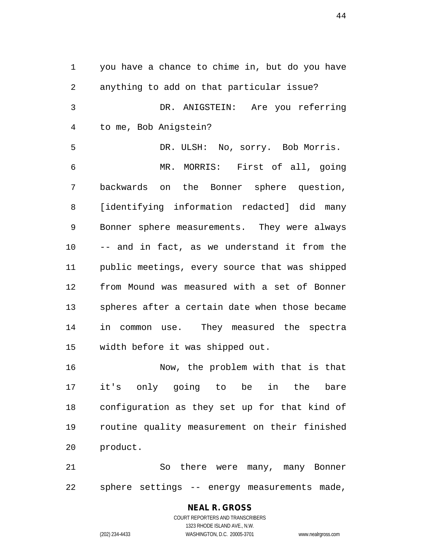you have a chance to chime in, but do you have anything to add on that particular issue? DR. ANIGSTEIN: Are you referring to me, Bob Anigstein? DR. ULSH: No, sorry. Bob Morris. MR. MORRIS: First of all, going backwards on the Bonner sphere question, [identifying information redacted] did many Bonner sphere measurements. They were always -- and in fact, as we understand it from the public meetings, every source that was shipped from Mound was measured with a set of Bonner spheres after a certain date when those became in common use. They measured the spectra width before it was shipped out. Now, the problem with that is that

 it's only going to be in the bare configuration as they set up for that kind of routine quality measurement on their finished product.

 So there were many, many Bonner sphere settings -- energy measurements made,

#### **NEAL R. GROSS** COURT REPORTERS AND TRANSCRIBERS 1323 RHODE ISLAND AVE., N.W.

(202) 234-4433 WASHINGTON, D.C. 20005-3701 www.nealrgross.com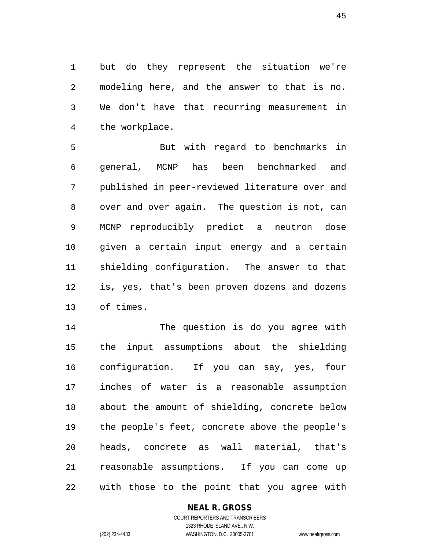but do they represent the situation we're modeling here, and the answer to that is no. We don't have that recurring measurement in the workplace.

 But with regard to benchmarks in general, MCNP has been benchmarked and published in peer-reviewed literature over and over and over again. The question is not, can MCNP reproducibly predict a neutron dose given a certain input energy and a certain shielding configuration. The answer to that is, yes, that's been proven dozens and dozens of times.

 The question is do you agree with the input assumptions about the shielding configuration. If you can say, yes, four inches of water is a reasonable assumption about the amount of shielding, concrete below the people's feet, concrete above the people's heads, concrete as wall material, that's reasonable assumptions. If you can come up with those to the point that you agree with

#### **NEAL R. GROSS**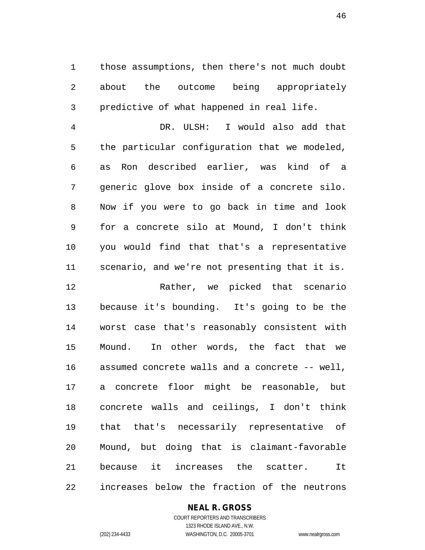those assumptions, then there's not much doubt about the outcome being appropriately predictive of what happened in real life.

 DR. ULSH: I would also add that the particular configuration that we modeled, as Ron described earlier, was kind of a generic glove box inside of a concrete silo. Now if you were to go back in time and look for a concrete silo at Mound, I don't think you would find that that's a representative scenario, and we're not presenting that it is.

 Rather, we picked that scenario because it's bounding. It's going to be the worst case that's reasonably consistent with Mound. In other words, the fact that we assumed concrete walls and a concrete -- well, a concrete floor might be reasonable, but concrete walls and ceilings, I don't think that that's necessarily representative of Mound, but doing that is claimant-favorable because it increases the scatter. It increases below the fraction of the neutrons

#### **NEAL R. GROSS**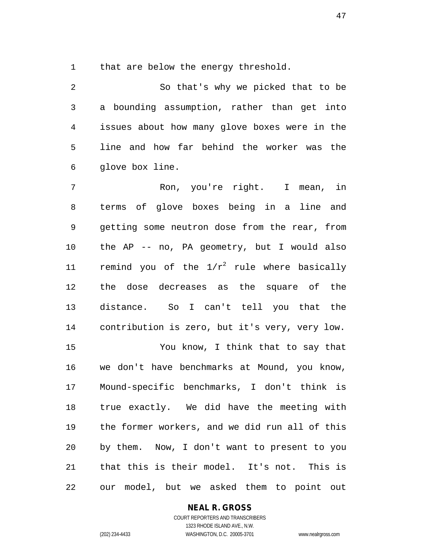that are below the energy threshold.

 So that's why we picked that to be a bounding assumption, rather than get into issues about how many glove boxes were in the line and how far behind the worker was the glove box line.

 Ron, you're right. I mean, in terms of glove boxes being in a line and getting some neutron dose from the rear, from the AP -- no, PA geometry, but I would also 11 remind you of the  $1/r^2$  rule where basically the dose decreases as the square of the distance. So I can't tell you that the contribution is zero, but it's very, very low. You know, I think that to say that we don't have benchmarks at Mound, you know, Mound-specific benchmarks, I don't think is true exactly. We did have the meeting with the former workers, and we did run all of this by them. Now, I don't want to present to you that this is their model. It's not. This is our model, but we asked them to point out

**NEAL R. GROSS**

COURT REPORTERS AND TRANSCRIBERS 1323 RHODE ISLAND AVE., N.W. (202) 234-4433 WASHINGTON, D.C. 20005-3701 www.nealrgross.com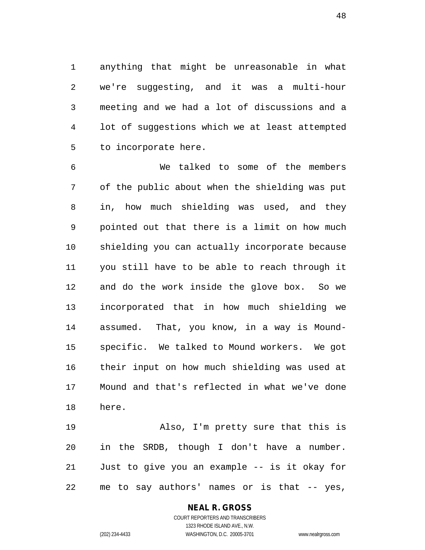anything that might be unreasonable in what we're suggesting, and it was a multi-hour meeting and we had a lot of discussions and a lot of suggestions which we at least attempted to incorporate here.

 We talked to some of the members of the public about when the shielding was put in, how much shielding was used, and they pointed out that there is a limit on how much shielding you can actually incorporate because you still have to be able to reach through it and do the work inside the glove box. So we incorporated that in how much shielding we assumed. That, you know, in a way is Mound- specific. We talked to Mound workers. We got their input on how much shielding was used at Mound and that's reflected in what we've done here.

 Also, I'm pretty sure that this is in the SRDB, though I don't have a number. Just to give you an example -- is it okay for me to say authors' names or is that -- yes,

#### **NEAL R. GROSS** COURT REPORTERS AND TRANSCRIBERS

1323 RHODE ISLAND AVE., N.W. (202) 234-4433 WASHINGTON, D.C. 20005-3701 www.nealrgross.com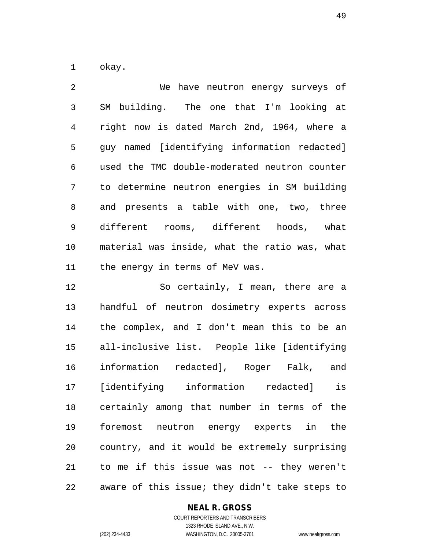okay.

 We have neutron energy surveys of SM building. The one that I'm looking at right now is dated March 2nd, 1964, where a guy named [identifying information redacted] used the TMC double-moderated neutron counter to determine neutron energies in SM building and presents a table with one, two, three different rooms, different hoods, what material was inside, what the ratio was, what the energy in terms of MeV was.

 So certainly, I mean, there are a handful of neutron dosimetry experts across the complex, and I don't mean this to be an all-inclusive list. People like [identifying information redacted], Roger Falk, and [identifying information redacted] is certainly among that number in terms of the foremost neutron energy experts in the country, and it would be extremely surprising to me if this issue was not -- they weren't aware of this issue; they didn't take steps to

# **NEAL R. GROSS**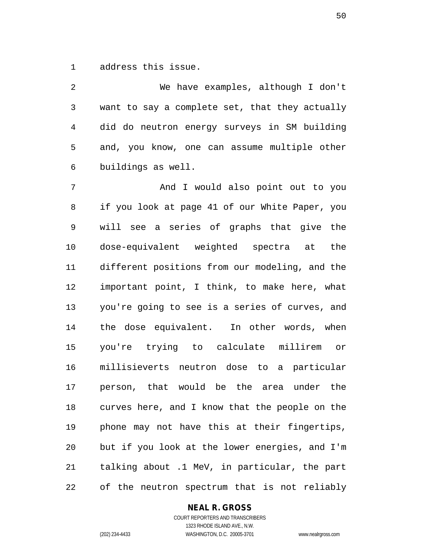address this issue.

 We have examples, although I don't want to say a complete set, that they actually did do neutron energy surveys in SM building and, you know, one can assume multiple other buildings as well.

 And I would also point out to you if you look at page 41 of our White Paper, you will see a series of graphs that give the dose-equivalent weighted spectra at the different positions from our modeling, and the important point, I think, to make here, what you're going to see is a series of curves, and the dose equivalent. In other words, when you're trying to calculate millirem or millisieverts neutron dose to a particular person, that would be the area under the curves here, and I know that the people on the phone may not have this at their fingertips, but if you look at the lower energies, and I'm talking about .1 MeV, in particular, the part of the neutron spectrum that is not reliably

#### **NEAL R. GROSS**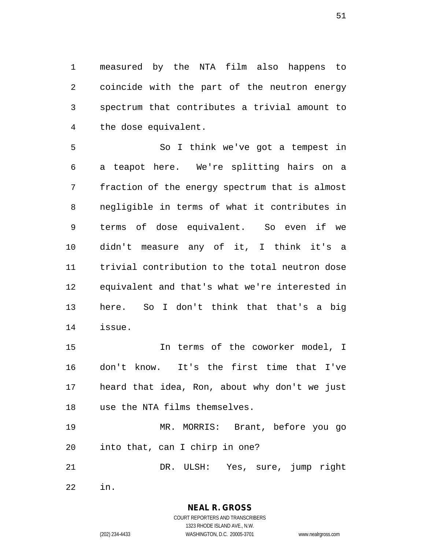measured by the NTA film also happens to coincide with the part of the neutron energy spectrum that contributes a trivial amount to the dose equivalent.

 So I think we've got a tempest in a teapot here. We're splitting hairs on a fraction of the energy spectrum that is almost negligible in terms of what it contributes in terms of dose equivalent. So even if we didn't measure any of it, I think it's a trivial contribution to the total neutron dose equivalent and that's what we're interested in here. So I don't think that that's a big issue.

 In terms of the coworker model, I don't know. It's the first time that I've heard that idea, Ron, about why don't we just use the NTA films themselves.

 MR. MORRIS: Brant, before you go into that, can I chirp in one?

DR. ULSH: Yes, sure, jump right

in.

**NEAL R. GROSS** COURT REPORTERS AND TRANSCRIBERS

1323 RHODE ISLAND AVE., N.W. (202) 234-4433 WASHINGTON, D.C. 20005-3701 www.nealrgross.com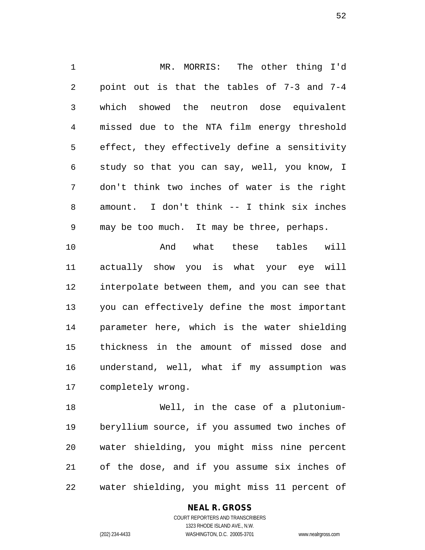MR. MORRIS: The other thing I'd point out is that the tables of 7-3 and 7-4 which showed the neutron dose equivalent missed due to the NTA film energy threshold effect, they effectively define a sensitivity study so that you can say, well, you know, I don't think two inches of water is the right amount. I don't think -- I think six inches may be too much. It may be three, perhaps. And what these tables will actually show you is what your eye will interpolate between them, and you can see that you can effectively define the most important parameter here, which is the water shielding thickness in the amount of missed dose and understand, well, what if my assumption was

completely wrong.

 Well, in the case of a plutonium- beryllium source, if you assumed two inches of water shielding, you might miss nine percent of the dose, and if you assume six inches of water shielding, you might miss 11 percent of

#### **NEAL R. GROSS**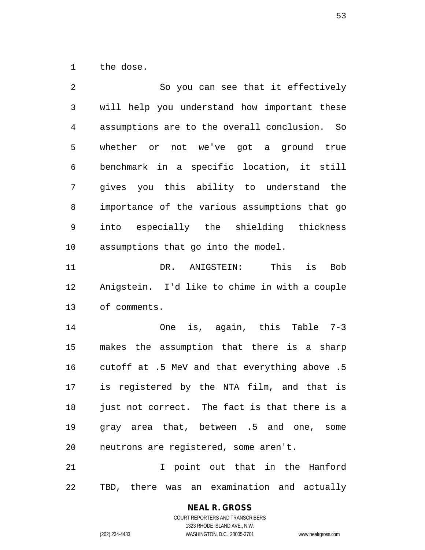the dose.

| 2              | So you can see that it effectively            |
|----------------|-----------------------------------------------|
| $\mathfrak{Z}$ | will help you understand how important these  |
| 4              | assumptions are to the overall conclusion. So |
| 5              | whether or not we've got a ground true        |
| 6              | benchmark in a specific location, it still    |
| 7              | gives you this ability to understand the      |
| 8              | importance of the various assumptions that go |
| 9              | into especially the shielding thickness       |
| 10             | assumptions that go into the model.           |
| 11             | ANIGSTEIN:<br>This<br><b>Bob</b><br>DR.<br>is |
| 12             | Anigstein. I'd like to chime in with a couple |
| 13             | of comments.                                  |
| 14             | is, again, this Table 7-3<br>One              |
| 15             | makes the assumption that there is a sharp    |
| 16             | cutoff at .5 MeV and that everything above .5 |
| 17             | is registered by the NTA film, and that is    |
| 18             | just not correct. The fact is that there is a |
| 19             | gray area that, between .5 and one, some      |
| 20             | neutrons are registered, some aren't.         |
| 21             | I point out that in the Hanford               |
|                |                                               |

TBD, there was an examination and actually

**NEAL R. GROSS** COURT REPORTERS AND TRANSCRIBERS

1323 RHODE ISLAND AVE., N.W. (202) 234-4433 WASHINGTON, D.C. 20005-3701 www.nealrgross.com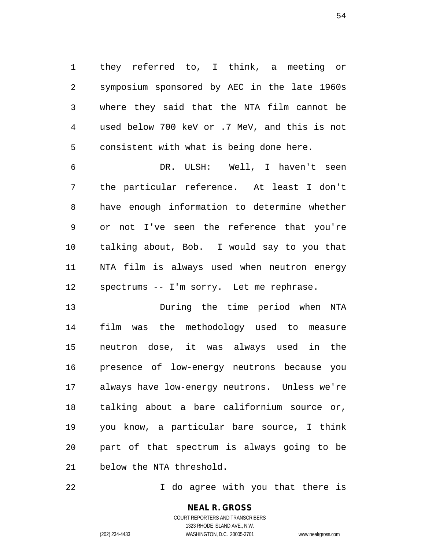they referred to, I think, a meeting or symposium sponsored by AEC in the late 1960s where they said that the NTA film cannot be used below 700 keV or .7 MeV, and this is not consistent with what is being done here.

 DR. ULSH: Well, I haven't seen the particular reference. At least I don't have enough information to determine whether or not I've seen the reference that you're talking about, Bob. I would say to you that NTA film is always used when neutron energy spectrums -- I'm sorry. Let me rephrase.

 During the time period when NTA film was the methodology used to measure neutron dose, it was always used in the presence of low-energy neutrons because you always have low-energy neutrons. Unless we're talking about a bare californium source or, you know, a particular bare source, I think part of that spectrum is always going to be below the NTA threshold.

**I** do agree with you that there is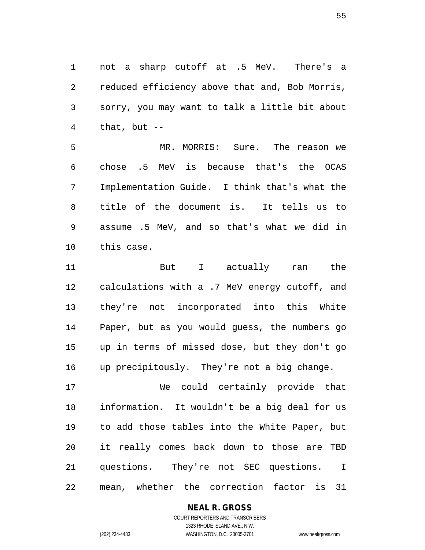not a sharp cutoff at .5 MeV. There's a reduced efficiency above that and, Bob Morris, sorry, you may want to talk a little bit about that, but  $-$ 

 MR. MORRIS: Sure. The reason we chose .5 MeV is because that's the OCAS Implementation Guide. I think that's what the title of the document is. It tells us to assume .5 MeV, and so that's what we did in this case.

 But I actually ran the calculations with a .7 MeV energy cutoff, and they're not incorporated into this White Paper, but as you would guess, the numbers go up in terms of missed dose, but they don't go up precipitously. They're not a big change.

 We could certainly provide that information. It wouldn't be a big deal for us to add those tables into the White Paper, but it really comes back down to those are TBD questions. They're not SEC questions. I mean, whether the correction factor is 31

# **NEAL R. GROSS**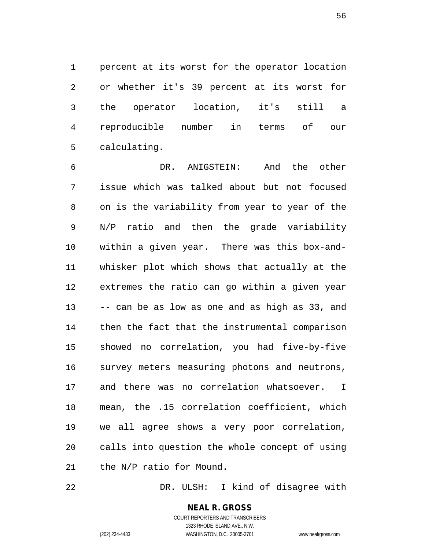percent at its worst for the operator location or whether it's 39 percent at its worst for the operator location, it's still a reproducible number in terms of our calculating.

 DR. ANIGSTEIN: And the other issue which was talked about but not focused on is the variability from year to year of the N/P ratio and then the grade variability within a given year. There was this box-and- whisker plot which shows that actually at the extremes the ratio can go within a given year -- can be as low as one and as high as 33, and then the fact that the instrumental comparison showed no correlation, you had five-by-five survey meters measuring photons and neutrons, and there was no correlation whatsoever. I mean, the .15 correlation coefficient, which we all agree shows a very poor correlation, calls into question the whole concept of using the N/P ratio for Mound.

DR. ULSH: I kind of disagree with

**NEAL R. GROSS** COURT REPORTERS AND TRANSCRIBERS 1323 RHODE ISLAND AVE., N.W.

(202) 234-4433 WASHINGTON, D.C. 20005-3701 www.nealrgross.com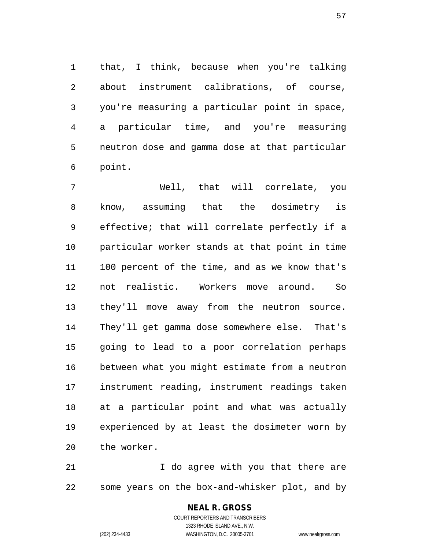that, I think, because when you're talking about instrument calibrations, of course, you're measuring a particular point in space, a particular time, and you're measuring neutron dose and gamma dose at that particular point.

 Well, that will correlate, you know, assuming that the dosimetry is effective; that will correlate perfectly if a particular worker stands at that point in time 100 percent of the time, and as we know that's not realistic. Workers move around. So they'll move away from the neutron source. They'll get gamma dose somewhere else. That's going to lead to a poor correlation perhaps between what you might estimate from a neutron instrument reading, instrument readings taken at a particular point and what was actually experienced by at least the dosimeter worn by the worker.

 I do agree with you that there are some years on the box-and-whisker plot, and by

> COURT REPORTERS AND TRANSCRIBERS 1323 RHODE ISLAND AVE., N.W. (202) 234-4433 WASHINGTON, D.C. 20005-3701 www.nealrgross.com

**NEAL R. GROSS**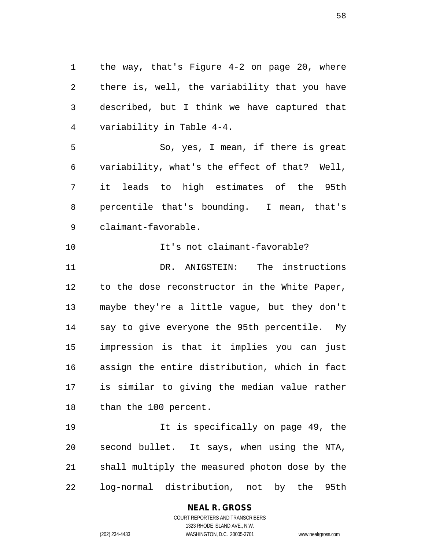the way, that's Figure 4-2 on page 20, where there is, well, the variability that you have described, but I think we have captured that variability in Table 4-4.

 So, yes, I mean, if there is great variability, what's the effect of that? Well, it leads to high estimates of the 95th percentile that's bounding. I mean, that's claimant-favorable.

 It's not claimant-favorable? DR. ANIGSTEIN: The instructions to the dose reconstructor in the White Paper, maybe they're a little vague, but they don't say to give everyone the 95th percentile. My impression is that it implies you can just assign the entire distribution, which in fact is similar to giving the median value rather than the 100 percent.

 It is specifically on page 49, the second bullet. It says, when using the NTA, shall multiply the measured photon dose by the log-normal distribution, not by the 95th

# **NEAL R. GROSS**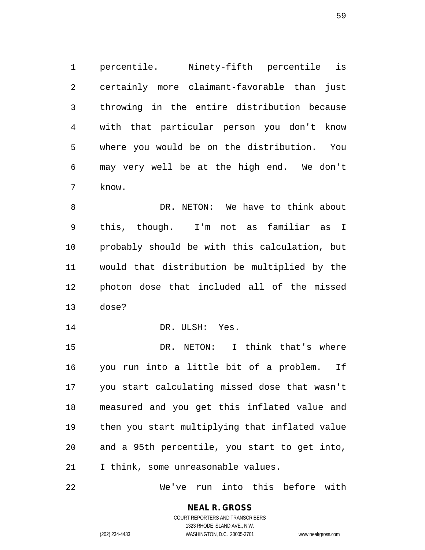percentile. Ninety-fifth percentile is certainly more claimant-favorable than just throwing in the entire distribution because with that particular person you don't know where you would be on the distribution. You may very well be at the high end. We don't know.

8 DR. NETON: We have to think about this, though. I'm not as familiar as I probably should be with this calculation, but would that distribution be multiplied by the photon dose that included all of the missed dose?

14 DR. ULSH: Yes.

 DR. NETON: I think that's where you run into a little bit of a problem. If you start calculating missed dose that wasn't measured and you get this inflated value and then you start multiplying that inflated value and a 95th percentile, you start to get into, I think, some unreasonable values.

We've run into this before with

# **NEAL R. GROSS**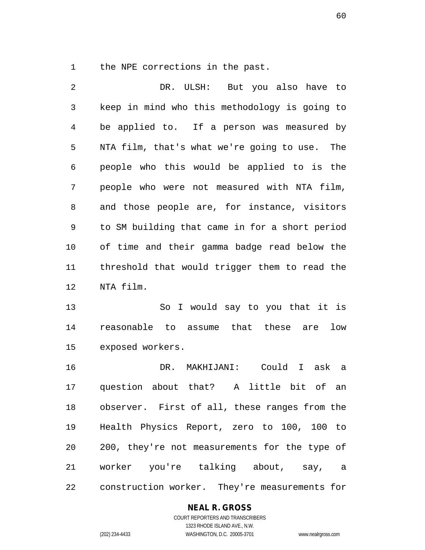the NPE corrections in the past.

| 2              | DR. ULSH: But you also have to                           |
|----------------|----------------------------------------------------------|
| 3              | keep in mind who this methodology is going to            |
| $\overline{4}$ | be applied to. If a person was measured by               |
| 5              | NTA film, that's what we're going to use.<br>The         |
| 6              | people who this would be applied to is the               |
| 7              | people who were not measured with NTA film,              |
| 8              | and those people are, for instance, visitors             |
| 9              | to SM building that came in for a short period           |
| 10             | of time and their gamma badge read below the             |
| 11             | threshold that would trigger them to read the            |
| 12             | NTA film.                                                |
| 13             | So I would say to you that it is                         |
| 14             | reasonable to assume that these are<br>low               |
| 15             | exposed workers.                                         |
| 16             | DR. MAKHIJANI: Could I ask a                             |
| 17             | question about that?<br>$\mathbf{A}$<br>little bit of an |
| 18             | observer. First of all, these ranges from the            |
| 19             | Health Physics Report, zero to 100, 100 to               |
| 20             | 200, they're not measurements for the type of            |
| 21             | worker you're talking about, say, a                      |
| 22             | construction worker. They're measurements for            |

#### **NEAL R. GROSS**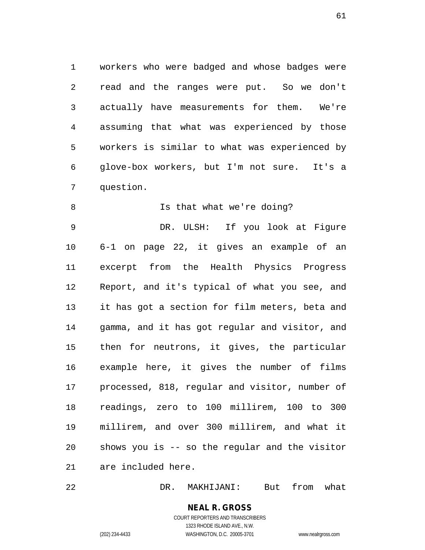workers who were badged and whose badges were read and the ranges were put. So we don't actually have measurements for them. We're assuming that what was experienced by those workers is similar to what was experienced by glove-box workers, but I'm not sure. It's a question.

8 Is that what we're doing? DR. ULSH: If you look at Figure 6-1 on page 22, it gives an example of an excerpt from the Health Physics Progress Report, and it's typical of what you see, and it has got a section for film meters, beta and gamma, and it has got regular and visitor, and then for neutrons, it gives, the particular example here, it gives the number of films processed, 818, regular and visitor, number of readings, zero to 100 millirem, 100 to 300 millirem, and over 300 millirem, and what it shows you is -- so the regular and the visitor are included here.

DR. MAKHIJANI: But from what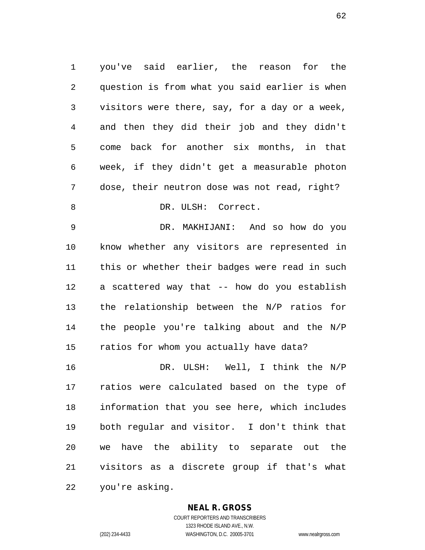you've said earlier, the reason for the question is from what you said earlier is when visitors were there, say, for a day or a week, and then they did their job and they didn't come back for another six months, in that week, if they didn't get a measurable photon dose, their neutron dose was not read, right? 8 DR. ULSH: Correct.

 DR. MAKHIJANI: And so how do you know whether any visitors are represented in this or whether their badges were read in such a scattered way that -- how do you establish the relationship between the N/P ratios for the people you're talking about and the N/P ratios for whom you actually have data?

 DR. ULSH: Well, I think the N/P ratios were calculated based on the type of information that you see here, which includes both regular and visitor. I don't think that we have the ability to separate out the visitors as a discrete group if that's what you're asking.

#### **NEAL R. GROSS**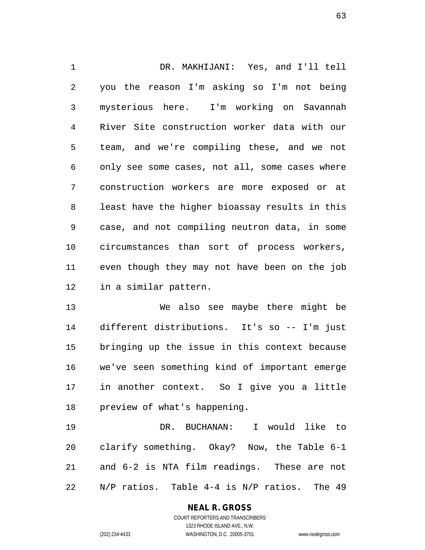DR. MAKHIJANI: Yes, and I'll tell you the reason I'm asking so I'm not being mysterious here. I'm working on Savannah River Site construction worker data with our team, and we're compiling these, and we not only see some cases, not all, some cases where construction workers are more exposed or at least have the higher bioassay results in this case, and not compiling neutron data, in some circumstances than sort of process workers, even though they may not have been on the job in a similar pattern.

 We also see maybe there might be different distributions. It's so -- I'm just bringing up the issue in this context because we've seen something kind of important emerge in another context. So I give you a little preview of what's happening.

 DR. BUCHANAN: I would like to clarify something. Okay? Now, the Table 6-1 and 6-2 is NTA film readings. These are not N/P ratios. Table 4-4 is N/P ratios. The 49

# **NEAL R. GROSS**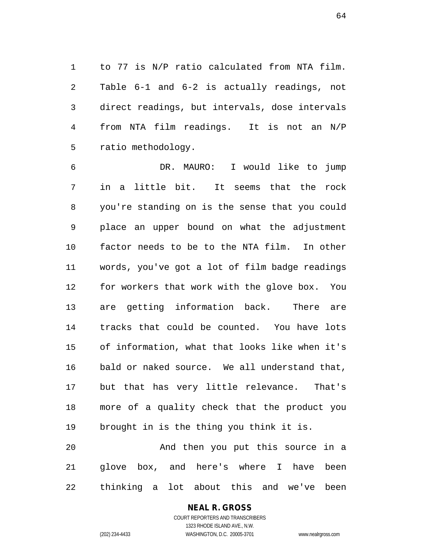to 77 is N/P ratio calculated from NTA film. Table 6-1 and 6-2 is actually readings, not direct readings, but intervals, dose intervals from NTA film readings. It is not an N/P ratio methodology.

 DR. MAURO: I would like to jump in a little bit. It seems that the rock you're standing on is the sense that you could place an upper bound on what the adjustment factor needs to be to the NTA film. In other words, you've got a lot of film badge readings for workers that work with the glove box. You are getting information back. There are tracks that could be counted. You have lots of information, what that looks like when it's bald or naked source. We all understand that, but that has very little relevance. That's more of a quality check that the product you brought in is the thing you think it is. And then you put this source in a

 glove box, and here's where I have been thinking a lot about this and we've been

> COURT REPORTERS AND TRANSCRIBERS 1323 RHODE ISLAND AVE., N.W. (202) 234-4433 WASHINGTON, D.C. 20005-3701 www.nealrgross.com

**NEAL R. GROSS**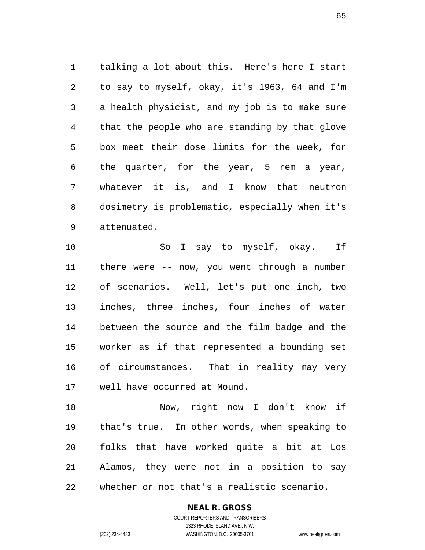talking a lot about this. Here's here I start to say to myself, okay, it's 1963, 64 and I'm a health physicist, and my job is to make sure that the people who are standing by that glove box meet their dose limits for the week, for the quarter, for the year, 5 rem a year, whatever it is, and I know that neutron dosimetry is problematic, especially when it's attenuated.

10 So I say to myself, okay. If there were -- now, you went through a number of scenarios. Well, let's put one inch, two inches, three inches, four inches of water between the source and the film badge and the worker as if that represented a bounding set of circumstances. That in reality may very well have occurred at Mound.

 Now, right now I don't know if that's true. In other words, when speaking to folks that have worked quite a bit at Los Alamos, they were not in a position to say whether or not that's a realistic scenario.

#### **NEAL R. GROSS**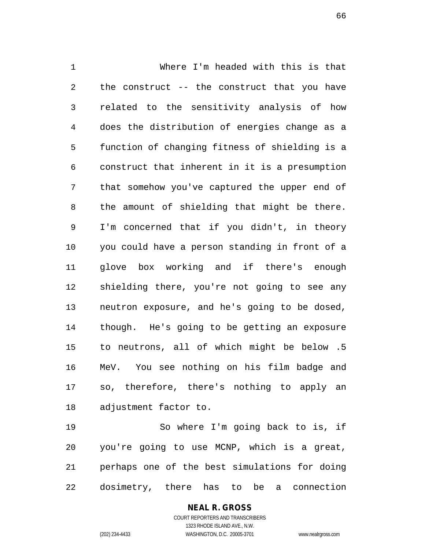Where I'm headed with this is that the construct -- the construct that you have related to the sensitivity analysis of how does the distribution of energies change as a function of changing fitness of shielding is a construct that inherent in it is a presumption that somehow you've captured the upper end of the amount of shielding that might be there. I'm concerned that if you didn't, in theory you could have a person standing in front of a glove box working and if there's enough shielding there, you're not going to see any neutron exposure, and he's going to be dosed, though. He's going to be getting an exposure to neutrons, all of which might be below .5 MeV. You see nothing on his film badge and so, therefore, there's nothing to apply an adjustment factor to.

 So where I'm going back to is, if you're going to use MCNP, which is a great, perhaps one of the best simulations for doing dosimetry, there has to be a connection

> COURT REPORTERS AND TRANSCRIBERS 1323 RHODE ISLAND AVE., N.W. (202) 234-4433 WASHINGTON, D.C. 20005-3701 www.nealrgross.com

**NEAL R. GROSS**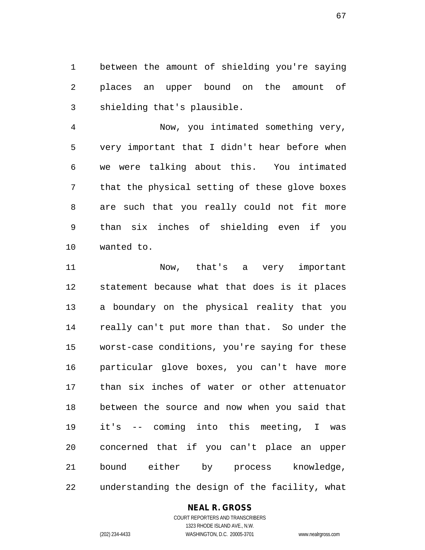between the amount of shielding you're saying places an upper bound on the amount of shielding that's plausible.

 Now, you intimated something very, very important that I didn't hear before when we were talking about this. You intimated that the physical setting of these glove boxes are such that you really could not fit more than six inches of shielding even if you wanted to.

 Now, that's a very important statement because what that does is it places a boundary on the physical reality that you really can't put more than that. So under the worst-case conditions, you're saying for these particular glove boxes, you can't have more than six inches of water or other attenuator between the source and now when you said that it's -- coming into this meeting, I was concerned that if you can't place an upper bound either by process knowledge, understanding the design of the facility, what

#### **NEAL R. GROSS**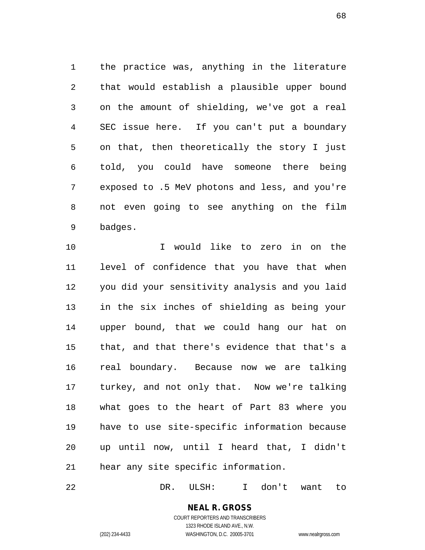the practice was, anything in the literature that would establish a plausible upper bound on the amount of shielding, we've got a real SEC issue here. If you can't put a boundary on that, then theoretically the story I just told, you could have someone there being exposed to .5 MeV photons and less, and you're not even going to see anything on the film badges.

 I would like to zero in on the level of confidence that you have that when you did your sensitivity analysis and you laid in the six inches of shielding as being your upper bound, that we could hang our hat on that, and that there's evidence that that's a real boundary. Because now we are talking turkey, and not only that. Now we're talking what goes to the heart of Part 83 where you have to use site-specific information because up until now, until I heard that, I didn't hear any site specific information.

DR. ULSH: I don't want to

# **NEAL R. GROSS**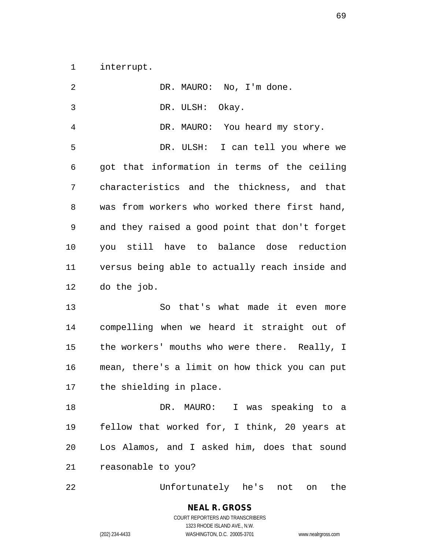interrupt.

| $\overline{2}$ | DR. MAURO: No, I'm done.                       |
|----------------|------------------------------------------------|
| 3              | DR. ULSH: Okay.                                |
| 4              | DR. MAURO: You heard my story.                 |
| 5              | DR. ULSH: I can tell you where we              |
| 6              | got that information in terms of the ceiling   |
| 7              | characteristics and the thickness, and that    |
| 8              | was from workers who worked there first hand,  |
| 9              | and they raised a good point that don't forget |
| 10             | you still have to balance dose reduction       |
| 11             | versus being able to actually reach inside and |
| 12             | do the job.                                    |
| 13             | So that's what made it even more               |
| 14             | compelling when we heard it straight out of    |
| 15             | the workers' mouths who were there. Really, I  |
| 16             | mean, there's a limit on how thick you can put |
| 17             | the shielding in place.                        |
| 18             | DR. MAURO: I was speaking to a                 |
| 19             | fellow that worked for, I think, 20 years at   |
| 20             | Los Alamos, and I asked him, does that sound   |
| 21             | reasonable to you?                             |
| 22             | Unfortunately he's not on<br>the               |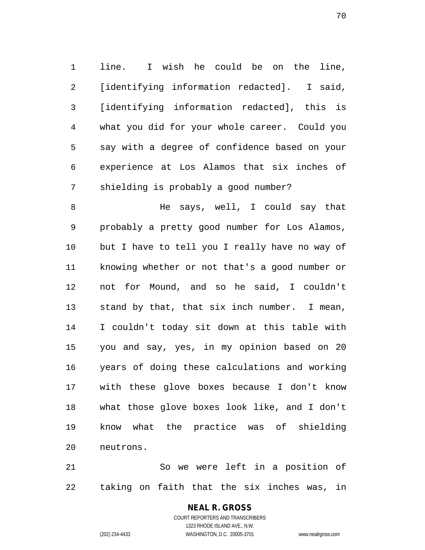line. I wish he could be on the line, [identifying information redacted]. I said, [identifying information redacted], this is what you did for your whole career. Could you say with a degree of confidence based on your experience at Los Alamos that six inches of shielding is probably a good number?

 He says, well, I could say that probably a pretty good number for Los Alamos, but I have to tell you I really have no way of knowing whether or not that's a good number or not for Mound, and so he said, I couldn't stand by that, that six inch number. I mean, I couldn't today sit down at this table with you and say, yes, in my opinion based on 20 years of doing these calculations and working with these glove boxes because I don't know what those glove boxes look like, and I don't know what the practice was of shielding neutrons.

 So we were left in a position of taking on faith that the six inches was, in

#### **NEAL R. GROSS** COURT REPORTERS AND TRANSCRIBERS

1323 RHODE ISLAND AVE., N.W. (202) 234-4433 WASHINGTON, D.C. 20005-3701 www.nealrgross.com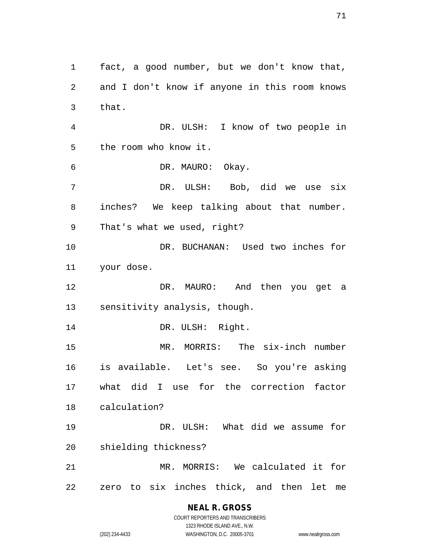fact, a good number, but we don't know that, and I don't know if anyone in this room knows that. DR. ULSH: I know of two people in the room who know it. DR. MAURO: Okay. DR. ULSH: Bob, did we use six inches? We keep talking about that number. That's what we used, right? DR. BUCHANAN: Used two inches for your dose. DR. MAURO: And then you get a sensitivity analysis, though. 14 DR. ULSH: Right. MR. MORRIS: The six-inch number is available. Let's see. So you're asking what did I use for the correction factor calculation? DR. ULSH: What did we assume for shielding thickness? MR. MORRIS: We calculated it for zero to six inches thick, and then let me

> **NEAL R. GROSS** COURT REPORTERS AND TRANSCRIBERS

> > 1323 RHODE ISLAND AVE., N.W.

(202) 234-4433 WASHINGTON, D.C. 20005-3701 www.nealrgross.com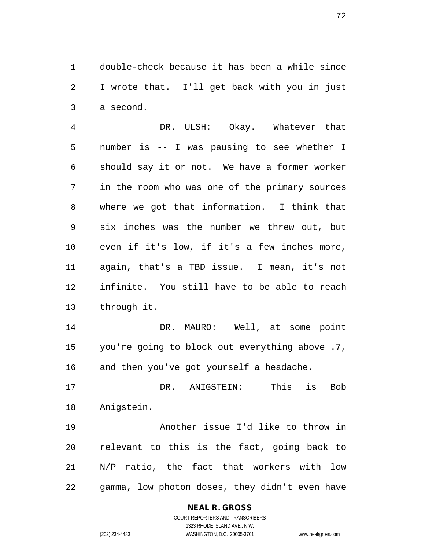double-check because it has been a while since I wrote that. I'll get back with you in just a second.

 DR. ULSH: Okay. Whatever that number is -- I was pausing to see whether I should say it or not. We have a former worker in the room who was one of the primary sources where we got that information. I think that six inches was the number we threw out, but even if it's low, if it's a few inches more, again, that's a TBD issue. I mean, it's not infinite. You still have to be able to reach through it.

 DR. MAURO: Well, at some point you're going to block out everything above .7, and then you've got yourself a headache.

 DR. ANIGSTEIN: This is Bob Anigstein.

 Another issue I'd like to throw in relevant to this is the fact, going back to N/P ratio, the fact that workers with low gamma, low photon doses, they didn't even have

#### **NEAL R. GROSS**

COURT REPORTERS AND TRANSCRIBERS 1323 RHODE ISLAND AVE., N.W. (202) 234-4433 WASHINGTON, D.C. 20005-3701 www.nealrgross.com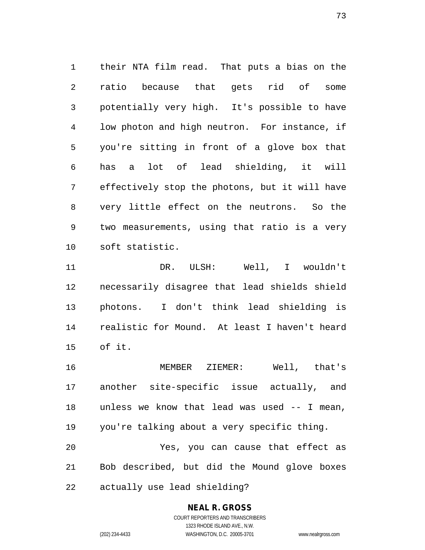their NTA film read. That puts a bias on the ratio because that gets rid of some potentially very high. It's possible to have low photon and high neutron. For instance, if you're sitting in front of a glove box that has a lot of lead shielding, it will effectively stop the photons, but it will have very little effect on the neutrons. So the two measurements, using that ratio is a very soft statistic.

 DR. ULSH: Well, I wouldn't necessarily disagree that lead shields shield photons. I don't think lead shielding is realistic for Mound. At least I haven't heard of it.

 MEMBER ZIEMER: Well, that's another site-specific issue actually, and unless we know that lead was used -- I mean, you're talking about a very specific thing. Yes, you can cause that effect as Bob described, but did the Mound glove boxes actually use lead shielding?

## **NEAL R. GROSS**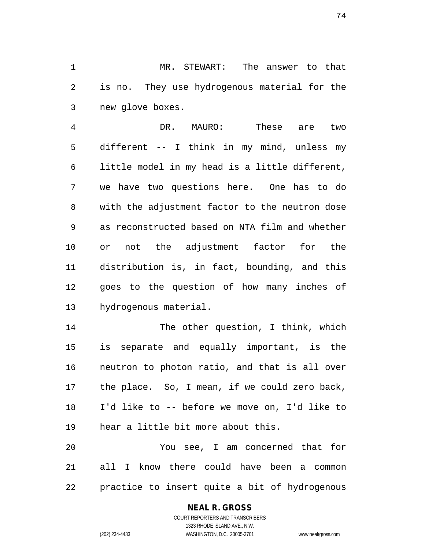MR. STEWART: The answer to that is no. They use hydrogenous material for the new glove boxes.

 DR. MAURO: These are two different -- I think in my mind, unless my little model in my head is a little different, we have two questions here. One has to do with the adjustment factor to the neutron dose as reconstructed based on NTA film and whether or not the adjustment factor for the distribution is, in fact, bounding, and this goes to the question of how many inches of hydrogenous material.

14 The other question, I think, which is separate and equally important, is the neutron to photon ratio, and that is all over the place. So, I mean, if we could zero back, I'd like to -- before we move on, I'd like to hear a little bit more about this.

 You see, I am concerned that for all I know there could have been a common practice to insert quite a bit of hydrogenous

## **NEAL R. GROSS**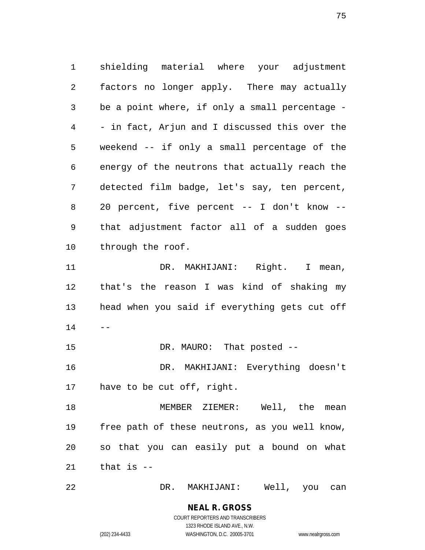shielding material where your adjustment factors no longer apply. There may actually be a point where, if only a small percentage - - in fact, Arjun and I discussed this over the weekend -- if only a small percentage of the energy of the neutrons that actually reach the detected film badge, let's say, ten percent, 20 percent, five percent -- I don't know -- that adjustment factor all of a sudden goes through the roof. 11 DR. MAKHIJANI: Right. I mean, that's the reason I was kind of shaking my head when you said if everything gets cut off  $14 - -$ 15 DR. MAURO: That posted -- DR. MAKHIJANI: Everything doesn't have to be cut off, right. 18 MEMBER ZIEMER: Well, the mean free path of these neutrons, as you well know, so that you can easily put a bound on what that is  $-$ 

DR. MAKHIJANI: Well, you can

### **NEAL R. GROSS** COURT REPORTERS AND TRANSCRIBERS

1323 RHODE ISLAND AVE., N.W. (202) 234-4433 WASHINGTON, D.C. 20005-3701 www.nealrgross.com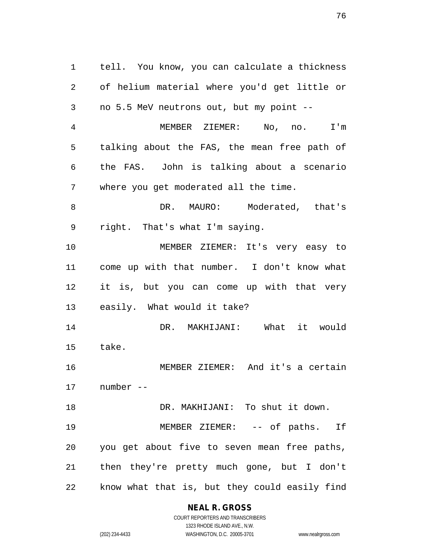tell. You know, you can calculate a thickness of helium material where you'd get little or no 5.5 MeV neutrons out, but my point -- MEMBER ZIEMER: No, no. I'm talking about the FAS, the mean free path of the FAS. John is talking about a scenario where you get moderated all the time. 8 DR. MAURO: Moderated, that's right. That's what I'm saying. MEMBER ZIEMER: It's very easy to come up with that number. I don't know what it is, but you can come up with that very easily. What would it take? DR. MAKHIJANI: What it would take. MEMBER ZIEMER: And it's a certain number -- DR. MAKHIJANI: To shut it down. 19 MEMBER ZIEMER: -- of paths. If you get about five to seven mean free paths, then they're pretty much gone, but I don't know what that is, but they could easily find

**NEAL R. GROSS**

COURT REPORTERS AND TRANSCRIBERS 1323 RHODE ISLAND AVE., N.W. (202) 234-4433 WASHINGTON, D.C. 20005-3701 www.nealrgross.com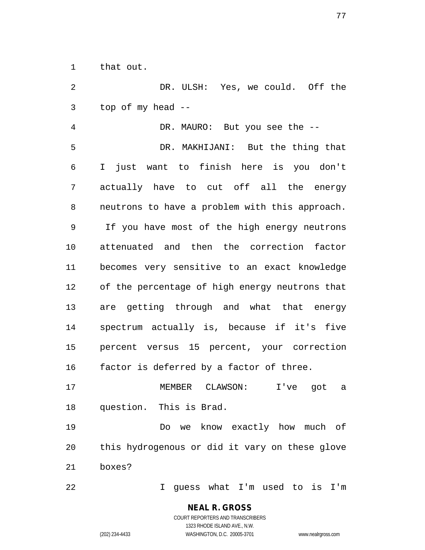that out.

 DR. ULSH: Yes, we could. Off the top of my head --

 DR. MAURO: But you see the -- DR. MAKHIJANI: But the thing that I just want to finish here is you don't actually have to cut off all the energy neutrons to have a problem with this approach. If you have most of the high energy neutrons attenuated and then the correction factor becomes very sensitive to an exact knowledge of the percentage of high energy neutrons that are getting through and what that energy spectrum actually is, because if it's five percent versus 15 percent, your correction factor is deferred by a factor of three.

 MEMBER CLAWSON: I've got a question. This is Brad.

 Do we know exactly how much of this hydrogenous or did it vary on these glove boxes?

I guess what I'm used to is I'm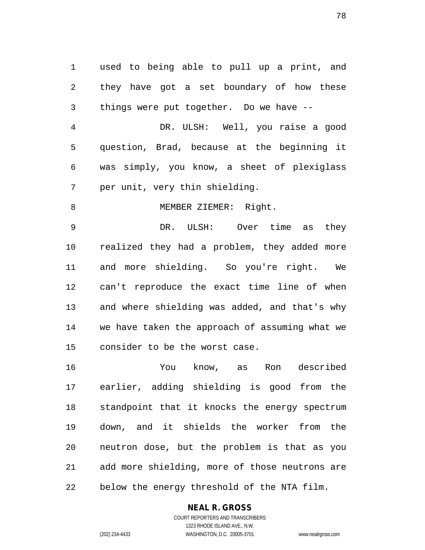used to being able to pull up a print, and they have got a set boundary of how these things were put together. Do we have --

 DR. ULSH: Well, you raise a good question, Brad, because at the beginning it was simply, you know, a sheet of plexiglass per unit, very thin shielding.

8 MEMBER ZIEMER: Right.

 DR. ULSH: Over time as they realized they had a problem, they added more and more shielding. So you're right. We can't reproduce the exact time line of when and where shielding was added, and that's why we have taken the approach of assuming what we consider to be the worst case.

 You know, as Ron described earlier, adding shielding is good from the standpoint that it knocks the energy spectrum down, and it shields the worker from the neutron dose, but the problem is that as you add more shielding, more of those neutrons are below the energy threshold of the NTA film.

## **NEAL R. GROSS**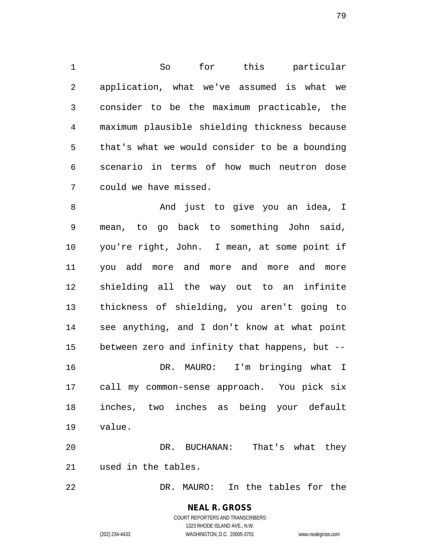So for this particular application, what we've assumed is what we consider to be the maximum practicable, the maximum plausible shielding thickness because that's what we would consider to be a bounding scenario in terms of how much neutron dose could we have missed.

 And just to give you an idea, I mean, to go back to something John said, you're right, John. I mean, at some point if you add more and more and more and more shielding all the way out to an infinite thickness of shielding, you aren't going to see anything, and I don't know at what point between zero and infinity that happens, but -- DR. MAURO: I'm bringing what I call my common-sense approach. You pick six inches, two inches as being your default value. DR. BUCHANAN: That's what they used in the tables.

DR. MAURO: In the tables for the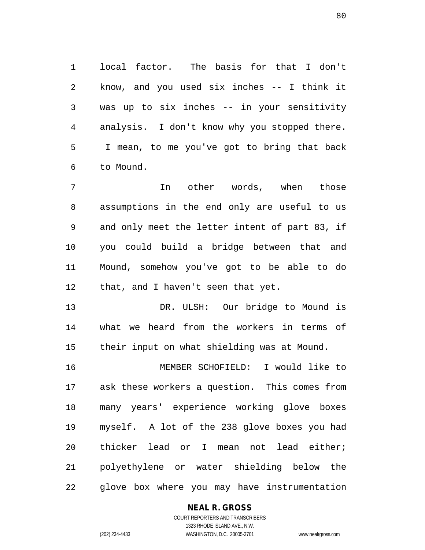local factor. The basis for that I don't know, and you used six inches -- I think it was up to six inches -- in your sensitivity analysis. I don't know why you stopped there. I mean, to me you've got to bring that back to Mound.

 In other words, when those assumptions in the end only are useful to us and only meet the letter intent of part 83, if you could build a bridge between that and Mound, somehow you've got to be able to do that, and I haven't seen that yet.

 DR. ULSH: Our bridge to Mound is what we heard from the workers in terms of their input on what shielding was at Mound.

 MEMBER SCHOFIELD: I would like to ask these workers a question. This comes from many years' experience working glove boxes myself. A lot of the 238 glove boxes you had thicker lead or I mean not lead either; polyethylene or water shielding below the glove box where you may have instrumentation

## **NEAL R. GROSS**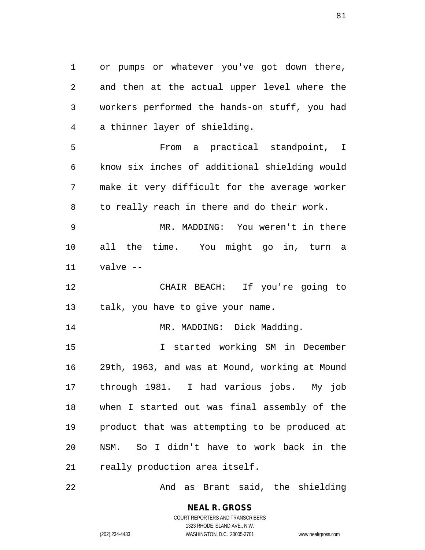or pumps or whatever you've got down there, and then at the actual upper level where the workers performed the hands-on stuff, you had a thinner layer of shielding.

 From a practical standpoint, I know six inches of additional shielding would make it very difficult for the average worker to really reach in there and do their work.

 MR. MADDING: You weren't in there all the time. You might go in, turn a valve --

 CHAIR BEACH: If you're going to talk, you have to give your name.

14 MR. MADDING: Dick Madding.

 I started working SM in December 29th, 1963, and was at Mound, working at Mound through 1981. I had various jobs. My job when I started out was final assembly of the product that was attempting to be produced at NSM. So I didn't have to work back in the really production area itself.

And as Brant said, the shielding

**NEAL R. GROSS** COURT REPORTERS AND TRANSCRIBERS

1323 RHODE ISLAND AVE., N.W.

(202) 234-4433 WASHINGTON, D.C. 20005-3701 www.nealrgross.com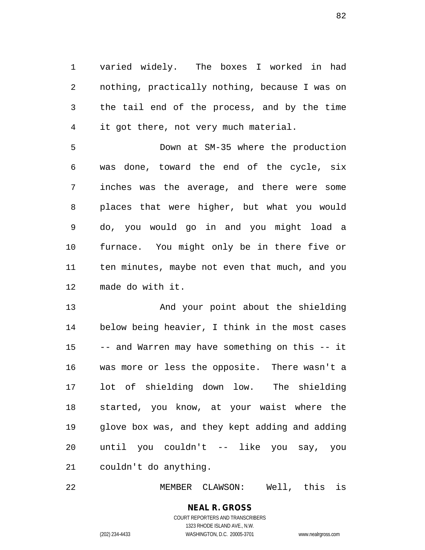varied widely. The boxes I worked in had nothing, practically nothing, because I was on the tail end of the process, and by the time it got there, not very much material.

 Down at SM-35 where the production was done, toward the end of the cycle, six inches was the average, and there were some places that were higher, but what you would do, you would go in and you might load a furnace. You might only be in there five or ten minutes, maybe not even that much, and you made do with it.

 And your point about the shielding below being heavier, I think in the most cases -- and Warren may have something on this -- it was more or less the opposite. There wasn't a lot of shielding down low. The shielding started, you know, at your waist where the glove box was, and they kept adding and adding until you couldn't -- like you say, you couldn't do anything.

MEMBER CLAWSON: Well, this is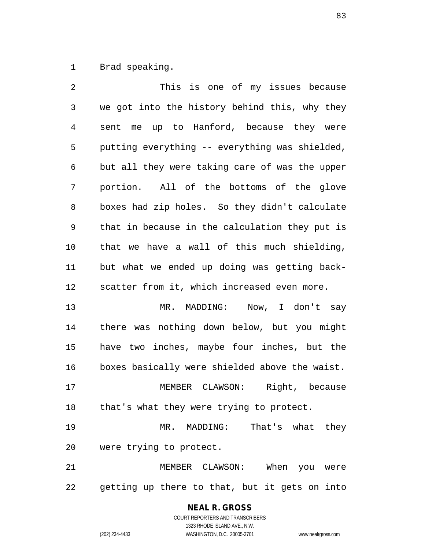Brad speaking.

 This is one of my issues because we got into the history behind this, why they sent me up to Hanford, because they were putting everything -- everything was shielded, but all they were taking care of was the upper portion. All of the bottoms of the glove boxes had zip holes. So they didn't calculate that in because in the calculation they put is that we have a wall of this much shielding, but what we ended up doing was getting back- scatter from it, which increased even more. 13 MR. MADDING: Now, I don't say there was nothing down below, but you might have two inches, maybe four inches, but the boxes basically were shielded above the waist. MEMBER CLAWSON: Right, because 18 that's what they were trying to protect. MR. MADDING: That's what they were trying to protect. MEMBER CLAWSON: When you were getting up there to that, but it gets on into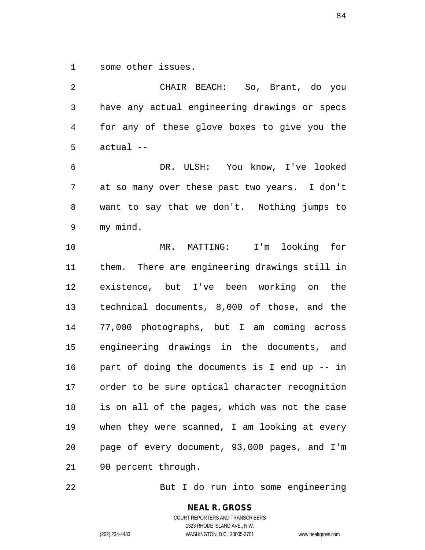some other issues.

 CHAIR BEACH: So, Brant, do you have any actual engineering drawings or specs for any of these glove boxes to give you the actual --

 DR. ULSH: You know, I've looked at so many over these past two years. I don't want to say that we don't. Nothing jumps to my mind.

 MR. MATTING: I'm looking for them. There are engineering drawings still in existence, but I've been working on the technical documents, 8,000 of those, and the 77,000 photographs, but I am coming across engineering drawings in the documents, and part of doing the documents is I end up -- in order to be sure optical character recognition is on all of the pages, which was not the case when they were scanned, I am looking at every page of every document, 93,000 pages, and I'm 90 percent through.

But I do run into some engineering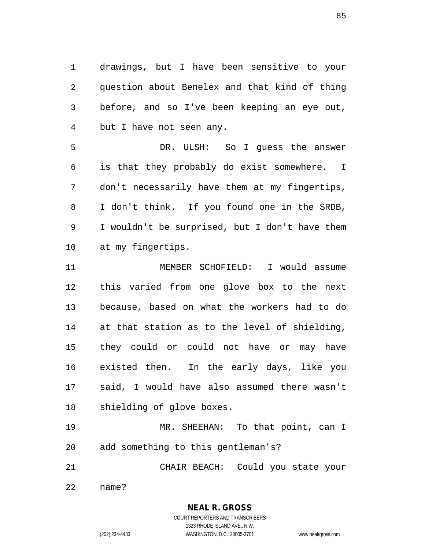drawings, but I have been sensitive to your question about Benelex and that kind of thing before, and so I've been keeping an eye out, but I have not seen any.

 DR. ULSH: So I guess the answer is that they probably do exist somewhere. I don't necessarily have them at my fingertips, I don't think. If you found one in the SRDB, I wouldn't be surprised, but I don't have them at my fingertips.

 MEMBER SCHOFIELD: I would assume this varied from one glove box to the next because, based on what the workers had to do at that station as to the level of shielding, they could or could not have or may have existed then. In the early days, like you said, I would have also assumed there wasn't shielding of glove boxes.

 MR. SHEEHAN: To that point, can I add something to this gentleman's?

CHAIR BEACH: Could you state your

name?

**NEAL R. GROSS**

COURT REPORTERS AND TRANSCRIBERS 1323 RHODE ISLAND AVE., N.W. (202) 234-4433 WASHINGTON, D.C. 20005-3701 www.nealrgross.com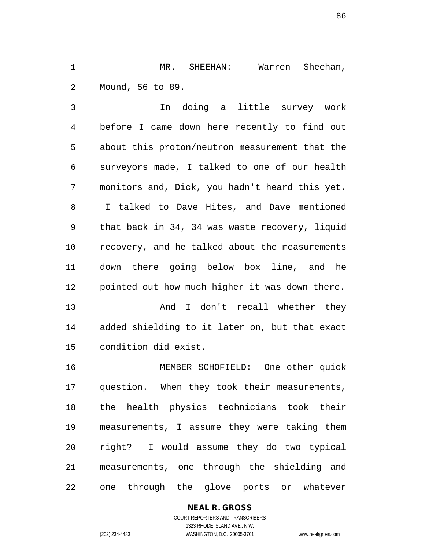MR. SHEEHAN: Warren Sheehan, Mound, 56 to 89.

 In doing a little survey work before I came down here recently to find out about this proton/neutron measurement that the surveyors made, I talked to one of our health monitors and, Dick, you hadn't heard this yet. I talked to Dave Hites, and Dave mentioned that back in 34, 34 was waste recovery, liquid recovery, and he talked about the measurements down there going below box line, and he pointed out how much higher it was down there.

13 And I don't recall whether they added shielding to it later on, but that exact condition did exist.

 MEMBER SCHOFIELD: One other quick question. When they took their measurements, the health physics technicians took their measurements, I assume they were taking them right? I would assume they do two typical measurements, one through the shielding and one through the glove ports or whatever

## **NEAL R. GROSS**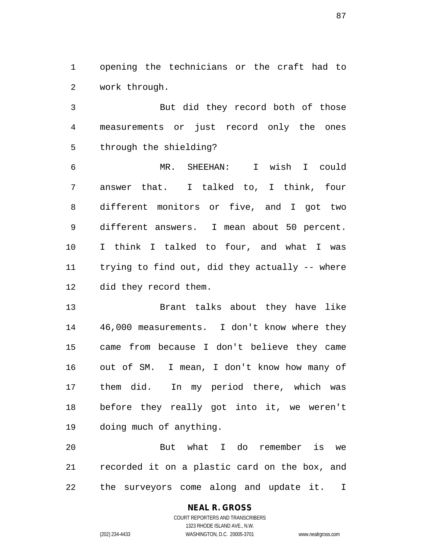opening the technicians or the craft had to work through.

 But did they record both of those measurements or just record only the ones through the shielding?

 MR. SHEEHAN: I wish I could answer that. I talked to, I think, four different monitors or five, and I got two different answers. I mean about 50 percent. I think I talked to four, and what I was trying to find out, did they actually -- where did they record them.

 Brant talks about they have like 46,000 measurements. I don't know where they came from because I don't believe they came out of SM. I mean, I don't know how many of them did. In my period there, which was before they really got into it, we weren't doing much of anything.

 But what I do remember is we recorded it on a plastic card on the box, and the surveyors come along and update it. I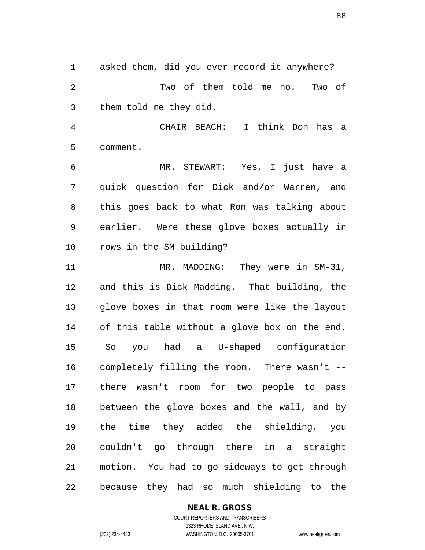asked them, did you ever record it anywhere? Two of them told me no. Two of them told me they did.

 CHAIR BEACH: I think Don has a comment.

 MR. STEWART: Yes, I just have a quick question for Dick and/or Warren, and this goes back to what Ron was talking about earlier. Were these glove boxes actually in rows in the SM building?

11 MR. MADDING: They were in SM-31, and this is Dick Madding. That building, the glove boxes in that room were like the layout of this table without a glove box on the end. So you had a U-shaped configuration completely filling the room. There wasn't -- there wasn't room for two people to pass between the glove boxes and the wall, and by the time they added the shielding, you couldn't go through there in a straight motion. You had to go sideways to get through because they had so much shielding to the

## **NEAL R. GROSS**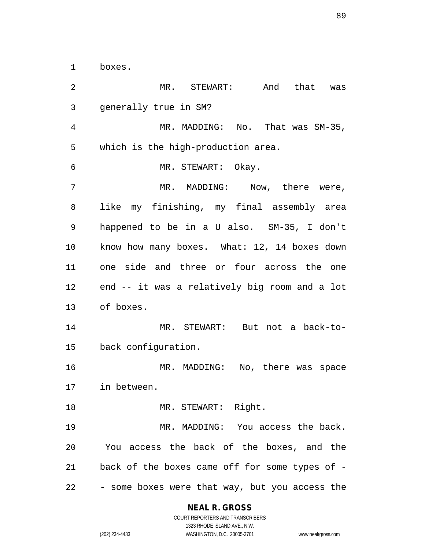boxes.

 MR. STEWART: And that was generally true in SM? MR. MADDING: No. That was SM-35, which is the high-production area. MR. STEWART: Okay. MR. MADDING: Now, there were, like my finishing, my final assembly area happened to be in a U also. SM-35, I don't know how many boxes. What: 12, 14 boxes down one side and three or four across the one end -- it was a relatively big room and a lot of boxes. MR. STEWART: But not a back-to- back configuration. MR. MADDING: No, there was space in between. 18 MR. STEWART: Right. MR. MADDING: You access the back. You access the back of the boxes, and the back of the boxes came off for some types of - - some boxes were that way, but you access the

## **NEAL R. GROSS**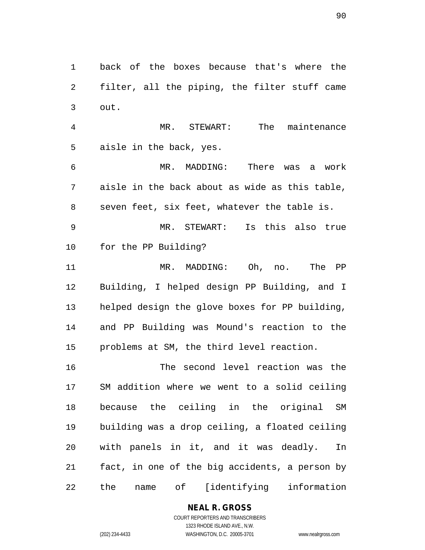back of the boxes because that's where the filter, all the piping, the filter stuff came out.

 MR. STEWART: The maintenance aisle in the back, yes.

 MR. MADDING: There was a work aisle in the back about as wide as this table, seven feet, six feet, whatever the table is.

 MR. STEWART: Is this also true for the PP Building?

 MR. MADDING: Oh, no. The PP Building, I helped design PP Building, and I helped design the glove boxes for PP building, and PP Building was Mound's reaction to the problems at SM, the third level reaction.

 The second level reaction was the SM addition where we went to a solid ceiling because the ceiling in the original SM building was a drop ceiling, a floated ceiling with panels in it, and it was deadly. In fact, in one of the big accidents, a person by the name of [identifying information

> **NEAL R. GROSS** COURT REPORTERS AND TRANSCRIBERS

1323 RHODE ISLAND AVE., N.W. (202) 234-4433 WASHINGTON, D.C. 20005-3701 www.nealrgross.com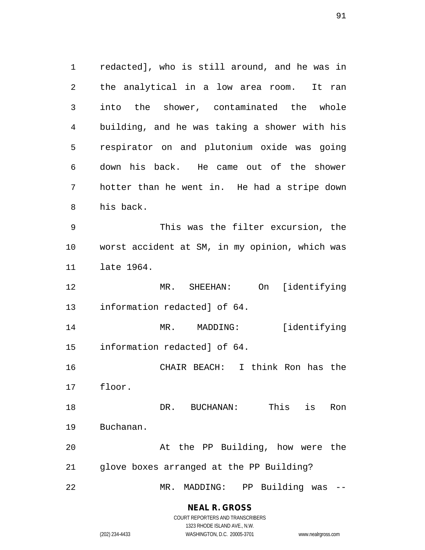redacted], who is still around, and he was in the analytical in a low area room. It ran into the shower, contaminated the whole building, and he was taking a shower with his respirator on and plutonium oxide was going down his back. He came out of the shower hotter than he went in. He had a stripe down his back. This was the filter excursion, the worst accident at SM, in my opinion, which was late 1964. MR. SHEEHAN: On [identifying information redacted] of 64. MR. MADDING: [identifying information redacted] of 64. CHAIR BEACH: I think Ron has the floor. DR. BUCHANAN: This is Ron Buchanan. At the PP Building, how were the glove boxes arranged at the PP Building? MR. MADDING: PP Building was --

#### **NEAL R. GROSS**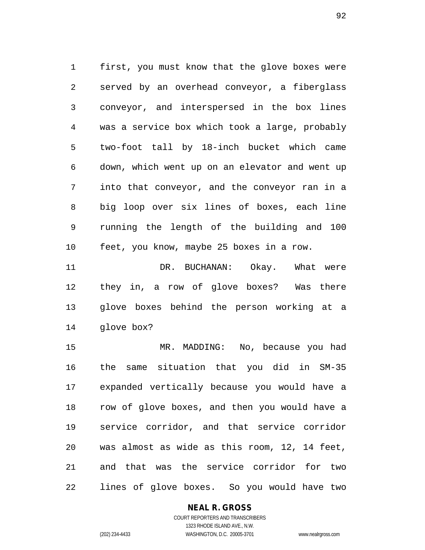first, you must know that the glove boxes were served by an overhead conveyor, a fiberglass conveyor, and interspersed in the box lines was a service box which took a large, probably two-foot tall by 18-inch bucket which came down, which went up on an elevator and went up into that conveyor, and the conveyor ran in a big loop over six lines of boxes, each line running the length of the building and 100 feet, you know, maybe 25 boxes in a row.

11 DR. BUCHANAN: Okay. What were they in, a row of glove boxes? Was there glove boxes behind the person working at a glove box?

 MR. MADDING: No, because you had the same situation that you did in SM-35 expanded vertically because you would have a row of glove boxes, and then you would have a service corridor, and that service corridor was almost as wide as this room, 12, 14 feet, and that was the service corridor for two lines of glove boxes. So you would have two

## **NEAL R. GROSS**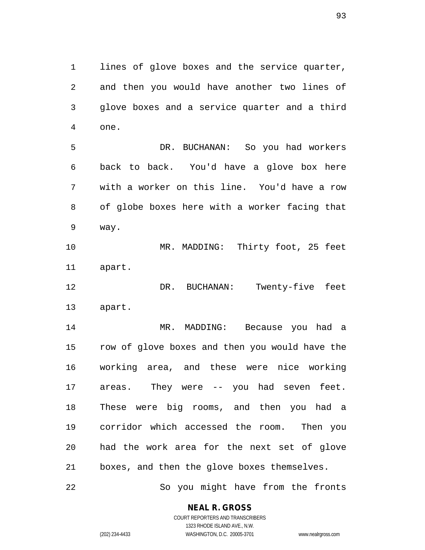lines of glove boxes and the service quarter, and then you would have another two lines of glove boxes and a service quarter and a third one.

 DR. BUCHANAN: So you had workers back to back. You'd have a glove box here with a worker on this line. You'd have a row of globe boxes here with a worker facing that way.

 MR. MADDING: Thirty foot, 25 feet apart.

12 DR. BUCHANAN: Twenty-five feet apart.

 MR. MADDING: Because you had a row of glove boxes and then you would have the working area, and these were nice working areas. They were -- you had seven feet. These were big rooms, and then you had a corridor which accessed the room. Then you had the work area for the next set of glove boxes, and then the glove boxes themselves.

22 So you might have from the fronts

**NEAL R. GROSS**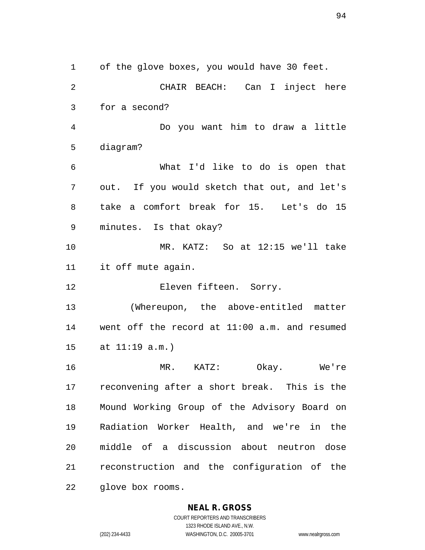of the glove boxes, you would have 30 feet. CHAIR BEACH: Can I inject here for a second? Do you want him to draw a little diagram? What I'd like to do is open that out. If you would sketch that out, and let's take a comfort break for 15. Let's do 15 minutes. Is that okay? MR. KATZ: So at 12:15 we'll take it off mute again. Eleven fifteen. Sorry. (Whereupon, the above-entitled matter went off the record at 11:00 a.m. and resumed at 11:19 a.m.) MR. KATZ: Okay. We're reconvening after a short break. This is the Mound Working Group of the Advisory Board on Radiation Worker Health, and we're in the middle of a discussion about neutron dose reconstruction and the configuration of the glove box rooms.

#### **NEAL R. GROSS**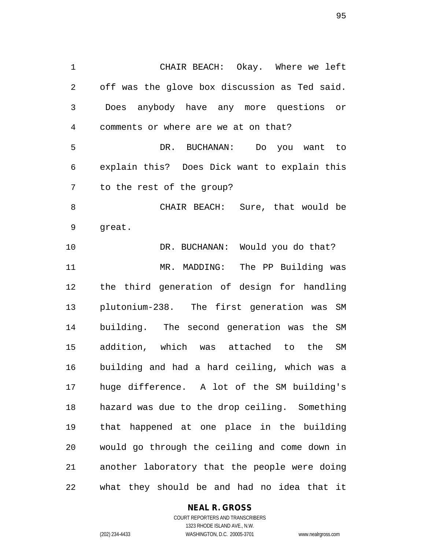CHAIR BEACH: Okay. Where we left off was the glove box discussion as Ted said. Does anybody have any more questions or comments or where are we at on that? DR. BUCHANAN: Do you want to explain this? Does Dick want to explain this to the rest of the group? CHAIR BEACH: Sure, that would be great. DR. BUCHANAN: Would you do that? 11 MR. MADDING: The PP Building was the third generation of design for handling plutonium-238. The first generation was SM building. The second generation was the SM addition, which was attached to the SM building and had a hard ceiling, which was a huge difference. A lot of the SM building's hazard was due to the drop ceiling. Something that happened at one place in the building would go through the ceiling and come down in another laboratory that the people were doing what they should be and had no idea that it

#### **NEAL R. GROSS**

COURT REPORTERS AND TRANSCRIBERS 1323 RHODE ISLAND AVE., N.W. (202) 234-4433 WASHINGTON, D.C. 20005-3701 www.nealrgross.com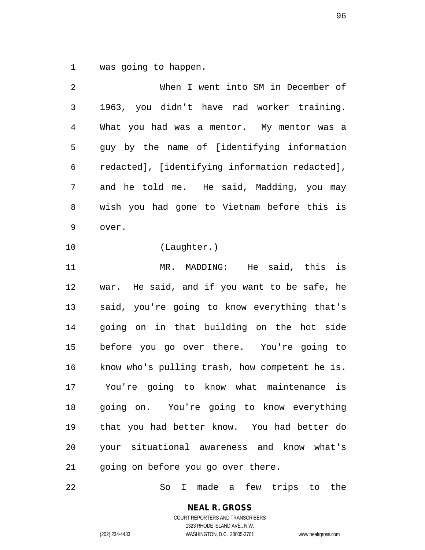was going to happen.

| 2  | When I went into SM in December of             |
|----|------------------------------------------------|
| 3  | 1963, you didn't have rad worker training.     |
| 4  | What you had was a mentor. My mentor was a     |
| 5  | guy by the name of [identifying information    |
| 6  | redacted], [identifying information redacted], |
| 7  | and he told me. He said, Madding, you may      |
| 8  | wish you had gone to Vietnam before this is    |
| 9  | over.                                          |
| 10 | (Laughter.)                                    |
| 11 | MR. MADDING:<br>He said, this is               |
| 12 | war. He said, and if you want to be safe, he   |
| 13 | said, you're going to know everything that's   |
| 14 | going on in that building on the hot side      |
| 15 | before you go over there. You're going to      |
| 16 | know who's pulling trash, how competent he is. |
| 17 | You're going to know what maintenance is       |
| 18 | going on. You're going to know everything      |
| 19 | that you had better know. You had better do    |
| 20 | your situational awareness and know what's     |
| 21 | going on before you go over there.             |

So I made a few trips to the

**NEAL R. GROSS** COURT REPORTERS AND TRANSCRIBERS 1323 RHODE ISLAND AVE., N.W.

(202) 234-4433 WASHINGTON, D.C. 20005-3701 www.nealrgross.com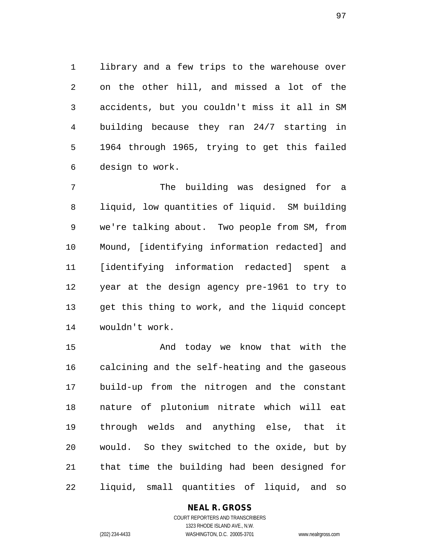library and a few trips to the warehouse over on the other hill, and missed a lot of the accidents, but you couldn't miss it all in SM building because they ran 24/7 starting in 1964 through 1965, trying to get this failed design to work.

 The building was designed for a liquid, low quantities of liquid. SM building we're talking about. Two people from SM, from Mound, [identifying information redacted] and [identifying information redacted] spent a year at the design agency pre-1961 to try to get this thing to work, and the liquid concept wouldn't work.

 And today we know that with the calcining and the self-heating and the gaseous build-up from the nitrogen and the constant nature of plutonium nitrate which will eat through welds and anything else, that it would. So they switched to the oxide, but by that time the building had been designed for liquid, small quantities of liquid, and so

## **NEAL R. GROSS**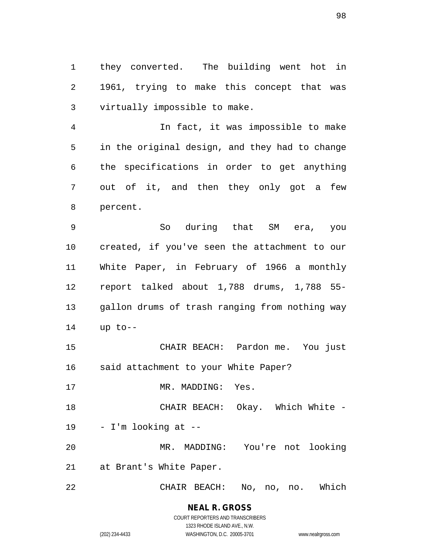they converted. The building went hot in 1961, trying to make this concept that was virtually impossible to make.

 In fact, it was impossible to make in the original design, and they had to change the specifications in order to get anything out of it, and then they only got a few percent.

 So during that SM era, you created, if you've seen the attachment to our White Paper, in February of 1966 a monthly report talked about 1,788 drums, 1,788 55- gallon drums of trash ranging from nothing way up to--

 CHAIR BEACH: Pardon me. You just said attachment to your White Paper?

17 MR. MADDING: Yes.

CHAIR BEACH: Okay. Which White -

- I'm looking at --

 MR. MADDING: You're not looking at Brant's White Paper.

CHAIR BEACH: No, no, no. Which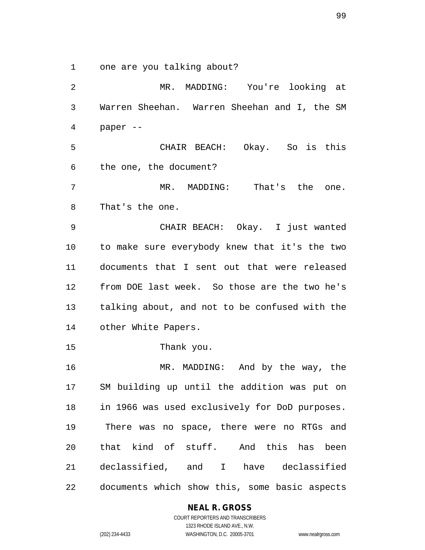one are you talking about?

 MR. MADDING: You're looking at Warren Sheehan. Warren Sheehan and I, the SM paper -- CHAIR BEACH: Okay. So is this the one, the document? MR. MADDING: That's the one. That's the one. CHAIR BEACH: Okay. I just wanted to make sure everybody knew that it's the two documents that I sent out that were released from DOE last week. So those are the two he's talking about, and not to be confused with the other White Papers. Thank you. MR. MADDING: And by the way, the SM building up until the addition was put on in 1966 was used exclusively for DoD purposes. There was no space, there were no RTGs and that kind of stuff. And this has been declassified, and I have declassified documents which show this, some basic aspects

## **NEAL R. GROSS**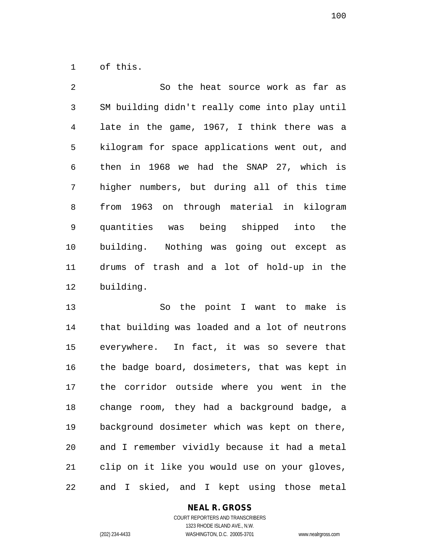of this.

| $\overline{a}$  | So the heat source work as far as              |
|-----------------|------------------------------------------------|
| 3               | SM building didn't really come into play until |
| 4               | late in the game, 1967, I think there was a    |
| 5               | kilogram for space applications went out, and  |
| 6               | then in 1968 we had the SNAP 27, which is      |
| 7               | higher numbers, but during all of this time    |
| 8               | from 1963 on through material in kilogram      |
| 9               | quantities was being shipped into the          |
| 10 <sub>1</sub> | building. Nothing was going out except as      |
| 11              | drums of trash and a lot of hold-up in the     |
| 12              | building.                                      |

 So the point I want to make is that building was loaded and a lot of neutrons everywhere. In fact, it was so severe that the badge board, dosimeters, that was kept in the corridor outside where you went in the change room, they had a background badge, a background dosimeter which was kept on there, and I remember vividly because it had a metal clip on it like you would use on your gloves, and I skied, and I kept using those metal

#### **NEAL R. GROSS**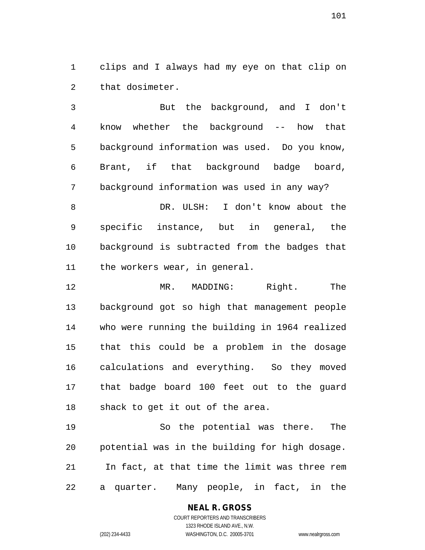clips and I always had my eye on that clip on that dosimeter.

 But the background, and I don't know whether the background -- how that background information was used. Do you know, Brant, if that background badge board, background information was used in any way?

 DR. ULSH: I don't know about the specific instance, but in general, the background is subtracted from the badges that the workers wear, in general.

 MR. MADDING: Right. The background got so high that management people who were running the building in 1964 realized that this could be a problem in the dosage calculations and everything. So they moved that badge board 100 feet out to the guard shack to get it out of the area.

 So the potential was there. The potential was in the building for high dosage. In fact, at that time the limit was three rem a quarter. Many people, in fact, in the

> **NEAL R. GROSS** COURT REPORTERS AND TRANSCRIBERS 1323 RHODE ISLAND AVE., N.W.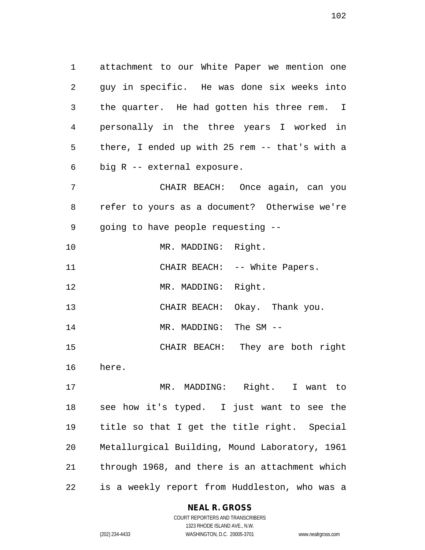attachment to our White Paper we mention one guy in specific. He was done six weeks into the quarter. He had gotten his three rem. I personally in the three years I worked in there, I ended up with 25 rem -- that's with a big R -- external exposure. CHAIR BEACH: Once again, can you

 refer to yours as a document? Otherwise we're going to have people requesting --

10 MR. MADDING: Right. 11 CHAIR BEACH: -- White Papers. 12 MR. MADDING: Right.

CHAIR BEACH: Okay. Thank you.

14 MR. MADDING: The SM --

CHAIR BEACH: They are both right

here.

 MR. MADDING: Right. I want to see how it's typed. I just want to see the title so that I get the title right. Special Metallurgical Building, Mound Laboratory, 1961 through 1968, and there is an attachment which is a weekly report from Huddleston, who was a

## **NEAL R. GROSS**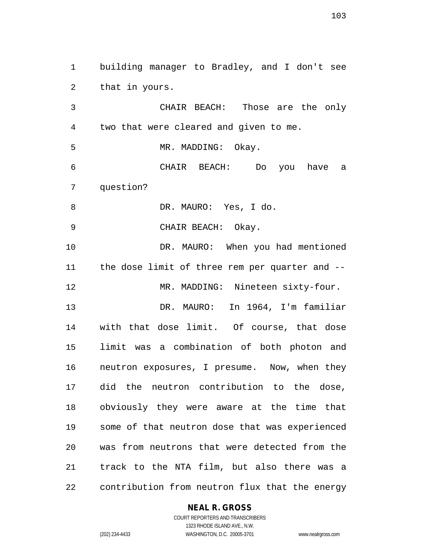building manager to Bradley, and I don't see that in yours.

 CHAIR BEACH: Those are the only two that were cleared and given to me. MR. MADDING: Okay. CHAIR BEACH: Do you have a question? DR. MAURO: Yes, I do. CHAIR BEACH: Okay. 10 DR. MAURO: When you had mentioned the dose limit of three rem per quarter and -- MR. MADDING: Nineteen sixty-four. DR. MAURO: In 1964, I'm familiar with that dose limit. Of course, that dose limit was a combination of both photon and neutron exposures, I presume. Now, when they did the neutron contribution to the dose, obviously they were aware at the time that some of that neutron dose that was experienced was from neutrons that were detected from the track to the NTA film, but also there was a contribution from neutron flux that the energy

## **NEAL R. GROSS**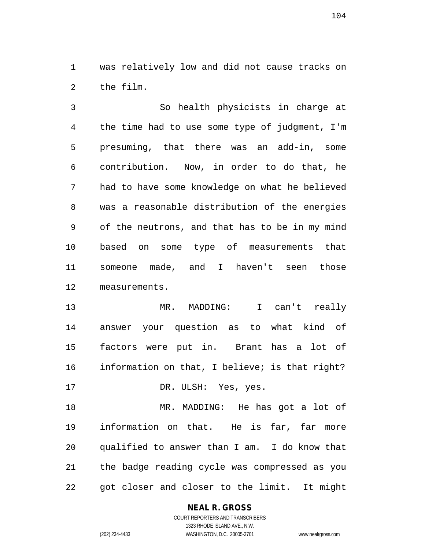was relatively low and did not cause tracks on the film.

 So health physicists in charge at the time had to use some type of judgment, I'm presuming, that there was an add-in, some contribution. Now, in order to do that, he had to have some knowledge on what he believed was a reasonable distribution of the energies of the neutrons, and that has to be in my mind based on some type of measurements that someone made, and I haven't seen those measurements.

 MR. MADDING: I can't really answer your question as to what kind of factors were put in. Brant has a lot of information on that, I believe; is that right?

17 DR. ULSH: Yes, yes.

 MR. MADDING: He has got a lot of information on that. He is far, far more qualified to answer than I am. I do know that the badge reading cycle was compressed as you got closer and closer to the limit. It might

## **NEAL R. GROSS**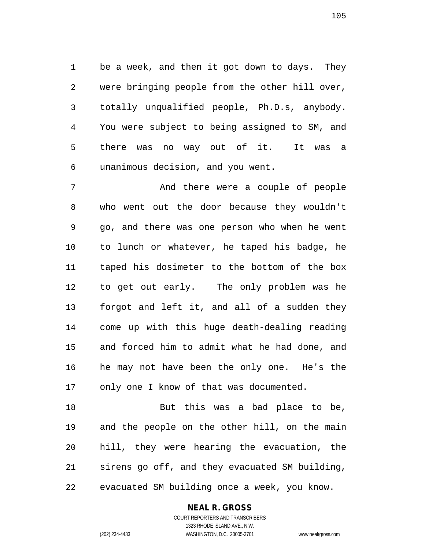be a week, and then it got down to days. They were bringing people from the other hill over, totally unqualified people, Ph.D.s, anybody. You were subject to being assigned to SM, and there was no way out of it. It was a unanimous decision, and you went.

 And there were a couple of people who went out the door because they wouldn't go, and there was one person who when he went to lunch or whatever, he taped his badge, he taped his dosimeter to the bottom of the box to get out early. The only problem was he forgot and left it, and all of a sudden they come up with this huge death-dealing reading and forced him to admit what he had done, and he may not have been the only one. He's the 17 only one I know of that was documented.

 But this was a bad place to be, and the people on the other hill, on the main hill, they were hearing the evacuation, the sirens go off, and they evacuated SM building, evacuated SM building once a week, you know.

#### **NEAL R. GROSS**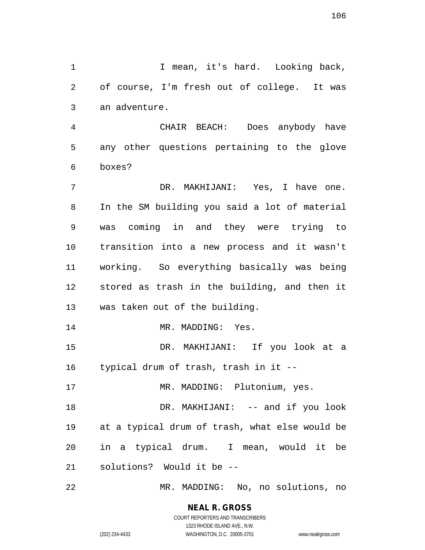1 I mean, it's hard. Looking back, of course, I'm fresh out of college. It was an adventure.

 CHAIR BEACH: Does anybody have any other questions pertaining to the glove boxes?

 DR. MAKHIJANI: Yes, I have one. In the SM building you said a lot of material was coming in and they were trying to transition into a new process and it wasn't working. So everything basically was being stored as trash in the building, and then it was taken out of the building.

14 MR. MADDING: Yes.

 DR. MAKHIJANI: If you look at a typical drum of trash, trash in it --

17 MR. MADDING: Plutonium, yes.

18 DR. MAKHIJANI: -- and if you look at a typical drum of trash, what else would be in a typical drum. I mean, would it be solutions? Would it be --

MR. MADDING: No, no solutions, no

**NEAL R. GROSS** COURT REPORTERS AND TRANSCRIBERS

1323 RHODE ISLAND AVE., N.W. (202) 234-4433 WASHINGTON, D.C. 20005-3701 www.nealrgross.com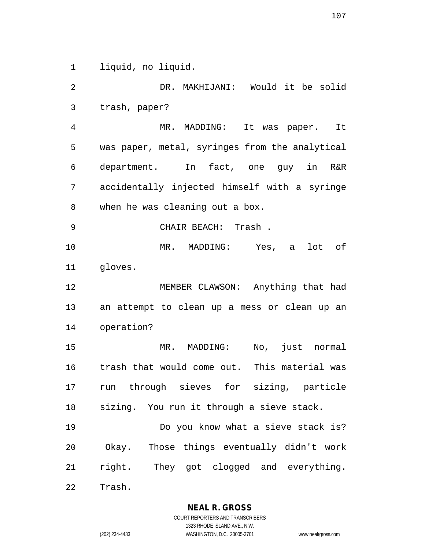liquid, no liquid.

 DR. MAKHIJANI: Would it be solid trash, paper? MR. MADDING: It was paper. It was paper, metal, syringes from the analytical department. In fact, one guy in R&R accidentally injected himself with a syringe when he was cleaning out a box. CHAIR BEACH: Trash . MR. MADDING: Yes, a lot of gloves. 12 MEMBER CLAWSON: Anything that had an attempt to clean up a mess or clean up an operation? MR. MADDING: No, just normal trash that would come out. This material was run through sieves for sizing, particle sizing. You run it through a sieve stack. Do you know what a sieve stack is? Okay. Those things eventually didn't work right. They got clogged and everything. Trash.

1323 RHODE ISLAND AVE., N.W.

(202) 234-4433 WASHINGTON, D.C. 20005-3701 www.nealrgross.com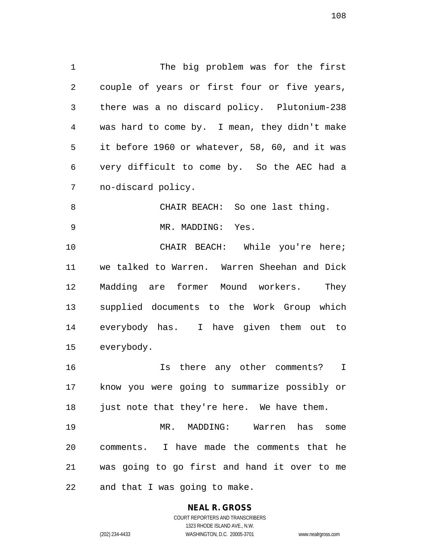The big problem was for the first couple of years or first four or five years, there was a no discard policy. Plutonium-238 was hard to come by. I mean, they didn't make it before 1960 or whatever, 58, 60, and it was very difficult to come by. So the AEC had a no-discard policy.

 CHAIR BEACH: So one last thing. MR. MADDING: Yes.

 CHAIR BEACH: While you're here; we talked to Warren. Warren Sheehan and Dick Madding are former Mound workers. They supplied documents to the Work Group which everybody has. I have given them out to everybody.

 Is there any other comments? I know you were going to summarize possibly or 18 just note that they're here. We have them.

 MR. MADDING: Warren has some comments. I have made the comments that he was going to go first and hand it over to me and that I was going to make.

# **NEAL R. GROSS**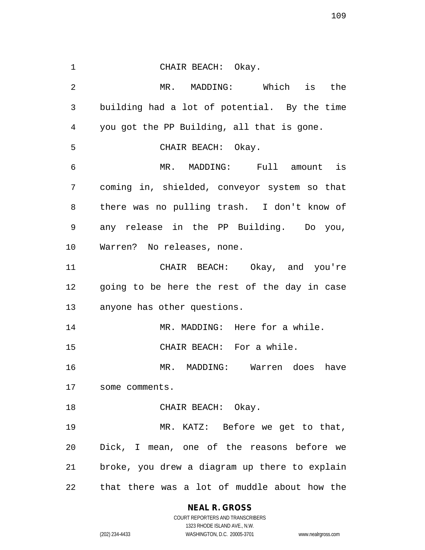CHAIR BEACH: Okay. MR. MADDING: Which is the building had a lot of potential. By the time you got the PP Building, all that is gone. CHAIR BEACH: Okay. MR. MADDING: Full amount is coming in, shielded, conveyor system so that there was no pulling trash. I don't know of any release in the PP Building. Do you, Warren? No releases, none. CHAIR BEACH: Okay, and you're going to be here the rest of the day in case anyone has other questions. 14 MR. MADDING: Here for a while. CHAIR BEACH: For a while. MR. MADDING: Warren does have some comments. 18 CHAIR BEACH: Okay. MR. KATZ: Before we get to that, Dick, I mean, one of the reasons before we broke, you drew a diagram up there to explain that there was a lot of muddle about how the

**NEAL R. GROSS**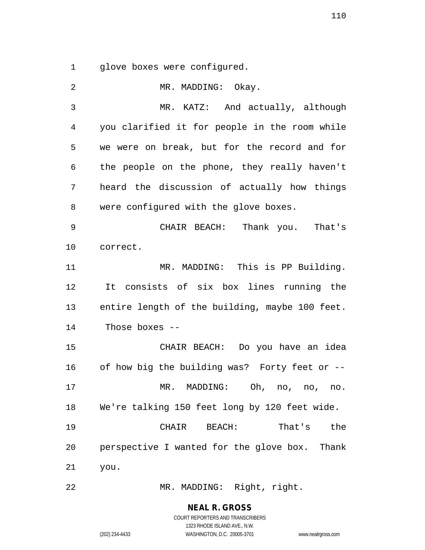glove boxes were configured.

2 MR. MADDING: Okay. MR. KATZ: And actually, although you clarified it for people in the room while we were on break, but for the record and for the people on the phone, they really haven't heard the discussion of actually how things were configured with the glove boxes. CHAIR BEACH: Thank you. That's correct. 11 MR. MADDING: This is PP Building. It consists of six box lines running the entire length of the building, maybe 100 feet. Those boxes -- CHAIR BEACH: Do you have an idea of how big the building was? Forty feet or -- MR. MADDING: Oh, no, no, no. We're talking 150 feet long by 120 feet wide. CHAIR BEACH: That's the perspective I wanted for the glove box. Thank you.

MR. MADDING: Right, right.

**NEAL R. GROSS** COURT REPORTERS AND TRANSCRIBERS

1323 RHODE ISLAND AVE., N.W. (202) 234-4433 WASHINGTON, D.C. 20005-3701 www.nealrgross.com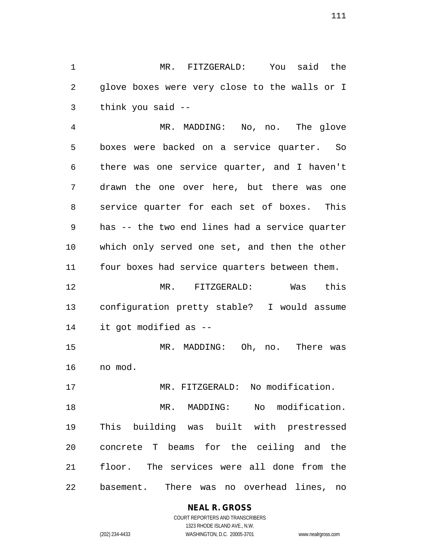MR. FITZGERALD: You said the glove boxes were very close to the walls or I think you said --

 MR. MADDING: No, no. The glove boxes were backed on a service quarter. So there was one service quarter, and I haven't drawn the one over here, but there was one service quarter for each set of boxes. This has -- the two end lines had a service quarter which only served one set, and then the other four boxes had service quarters between them.

 MR. FITZGERALD: Was this configuration pretty stable? I would assume it got modified as --

 MR. MADDING: Oh, no. There was no mod.

MR. FITZGERALD: No modification.

 MR. MADDING: No modification. This building was built with prestressed concrete T beams for the ceiling and the floor. The services were all done from the basement. There was no overhead lines, no

## **NEAL R. GROSS**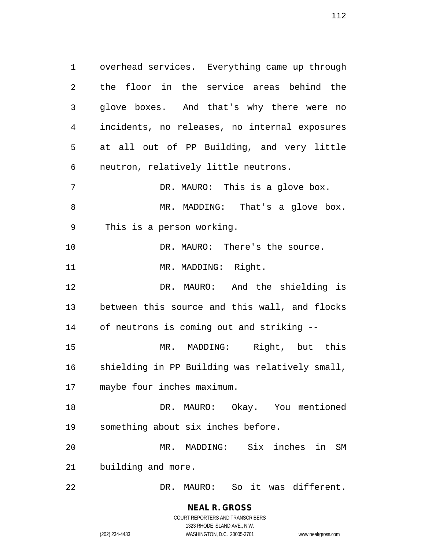overhead services. Everything came up through the floor in the service areas behind the glove boxes. And that's why there were no incidents, no releases, no internal exposures at all out of PP Building, and very little neutron, relatively little neutrons. DR. MAURO: This is a glove box. 8 MR. MADDING: That's a glove box. This is a person working. 10 DR. MAURO: There's the source. 11 MR. MADDING: Right. DR. MAURO: And the shielding is between this source and this wall, and flocks of neutrons is coming out and striking -- MR. MADDING: Right, but this shielding in PP Building was relatively small, maybe four inches maximum. DR. MAURO: Okay. You mentioned something about six inches before. MR. MADDING: Six inches in SM building and more. DR. MAURO: So it was different.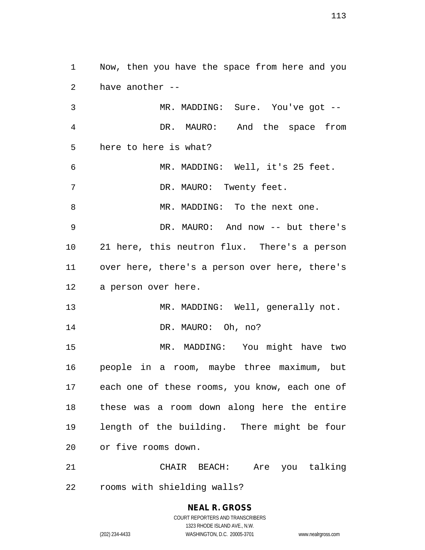Now, then you have the space from here and you have another -- MR. MADDING: Sure. You've got --

 DR. MAURO: And the space from here to here is what? MR. MADDING: Well, it's 25 feet. 7 DR. MAURO: Twenty feet. MR. MADDING: To the next one. DR. MAURO: And now -- but there's 21 here, this neutron flux. There's a person over here, there's a person over here, there's a person over here. 13 MR. MADDING: Well, generally not. 14 DR. MAURO: Oh, no?

 MR. MADDING: You might have two people in a room, maybe three maximum, but each one of these rooms, you know, each one of these was a room down along here the entire length of the building. There might be four or five rooms down.

 CHAIR BEACH: Are you talking rooms with shielding walls?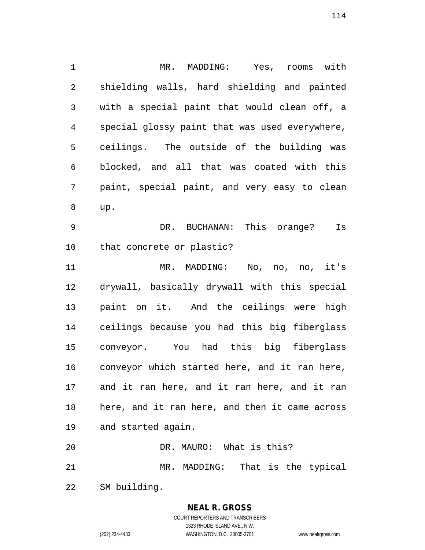MR. MADDING: Yes, rooms with shielding walls, hard shielding and painted with a special paint that would clean off, a special glossy paint that was used everywhere, ceilings. The outside of the building was blocked, and all that was coated with this paint, special paint, and very easy to clean up. DR. BUCHANAN: This orange? Is that concrete or plastic? MR. MADDING: No, no, no, it's drywall, basically drywall with this special paint on it. And the ceilings were high ceilings because you had this big fiberglass conveyor. You had this big fiberglass conveyor which started here, and it ran here, and it ran here, and it ran here, and it ran here, and it ran here, and then it came across and started again. DR. MAURO: What is this?

MR. MADDING: That is the typical

SM building.

**NEAL R. GROSS** COURT REPORTERS AND TRANSCRIBERS

1323 RHODE ISLAND AVE., N.W. (202) 234-4433 WASHINGTON, D.C. 20005-3701 www.nealrgross.com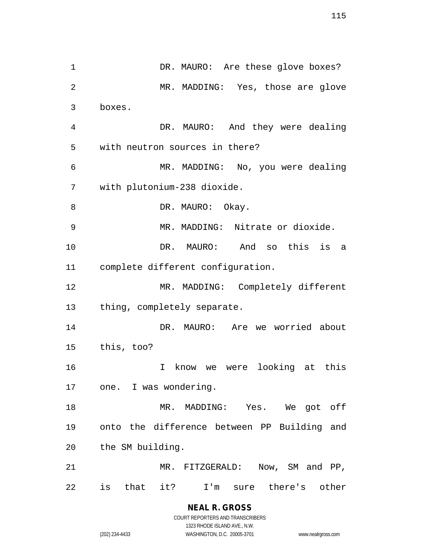1 DR. MAURO: Are these glove boxes? MR. MADDING: Yes, those are glove boxes. DR. MAURO: And they were dealing with neutron sources in there? MR. MADDING: No, you were dealing with plutonium-238 dioxide. 8 DR. MAURO: Okay. MR. MADDING: Nitrate or dioxide. DR. MAURO: And so this is a complete different configuration. MR. MADDING: Completely different thing, completely separate. DR. MAURO: Are we worried about this, too? I know we were looking at this one. I was wondering. MR. MADDING: Yes. We got off onto the difference between PP Building and the SM building. MR. FITZGERALD: Now, SM and PP, is that it? I'm sure there's other

> **NEAL R. GROSS** COURT REPORTERS AND TRANSCRIBERS

> > 1323 RHODE ISLAND AVE., N.W.

(202) 234-4433 WASHINGTON, D.C. 20005-3701 www.nealrgross.com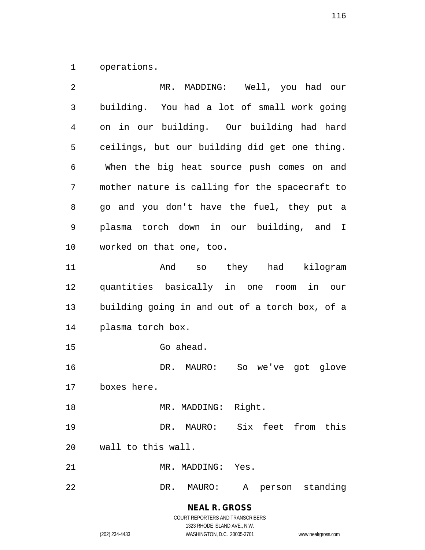operations.

| 2  | MR. MADDING: Well, you had our                 |
|----|------------------------------------------------|
| 3  | building. You had a lot of small work going    |
| 4  | on in our building. Our building had hard      |
| 5  | ceilings, but our building did get one thing.  |
| 6  | When the big heat source push comes on and     |
| 7  | mother nature is calling for the spacecraft to |
| 8  | go and you don't have the fuel, they put a     |
| 9  | plasma torch down in our building, and I       |
| 10 | worked on that one, too.                       |
| 11 | And so they had kilogram                       |
| 12 | quantities basically in one room<br>in our     |
| 13 | building going in and out of a torch box, of a |
| 14 | plasma torch box.                              |
| 15 | Go ahead.                                      |
| 16 | DR. MAURO: So we've got glove                  |
| 17 | boxes here.                                    |
| 18 | MR. MADDING: Right.                            |
| 19 | DR. MAURO: Six feet from this                  |
| 20 | wall to this wall.                             |
| 21 | MR. MADDING: Yes.                              |
|    |                                                |

**NEAL R. GROSS** COURT REPORTERS AND TRANSCRIBERS

1323 RHODE ISLAND AVE., N.W.

(202) 234-4433 WASHINGTON, D.C. 20005-3701 www.nealrgross.com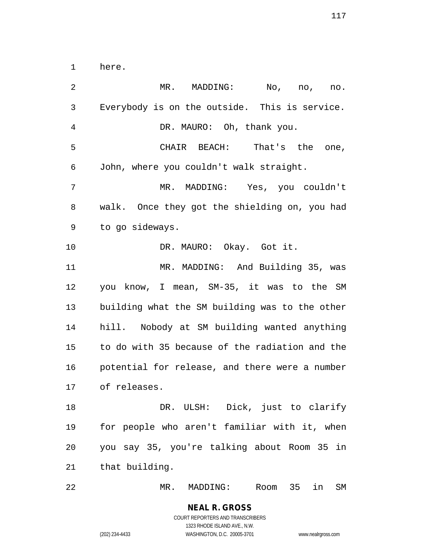here.

 MR. MADDING: No, no, no. Everybody is on the outside. This is service. DR. MAURO: Oh, thank you. CHAIR BEACH: That's the one, John, where you couldn't walk straight. MR. MADDING: Yes, you couldn't walk. Once they got the shielding on, you had to go sideways. 10 DR. MAURO: Okay. Got it. MR. MADDING: And Building 35, was you know, I mean, SM-35, it was to the SM building what the SM building was to the other hill. Nobody at SM building wanted anything to do with 35 because of the radiation and the potential for release, and there were a number of releases. DR. ULSH: Dick, just to clarify for people who aren't familiar with it, when you say 35, you're talking about Room 35 in that building.

MR. MADDING: Room 35 in SM

COURT REPORTERS AND TRANSCRIBERS 1323 RHODE ISLAND AVE., N.W. (202) 234-4433 WASHINGTON, D.C. 20005-3701 www.nealrgross.com

**NEAL R. GROSS**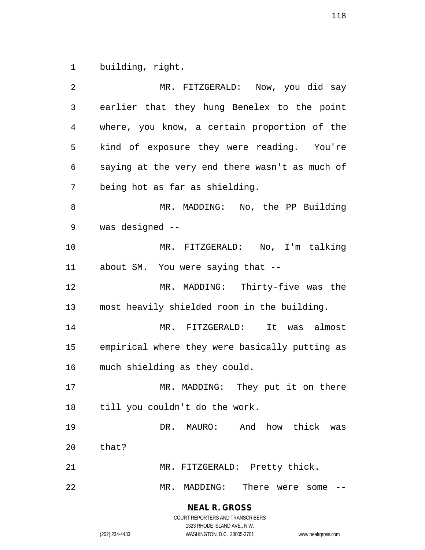building, right.

| 2  | MR. FITZGERALD: Now, you did say               |
|----|------------------------------------------------|
| 3  | earlier that they hung Benelex to the point    |
| 4  | where, you know, a certain proportion of the   |
| 5  | kind of exposure they were reading. You're     |
| 6  | saying at the very end there wasn't as much of |
| 7  | being hot as far as shielding.                 |
| 8  | MR. MADDING: No, the PP Building               |
| 9  | was designed --                                |
| 10 | MR. FITZGERALD: No, I'm talking                |
| 11 | about SM. You were saying that --              |
| 12 | MR. MADDING: Thirty-five was the               |
| 13 | most heavily shielded room in the building.    |
| 14 | MR. FITZGERALD:<br>It<br>was almost            |
| 15 | empirical where they were basically putting as |
| 16 | much shielding as they could.                  |
| 17 | MR. MADDING: They put it on there              |
| 18 | till you couldn't do the work.                 |
| 19 | DR. MAURO: And how thick was                   |
| 20 | that?                                          |
| 21 | MR. FITZGERALD: Pretty thick.                  |
| 22 | There were some<br>MR. MADDING:                |

**NEAL R. GROSS** COURT REPORTERS AND TRANSCRIBERS

1323 RHODE ISLAND AVE., N.W.

(202) 234-4433 WASHINGTON, D.C. 20005-3701 www.nealrgross.com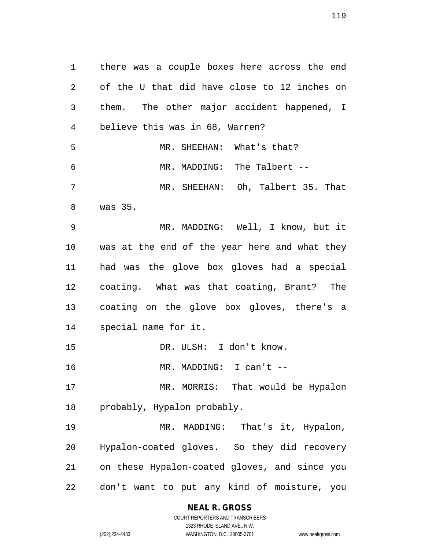there was a couple boxes here across the end of the U that did have close to 12 inches on them. The other major accident happened, I believe this was in 68, Warren? MR. SHEEHAN: What's that? MR. MADDING: The Talbert -- MR. SHEEHAN: Oh, Talbert 35. That was 35. MR. MADDING: Well, I know, but it was at the end of the year here and what they had was the glove box gloves had a special coating. What was that coating, Brant? The coating on the glove box gloves, there's a special name for it. 15 DR. ULSH: I don't know. 16 MR. MADDING: I can't -- MR. MORRIS: That would be Hypalon probably, Hypalon probably. MR. MADDING: That's it, Hypalon, Hypalon-coated gloves. So they did recovery on these Hypalon-coated gloves, and since you don't want to put any kind of moisture, you

> **NEAL R. GROSS** COURT REPORTERS AND TRANSCRIBERS

1323 RHODE ISLAND AVE., N.W. (202) 234-4433 WASHINGTON, D.C. 20005-3701 www.nealrgross.com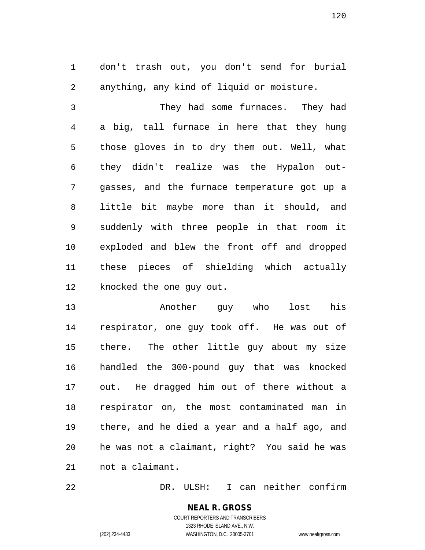don't trash out, you don't send for burial anything, any kind of liquid or moisture.

 They had some furnaces. They had a big, tall furnace in here that they hung those gloves in to dry them out. Well, what they didn't realize was the Hypalon out- gasses, and the furnace temperature got up a little bit maybe more than it should, and suddenly with three people in that room it exploded and blew the front off and dropped these pieces of shielding which actually knocked the one guy out.

 Another guy who lost his respirator, one guy took off. He was out of there. The other little guy about my size handled the 300-pound guy that was knocked out. He dragged him out of there without a respirator on, the most contaminated man in there, and he died a year and a half ago, and he was not a claimant, right? You said he was not a claimant.

DR. ULSH: I can neither confirm

**NEAL R. GROSS** COURT REPORTERS AND TRANSCRIBERS 1323 RHODE ISLAND AVE., N.W.

(202) 234-4433 WASHINGTON, D.C. 20005-3701 www.nealrgross.com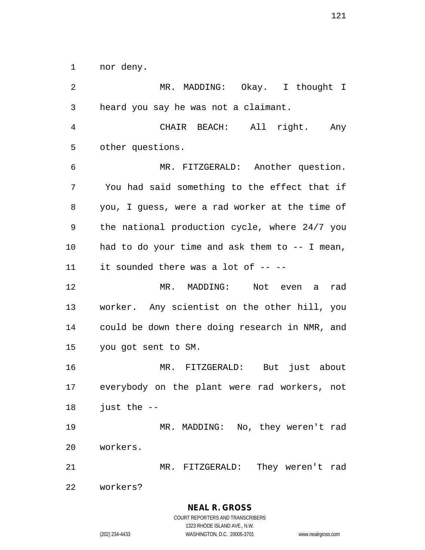nor deny.

 MR. MADDING: Okay. I thought I heard you say he was not a claimant. CHAIR BEACH: All right. Any other questions. MR. FITZGERALD: Another question. You had said something to the effect that if you, I guess, were a rad worker at the time of the national production cycle, where 24/7 you had to do your time and ask them to -- I mean, it sounded there was a lot of -- -- MR. MADDING: Not even a rad worker. Any scientist on the other hill, you could be down there doing research in NMR, and you got sent to SM. MR. FITZGERALD: But just about everybody on the plant were rad workers, not just the -- MR. MADDING: No, they weren't rad workers. MR. FITZGERALD: They weren't rad workers?

> **NEAL R. GROSS** COURT REPORTERS AND TRANSCRIBERS

1323 RHODE ISLAND AVE., N.W. (202) 234-4433 WASHINGTON, D.C. 20005-3701 www.nealrgross.com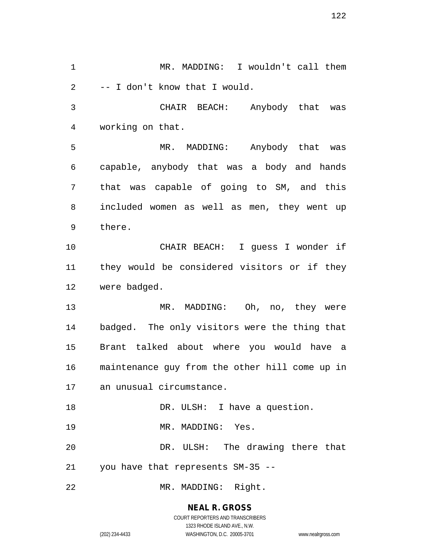MR. MADDING: I wouldn't call them -- I don't know that I would. CHAIR BEACH: Anybody that was working on that. MR. MADDING: Anybody that was capable, anybody that was a body and hands that was capable of going to SM, and this included women as well as men, they went up there. CHAIR BEACH: I guess I wonder if they would be considered visitors or if they were badged. MR. MADDING: Oh, no, they were badged. The only visitors were the thing that Brant talked about where you would have a maintenance guy from the other hill come up in an unusual circumstance. 18 DR. ULSH: I have a question. 19 MR. MADDING: Yes. DR. ULSH: The drawing there that you have that represents SM-35 -- MR. MADDING: Right.

> **NEAL R. GROSS** COURT REPORTERS AND TRANSCRIBERS

> > 1323 RHODE ISLAND AVE., N.W.

(202) 234-4433 WASHINGTON, D.C. 20005-3701 www.nealrgross.com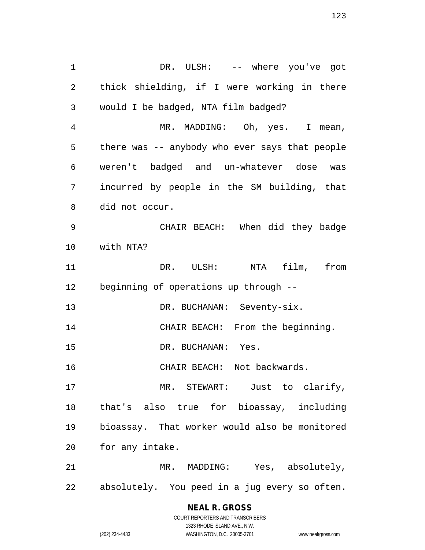DR. ULSH: -- where you've got thick shielding, if I were working in there would I be badged, NTA film badged? MR. MADDING: Oh, yes. I mean, there was -- anybody who ever says that people weren't badged and un-whatever dose was incurred by people in the SM building, that did not occur. CHAIR BEACH: When did they badge with NTA? DR. ULSH: NTA film, from beginning of operations up through -- 13 DR. BUCHANAN: Seventy-six. CHAIR BEACH: From the beginning. 15 DR. BUCHANAN: Yes. CHAIR BEACH: Not backwards. MR. STEWART: Just to clarify, that's also true for bioassay, including bioassay. That worker would also be monitored for any intake. MR. MADDING: Yes, absolutely, absolutely. You peed in a jug every so often.

# **NEAL R. GROSS**

COURT REPORTERS AND TRANSCRIBERS 1323 RHODE ISLAND AVE., N.W. (202) 234-4433 WASHINGTON, D.C. 20005-3701 www.nealrgross.com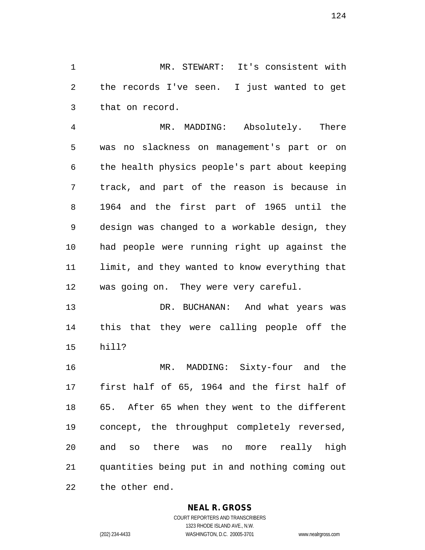MR. STEWART: It's consistent with the records I've seen. I just wanted to get that on record.

 MR. MADDING: Absolutely. There was no slackness on management's part or on the health physics people's part about keeping track, and part of the reason is because in 1964 and the first part of 1965 until the design was changed to a workable design, they had people were running right up against the limit, and they wanted to know everything that was going on. They were very careful.

 DR. BUCHANAN: And what years was this that they were calling people off the hill?

 MR. MADDING: Sixty-four and the first half of 65, 1964 and the first half of 65. After 65 when they went to the different concept, the throughput completely reversed, and so there was no more really high quantities being put in and nothing coming out the other end.

#### **NEAL R. GROSS**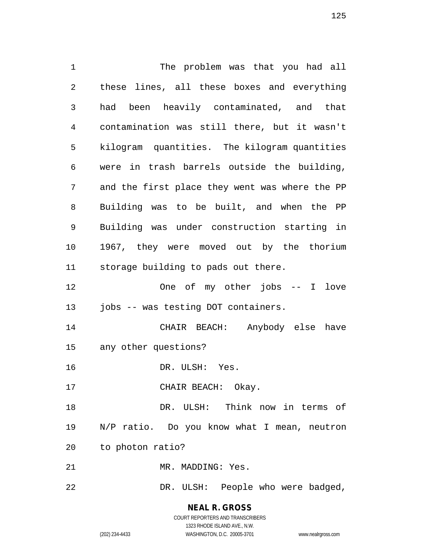The problem was that you had all these lines, all these boxes and everything had been heavily contaminated, and that contamination was still there, but it wasn't kilogram quantities. The kilogram quantities were in trash barrels outside the building, and the first place they went was where the PP Building was to be built, and when the PP Building was under construction starting in 1967, they were moved out by the thorium storage building to pads out there. One of my other jobs -- I love jobs -- was testing DOT containers. CHAIR BEACH: Anybody else have any other questions? DR. ULSH: Yes. 17 CHAIR BEACH: Okay. DR. ULSH: Think now in terms of N/P ratio. Do you know what I mean, neutron to photon ratio? MR. MADDING: Yes. DR. ULSH: People who were badged,

> **NEAL R. GROSS** COURT REPORTERS AND TRANSCRIBERS

> > 1323 RHODE ISLAND AVE., N.W.

(202) 234-4433 WASHINGTON, D.C. 20005-3701 www.nealrgross.com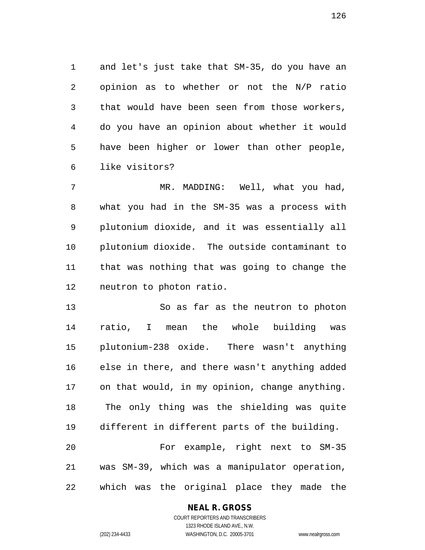and let's just take that SM-35, do you have an opinion as to whether or not the N/P ratio that would have been seen from those workers, do you have an opinion about whether it would have been higher or lower than other people, like visitors?

7 MR. MADDING: Well, what you had, what you had in the SM-35 was a process with plutonium dioxide, and it was essentially all plutonium dioxide. The outside contaminant to that was nothing that was going to change the neutron to photon ratio.

 So as far as the neutron to photon ratio, I mean the whole building was plutonium-238 oxide. There wasn't anything else in there, and there wasn't anything added on that would, in my opinion, change anything. The only thing was the shielding was quite different in different parts of the building. For example, right next to SM-35 was SM-39, which was a manipulator operation, which was the original place they made the

#### **NEAL R. GROSS**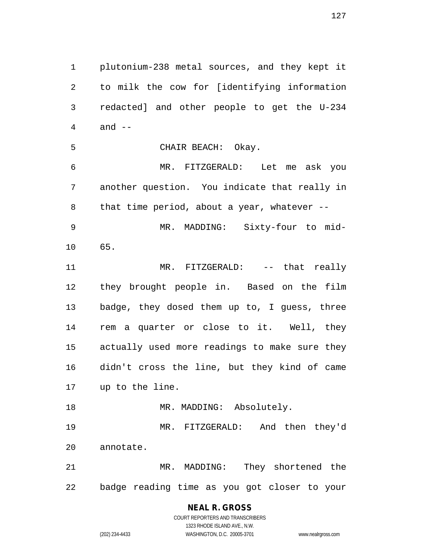plutonium-238 metal sources, and they kept it to milk the cow for [identifying information redacted] and other people to get the U-234 and -- CHAIR BEACH: Okay. MR. FITZGERALD: Let me ask you another question. You indicate that really in 8 that time period, about a year, whatever -- MR. MADDING: Sixty-four to mid- 65. MR. FITZGERALD: -- that really they brought people in. Based on the film badge, they dosed them up to, I guess, three rem a quarter or close to it. Well, they actually used more readings to make sure they didn't cross the line, but they kind of came up to the line. 18 MR. MADDING: Absolutely. MR. FITZGERALD: And then they'd annotate. MR. MADDING: They shortened the

badge reading time as you got closer to your

**NEAL R. GROSS** COURT REPORTERS AND TRANSCRIBERS

1323 RHODE ISLAND AVE., N.W.

(202) 234-4433 WASHINGTON, D.C. 20005-3701 www.nealrgross.com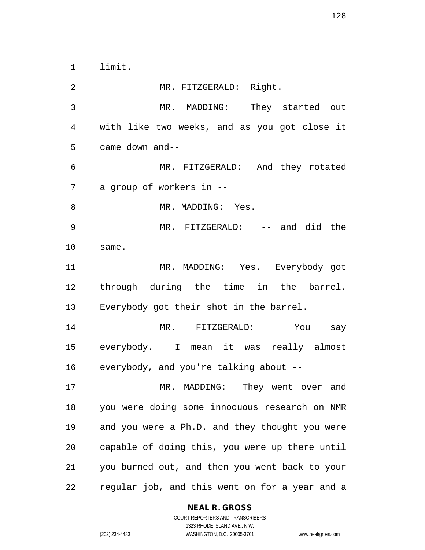limit.

 MR. FITZGERALD: Right. MR. MADDING: They started out with like two weeks, and as you got close it came down and-- MR. FITZGERALD: And they rotated a group of workers in -- 8 MR. MADDING: Yes. MR. FITZGERALD: -- and did the same. MR. MADDING: Yes. Everybody got through during the time in the barrel. Everybody got their shot in the barrel. MR. FITZGERALD: You say everybody. I mean it was really almost everybody, and you're talking about -- MR. MADDING: They went over and you were doing some innocuous research on NMR and you were a Ph.D. and they thought you were capable of doing this, you were up there until you burned out, and then you went back to your regular job, and this went on for a year and a

#### **NEAL R. GROSS**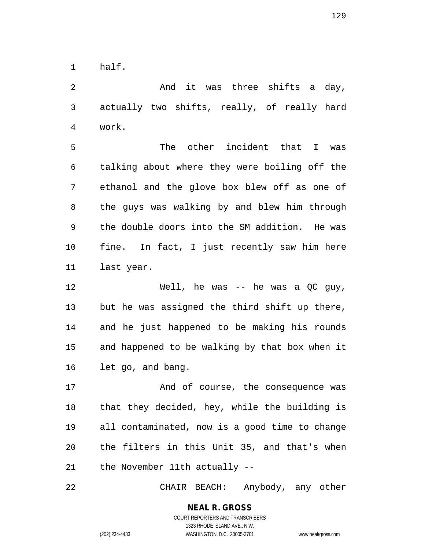half.

 And it was three shifts a day, actually two shifts, really, of really hard work.

 The other incident that I was talking about where they were boiling off the ethanol and the glove box blew off as one of the guys was walking by and blew him through the double doors into the SM addition. He was fine. In fact, I just recently saw him here last year.

 Well, he was -- he was a QC guy, but he was assigned the third shift up there, and he just happened to be making his rounds and happened to be walking by that box when it let go, and bang.

17 And of course, the consequence was that they decided, hey, while the building is all contaminated, now is a good time to change the filters in this Unit 35, and that's when the November 11th actually --

CHAIR BEACH: Anybody, any other

### **NEAL R. GROSS** COURT REPORTERS AND TRANSCRIBERS 1323 RHODE ISLAND AVE., N.W.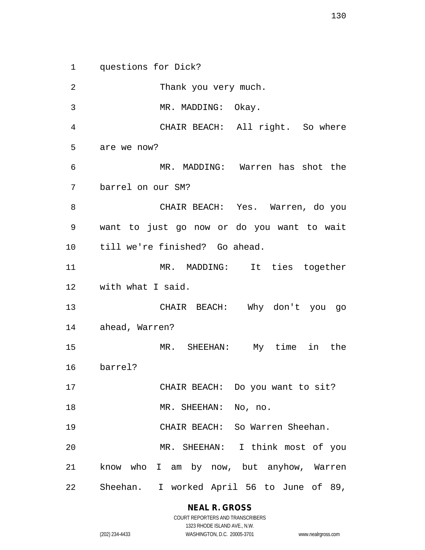questions for Dick?

 Thank you very much. MR. MADDING: Okay. CHAIR BEACH: All right. So where are we now? MR. MADDING: Warren has shot the barrel on our SM? CHAIR BEACH: Yes. Warren, do you want to just go now or do you want to wait till we're finished? Go ahead. MR. MADDING: It ties together with what I said. CHAIR BEACH: Why don't you go ahead, Warren? MR. SHEEHAN: My time in the barrel? CHAIR BEACH: Do you want to sit? 18 MR. SHEEHAN: No, no. CHAIR BEACH: So Warren Sheehan. MR. SHEEHAN: I think most of you know who I am by now, but anyhow, Warren Sheehan. I worked April 56 to June of 89,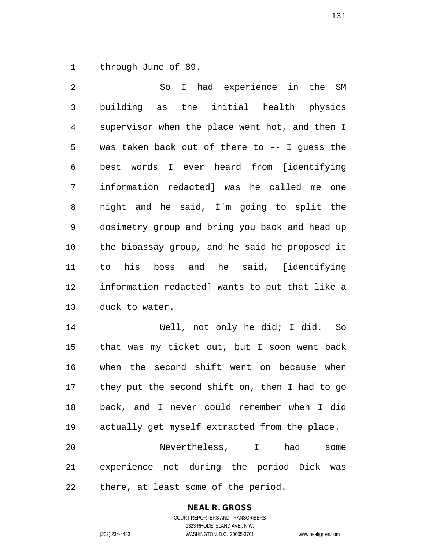through June of 89.

 So I had experience in the SM building as the initial health physics supervisor when the place went hot, and then I was taken back out of there to -- I guess the best words I ever heard from [identifying information redacted] was he called me one night and he said, I'm going to split the dosimetry group and bring you back and head up the bioassay group, and he said he proposed it to his boss and he said, [identifying information redacted] wants to put that like a duck to water.

 Well, not only he did; I did. So that was my ticket out, but I soon went back when the second shift went on because when they put the second shift on, then I had to go back, and I never could remember when I did actually get myself extracted from the place. Nevertheless, I had some

 experience not during the period Dick was there, at least some of the period.

## **NEAL R. GROSS**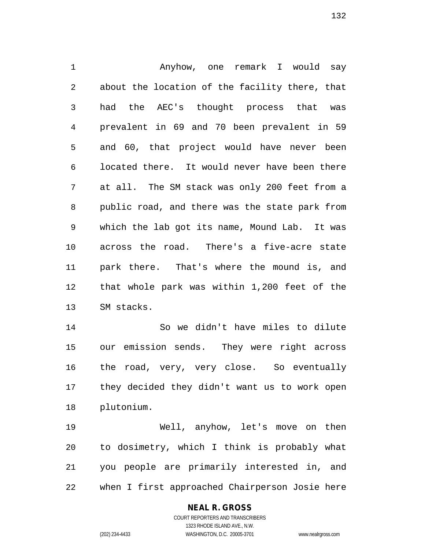Anyhow, one remark I would say about the location of the facility there, that had the AEC's thought process that was prevalent in 69 and 70 been prevalent in 59 and 60, that project would have never been located there. It would never have been there at all. The SM stack was only 200 feet from a public road, and there was the state park from which the lab got its name, Mound Lab. It was across the road. There's a five-acre state park there. That's where the mound is, and that whole park was within 1,200 feet of the SM stacks.

 So we didn't have miles to dilute our emission sends. They were right across the road, very, very close. So eventually they decided they didn't want us to work open plutonium.

 Well, anyhow, let's move on then to dosimetry, which I think is probably what you people are primarily interested in, and when I first approached Chairperson Josie here

#### **NEAL R. GROSS**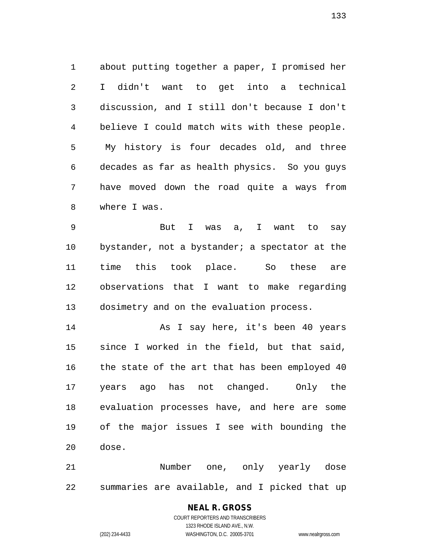about putting together a paper, I promised her I didn't want to get into a technical discussion, and I still don't because I don't believe I could match wits with these people. My history is four decades old, and three decades as far as health physics. So you guys have moved down the road quite a ways from where I was.

 But I was a, I want to say bystander, not a bystander; a spectator at the time this took place. So these are observations that I want to make regarding dosimetry and on the evaluation process.

 As I say here, it's been 40 years since I worked in the field, but that said, the state of the art that has been employed 40 years ago has not changed. Only the evaluation processes have, and here are some of the major issues I see with bounding the dose.

 Number one, only yearly dose summaries are available, and I picked that up

# **NEAL R. GROSS**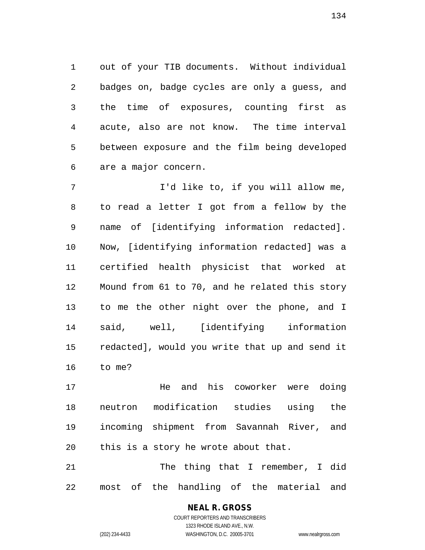out of your TIB documents. Without individual badges on, badge cycles are only a guess, and the time of exposures, counting first as acute, also are not know. The time interval between exposure and the film being developed are a major concern.

7 I'd like to, if you will allow me, to read a letter I got from a fellow by the name of [identifying information redacted]. Now, [identifying information redacted] was a certified health physicist that worked at Mound from 61 to 70, and he related this story to me the other night over the phone, and I said, well, [identifying information redacted], would you write that up and send it to me?

 He and his coworker were doing neutron modification studies using the incoming shipment from Savannah River, and this is a story he wrote about that.

 The thing that I remember, I did most of the handling of the material and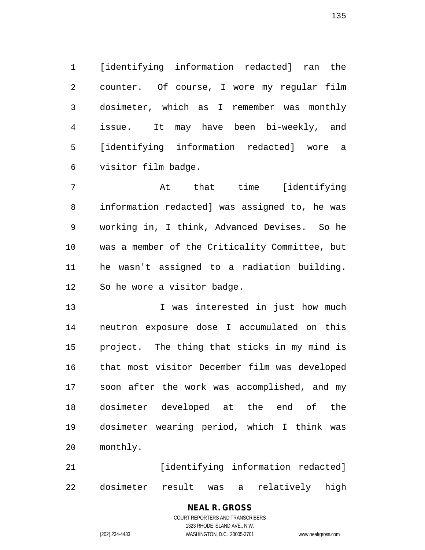[identifying information redacted] ran the counter. Of course, I wore my regular film dosimeter, which as I remember was monthly issue. It may have been bi-weekly, and [identifying information redacted] wore a visitor film badge.

 At that time [identifying information redacted] was assigned to, he was working in, I think, Advanced Devises. So he was a member of the Criticality Committee, but he wasn't assigned to a radiation building. So he wore a visitor badge.

13 13 I was interested in just how much neutron exposure dose I accumulated on this project. The thing that sticks in my mind is that most visitor December film was developed soon after the work was accomplished, and my dosimeter developed at the end of the dosimeter wearing period, which I think was monthly.

21 [identifying information redacted] dosimeter result was a relatively high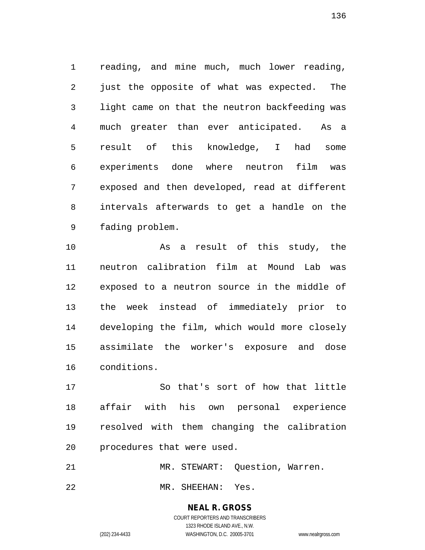reading, and mine much, much lower reading, just the opposite of what was expected. The light came on that the neutron backfeeding was much greater than ever anticipated. As a result of this knowledge, I had some experiments done where neutron film was exposed and then developed, read at different intervals afterwards to get a handle on the fading problem.

 As a result of this study, the neutron calibration film at Mound Lab was exposed to a neutron source in the middle of the week instead of immediately prior to developing the film, which would more closely assimilate the worker's exposure and dose conditions.

 So that's sort of how that little affair with his own personal experience resolved with them changing the calibration procedures that were used.

MR. STEWART: Question, Warren.

MR. SHEEHAN: Yes.

**NEAL R. GROSS** COURT REPORTERS AND TRANSCRIBERS

1323 RHODE ISLAND AVE., N.W.

(202) 234-4433 WASHINGTON, D.C. 20005-3701 www.nealrgross.com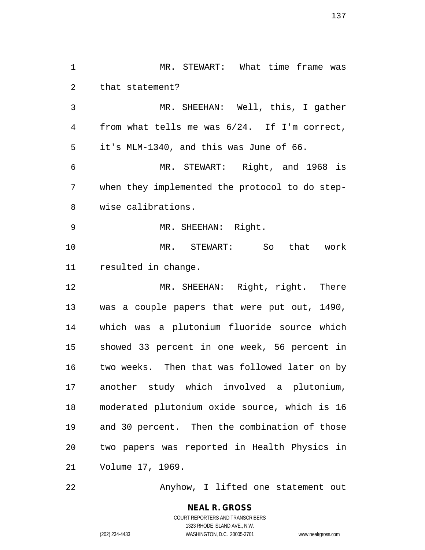MR. STEWART: What time frame was that statement? MR. SHEEHAN: Well, this, I gather from what tells me was 6/24. If I'm correct, it's MLM-1340, and this was June of 66. MR. STEWART: Right, and 1968 is when they implemented the protocol to do step- wise calibrations. MR. SHEEHAN: Right. MR. STEWART: So that work resulted in change. 12 MR. SHEEHAN: Right, right. There was a couple papers that were put out, 1490, which was a plutonium fluoride source which showed 33 percent in one week, 56 percent in two weeks. Then that was followed later on by another study which involved a plutonium, moderated plutonium oxide source, which is 16 and 30 percent. Then the combination of those two papers was reported in Health Physics in Volume 17, 1969.

Anyhow, I lifted one statement out

COURT REPORTERS AND TRANSCRIBERS 1323 RHODE ISLAND AVE., N.W. (202) 234-4433 WASHINGTON, D.C. 20005-3701 www.nealrgross.com

**NEAL R. GROSS**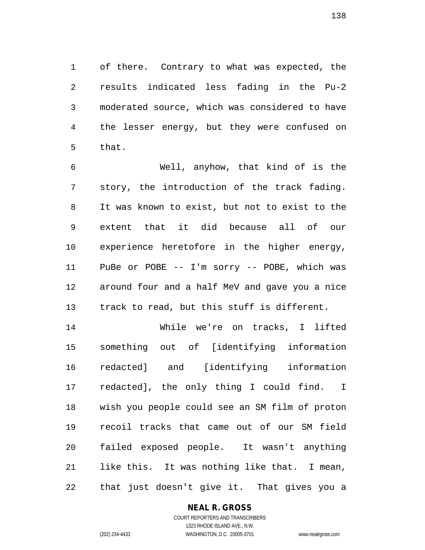of there. Contrary to what was expected, the results indicated less fading in the Pu-2 moderated source, which was considered to have the lesser energy, but they were confused on that.

 Well, anyhow, that kind of is the story, the introduction of the track fading. It was known to exist, but not to exist to the extent that it did because all of our experience heretofore in the higher energy, PuBe or POBE -- I'm sorry -- POBE, which was around four and a half MeV and gave you a nice track to read, but this stuff is different.

 While we're on tracks, I lifted something out of [identifying information redacted] and [identifying information redacted], the only thing I could find. I wish you people could see an SM film of proton recoil tracks that came out of our SM field failed exposed people. It wasn't anything like this. It was nothing like that. I mean, that just doesn't give it. That gives you a

#### **NEAL R. GROSS**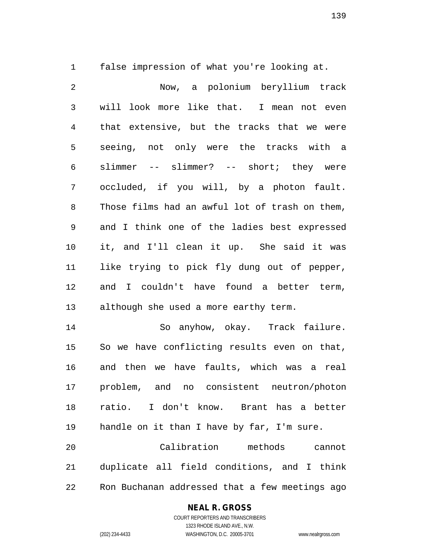false impression of what you're looking at.

 Now, a polonium beryllium track will look more like that. I mean not even that extensive, but the tracks that we were seeing, not only were the tracks with a slimmer -- slimmer? -- short; they were occluded, if you will, by a photon fault. Those films had an awful lot of trash on them, and I think one of the ladies best expressed it, and I'll clean it up. She said it was like trying to pick fly dung out of pepper, and I couldn't have found a better term, although she used a more earthy term. So anyhow, okay. Track failure. So we have conflicting results even on that, and then we have faults, which was a real problem, and no consistent neutron/photon

 ratio. I don't know. Brant has a better handle on it than I have by far, I'm sure. Calibration methods cannot duplicate all field conditions, and I think

Ron Buchanan addressed that a few meetings ago

#### **NEAL R. GROSS**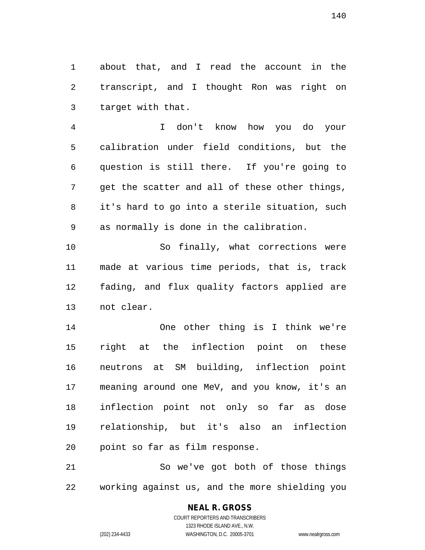about that, and I read the account in the transcript, and I thought Ron was right on target with that.

 I don't know how you do your calibration under field conditions, but the question is still there. If you're going to get the scatter and all of these other things, it's hard to go into a sterile situation, such as normally is done in the calibration.

 So finally, what corrections were made at various time periods, that is, track fading, and flux quality factors applied are not clear.

 One other thing is I think we're right at the inflection point on these neutrons at SM building, inflection point meaning around one MeV, and you know, it's an inflection point not only so far as dose relationship, but it's also an inflection point so far as film response.

 So we've got both of those things working against us, and the more shielding you

# **NEAL R. GROSS**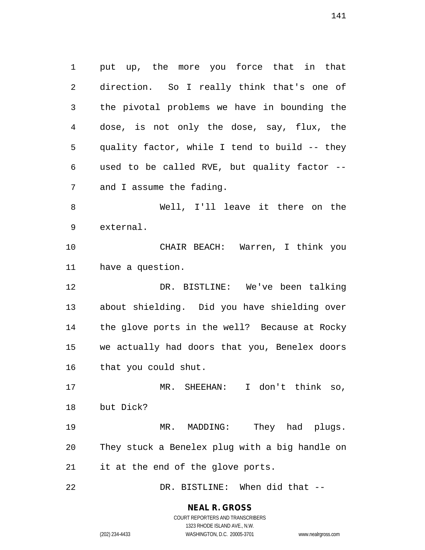put up, the more you force that in that direction. So I really think that's one of the pivotal problems we have in bounding the dose, is not only the dose, say, flux, the quality factor, while I tend to build -- they used to be called RVE, but quality factor -- and I assume the fading. Well, I'll leave it there on the external. CHAIR BEACH: Warren, I think you have a question. DR. BISTLINE: We've been talking about shielding. Did you have shielding over the glove ports in the well? Because at Rocky we actually had doors that you, Benelex doors that you could shut. MR. SHEEHAN: I don't think so, but Dick? 19 MR. MADDING: They had plugs. They stuck a Benelex plug with a big handle on it at the end of the glove ports. DR. BISTLINE: When did that --

> **NEAL R. GROSS** COURT REPORTERS AND TRANSCRIBERS

1323 RHODE ISLAND AVE., N.W. (202) 234-4433 WASHINGTON, D.C. 20005-3701 www.nealrgross.com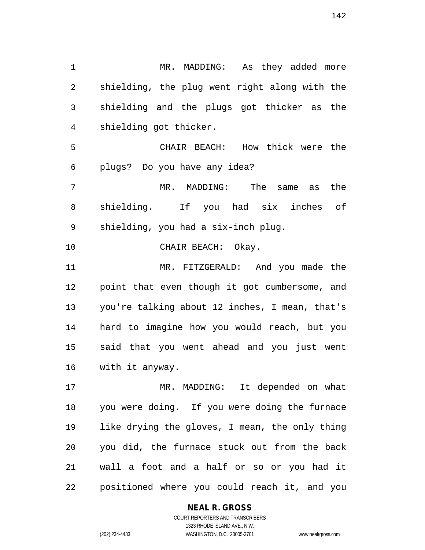MR. MADDING: As they added more shielding, the plug went right along with the shielding and the plugs got thicker as the shielding got thicker. CHAIR BEACH: How thick were the plugs? Do you have any idea? MR. MADDING: The same as the shielding. If you had six inches of shielding, you had a six-inch plug. CHAIR BEACH: Okay. MR. FITZGERALD: And you made the point that even though it got cumbersome, and you're talking about 12 inches, I mean, that's hard to imagine how you would reach, but you said that you went ahead and you just went with it anyway. MR. MADDING: It depended on what

 you were doing. If you were doing the furnace like drying the gloves, I mean, the only thing you did, the furnace stuck out from the back wall a foot and a half or so or you had it positioned where you could reach it, and you

#### **NEAL R. GROSS**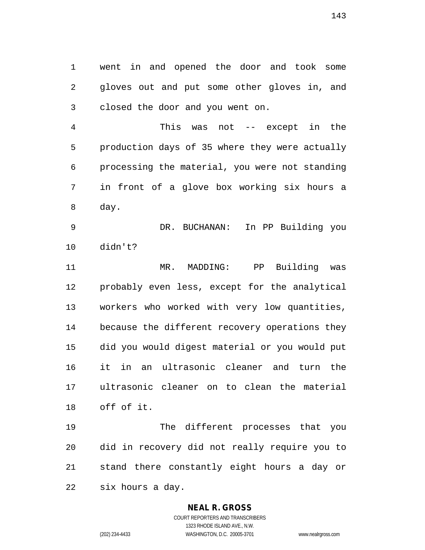went in and opened the door and took some gloves out and put some other gloves in, and closed the door and you went on.

 This was not -- except in the production days of 35 where they were actually processing the material, you were not standing in front of a glove box working six hours a day.

 DR. BUCHANAN: In PP Building you didn't?

 MR. MADDING: PP Building was probably even less, except for the analytical workers who worked with very low quantities, because the different recovery operations they did you would digest material or you would put it in an ultrasonic cleaner and turn the ultrasonic cleaner on to clean the material off of it.

 The different processes that you did in recovery did not really require you to stand there constantly eight hours a day or six hours a day.

#### **NEAL R. GROSS**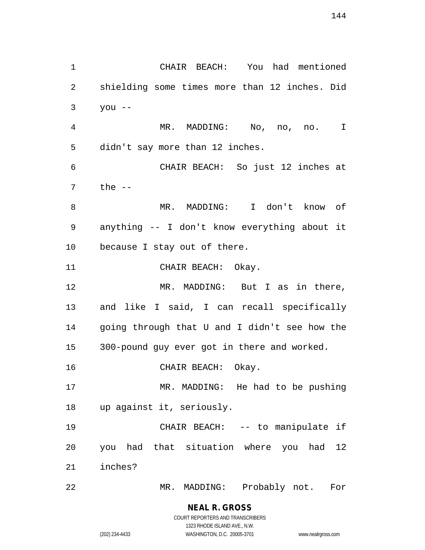CHAIR BEACH: You had mentioned shielding some times more than 12 inches. Did you  $-$  MR. MADDING: No, no, no. I didn't say more than 12 inches. CHAIR BEACH: So just 12 inches at the -- MR. MADDING: I don't know of anything -- I don't know everything about it because I stay out of there. 11 CHAIR BEACH: Okay. 12 MR. MADDING: But I as in there, and like I said, I can recall specifically going through that U and I didn't see how the 300-pound guy ever got in there and worked. CHAIR BEACH: Okay. MR. MADDING: He had to be pushing up against it, seriously. CHAIR BEACH: -- to manipulate if you had that situation where you had 12 inches? MR. MADDING: Probably not. For

> **NEAL R. GROSS** COURT REPORTERS AND TRANSCRIBERS 1323 RHODE ISLAND AVE., N.W.

(202) 234-4433 WASHINGTON, D.C. 20005-3701 www.nealrgross.com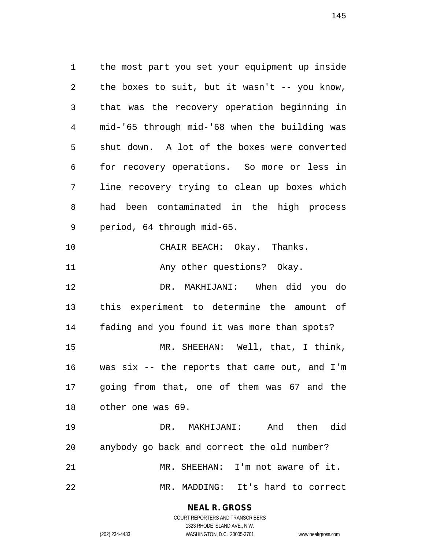the most part you set your equipment up inside the boxes to suit, but it wasn't -- you know, that was the recovery operation beginning in mid-'65 through mid-'68 when the building was shut down. A lot of the boxes were converted for recovery operations. So more or less in line recovery trying to clean up boxes which had been contaminated in the high process period, 64 through mid-65. CHAIR BEACH: Okay. Thanks. 11 Any other questions? Okay. DR. MAKHIJANI: When did you do this experiment to determine the amount of fading and you found it was more than spots? MR. SHEEHAN: Well, that, I think, was six -- the reports that came out, and I'm going from that, one of them was 67 and the other one was 69. DR. MAKHIJANI: And then did anybody go back and correct the old number? MR. SHEEHAN: I'm not aware of it.

MR. MADDING: It's hard to correct

**NEAL R. GROSS** COURT REPORTERS AND TRANSCRIBERS

1323 RHODE ISLAND AVE., N.W.

(202) 234-4433 WASHINGTON, D.C. 20005-3701 www.nealrgross.com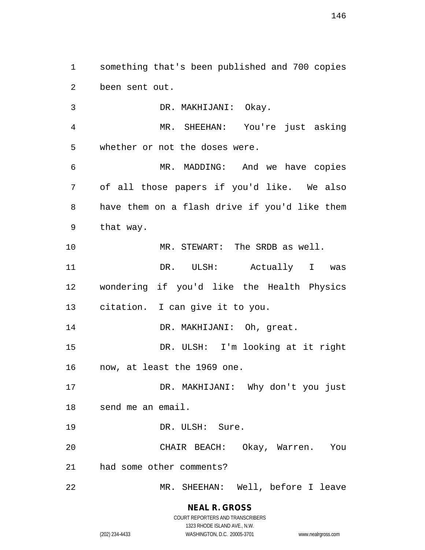something that's been published and 700 copies been sent out.

 DR. MAKHIJANI: Okay. MR. SHEEHAN: You're just asking whether or not the doses were. MR. MADDING: And we have copies of all those papers if you'd like. We also have them on a flash drive if you'd like them that way. MR. STEWART: The SRDB as well. DR. ULSH: Actually I was wondering if you'd like the Health Physics citation. I can give it to you. 14 DR. MAKHIJANI: Oh, great. DR. ULSH: I'm looking at it right now, at least the 1969 one. DR. MAKHIJANI: Why don't you just send me an email. 19 DR. ULSH: Sure. CHAIR BEACH: Okay, Warren. You had some other comments? MR. SHEEHAN: Well, before I leave

**NEAL R. GROSS** COURT REPORTERS AND TRANSCRIBERS 1323 RHODE ISLAND AVE., N.W.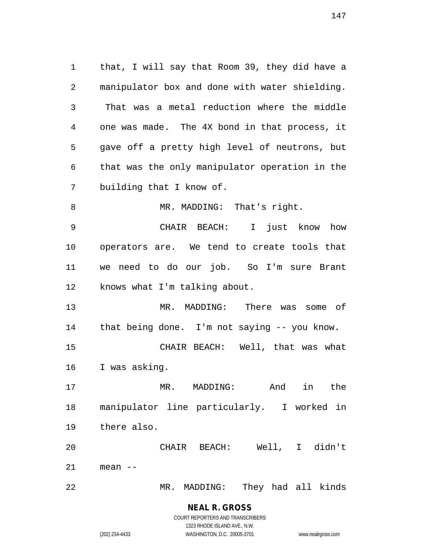that, I will say that Room 39, they did have a manipulator box and done with water shielding. That was a metal reduction where the middle one was made. The 4X bond in that process, it gave off a pretty high level of neutrons, but that was the only manipulator operation in the building that I know of. 8 MR. MADDING: That's right. CHAIR BEACH: I just know how operators are. We tend to create tools that we need to do our job. So I'm sure Brant knows what I'm talking about. MR. MADDING: There was some of that being done. I'm not saying -- you know. CHAIR BEACH: Well, that was what I was asking. MR. MADDING: And in the manipulator line particularly. I worked in there also. CHAIR BEACH: Well, I didn't mean --

MR. MADDING: They had all kinds

**NEAL R. GROSS** COURT REPORTERS AND TRANSCRIBERS

1323 RHODE ISLAND AVE., N.W.

(202) 234-4433 WASHINGTON, D.C. 20005-3701 www.nealrgross.com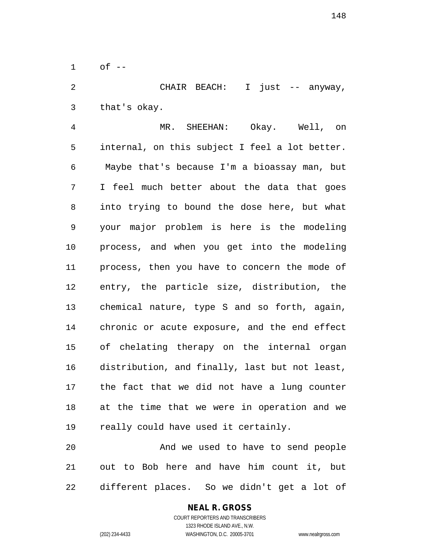of  $-$ 

 CHAIR BEACH: I just -- anyway, that's okay.

 MR. SHEEHAN: Okay. Well, on internal, on this subject I feel a lot better. Maybe that's because I'm a bioassay man, but I feel much better about the data that goes into trying to bound the dose here, but what your major problem is here is the modeling process, and when you get into the modeling process, then you have to concern the mode of entry, the particle size, distribution, the chemical nature, type S and so forth, again, chronic or acute exposure, and the end effect of chelating therapy on the internal organ distribution, and finally, last but not least, the fact that we did not have a lung counter at the time that we were in operation and we really could have used it certainly.

 And we used to have to send people out to Bob here and have him count it, but different places. So we didn't get a lot of

## **NEAL R. GROSS**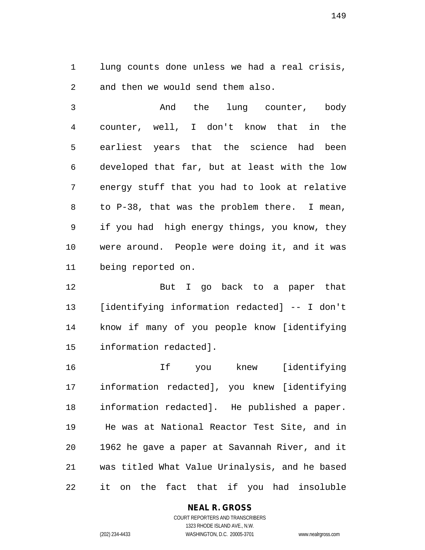lung counts done unless we had a real crisis, and then we would send them also.

 And the lung counter, body counter, well, I don't know that in the earliest years that the science had been developed that far, but at least with the low energy stuff that you had to look at relative to P-38, that was the problem there. I mean, if you had high energy things, you know, they were around. People were doing it, and it was being reported on.

 But I go back to a paper that [identifying information redacted] -- I don't know if many of you people know [identifying information redacted].

 If you knew [identifying information redacted], you knew [identifying information redacted]. He published a paper. He was at National Reactor Test Site, and in 1962 he gave a paper at Savannah River, and it was titled What Value Urinalysis, and he based it on the fact that if you had insoluble

#### **NEAL R. GROSS**

COURT REPORTERS AND TRANSCRIBERS 1323 RHODE ISLAND AVE., N.W. (202) 234-4433 WASHINGTON, D.C. 20005-3701 www.nealrgross.com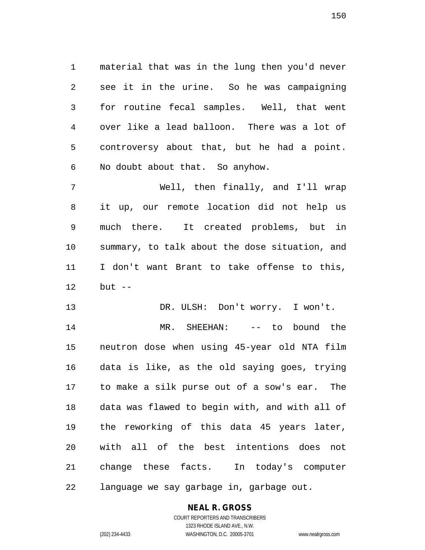material that was in the lung then you'd never see it in the urine. So he was campaigning for routine fecal samples. Well, that went over like a lead balloon. There was a lot of controversy about that, but he had a point. No doubt about that. So anyhow.

 Well, then finally, and I'll wrap it up, our remote location did not help us much there. It created problems, but in summary, to talk about the dose situation, and I don't want Brant to take offense to this, but --

 DR. ULSH: Don't worry. I won't. MR. SHEEHAN: -- to bound the neutron dose when using 45-year old NTA film data is like, as the old saying goes, trying to make a silk purse out of a sow's ear. The data was flawed to begin with, and with all of the reworking of this data 45 years later, with all of the best intentions does not change these facts. In today's computer language we say garbage in, garbage out.

## **NEAL R. GROSS**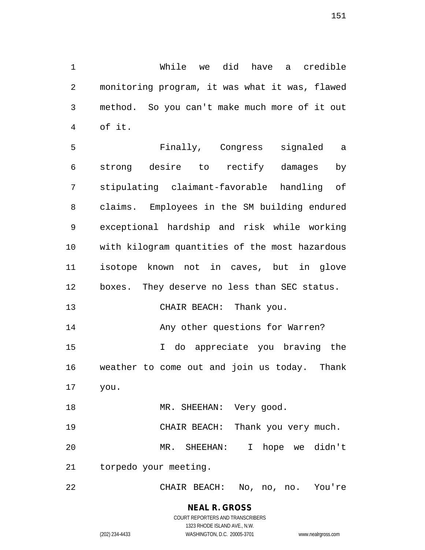While we did have a credible monitoring program, it was what it was, flawed method. So you can't make much more of it out of it.

 Finally, Congress signaled a strong desire to rectify damages by stipulating claimant-favorable handling of claims. Employees in the SM building endured exceptional hardship and risk while working with kilogram quantities of the most hazardous isotope known not in caves, but in glove boxes. They deserve no less than SEC status. 13 CHAIR BEACH: Thank you. **Any other questions for Warren?**  I do appreciate you braving the weather to come out and join us today. Thank you. 18 MR. SHEEHAN: Very good. CHAIR BEACH: Thank you very much. MR. SHEEHAN: I hope we didn't torpedo your meeting.

CHAIR BEACH: No, no, no. You're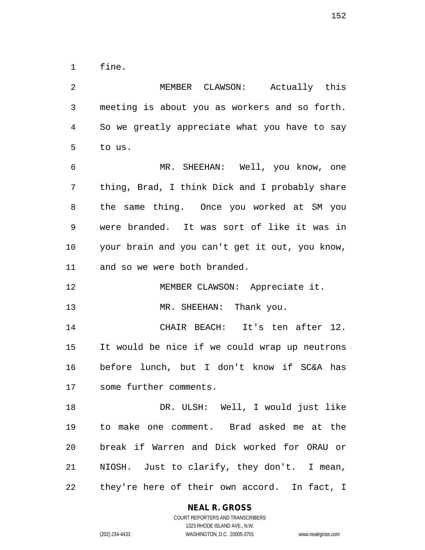fine.

 MEMBER CLAWSON: Actually this meeting is about you as workers and so forth. So we greatly appreciate what you have to say to us. MR. SHEEHAN: Well, you know, one thing, Brad, I think Dick and I probably share the same thing. Once you worked at SM you were branded. It was sort of like it was in your brain and you can't get it out, you know, and so we were both branded. 12 MEMBER CLAWSON: Appreciate it. 13 MR. SHEEHAN: Thank you. CHAIR BEACH: It's ten after 12. It would be nice if we could wrap up neutrons before lunch, but I don't know if SC&A has some further comments. DR. ULSH: Well, I would just like to make one comment. Brad asked me at the break if Warren and Dick worked for ORAU or NIOSH. Just to clarify, they don't. I mean, they're here of their own accord. In fact, I

#### **NEAL R. GROSS**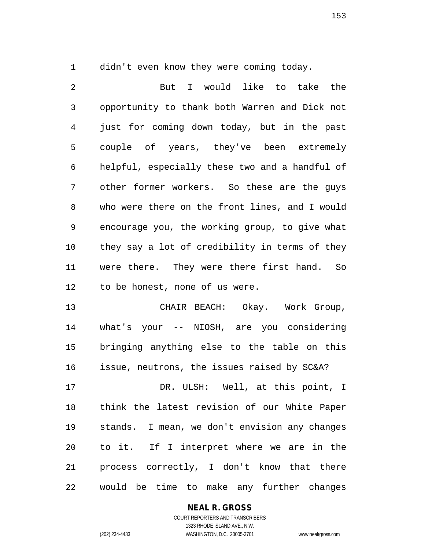didn't even know they were coming today.

 But I would like to take the opportunity to thank both Warren and Dick not just for coming down today, but in the past couple of years, they've been extremely helpful, especially these two and a handful of other former workers. So these are the guys who were there on the front lines, and I would encourage you, the working group, to give what they say a lot of credibility in terms of they were there. They were there first hand. So to be honest, none of us were.

 CHAIR BEACH: Okay. Work Group, what's your -- NIOSH, are you considering bringing anything else to the table on this issue, neutrons, the issues raised by SC&A?

 DR. ULSH: Well, at this point, I think the latest revision of our White Paper stands. I mean, we don't envision any changes to it. If I interpret where we are in the process correctly, I don't know that there would be time to make any further changes

## **NEAL R. GROSS**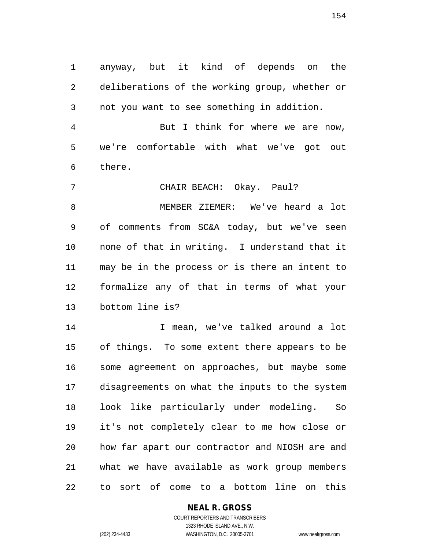anyway, but it kind of depends on the deliberations of the working group, whether or not you want to see something in addition.

 But I think for where we are now, we're comfortable with what we've got out there.

 CHAIR BEACH: Okay. Paul? MEMBER ZIEMER: We've heard a lot of comments from SC&A today, but we've seen none of that in writing. I understand that it may be in the process or is there an intent to formalize any of that in terms of what your bottom line is?

 I mean, we've talked around a lot of things. To some extent there appears to be some agreement on approaches, but maybe some disagreements on what the inputs to the system look like particularly under modeling. So it's not completely clear to me how close or how far apart our contractor and NIOSH are and what we have available as work group members to sort of come to a bottom line on this

## **NEAL R. GROSS**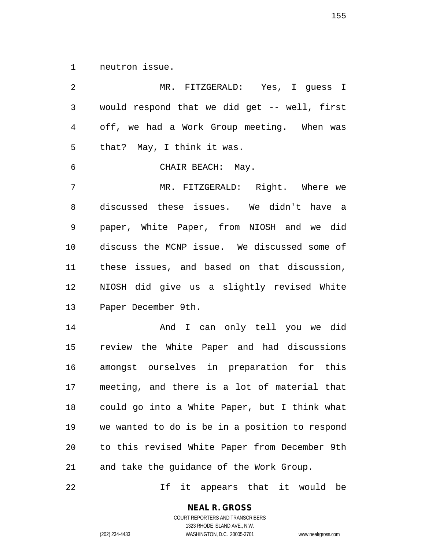neutron issue.

| 2            | MR. FITZGERALD: Yes, I guess I                 |
|--------------|------------------------------------------------|
| $\mathsf{3}$ | would respond that we did get -- well, first   |
| 4            | off, we had a Work Group meeting. When was     |
| 5            | that? May, I think it was.                     |
| 6            | CHAIR BEACH: May.                              |
| 7            | MR. FITZGERALD: Right. Where we                |
| 8            | discussed these issues. We didn't have a       |
| 9            | paper, White Paper, from NIOSH and we did      |
| 10           | discuss the MCNP issue. We discussed some of   |
| 11           | these issues, and based on that discussion,    |
| 12           | NIOSH did give us a slightly revised White     |
| 13           | Paper December 9th.                            |
| 14           | And I can only tell you we did                 |
| 15           | review the White Paper and had discussions     |
| 16           | amongst ourselves in preparation for this      |
| 17           | meeting, and there is a lot of material that   |
| 18           | could go into a White Paper, but I think what  |
| 19           | we wanted to do is be in a position to respond |
| 20           | to this revised White Paper from December 9th  |
| 21           | and take the guidance of the Work Group.       |

If it appears that it would be

# **NEAL R. GROSS**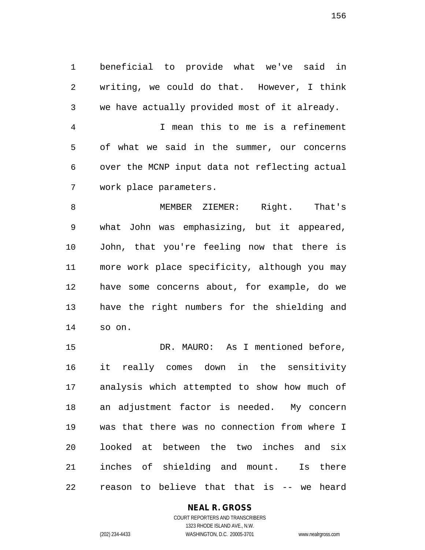beneficial to provide what we've said in writing, we could do that. However, I think we have actually provided most of it already. I mean this to me is a refinement of what we said in the summer, our concerns over the MCNP input data not reflecting actual work place parameters.

 MEMBER ZIEMER: Right. That's what John was emphasizing, but it appeared, John, that you're feeling now that there is more work place specificity, although you may have some concerns about, for example, do we have the right numbers for the shielding and so on.

 DR. MAURO: As I mentioned before, it really comes down in the sensitivity analysis which attempted to show how much of an adjustment factor is needed. My concern was that there was no connection from where I looked at between the two inches and six inches of shielding and mount. Is there reason to believe that that is -- we heard

#### **NEAL R. GROSS**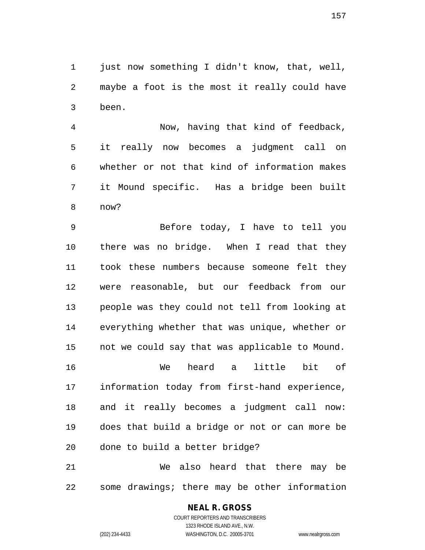just now something I didn't know, that, well, maybe a foot is the most it really could have been.

 Now, having that kind of feedback, it really now becomes a judgment call on whether or not that kind of information makes it Mound specific. Has a bridge been built now?

 Before today, I have to tell you there was no bridge. When I read that they took these numbers because someone felt they were reasonable, but our feedback from our people was they could not tell from looking at everything whether that was unique, whether or not we could say that was applicable to Mound. We heard a little bit of information today from first-hand experience, and it really becomes a judgment call now: does that build a bridge or not or can more be done to build a better bridge?

 We also heard that there may be some drawings; there may be other information

#### **NEAL R. GROSS**

COURT REPORTERS AND TRANSCRIBERS 1323 RHODE ISLAND AVE., N.W. (202) 234-4433 WASHINGTON, D.C. 20005-3701 www.nealrgross.com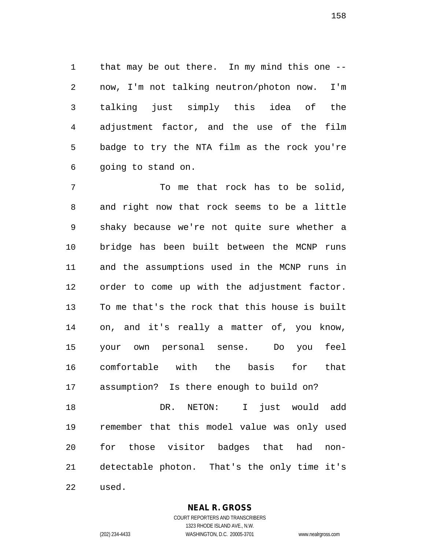that may be out there. In my mind this one -- now, I'm not talking neutron/photon now. I'm talking just simply this idea of the adjustment factor, and the use of the film badge to try the NTA film as the rock you're going to stand on.

 To me that rock has to be solid, and right now that rock seems to be a little shaky because we're not quite sure whether a bridge has been built between the MCNP runs and the assumptions used in the MCNP runs in order to come up with the adjustment factor. To me that's the rock that this house is built on, and it's really a matter of, you know, your own personal sense. Do you feel comfortable with the basis for that assumption? Is there enough to build on? DR. NETON: I just would add remember that this model value was only used for those visitor badges that had non-detectable photon. That's the only time it's

used.

**NEAL R. GROSS**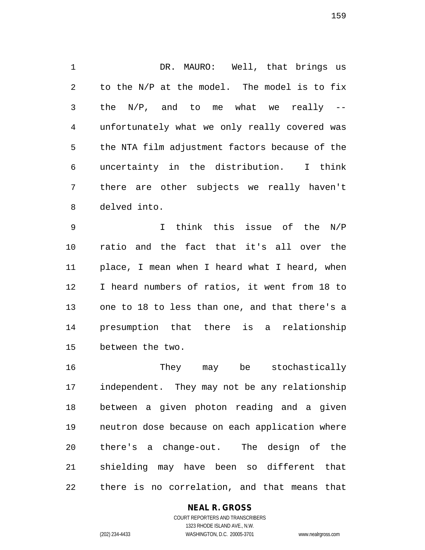DR. MAURO: Well, that brings us to the N/P at the model. The model is to fix the N/P, and to me what we really -- unfortunately what we only really covered was the NTA film adjustment factors because of the uncertainty in the distribution. I think there are other subjects we really haven't delved into.

 I think this issue of the N/P ratio and the fact that it's all over the place, I mean when I heard what I heard, when I heard numbers of ratios, it went from 18 to one to 18 to less than one, and that there's a presumption that there is a relationship between the two.

 They may be stochastically independent. They may not be any relationship between a given photon reading and a given neutron dose because on each application where there's a change-out. The design of the shielding may have been so different that there is no correlation, and that means that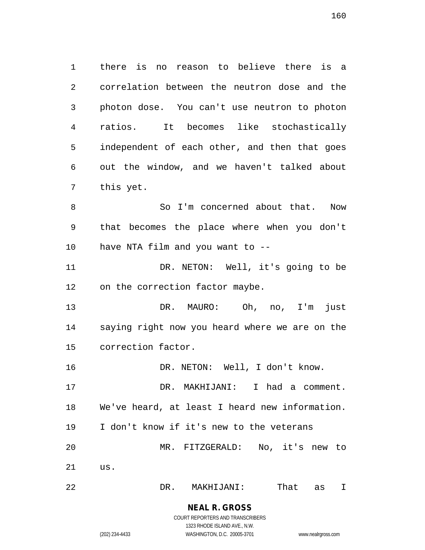there is no reason to believe there is a correlation between the neutron dose and the photon dose. You can't use neutron to photon ratios. It becomes like stochastically independent of each other, and then that goes out the window, and we haven't talked about this yet.

8 So I'm concerned about that. Now that becomes the place where when you don't have NTA film and you want to --

 DR. NETON: Well, it's going to be on the correction factor maybe.

 DR. MAURO: Oh, no, I'm just saying right now you heard where we are on the correction factor.

16 DR. NETON: Well, I don't know.

 DR. MAKHIJANI: I had a comment. We've heard, at least I heard new information. I don't know if it's new to the veterans MR. FITZGERALD: No, it's new to us.

DR. MAKHIJANI: That as I

#### **NEAL R. GROSS** COURT REPORTERS AND TRANSCRIBERS

1323 RHODE ISLAND AVE., N.W. (202) 234-4433 WASHINGTON, D.C. 20005-3701 www.nealrgross.com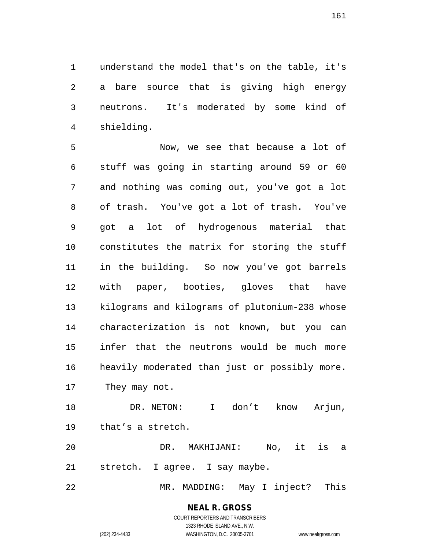understand the model that's on the table, it's a bare source that is giving high energy neutrons. It's moderated by some kind of shielding.

 Now, we see that because a lot of stuff was going in starting around 59 or 60 and nothing was coming out, you've got a lot of trash. You've got a lot of trash. You've got a lot of hydrogenous material that constitutes the matrix for storing the stuff in the building. So now you've got barrels with paper, booties, gloves that have kilograms and kilograms of plutonium-238 whose characterization is not known, but you can infer that the neutrons would be much more heavily moderated than just or possibly more. They may not.

 DR. NETON: I don't know Arjun, that's a stretch.

 DR. MAKHIJANI: No, it is a stretch. I agree. I say maybe.

MR. MADDING: May I inject? This

#### **NEAL R. GROSS** COURT REPORTERS AND TRANSCRIBERS

1323 RHODE ISLAND AVE., N.W. (202) 234-4433 WASHINGTON, D.C. 20005-3701 www.nealrgross.com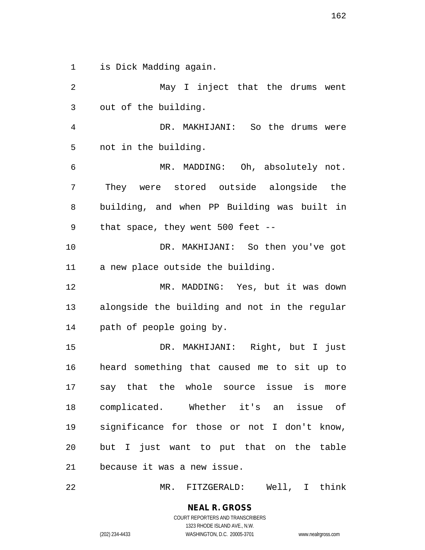is Dick Madding again.

 May I inject that the drums went out of the building. DR. MAKHIJANI: So the drums were not in the building. MR. MADDING: Oh, absolutely not. They were stored outside alongside the building, and when PP Building was built in that space, they went 500 feet -- DR. MAKHIJANI: So then you've got a new place outside the building. MR. MADDING: Yes, but it was down alongside the building and not in the regular path of people going by. DR. MAKHIJANI: Right, but I just heard something that caused me to sit up to say that the whole source issue is more complicated. Whether it's an issue of significance for those or not I don't know, but I just want to put that on the table because it was a new issue.

MR. FITZGERALD: Well, I think

**NEAL R. GROSS** COURT REPORTERS AND TRANSCRIBERS 1323 RHODE ISLAND AVE., N.W.

(202) 234-4433 WASHINGTON, D.C. 20005-3701 www.nealrgross.com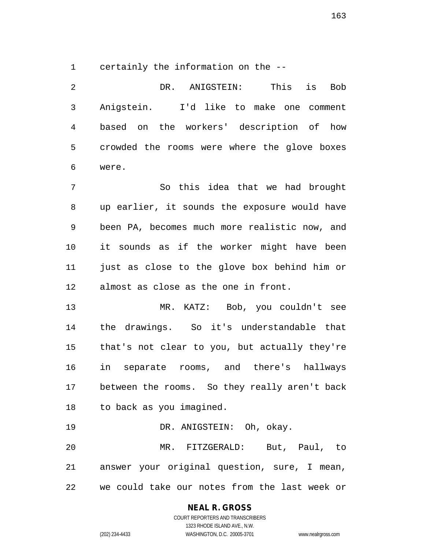certainly the information on the --

 DR. ANIGSTEIN: This is Bob Anigstein. I'd like to make one comment based on the workers' description of how crowded the rooms were where the glove boxes were. So this idea that we had brought up earlier, it sounds the exposure would have been PA, becomes much more realistic now, and it sounds as if the worker might have been just as close to the glove box behind him or almost as close as the one in front. MR. KATZ: Bob, you couldn't see the drawings. So it's understandable that that's not clear to you, but actually they're in separate rooms, and there's hallways between the rooms. So they really aren't back to back as you imagined. DR. ANIGSTEIN: Oh, okay. MR. FITZGERALD: But, Paul, to answer your original question, sure, I mean, we could take our notes from the last week or

**NEAL R. GROSS**

COURT REPORTERS AND TRANSCRIBERS 1323 RHODE ISLAND AVE., N.W. (202) 234-4433 WASHINGTON, D.C. 20005-3701 www.nealrgross.com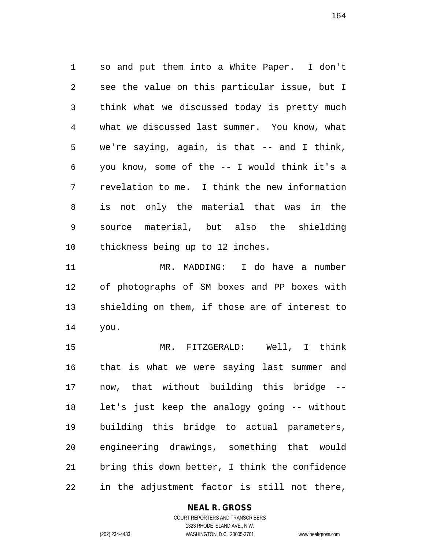so and put them into a White Paper. I don't see the value on this particular issue, but I think what we discussed today is pretty much what we discussed last summer. You know, what we're saying, again, is that -- and I think, you know, some of the -- I would think it's a revelation to me. I think the new information is not only the material that was in the source material, but also the shielding thickness being up to 12 inches.

 MR. MADDING: I do have a number of photographs of SM boxes and PP boxes with shielding on them, if those are of interest to you.

 MR. FITZGERALD: Well, I think that is what we were saying last summer and now, that without building this bridge -- let's just keep the analogy going -- without building this bridge to actual parameters, engineering drawings, something that would bring this down better, I think the confidence in the adjustment factor is still not there,

#### **NEAL R. GROSS** COURT REPORTERS AND TRANSCRIBERS

(202) 234-4433 WASHINGTON, D.C. 20005-3701 www.nealrgross.com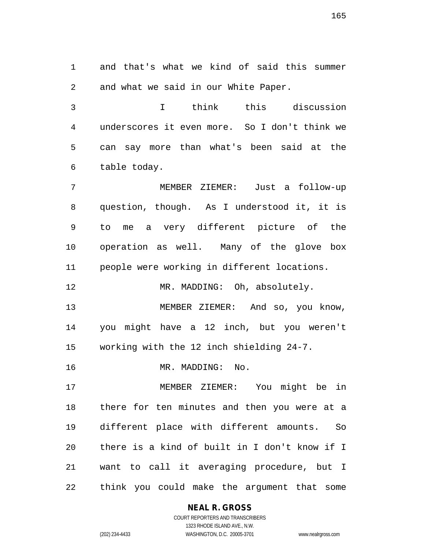and that's what we kind of said this summer and what we said in our White Paper.

 I think this discussion underscores it even more. So I don't think we can say more than what's been said at the table today.

 MEMBER ZIEMER: Just a follow-up question, though. As I understood it, it is to me a very different picture of the operation as well. Many of the glove box people were working in different locations.

12 MR. MADDING: Oh, absolutely.

 MEMBER ZIEMER: And so, you know, you might have a 12 inch, but you weren't working with the 12 inch shielding 24-7.

MR. MADDING: No.

 MEMBER ZIEMER: You might be in there for ten minutes and then you were at a different place with different amounts. So there is a kind of built in I don't know if I want to call it averaging procedure, but I think you could make the argument that some

#### **NEAL R. GROSS** COURT REPORTERS AND TRANSCRIBERS

1323 RHODE ISLAND AVE., N.W. (202) 234-4433 WASHINGTON, D.C. 20005-3701 www.nealrgross.com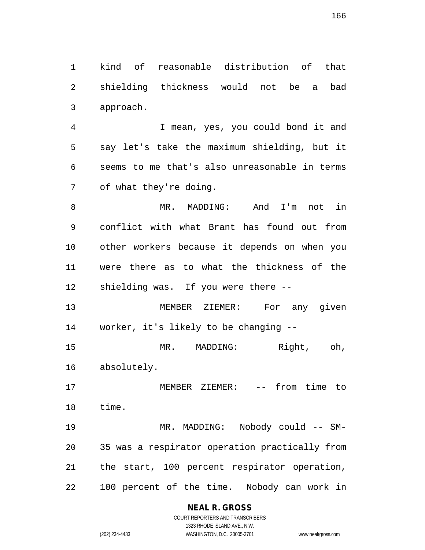kind of reasonable distribution of that shielding thickness would not be a bad approach.

 I mean, yes, you could bond it and say let's take the maximum shielding, but it seems to me that's also unreasonable in terms of what they're doing.

 MR. MADDING: And I'm not in conflict with what Brant has found out from other workers because it depends on when you were there as to what the thickness of the shielding was. If you were there --

 MEMBER ZIEMER: For any given worker, it's likely to be changing --

 MR. MADDING: Right, oh, absolutely.

 MEMBER ZIEMER: -- from time to time.

 MR. MADDING: Nobody could -- SM- 35 was a respirator operation practically from the start, 100 percent respirator operation, 100 percent of the time. Nobody can work in

## **NEAL R. GROSS**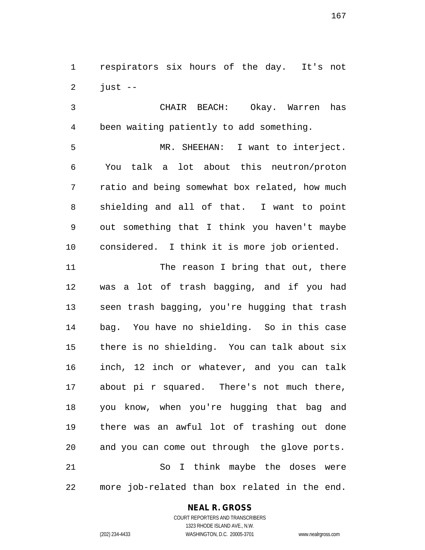respirators six hours of the day. It's not just  $-$ 

 CHAIR BEACH: Okay. Warren has been waiting patiently to add something.

 MR. SHEEHAN: I want to interject. You talk a lot about this neutron/proton ratio and being somewhat box related, how much shielding and all of that. I want to point out something that I think you haven't maybe considered. I think it is more job oriented.

11 The reason I bring that out, there was a lot of trash bagging, and if you had seen trash bagging, you're hugging that trash bag. You have no shielding. So in this case there is no shielding. You can talk about six inch, 12 inch or whatever, and you can talk about pi r squared. There's not much there, you know, when you're hugging that bag and there was an awful lot of trashing out done and you can come out through the glove ports. So I think maybe the doses were more job-related than box related in the end.

#### **NEAL R. GROSS**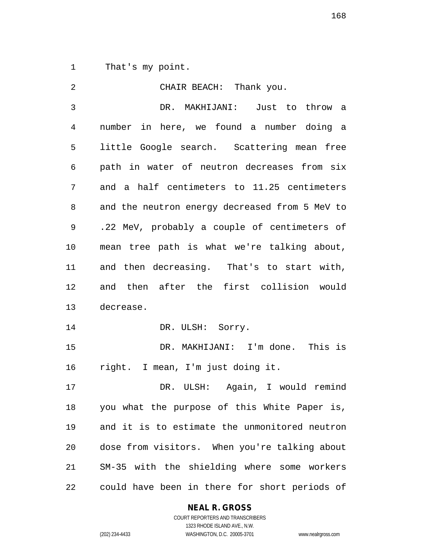That's my point.

| $\overline{2}$ | CHAIR BEACH: Thank you.                        |
|----------------|------------------------------------------------|
| 3              | DR. MAKHIJANI: Just to throw a                 |
| 4              | number in here, we found a number doing a      |
| 5              | little Google search. Scattering mean free     |
| 6              | path in water of neutron decreases from six    |
| 7              | and a half centimeters to 11.25 centimeters    |
| 8              | and the neutron energy decreased from 5 MeV to |
| 9              | .22 MeV, probably a couple of centimeters of   |
| 10             | mean tree path is what we're talking about,    |
| 11             | and then decreasing. That's to start with,     |
| 12             | and then after the first collision would       |
| 13             | decrease.                                      |
| 14             | DR. ULSH: Sorry.                               |
| 15             | DR. MAKHIJANI: I'm done. This is               |
| 16             | right. I mean, I'm just doing it.              |
| 17             | Again, I would remind<br>DR. ULSH:             |
| 18             | you what the purpose of this White Paper is,   |
| 19             | and it is to estimate the unmonitored neutron  |
| 20             | dose from visitors. When you're talking about  |
| 21             | SM-35 with the shielding where some workers    |
| 22             | could have been in there for short periods of  |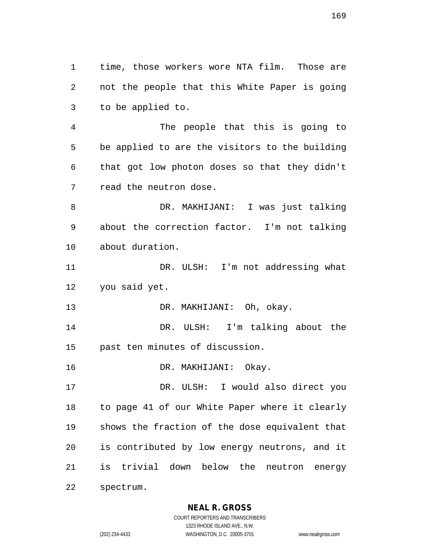time, those workers wore NTA film. Those are not the people that this White Paper is going to be applied to.

 The people that this is going to be applied to are the visitors to the building that got low photon doses so that they didn't read the neutron dose.

 DR. MAKHIJANI: I was just talking about the correction factor. I'm not talking about duration.

11 DR. ULSH: I'm not addressing what you said yet.

DR. MAKHIJANI: Oh, okay.

 DR. ULSH: I'm talking about the past ten minutes of discussion.

DR. MAKHIJANI: Okay.

 DR. ULSH: I would also direct you to page 41 of our White Paper where it clearly shows the fraction of the dose equivalent that is contributed by low energy neutrons, and it is trivial down below the neutron energy spectrum.

## **NEAL R. GROSS**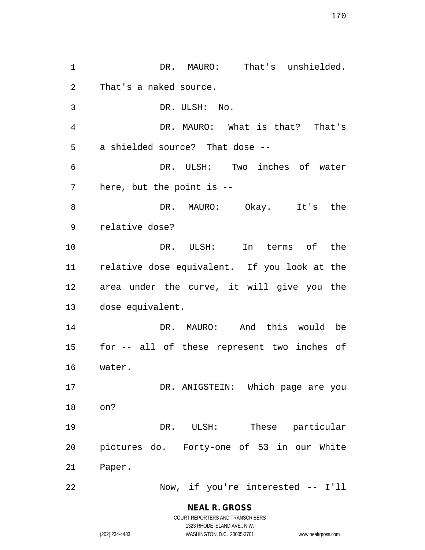1 DR. MAURO: That's unshielded. That's a naked source. DR. ULSH: No. DR. MAURO: What is that? That's a shielded source? That dose -- DR. ULSH: Two inches of water here, but the point is -- DR. MAURO: Okay. It's the relative dose? DR. ULSH: In terms of the relative dose equivalent. If you look at the area under the curve, it will give you the dose equivalent. DR. MAURO: And this would be for -- all of these represent two inches of water. 17 DR. ANIGSTEIN: Which page are you on? DR. ULSH: These particular pictures do. Forty-one of 53 in our White Paper. Now, if you're interested -- I'll

> **NEAL R. GROSS** COURT REPORTERS AND TRANSCRIBERS

1323 RHODE ISLAND AVE., N.W. (202) 234-4433 WASHINGTON, D.C. 20005-3701 www.nealrgross.com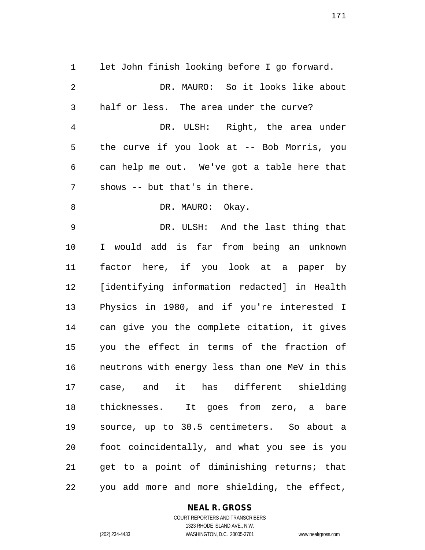let John finish looking before I go forward. DR. MAURO: So it looks like about half or less. The area under the curve? DR. ULSH: Right, the area under the curve if you look at -- Bob Morris, you

 can help me out. We've got a table here that shows -- but that's in there.

8 DR. MAURO: Okay.

 DR. ULSH: And the last thing that I would add is far from being an unknown factor here, if you look at a paper by [identifying information redacted] in Health Physics in 1980, and if you're interested I can give you the complete citation, it gives you the effect in terms of the fraction of neutrons with energy less than one MeV in this case, and it has different shielding thicknesses. It goes from zero, a bare source, up to 30.5 centimeters. So about a foot coincidentally, and what you see is you get to a point of diminishing returns; that you add more and more shielding, the effect,

#### **NEAL R. GROSS**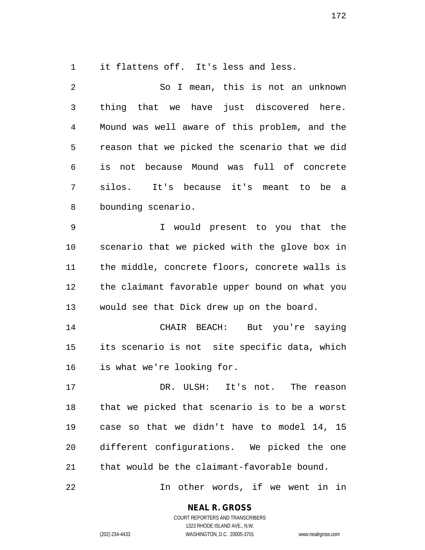it flattens off. It's less and less.

 So I mean, this is not an unknown thing that we have just discovered here. Mound was well aware of this problem, and the reason that we picked the scenario that we did is not because Mound was full of concrete silos. It's because it's meant to be a bounding scenario.

 I would present to you that the scenario that we picked with the glove box in the middle, concrete floors, concrete walls is the claimant favorable upper bound on what you would see that Dick drew up on the board.

 CHAIR BEACH: But you're saying its scenario is not site specific data, which is what we're looking for.

 DR. ULSH: It's not. The reason that we picked that scenario is to be a worst case so that we didn't have to model 14, 15 different configurations. We picked the one that would be the claimant-favorable bound.

In other words, if we went in in

**NEAL R. GROSS**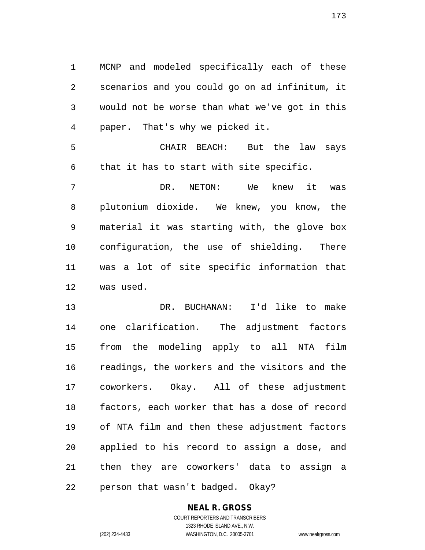MCNP and modeled specifically each of these scenarios and you could go on ad infinitum, it would not be worse than what we've got in this paper. That's why we picked it.

 CHAIR BEACH: But the law says that it has to start with site specific.

 DR. NETON: We knew it was plutonium dioxide. We knew, you know, the material it was starting with, the glove box configuration, the use of shielding. There was a lot of site specific information that was used.

 DR. BUCHANAN: I'd like to make one clarification. The adjustment factors from the modeling apply to all NTA film readings, the workers and the visitors and the coworkers. Okay. All of these adjustment factors, each worker that has a dose of record of NTA film and then these adjustment factors applied to his record to assign a dose, and then they are coworkers' data to assign a person that wasn't badged. Okay?

#### **NEAL R. GROSS** COURT REPORTERS AND TRANSCRIBERS

1323 RHODE ISLAND AVE., N.W. (202) 234-4433 WASHINGTON, D.C. 20005-3701 www.nealrgross.com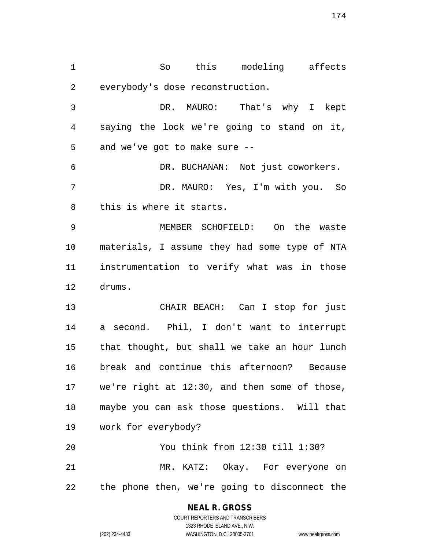So this modeling affects everybody's dose reconstruction. DR. MAURO: That's why I kept saying the lock we're going to stand on it, and we've got to make sure -- DR. BUCHANAN: Not just coworkers. DR. MAURO: Yes, I'm with you. So this is where it starts. MEMBER SCHOFIELD: On the waste materials, I assume they had some type of NTA instrumentation to verify what was in those drums. CHAIR BEACH: Can I stop for just a second. Phil, I don't want to interrupt that thought, but shall we take an hour lunch break and continue this afternoon? Because we're right at 12:30, and then some of those, maybe you can ask those questions. Will that work for everybody? You think from 12:30 till 1:30? MR. KATZ: Okay. For everyone on

the phone then, we're going to disconnect the

## **NEAL R. GROSS**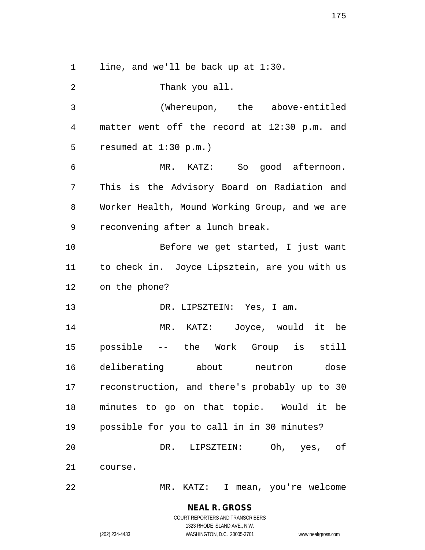1 line, and we'll be back up at 1:30.

 Thank you all. (Whereupon, the above-entitled matter went off the record at 12:30 p.m. and resumed at 1:30 p.m.) MR. KATZ: So good afternoon. This is the Advisory Board on Radiation and Worker Health, Mound Working Group, and we are reconvening after a lunch break. Before we get started, I just want to check in. Joyce Lipsztein, are you with us on the phone? 13 DR. LIPSZTEIN: Yes, I am. MR. KATZ: Joyce, would it be possible -- the Work Group is still deliberating about neutron dose reconstruction, and there's probably up to 30 minutes to go on that topic. Would it be possible for you to call in in 30 minutes? DR. LIPSZTEIN: Oh, yes, of course. MR. KATZ: I mean, you're welcome

1323 RHODE ISLAND AVE., N.W.

(202) 234-4433 WASHINGTON, D.C. 20005-3701 www.nealrgross.com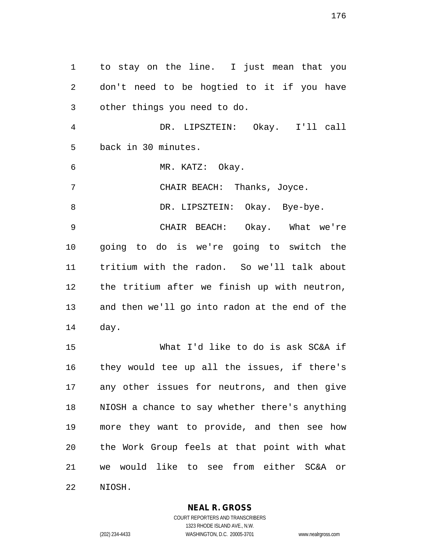to stay on the line. I just mean that you don't need to be hogtied to it if you have other things you need to do. DR. LIPSZTEIN: Okay. I'll call back in 30 minutes. MR. KATZ: Okay. CHAIR BEACH: Thanks, Joyce. 8 DR. LIPSZTEIN: Okay. Bye-bye. CHAIR BEACH: Okay. What we're going to do is we're going to switch the tritium with the radon. So we'll talk about the tritium after we finish up with neutron, and then we'll go into radon at the end of the day. What I'd like to do is ask SC&A if they would tee up all the issues, if there's any other issues for neutrons, and then give NIOSH a chance to say whether there's anything more they want to provide, and then see how the Work Group feels at that point with what we would like to see from either SC&A or NIOSH.

**NEAL R. GROSS**

COURT REPORTERS AND TRANSCRIBERS 1323 RHODE ISLAND AVE., N.W. (202) 234-4433 WASHINGTON, D.C. 20005-3701 www.nealrgross.com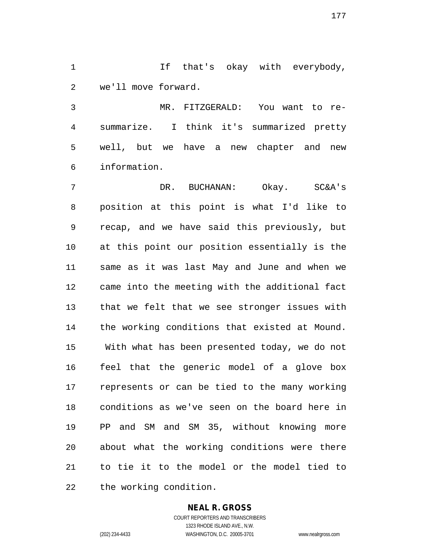1 1 If that's okay with everybody, we'll move forward.

 MR. FITZGERALD: You want to re- summarize. I think it's summarized pretty well, but we have a new chapter and new information.

 DR. BUCHANAN: Okay. SC&A's position at this point is what I'd like to recap, and we have said this previously, but at this point our position essentially is the same as it was last May and June and when we came into the meeting with the additional fact that we felt that we see stronger issues with the working conditions that existed at Mound. With what has been presented today, we do not feel that the generic model of a glove box represents or can be tied to the many working conditions as we've seen on the board here in PP and SM and SM 35, without knowing more about what the working conditions were there to tie it to the model or the model tied to the working condition.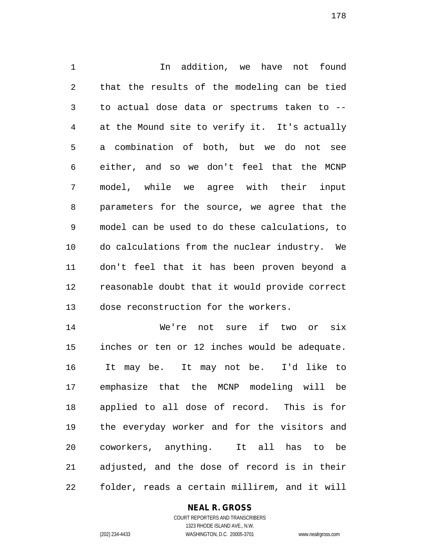1 1 1 In addition, we have not found that the results of the modeling can be tied to actual dose data or spectrums taken to -- at the Mound site to verify it. It's actually a combination of both, but we do not see either, and so we don't feel that the MCNP model, while we agree with their input parameters for the source, we agree that the model can be used to do these calculations, to do calculations from the nuclear industry. We don't feel that it has been proven beyond a reasonable doubt that it would provide correct dose reconstruction for the workers.

 We're not sure if two or six inches or ten or 12 inches would be adequate. It may be. It may not be. I'd like to emphasize that the MCNP modeling will be applied to all dose of record. This is for the everyday worker and for the visitors and coworkers, anything. It all has to be adjusted, and the dose of record is in their folder, reads a certain millirem, and it will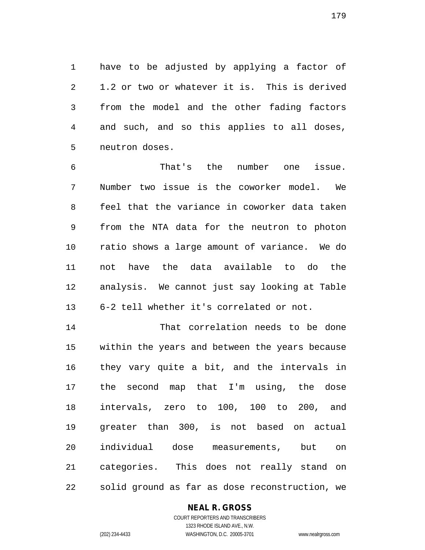have to be adjusted by applying a factor of 1.2 or two or whatever it is. This is derived from the model and the other fading factors and such, and so this applies to all doses, neutron doses.

 That's the number one issue. Number two issue is the coworker model. We feel that the variance in coworker data taken from the NTA data for the neutron to photon ratio shows a large amount of variance. We do not have the data available to do the analysis. We cannot just say looking at Table 6-2 tell whether it's correlated or not.

 That correlation needs to be done within the years and between the years because they vary quite a bit, and the intervals in the second map that I'm using, the dose intervals, zero to 100, 100 to 200, and greater than 300, is not based on actual individual dose measurements, but on categories. This does not really stand on solid ground as far as dose reconstruction, we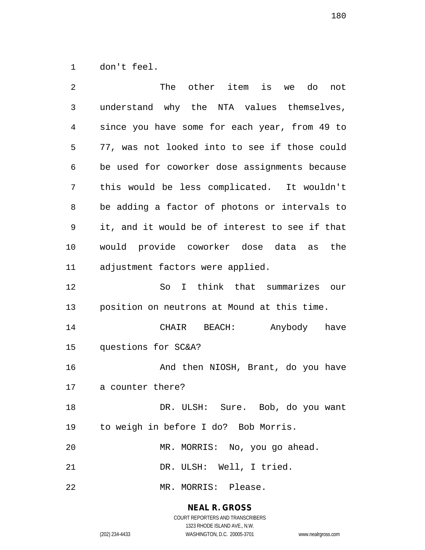don't feel.

| 2  | other item<br>The<br>is<br>do<br>we<br>not     |
|----|------------------------------------------------|
| 3  | understand why the NTA values themselves,      |
| 4  | since you have some for each year, from 49 to  |
| 5  | 77, was not looked into to see if those could  |
| 6  | be used for coworker dose assignments because  |
| 7  | this would be less complicated. It wouldn't    |
| 8  | be adding a factor of photons or intervals to  |
| 9  | it, and it would be of interest to see if that |
| 10 | would provide coworker dose data as<br>the     |
| 11 | adjustment factors were applied.               |
| 12 | I think that summarizes our<br>So              |
| 13 | position on neutrons at Mound at this time.    |
| 14 | BEACH: Anybody have<br>CHAIR                   |
| 15 | questions for SC&A?                            |
| 16 | And then NIOSH, Brant, do you have             |
| 17 | a counter there?                               |
| 18 | DR. ULSH: Sure. Bob, do you want               |
| 19 | to weigh in before I do? Bob Morris.           |
| 20 | MR. MORRIS: No, you go ahead.                  |
| 21 | DR. ULSH: Well, I tried.                       |
| 22 | MR. MORRIS: Please.                            |

**NEAL R. GROSS** COURT REPORTERS AND TRANSCRIBERS

1323 RHODE ISLAND AVE., N.W.

(202) 234-4433 WASHINGTON, D.C. 20005-3701 www.nealrgross.com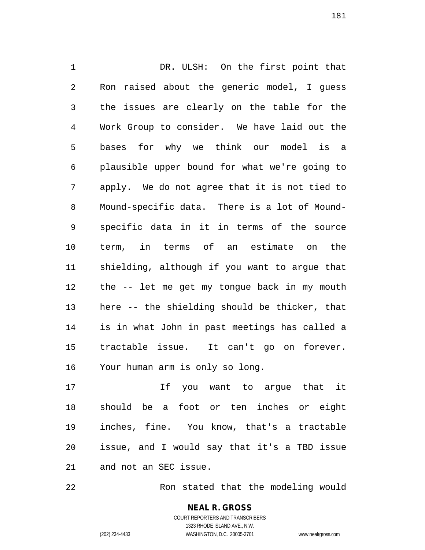DR. ULSH: On the first point that Ron raised about the generic model, I guess the issues are clearly on the table for the Work Group to consider. We have laid out the bases for why we think our model is a plausible upper bound for what we're going to apply. We do not agree that it is not tied to Mound-specific data. There is a lot of Mound- specific data in it in terms of the source term, in terms of an estimate on the shielding, although if you want to argue that the -- let me get my tongue back in my mouth here -- the shielding should be thicker, that is in what John in past meetings has called a tractable issue. It can't go on forever. Your human arm is only so long.

 If you want to argue that it should be a foot or ten inches or eight inches, fine. You know, that's a tractable issue, and I would say that it's a TBD issue and not an SEC issue.

Ron stated that the modeling would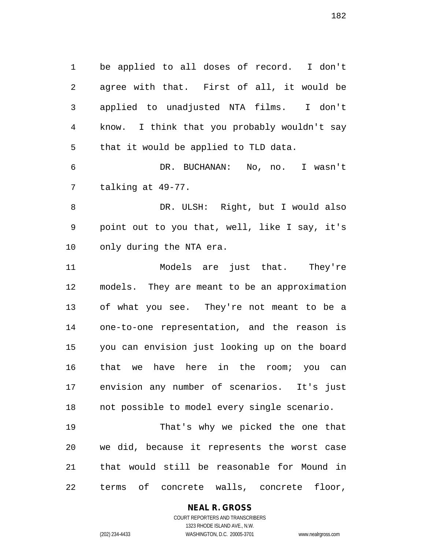be applied to all doses of record. I don't agree with that. First of all, it would be applied to unadjusted NTA films. I don't know. I think that you probably wouldn't say that it would be applied to TLD data.

 DR. BUCHANAN: No, no. I wasn't talking at 49-77.

 DR. ULSH: Right, but I would also point out to you that, well, like I say, it's only during the NTA era.

 Models are just that. They're models. They are meant to be an approximation of what you see. They're not meant to be a one-to-one representation, and the reason is you can envision just looking up on the board that we have here in the room; you can envision any number of scenarios. It's just not possible to model every single scenario.

 That's why we picked the one that we did, because it represents the worst case that would still be reasonable for Mound in terms of concrete walls, concrete floor,

#### **NEAL R. GROSS** COURT REPORTERS AND TRANSCRIBERS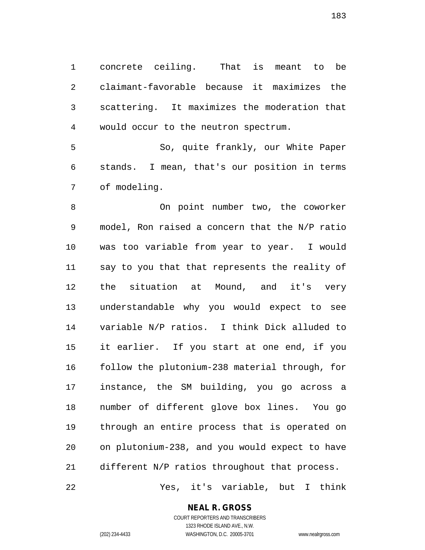concrete ceiling. That is meant to be claimant-favorable because it maximizes the scattering. It maximizes the moderation that would occur to the neutron spectrum.

 So, quite frankly, our White Paper stands. I mean, that's our position in terms of modeling.

 On point number two, the coworker model, Ron raised a concern that the N/P ratio was too variable from year to year. I would say to you that that represents the reality of the situation at Mound, and it's very understandable why you would expect to see variable N/P ratios. I think Dick alluded to it earlier. If you start at one end, if you follow the plutonium-238 material through, for instance, the SM building, you go across a number of different glove box lines. You go through an entire process that is operated on on plutonium-238, and you would expect to have different N/P ratios throughout that process.

Yes, it's variable, but I think

**NEAL R. GROSS**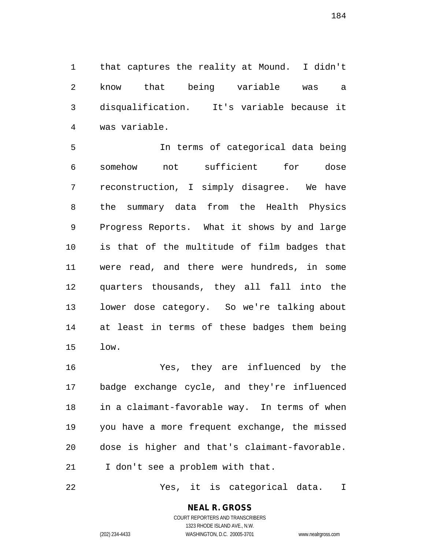that captures the reality at Mound. I didn't know that being variable was a disqualification. It's variable because it was variable.

 In terms of categorical data being somehow not sufficient for dose reconstruction, I simply disagree. We have the summary data from the Health Physics Progress Reports. What it shows by and large is that of the multitude of film badges that were read, and there were hundreds, in some quarters thousands, they all fall into the lower dose category. So we're talking about at least in terms of these badges them being low.

 Yes, they are influenced by the badge exchange cycle, and they're influenced in a claimant-favorable way. In terms of when you have a more frequent exchange, the missed dose is higher and that's claimant-favorable. 21 I don't see a problem with that.

Yes, it is categorical data. I

# **NEAL R. GROSS**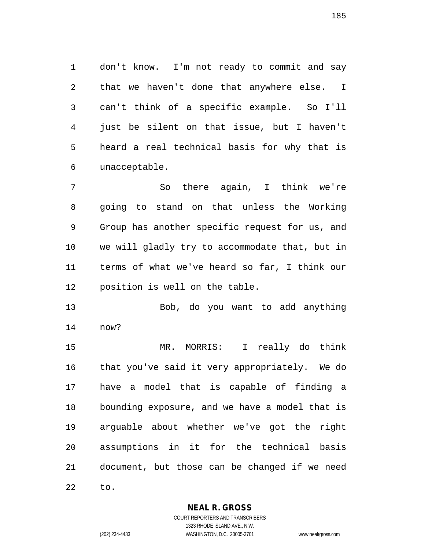don't know. I'm not ready to commit and say that we haven't done that anywhere else. I can't think of a specific example. So I'll just be silent on that issue, but I haven't heard a real technical basis for why that is unacceptable.

 So there again, I think we're going to stand on that unless the Working Group has another specific request for us, and we will gladly try to accommodate that, but in terms of what we've heard so far, I think our position is well on the table.

 Bob, do you want to add anything now?

 MR. MORRIS: I really do think that you've said it very appropriately. We do have a model that is capable of finding a bounding exposure, and we have a model that is arguable about whether we've got the right assumptions in it for the technical basis document, but those can be changed if we need to.

**NEAL R. GROSS**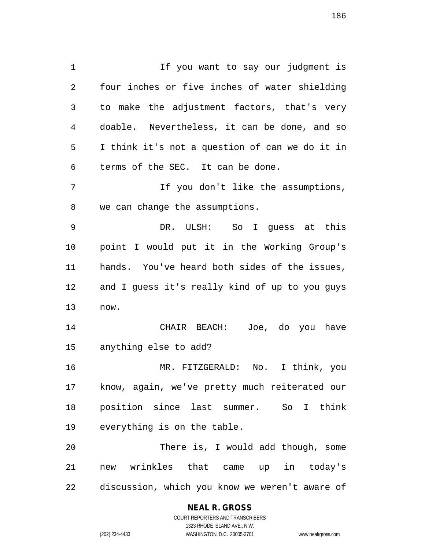1 1 If you want to say our judgment is four inches or five inches of water shielding to make the adjustment factors, that's very doable. Nevertheless, it can be done, and so I think it's not a question of can we do it in terms of the SEC. It can be done. If you don't like the assumptions, we can change the assumptions. DR. ULSH: So I guess at this point I would put it in the Working Group's hands. You've heard both sides of the issues, and I guess it's really kind of up to you guys now. CHAIR BEACH: Joe, do you have anything else to add? MR. FITZGERALD: No. I think, you know, again, we've pretty much reiterated our position since last summer. So I think everything is on the table. There is, I would add though, some

 new wrinkles that came up in today's discussion, which you know we weren't aware of

### **NEAL R. GROSS**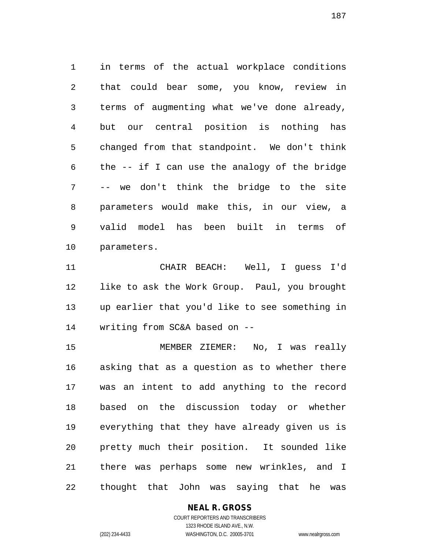in terms of the actual workplace conditions that could bear some, you know, review in terms of augmenting what we've done already, but our central position is nothing has changed from that standpoint. We don't think the -- if I can use the analogy of the bridge -- we don't think the bridge to the site parameters would make this, in our view, a valid model has been built in terms of parameters.

 CHAIR BEACH: Well, I guess I'd like to ask the Work Group. Paul, you brought up earlier that you'd like to see something in writing from SC&A based on --

 MEMBER ZIEMER: No, I was really asking that as a question as to whether there was an intent to add anything to the record based on the discussion today or whether everything that they have already given us is pretty much their position. It sounded like there was perhaps some new wrinkles, and I thought that John was saying that he was

### **NEAL R. GROSS**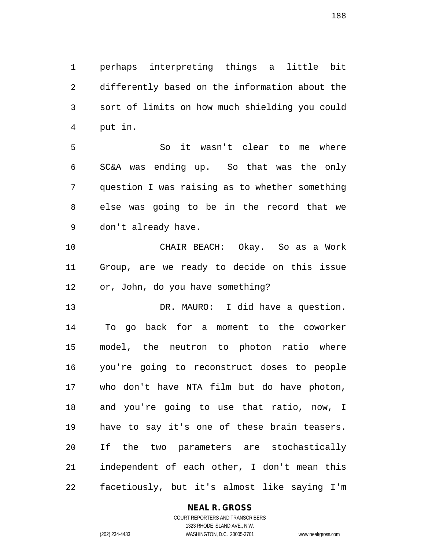perhaps interpreting things a little bit differently based on the information about the sort of limits on how much shielding you could put in.

 So it wasn't clear to me where SC&A was ending up. So that was the only question I was raising as to whether something else was going to be in the record that we don't already have.

 CHAIR BEACH: Okay. So as a Work Group, are we ready to decide on this issue or, John, do you have something?

 DR. MAURO: I did have a question. To go back for a moment to the coworker model, the neutron to photon ratio where you're going to reconstruct doses to people who don't have NTA film but do have photon, and you're going to use that ratio, now, I have to say it's one of these brain teasers. If the two parameters are stochastically independent of each other, I don't mean this facetiously, but it's almost like saying I'm

### **NEAL R. GROSS**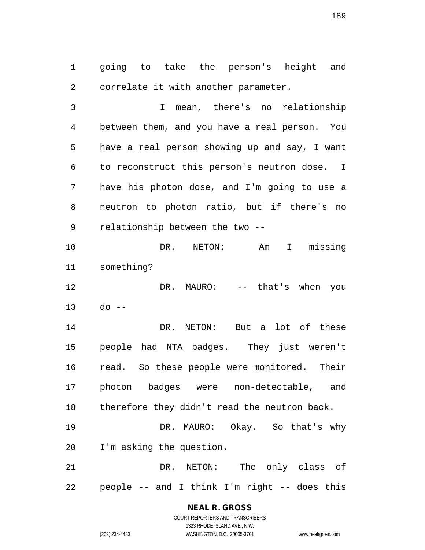going to take the person's height and correlate it with another parameter.

 I mean, there's no relationship between them, and you have a real person. You have a real person showing up and say, I want to reconstruct this person's neutron dose. I have his photon dose, and I'm going to use a neutron to photon ratio, but if there's no relationship between the two --

 DR. NETON: Am I missing something?

12 DR. MAURO: -- that's when you do --

 DR. NETON: But a lot of these people had NTA badges. They just weren't read. So these people were monitored. Their photon badges were non-detectable, and therefore they didn't read the neutron back.

 DR. MAURO: Okay. So that's why I'm asking the question.

 DR. NETON: The only class of people -- and I think I'm right -- does this

### **NEAL R. GROSS** COURT REPORTERS AND TRANSCRIBERS

1323 RHODE ISLAND AVE., N.W. (202) 234-4433 WASHINGTON, D.C. 20005-3701 www.nealrgross.com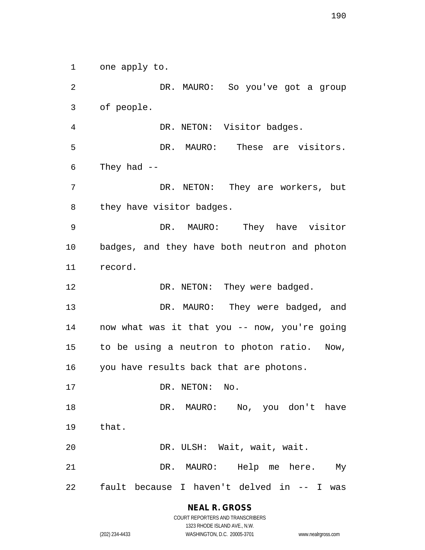one apply to.

 DR. MAURO: So you've got a group of people. DR. NETON: Visitor badges. DR. MAURO: These are visitors. They had -- DR. NETON: They are workers, but they have visitor badges. DR. MAURO: They have visitor badges, and they have both neutron and photon record. 12 DR. NETON: They were badged. DR. MAURO: They were badged, and now what was it that you -- now, you're going to be using a neutron to photon ratio. Now, you have results back that are photons. 17 DR. NETON: No. 18 DR. MAURO: No, you don't have that. DR. ULSH: Wait, wait, wait. DR. MAURO: Help me here. My fault because I haven't delved in -- I was

**NEAL R. GROSS**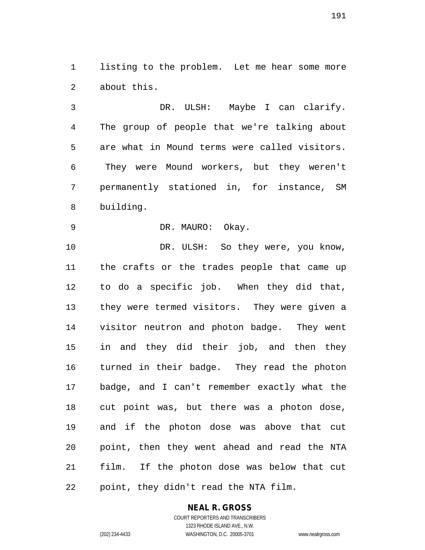listing to the problem. Let me hear some more about this.

 DR. ULSH: Maybe I can clarify. The group of people that we're talking about are what in Mound terms were called visitors. They were Mound workers, but they weren't permanently stationed in, for instance, SM building.

DR. MAURO: Okay.

10 DR. ULSH: So they were, you know, the crafts or the trades people that came up to do a specific job. When they did that, they were termed visitors. They were given a visitor neutron and photon badge. They went in and they did their job, and then they turned in their badge. They read the photon badge, and I can't remember exactly what the cut point was, but there was a photon dose, and if the photon dose was above that cut point, then they went ahead and read the NTA film. If the photon dose was below that cut point, they didn't read the NTA film.

### **NEAL R. GROSS**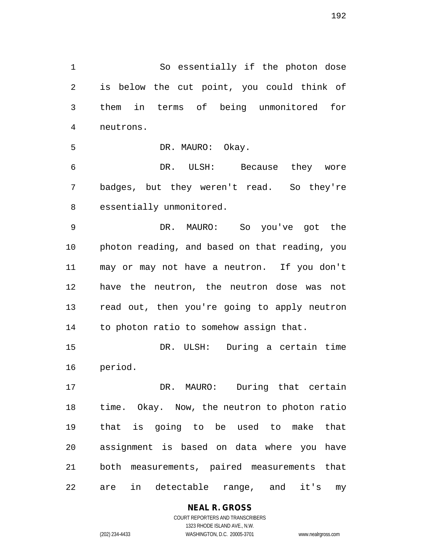So essentially if the photon dose is below the cut point, you could think of them in terms of being unmonitored for neutrons.

5 DR. MAURO: Okay.

 DR. ULSH: Because they wore badges, but they weren't read. So they're essentially unmonitored.

 DR. MAURO: So you've got the photon reading, and based on that reading, you may or may not have a neutron. If you don't have the neutron, the neutron dose was not read out, then you're going to apply neutron to photon ratio to somehow assign that.

 DR. ULSH: During a certain time period.

 DR. MAURO: During that certain time. Okay. Now, the neutron to photon ratio that is going to be used to make that assignment is based on data where you have both measurements, paired measurements that are in detectable range, and it's my

**NEAL R. GROSS**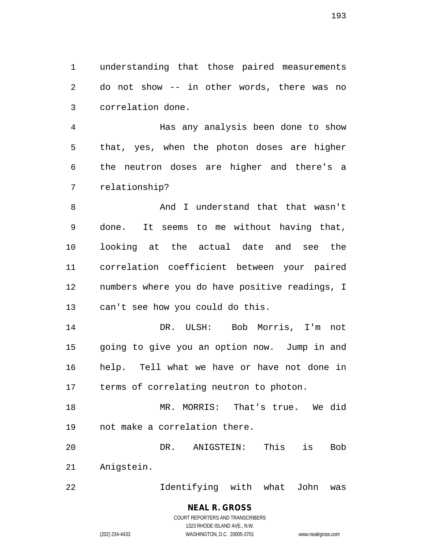understanding that those paired measurements do not show -- in other words, there was no correlation done.

 Has any analysis been done to show that, yes, when the photon doses are higher the neutron doses are higher and there's a relationship?

8 And I understand that that wasn't done. It seems to me without having that, looking at the actual date and see the correlation coefficient between your paired numbers where you do have positive readings, I can't see how you could do this.

 DR. ULSH: Bob Morris, I'm not going to give you an option now. Jump in and help. Tell what we have or have not done in terms of correlating neutron to photon.

 MR. MORRIS: That's true. We did not make a correlation there.

 DR. ANIGSTEIN: This is Bob Anigstein.

Identifying with what John was

(202) 234-4433 WASHINGTON, D.C. 20005-3701 www.nealrgross.com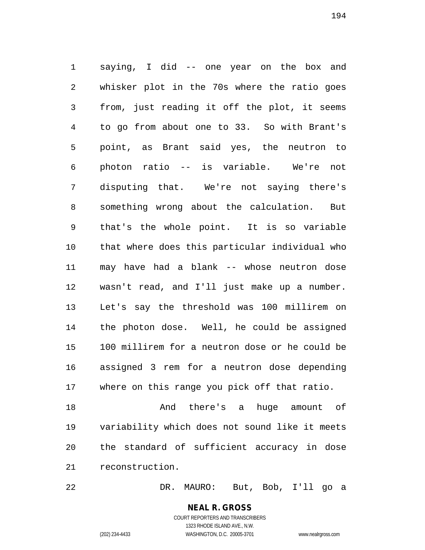saying, I did -- one year on the box and whisker plot in the 70s where the ratio goes from, just reading it off the plot, it seems to go from about one to 33. So with Brant's point, as Brant said yes, the neutron to photon ratio -- is variable. We're not disputing that. We're not saying there's something wrong about the calculation. But that's the whole point. It is so variable that where does this particular individual who may have had a blank -- whose neutron dose wasn't read, and I'll just make up a number. Let's say the threshold was 100 millirem on the photon dose. Well, he could be assigned 100 millirem for a neutron dose or he could be assigned 3 rem for a neutron dose depending where on this range you pick off that ratio.

 And there's a huge amount of variability which does not sound like it meets the standard of sufficient accuracy in dose reconstruction.

DR. MAURO: But, Bob, I'll go a

COURT REPORTERS AND TRANSCRIBERS 1323 RHODE ISLAND AVE., N.W. (202) 234-4433 WASHINGTON, D.C. 20005-3701 www.nealrgross.com

**NEAL R. GROSS**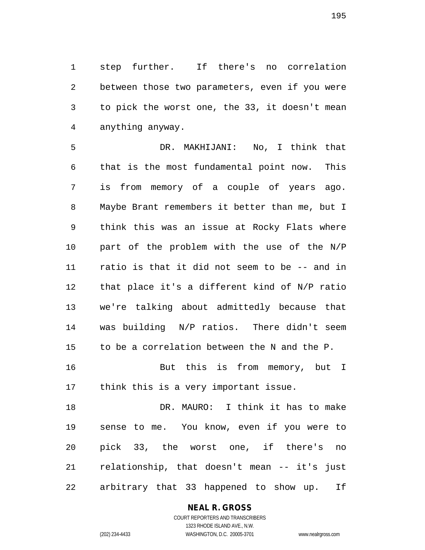step further. If there's no correlation between those two parameters, even if you were to pick the worst one, the 33, it doesn't mean anything anyway.

 DR. MAKHIJANI: No, I think that that is the most fundamental point now. This is from memory of a couple of years ago. Maybe Brant remembers it better than me, but I think this was an issue at Rocky Flats where part of the problem with the use of the N/P ratio is that it did not seem to be -- and in that place it's a different kind of N/P ratio we're talking about admittedly because that was building N/P ratios. There didn't seem to be a correlation between the N and the P. But this is from memory, but I

think this is a very important issue.

 DR. MAURO: I think it has to make sense to me. You know, even if you were to pick 33, the worst one, if there's no relationship, that doesn't mean -- it's just arbitrary that 33 happened to show up. If

### **NEAL R. GROSS**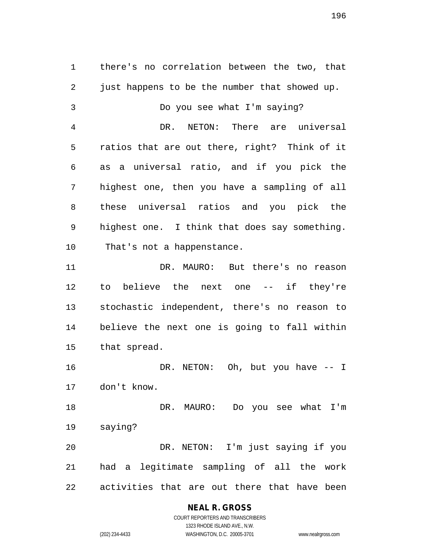there's no correlation between the two, that just happens to be the number that showed up. Do you see what I'm saying? DR. NETON: There are universal ratios that are out there, right? Think of it as a universal ratio, and if you pick the highest one, then you have a sampling of all these universal ratios and you pick the highest one. I think that does say something. That's not a happenstance. DR. MAURO: But there's no reason to believe the next one -- if they're stochastic independent, there's no reason to believe the next one is going to fall within that spread. DR. NETON: Oh, but you have -- I don't know. DR. MAURO: Do you see what I'm saying? DR. NETON: I'm just saying if you had a legitimate sampling of all the work activities that are out there that have been

### **NEAL R. GROSS**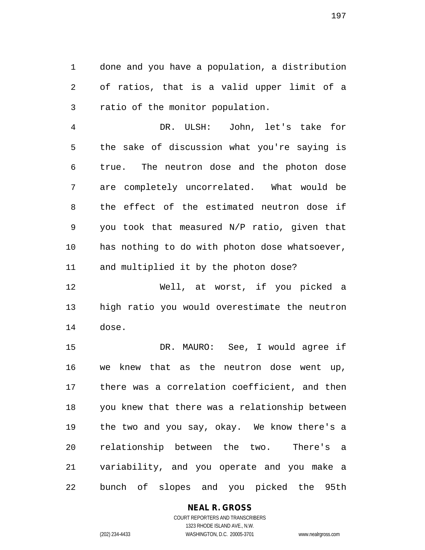done and you have a population, a distribution of ratios, that is a valid upper limit of a ratio of the monitor population.

 DR. ULSH: John, let's take for the sake of discussion what you're saying is true. The neutron dose and the photon dose are completely uncorrelated. What would be the effect of the estimated neutron dose if you took that measured N/P ratio, given that has nothing to do with photon dose whatsoever, and multiplied it by the photon dose?

 Well, at worst, if you picked a high ratio you would overestimate the neutron dose.

 DR. MAURO: See, I would agree if we knew that as the neutron dose went up, there was a correlation coefficient, and then you knew that there was a relationship between the two and you say, okay. We know there's a relationship between the two. There's a variability, and you operate and you make a bunch of slopes and you picked the 95th

### **NEAL R. GROSS**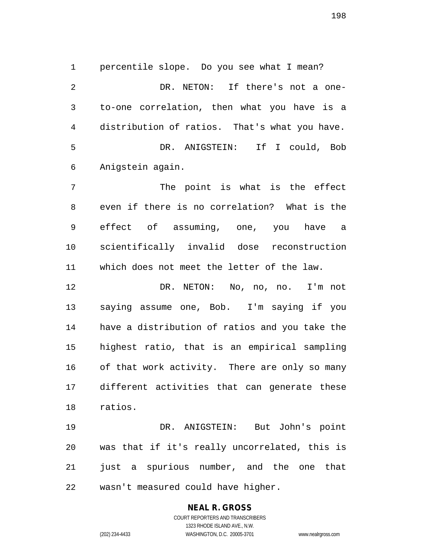percentile slope. Do you see what I mean? DR. NETON: If there's not a one- to-one correlation, then what you have is a distribution of ratios. That's what you have. DR. ANIGSTEIN: If I could, Bob Anigstein again.

 The point is what is the effect even if there is no correlation? What is the effect of assuming, one, you have a scientifically invalid dose reconstruction which does not meet the letter of the law.

 DR. NETON: No, no, no. I'm not saying assume one, Bob. I'm saying if you have a distribution of ratios and you take the highest ratio, that is an empirical sampling of that work activity. There are only so many different activities that can generate these ratios.

 DR. ANIGSTEIN: But John's point was that if it's really uncorrelated, this is 21 just a spurious number, and the one that wasn't measured could have higher.

#### **NEAL R. GROSS** COURT REPORTERS AND TRANSCRIBERS

1323 RHODE ISLAND AVE., N.W. (202) 234-4433 WASHINGTON, D.C. 20005-3701 www.nealrgross.com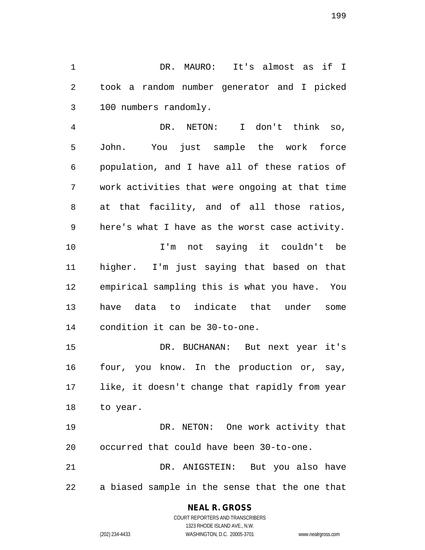DR. MAURO: It's almost as if I took a random number generator and I picked 100 numbers randomly.

 DR. NETON: I don't think so, John. You just sample the work force population, and I have all of these ratios of work activities that were ongoing at that time at that facility, and of all those ratios, here's what I have as the worst case activity. I'm not saying it couldn't be higher. I'm just saying that based on that empirical sampling this is what you have. You have data to indicate that under some

condition it can be 30-to-one.

 DR. BUCHANAN: But next year it's four, you know. In the production or, say, like, it doesn't change that rapidly from year to year.

 DR. NETON: One work activity that occurred that could have been 30-to-one.

 DR. ANIGSTEIN: But you also have a biased sample in the sense that the one that

### **NEAL R. GROSS**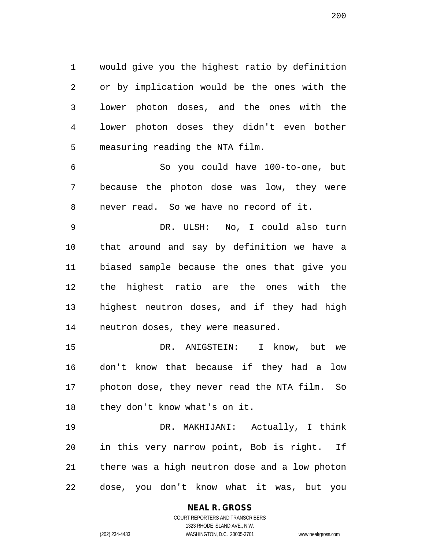would give you the highest ratio by definition or by implication would be the ones with the lower photon doses, and the ones with the lower photon doses they didn't even bother measuring reading the NTA film.

 So you could have 100-to-one, but because the photon dose was low, they were never read. So we have no record of it.

 DR. ULSH: No, I could also turn that around and say by definition we have a biased sample because the ones that give you the highest ratio are the ones with the highest neutron doses, and if they had high neutron doses, they were measured.

 DR. ANIGSTEIN: I know, but we don't know that because if they had a low photon dose, they never read the NTA film. So they don't know what's on it.

 DR. MAKHIJANI: Actually, I think in this very narrow point, Bob is right. If there was a high neutron dose and a low photon dose, you don't know what it was, but you

# **NEAL R. GROSS**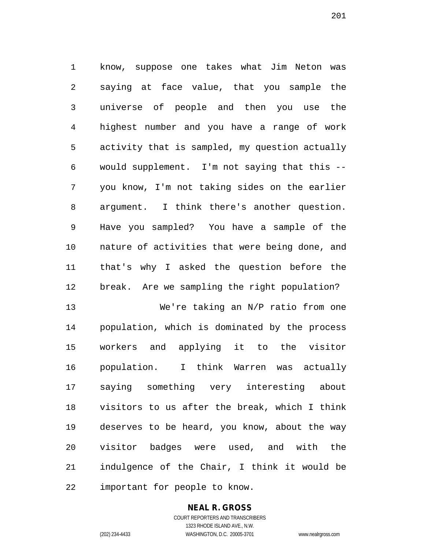know, suppose one takes what Jim Neton was saying at face value, that you sample the universe of people and then you use the highest number and you have a range of work activity that is sampled, my question actually would supplement. I'm not saying that this -- you know, I'm not taking sides on the earlier argument. I think there's another question. Have you sampled? You have a sample of the nature of activities that were being done, and that's why I asked the question before the break. Are we sampling the right population?

 We're taking an N/P ratio from one population, which is dominated by the process workers and applying it to the visitor population. I think Warren was actually saying something very interesting about visitors to us after the break, which I think deserves to be heard, you know, about the way visitor badges were used, and with the indulgence of the Chair, I think it would be important for people to know.

### **NEAL R. GROSS**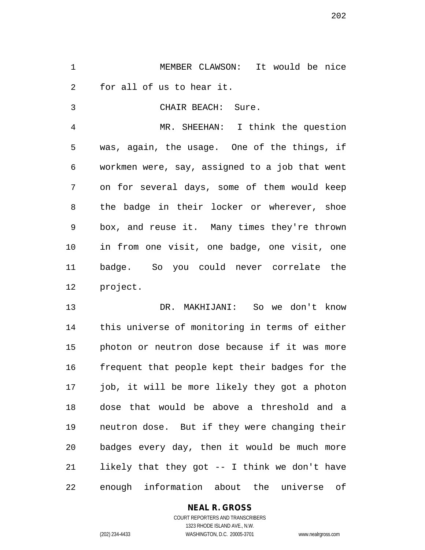MEMBER CLAWSON: It would be nice for all of us to hear it.

CHAIR BEACH: Sure.

 MR. SHEEHAN: I think the question was, again, the usage. One of the things, if workmen were, say, assigned to a job that went on for several days, some of them would keep the badge in their locker or wherever, shoe box, and reuse it. Many times they're thrown in from one visit, one badge, one visit, one badge. So you could never correlate the project.

 DR. MAKHIJANI: So we don't know this universe of monitoring in terms of either photon or neutron dose because if it was more frequent that people kept their badges for the job, it will be more likely they got a photon dose that would be above a threshold and a neutron dose. But if they were changing their badges every day, then it would be much more likely that they got -- I think we don't have enough information about the universe of

### **NEAL R. GROSS**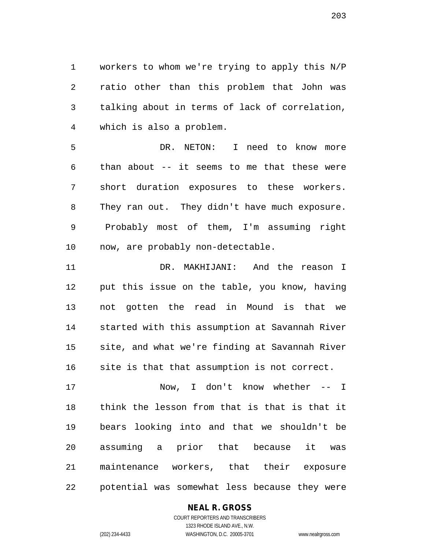workers to whom we're trying to apply this N/P ratio other than this problem that John was talking about in terms of lack of correlation, which is also a problem.

 DR. NETON: I need to know more than about -- it seems to me that these were short duration exposures to these workers. They ran out. They didn't have much exposure. Probably most of them, I'm assuming right now, are probably non-detectable.

 DR. MAKHIJANI: And the reason I put this issue on the table, you know, having not gotten the read in Mound is that we started with this assumption at Savannah River site, and what we're finding at Savannah River site is that that assumption is not correct.

 Now, I don't know whether -- I think the lesson from that is that is that it bears looking into and that we shouldn't be assuming a prior that because it was maintenance workers, that their exposure potential was somewhat less because they were

### **NEAL R. GROSS**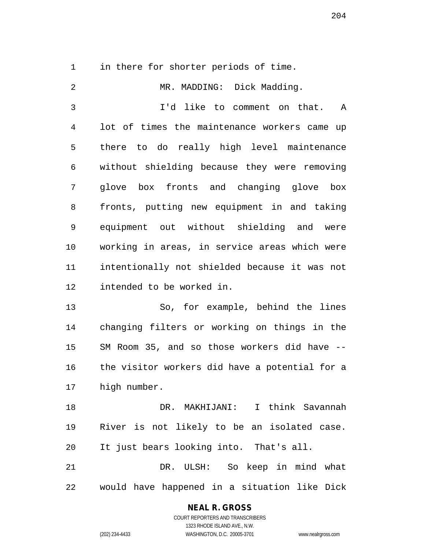in there for shorter periods of time.

 MR. MADDING: Dick Madding. I'd like to comment on that. A lot of times the maintenance workers came up there to do really high level maintenance without shielding because they were removing glove box fronts and changing glove box fronts, putting new equipment in and taking equipment out without shielding and were working in areas, in service areas which were intentionally not shielded because it was not intended to be worked in. So, for example, behind the lines changing filters or working on things in the SM Room 35, and so those workers did have -- the visitor workers did have a potential for a high number. DR. MAKHIJANI: I think Savannah River is not likely to be an isolated case. It just bears looking into. That's all. DR. ULSH: So keep in mind what would have happened in a situation like Dick

**NEAL R. GROSS**

COURT REPORTERS AND TRANSCRIBERS 1323 RHODE ISLAND AVE., N.W. (202) 234-4433 WASHINGTON, D.C. 20005-3701 www.nealrgross.com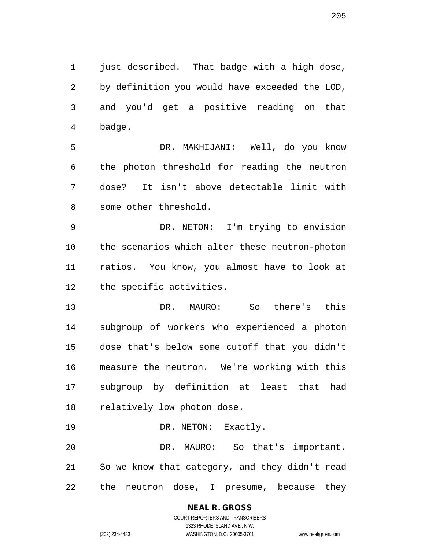just described. That badge with a high dose, by definition you would have exceeded the LOD, and you'd get a positive reading on that badge.

 DR. MAKHIJANI: Well, do you know the photon threshold for reading the neutron dose? It isn't above detectable limit with some other threshold.

 DR. NETON: I'm trying to envision the scenarios which alter these neutron-photon ratios. You know, you almost have to look at the specific activities.

 DR. MAURO: So there's this subgroup of workers who experienced a photon dose that's below some cutoff that you didn't measure the neutron. We're working with this subgroup by definition at least that had relatively low photon dose.

19 DR. NETON: Exactly.

 DR. MAURO: So that's important. So we know that category, and they didn't read the neutron dose, I presume, because they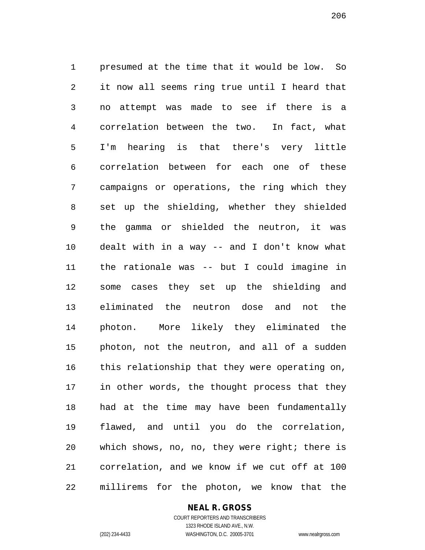presumed at the time that it would be low. So it now all seems ring true until I heard that no attempt was made to see if there is a correlation between the two. In fact, what I'm hearing is that there's very little correlation between for each one of these campaigns or operations, the ring which they set up the shielding, whether they shielded the gamma or shielded the neutron, it was dealt with in a way -- and I don't know what the rationale was -- but I could imagine in some cases they set up the shielding and eliminated the neutron dose and not the photon. More likely they eliminated the photon, not the neutron, and all of a sudden this relationship that they were operating on, in other words, the thought process that they had at the time may have been fundamentally flawed, and until you do the correlation, which shows, no, no, they were right; there is correlation, and we know if we cut off at 100 millirems for the photon, we know that the

#### **NEAL R. GROSS**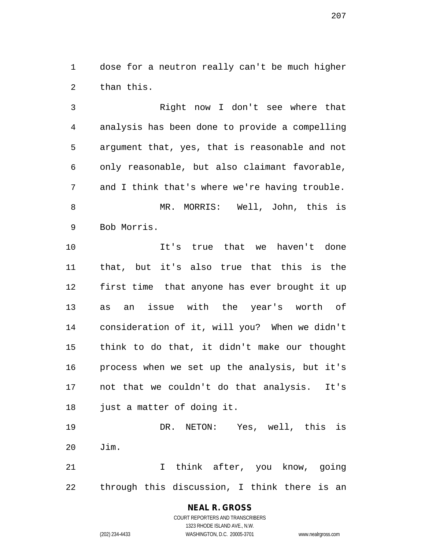dose for a neutron really can't be much higher than this.

 Right now I don't see where that analysis has been done to provide a compelling argument that, yes, that is reasonable and not only reasonable, but also claimant favorable, 7 and I think that's where we're having trouble. MR. MORRIS: Well, John, this is Bob Morris. It's true that we haven't done that, but it's also true that this is the first time that anyone has ever brought it up as an issue with the year's worth of consideration of it, will you? When we didn't think to do that, it didn't make our thought process when we set up the analysis, but it's not that we couldn't do that analysis. It's

 DR. NETON: Yes, well, this is Jim. I think after, you know, going

through this discussion, I think there is an

**NEAL R. GROSS** COURT REPORTERS AND TRANSCRIBERS 1323 RHODE ISLAND AVE., N.W.

just a matter of doing it.

(202) 234-4433 WASHINGTON, D.C. 20005-3701 www.nealrgross.com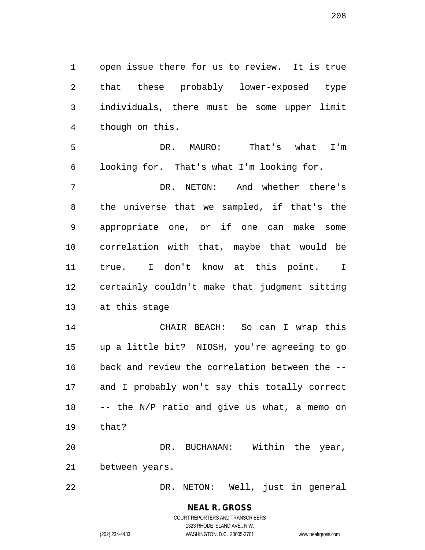open issue there for us to review. It is true that these probably lower-exposed type individuals, there must be some upper limit though on this.

 DR. MAURO: That's what I'm looking for. That's what I'm looking for.

 DR. NETON: And whether there's the universe that we sampled, if that's the appropriate one, or if one can make some correlation with that, maybe that would be true. I don't know at this point. I certainly couldn't make that judgment sitting at this stage

 CHAIR BEACH: So can I wrap this up a little bit? NIOSH, you're agreeing to go back and review the correlation between the -- and I probably won't say this totally correct -- the N/P ratio and give us what, a memo on that?

 DR. BUCHANAN: Within the year, between years.

DR. NETON: Well, just in general

**NEAL R. GROSS** COURT REPORTERS AND TRANSCRIBERS

1323 RHODE ISLAND AVE., N.W. (202) 234-4433 WASHINGTON, D.C. 20005-3701 www.nealrgross.com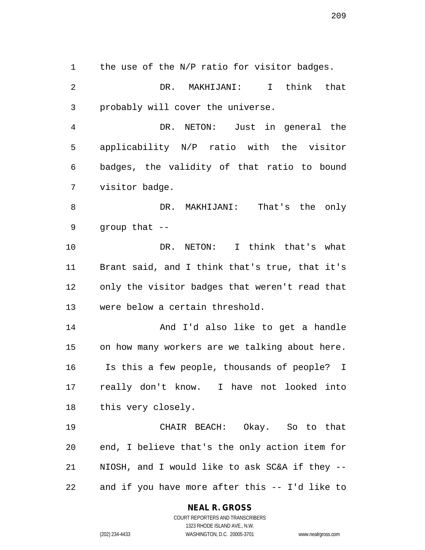1 the use of the N/P ratio for visitor badges.

 DR. MAKHIJANI: I think that probably will cover the universe.

 DR. NETON: Just in general the applicability N/P ratio with the visitor badges, the validity of that ratio to bound visitor badge.

 DR. MAKHIJANI: That's the only group that --

 DR. NETON: I think that's what Brant said, and I think that's true, that it's only the visitor badges that weren't read that were below a certain threshold.

 And I'd also like to get a handle on how many workers are we talking about here. Is this a few people, thousands of people? I really don't know. I have not looked into this very closely.

 CHAIR BEACH: Okay. So to that end, I believe that's the only action item for NIOSH, and I would like to ask SC&A if they -- and if you have more after this -- I'd like to

#### **NEAL R. GROSS** COURT REPORTERS AND TRANSCRIBERS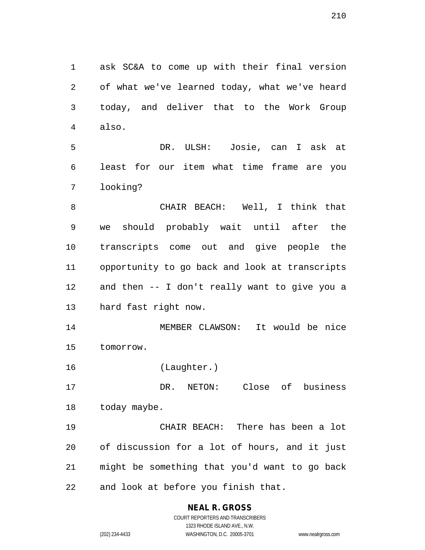ask SC&A to come up with their final version of what we've learned today, what we've heard today, and deliver that to the Work Group also.

 DR. ULSH: Josie, can I ask at least for our item what time frame are you looking?

 CHAIR BEACH: Well, I think that we should probably wait until after the transcripts come out and give people the opportunity to go back and look at transcripts and then -- I don't really want to give you a hard fast right now.

 MEMBER CLAWSON: It would be nice tomorrow.

(Laughter.)

 DR. NETON: Close of business 18 today maybe.

 CHAIR BEACH: There has been a lot of discussion for a lot of hours, and it just might be something that you'd want to go back and look at before you finish that.

# **NEAL R. GROSS**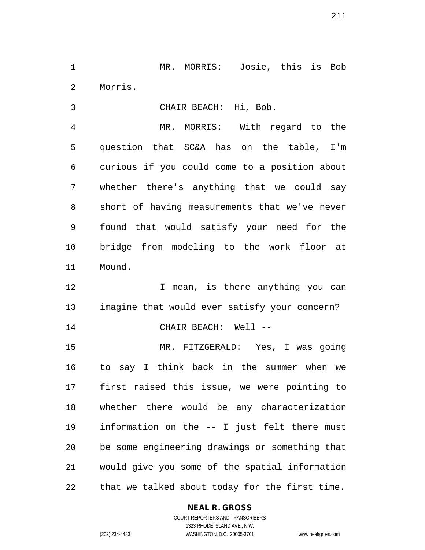MR. MORRIS: Josie, this is Bob Morris.

CHAIR BEACH: Hi, Bob.

 MR. MORRIS: With regard to the question that SC&A has on the table, I'm curious if you could come to a position about whether there's anything that we could say short of having measurements that we've never found that would satisfy your need for the bridge from modeling to the work floor at Mound.

12 12 I mean, is there anything you can imagine that would ever satisfy your concern? 14 CHAIR BEACH: Well --

 MR. FITZGERALD: Yes, I was going to say I think back in the summer when we first raised this issue, we were pointing to whether there would be any characterization information on the -- I just felt there must be some engineering drawings or something that would give you some of the spatial information that we talked about today for the first time.

### **NEAL R. GROSS**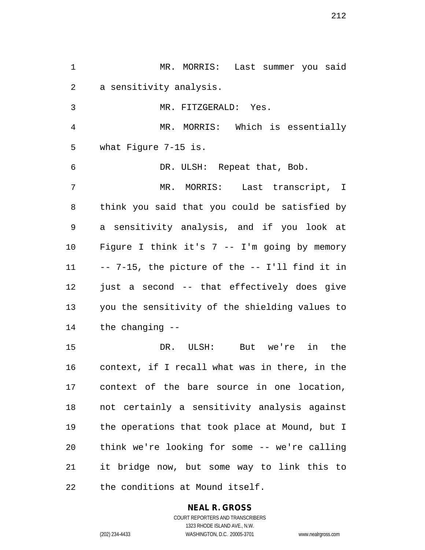MR. MORRIS: Last summer you said a sensitivity analysis. MR. FITZGERALD: Yes. MR. MORRIS: Which is essentially what Figure 7-15 is. DR. ULSH: Repeat that, Bob. MR. MORRIS: Last transcript, I think you said that you could be satisfied by a sensitivity analysis, and if you look at Figure I think it's 7 -- I'm going by memory -- 7-15, the picture of the -- I'll find it in just a second -- that effectively does give you the sensitivity of the shielding values to the changing -- DR. ULSH: But we're in the context, if I recall what was in there, in the context of the bare source in one location, not certainly a sensitivity analysis against the operations that took place at Mound, but I think we're looking for some -- we're calling it bridge now, but some way to link this to the conditions at Mound itself.

# **NEAL R. GROSS**

COURT REPORTERS AND TRANSCRIBERS 1323 RHODE ISLAND AVE., N.W. (202) 234-4433 WASHINGTON, D.C. 20005-3701 www.nealrgross.com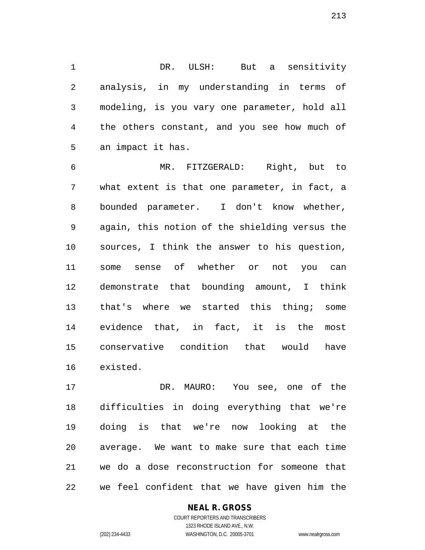DR. ULSH: But a sensitivity analysis, in my understanding in terms of modeling, is you vary one parameter, hold all the others constant, and you see how much of an impact it has.

 MR. FITZGERALD: Right, but to what extent is that one parameter, in fact, a bounded parameter. I don't know whether, again, this notion of the shielding versus the sources, I think the answer to his question, some sense of whether or not you can demonstrate that bounding amount, I think that's where we started this thing; some evidence that, in fact, it is the most conservative condition that would have existed.

 DR. MAURO: You see, one of the difficulties in doing everything that we're doing is that we're now looking at the average. We want to make sure that each time we do a dose reconstruction for someone that we feel confident that we have given him the

### **NEAL R. GROSS**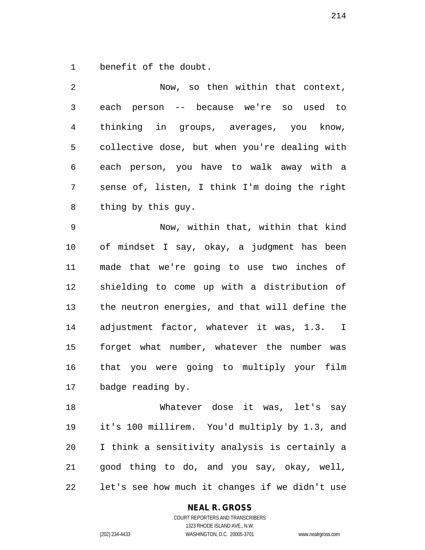benefit of the doubt.

 Now, so then within that context, each person -- because we're so used to thinking in groups, averages, you know, collective dose, but when you're dealing with each person, you have to walk away with a sense of, listen, I think I'm doing the right thing by this guy.

 Now, within that, within that kind of mindset I say, okay, a judgment has been made that we're going to use two inches of shielding to come up with a distribution of the neutron energies, and that will define the adjustment factor, whatever it was, 1.3. I forget what number, whatever the number was that you were going to multiply your film badge reading by.

 Whatever dose it was, let's say it's 100 millirem. You'd multiply by 1.3, and I think a sensitivity analysis is certainly a good thing to do, and you say, okay, well, let's see how much it changes if we didn't use

### **NEAL R. GROSS**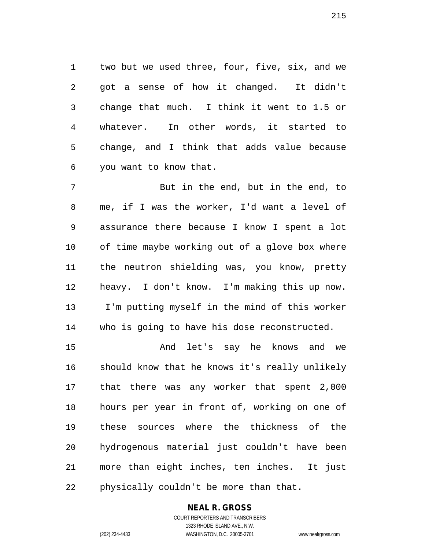two but we used three, four, five, six, and we got a sense of how it changed. It didn't change that much. I think it went to 1.5 or whatever. In other words, it started to change, and I think that adds value because you want to know that.

 But in the end, but in the end, to me, if I was the worker, I'd want a level of assurance there because I know I spent a lot of time maybe working out of a glove box where the neutron shielding was, you know, pretty heavy. I don't know. I'm making this up now. I'm putting myself in the mind of this worker who is going to have his dose reconstructed.

 And let's say he knows and we should know that he knows it's really unlikely that there was any worker that spent 2,000 hours per year in front of, working on one of these sources where the thickness of the hydrogenous material just couldn't have been more than eight inches, ten inches. It just physically couldn't be more than that.

# **NEAL R. GROSS**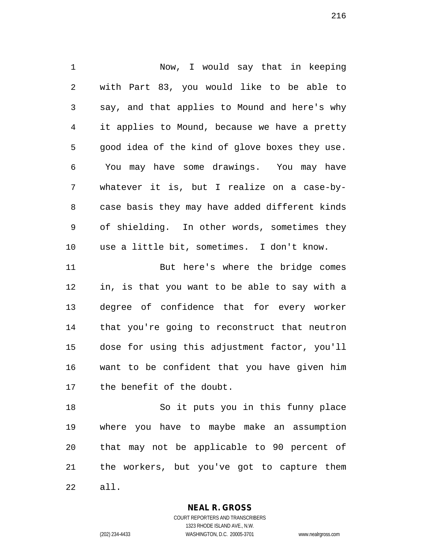Now, I would say that in keeping with Part 83, you would like to be able to say, and that applies to Mound and here's why it applies to Mound, because we have a pretty good idea of the kind of glove boxes they use. You may have some drawings. You may have whatever it is, but I realize on a case-by- case basis they may have added different kinds of shielding. In other words, sometimes they use a little bit, sometimes. I don't know. But here's where the bridge comes in, is that you want to be able to say with a degree of confidence that for every worker that you're going to reconstruct that neutron dose for using this adjustment factor, you'll want to be confident that you have given him the benefit of the doubt. So it puts you in this funny place where you have to maybe make an assumption

 the workers, but you've got to capture them all.

that may not be applicable to 90 percent of

**NEAL R. GROSS**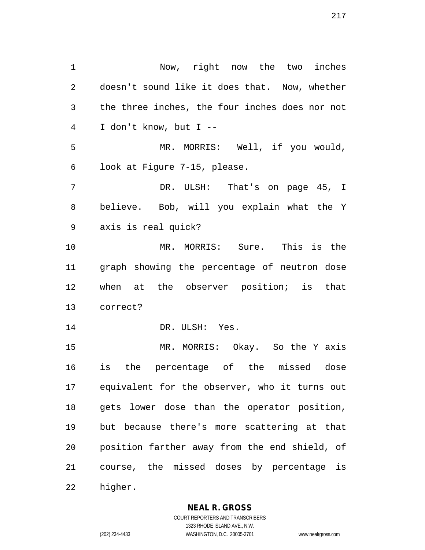Now, right now the two inches doesn't sound like it does that. Now, whether the three inches, the four inches does nor not I don't know, but I -- MR. MORRIS: Well, if you would, look at Figure 7-15, please. DR. ULSH: That's on page 45, I believe. Bob, will you explain what the Y axis is real quick? MR. MORRIS: Sure. This is the graph showing the percentage of neutron dose when at the observer position; is that correct? 14 DR. ULSH: Yes. MR. MORRIS: Okay. So the Y axis is the percentage of the missed dose equivalent for the observer, who it turns out gets lower dose than the operator position, but because there's more scattering at that position farther away from the end shield, of course, the missed doses by percentage is higher.

**NEAL R. GROSS**

COURT REPORTERS AND TRANSCRIBERS 1323 RHODE ISLAND AVE., N.W. (202) 234-4433 WASHINGTON, D.C. 20005-3701 www.nealrgross.com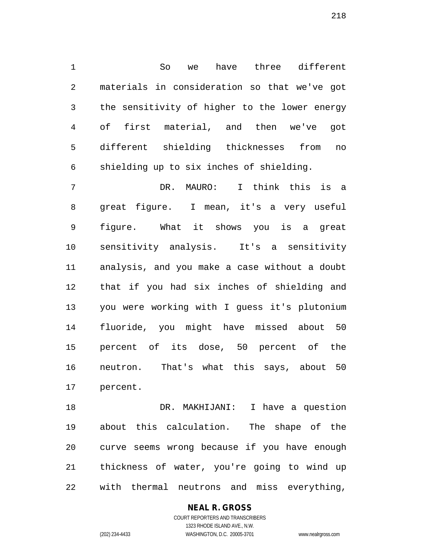So we have three different materials in consideration so that we've got the sensitivity of higher to the lower energy of first material, and then we've got different shielding thicknesses from no shielding up to six inches of shielding.

 DR. MAURO: I think this is a great figure. I mean, it's a very useful figure. What it shows you is a great sensitivity analysis. It's a sensitivity analysis, and you make a case without a doubt that if you had six inches of shielding and you were working with I guess it's plutonium fluoride, you might have missed about 50 percent of its dose, 50 percent of the neutron. That's what this says, about 50 percent.

 DR. MAKHIJANI: I have a question about this calculation. The shape of the curve seems wrong because if you have enough thickness of water, you're going to wind up with thermal neutrons and miss everything,

> COURT REPORTERS AND TRANSCRIBERS 1323 RHODE ISLAND AVE., N.W. (202) 234-4433 WASHINGTON, D.C. 20005-3701 www.nealrgross.com

**NEAL R. GROSS**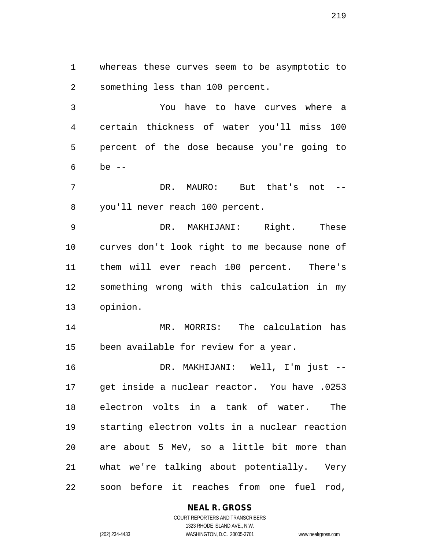whereas these curves seem to be asymptotic to something less than 100 percent.

 You have to have curves where a certain thickness of water you'll miss 100 percent of the dose because you're going to be --

 DR. MAURO: But that's not -- you'll never reach 100 percent.

 DR. MAKHIJANI: Right. These curves don't look right to me because none of them will ever reach 100 percent. There's something wrong with this calculation in my opinion.

 MR. MORRIS: The calculation has been available for review for a year.

 DR. MAKHIJANI: Well, I'm just -- get inside a nuclear reactor. You have .0253 electron volts in a tank of water. The starting electron volts in a nuclear reaction are about 5 MeV, so a little bit more than what we're talking about potentially. Very soon before it reaches from one fuel rod,

## **NEAL R. GROSS**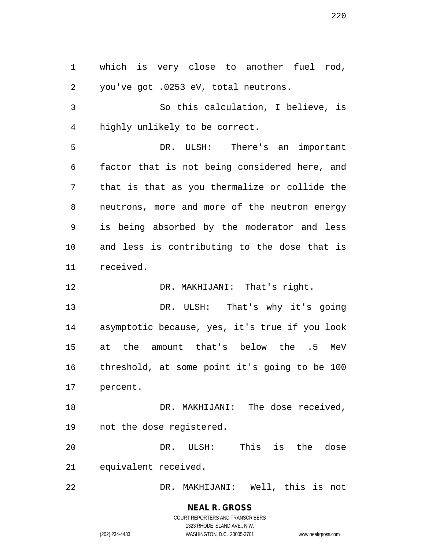which is very close to another fuel rod, you've got .0253 eV, total neutrons. So this calculation, I believe, is highly unlikely to be correct. DR. ULSH: There's an important factor that is not being considered here, and that is that as you thermalize or collide the neutrons, more and more of the neutron energy is being absorbed by the moderator and less and less is contributing to the dose that is received. 12 DR. MAKHIJANI: That's right. DR. ULSH: That's why it's going asymptotic because, yes, it's true if you look at the amount that's below the .5 MeV threshold, at some point it's going to be 100 percent. 18 DR. MAKHIJANI: The dose received, not the dose registered. DR. ULSH: This is the dose equivalent received. DR. MAKHIJANI: Well, this is not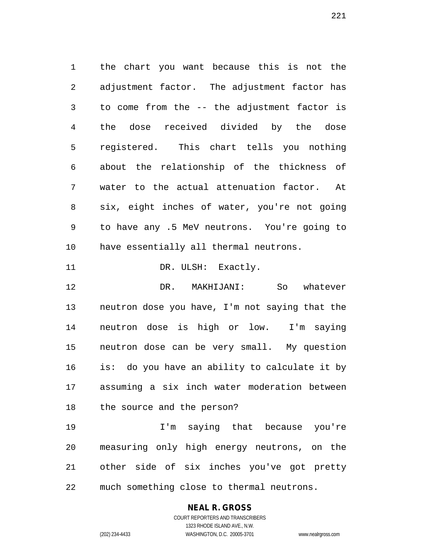the chart you want because this is not the adjustment factor. The adjustment factor has to come from the -- the adjustment factor is the dose received divided by the dose registered. This chart tells you nothing about the relationship of the thickness of water to the actual attenuation factor. At six, eight inches of water, you're not going to have any .5 MeV neutrons. You're going to have essentially all thermal neutrons. 11 DR. ULSH: Exactly.

 DR. MAKHIJANI: So whatever neutron dose you have, I'm not saying that the neutron dose is high or low. I'm saying neutron dose can be very small. My question is: do you have an ability to calculate it by assuming a six inch water moderation between the source and the person?

 I'm saying that because you're measuring only high energy neutrons, on the other side of six inches you've got pretty much something close to thermal neutrons.

### **NEAL R. GROSS** COURT REPORTERS AND TRANSCRIBERS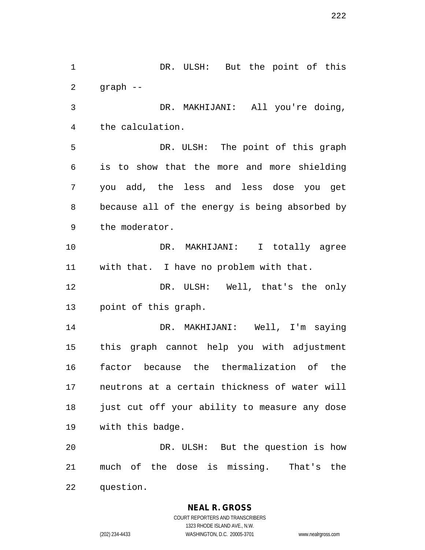DR. ULSH: But the point of this graph -- DR. MAKHIJANI: All you're doing, the calculation. DR. ULSH: The point of this graph is to show that the more and more shielding you add, the less and less dose you get because all of the energy is being absorbed by the moderator. 10 DR. MAKHIJANI: I totally agree with that. I have no problem with that. DR. ULSH: Well, that's the only point of this graph. DR. MAKHIJANI: Well, I'm saying this graph cannot help you with adjustment factor because the thermalization of the neutrons at a certain thickness of water will just cut off your ability to measure any dose with this badge. DR. ULSH: But the question is how much of the dose is missing. That's the question.

> **NEAL R. GROSS** COURT REPORTERS AND TRANSCRIBERS 1323 RHODE ISLAND AVE., N.W. (202) 234-4433 WASHINGTON, D.C. 20005-3701 www.nealrgross.com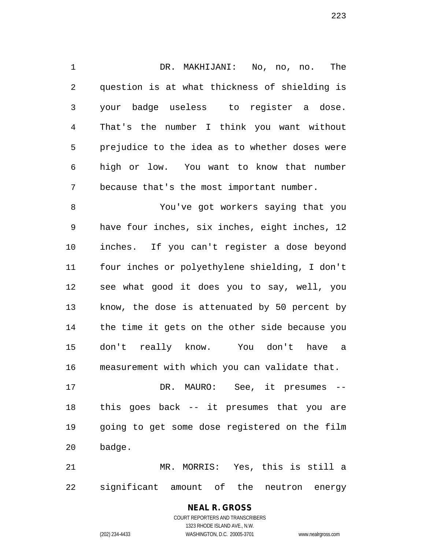DR. MAKHIJANI: No, no, no. The question is at what thickness of shielding is your badge useless to register a dose. That's the number I think you want without prejudice to the idea as to whether doses were high or low. You want to know that number because that's the most important number.

 You've got workers saying that you have four inches, six inches, eight inches, 12 inches. If you can't register a dose beyond four inches or polyethylene shielding, I don't see what good it does you to say, well, you know, the dose is attenuated by 50 percent by the time it gets on the other side because you don't really know. You don't have a measurement with which you can validate that.

 DR. MAURO: See, it presumes -- this goes back -- it presumes that you are going to get some dose registered on the film badge.

 MR. MORRIS: Yes, this is still a significant amount of the neutron energy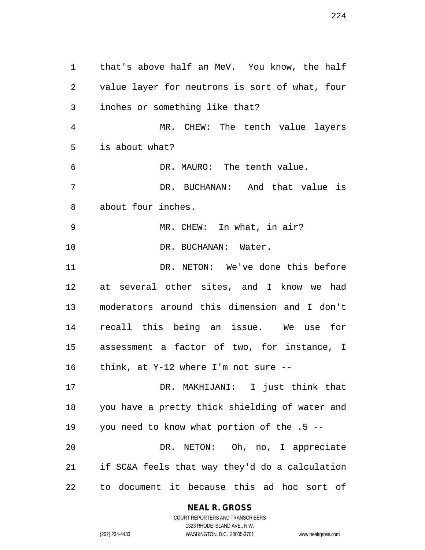that's above half an MeV. You know, the half value layer for neutrons is sort of what, four inches or something like that? MR. CHEW: The tenth value layers is about what? DR. MAURO: The tenth value. DR. BUCHANAN: And that value is about four inches. MR. CHEW: In what, in air? 10 DR. BUCHANAN: Water. 11 DR. NETON: We've done this before at several other sites, and I know we had moderators around this dimension and I don't recall this being an issue. We use for assessment a factor of two, for instance, I think, at Y-12 where I'm not sure -- DR. MAKHIJANI: I just think that you have a pretty thick shielding of water and you need to know what portion of the .5 -- DR. NETON: Oh, no, I appreciate if SC&A feels that way they'd do a calculation to document it because this ad hoc sort of

## **NEAL R. GROSS**

COURT REPORTERS AND TRANSCRIBERS 1323 RHODE ISLAND AVE., N.W. (202) 234-4433 WASHINGTON, D.C. 20005-3701 www.nealrgross.com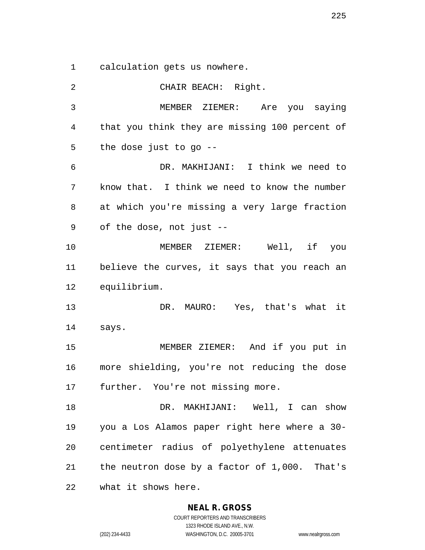calculation gets us nowhere.

 CHAIR BEACH: Right. MEMBER ZIEMER: Are you saying that you think they are missing 100 percent of the dose just to go -- DR. MAKHIJANI: I think we need to know that. I think we need to know the number at which you're missing a very large fraction of the dose, not just -- MEMBER ZIEMER: Well, if you believe the curves, it says that you reach an equilibrium. DR. MAURO: Yes, that's what it says. MEMBER ZIEMER: And if you put in more shielding, you're not reducing the dose further. You're not missing more. 18 DR. MAKHIJANI: Well, I can show you a Los Alamos paper right here where a 30- centimeter radius of polyethylene attenuates the neutron dose by a factor of 1,000. That's what it shows here.

**NEAL R. GROSS**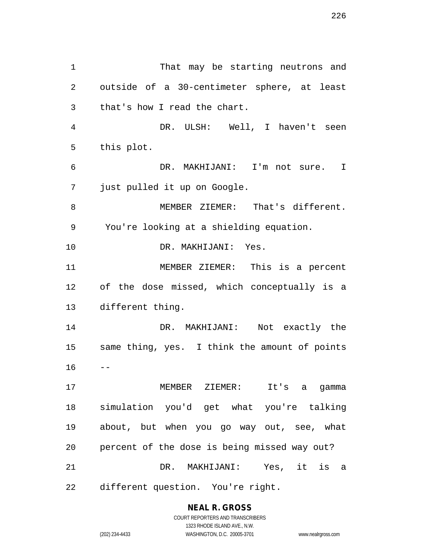That may be starting neutrons and outside of a 30-centimeter sphere, at least that's how I read the chart. DR. ULSH: Well, I haven't seen this plot. DR. MAKHIJANI: I'm not sure. I just pulled it up on Google. MEMBER ZIEMER: That's different. You're looking at a shielding equation. DR. MAKHIJANI: Yes. MEMBER ZIEMER: This is a percent of the dose missed, which conceptually is a different thing. DR. MAKHIJANI: Not exactly the same thing, yes. I think the amount of points  $16 - -$  MEMBER ZIEMER: It's a gamma simulation you'd get what you're talking about, but when you go way out, see, what percent of the dose is being missed way out? DR. MAKHIJANI: Yes, it is a different question. You're right.

**NEAL R. GROSS**

COURT REPORTERS AND TRANSCRIBERS 1323 RHODE ISLAND AVE., N.W. (202) 234-4433 WASHINGTON, D.C. 20005-3701 www.nealrgross.com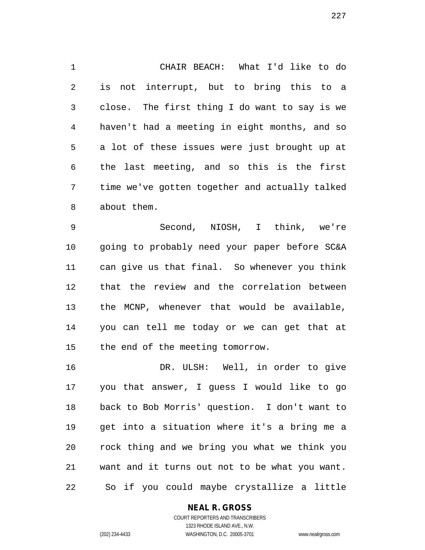CHAIR BEACH: What I'd like to do is not interrupt, but to bring this to a close. The first thing I do want to say is we haven't had a meeting in eight months, and so a lot of these issues were just brought up at the last meeting, and so this is the first time we've gotten together and actually talked about them.

 Second, NIOSH, I think, we're going to probably need your paper before SC&A can give us that final. So whenever you think that the review and the correlation between the MCNP, whenever that would be available, you can tell me today or we can get that at the end of the meeting tomorrow.

 DR. ULSH: Well, in order to give you that answer, I guess I would like to go back to Bob Morris' question. I don't want to get into a situation where it's a bring me a rock thing and we bring you what we think you want and it turns out not to be what you want. So if you could maybe crystallize a little

### **NEAL R. GROSS**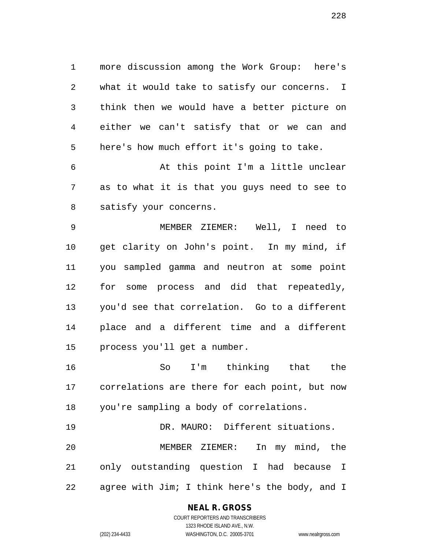more discussion among the Work Group: here's what it would take to satisfy our concerns. I think then we would have a better picture on either we can't satisfy that or we can and here's how much effort it's going to take.

 At this point I'm a little unclear as to what it is that you guys need to see to satisfy your concerns.

 MEMBER ZIEMER: Well, I need to get clarity on John's point. In my mind, if you sampled gamma and neutron at some point for some process and did that repeatedly, you'd see that correlation. Go to a different place and a different time and a different process you'll get a number.

 So I'm thinking that the correlations are there for each point, but now you're sampling a body of correlations.

 DR. MAURO: Different situations. MEMBER ZIEMER: In my mind, the only outstanding question I had because I agree with Jim; I think here's the body, and I

## **NEAL R. GROSS**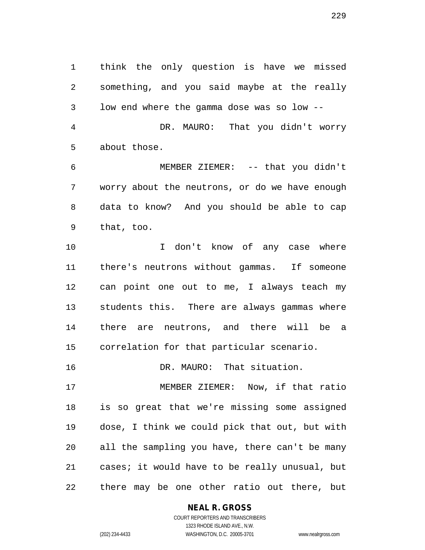think the only question is have we missed something, and you said maybe at the really low end where the gamma dose was so low -- DR. MAURO: That you didn't worry about those.

 MEMBER ZIEMER: -- that you didn't worry about the neutrons, or do we have enough data to know? And you should be able to cap that, too.

 I don't know of any case where there's neutrons without gammas. If someone can point one out to me, I always teach my students this. There are always gammas where there are neutrons, and there will be a correlation for that particular scenario.

DR. MAURO: That situation.

 MEMBER ZIEMER: Now, if that ratio is so great that we're missing some assigned dose, I think we could pick that out, but with all the sampling you have, there can't be many cases; it would have to be really unusual, but there may be one other ratio out there, but

**NEAL R. GROSS**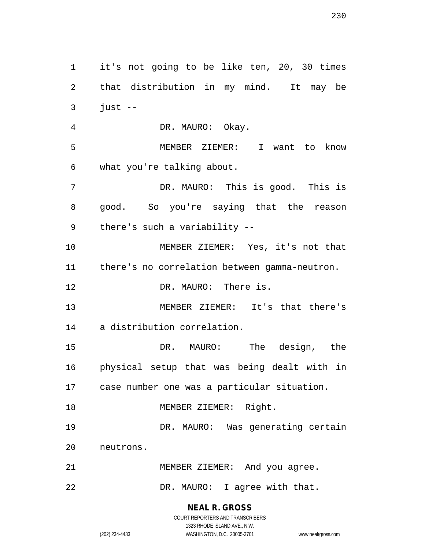it's not going to be like ten, 20, 30 times that distribution in my mind. It may be just  $-$  DR. MAURO: Okay. MEMBER ZIEMER: I want to know what you're talking about. DR. MAURO: This is good. This is good. So you're saying that the reason there's such a variability -- MEMBER ZIEMER: Yes, it's not that there's no correlation between gamma-neutron. 12 DR. MAURO: There is. MEMBER ZIEMER: It's that there's a distribution correlation. DR. MAURO: The design, the physical setup that was being dealt with in case number one was a particular situation. 18 MEMBER ZIEMER: Right. DR. MAURO: Was generating certain neutrons. MEMBER ZIEMER: And you agree. DR. MAURO: I agree with that.

## **NEAL R. GROSS**

COURT REPORTERS AND TRANSCRIBERS 1323 RHODE ISLAND AVE., N.W. (202) 234-4433 WASHINGTON, D.C. 20005-3701 www.nealrgross.com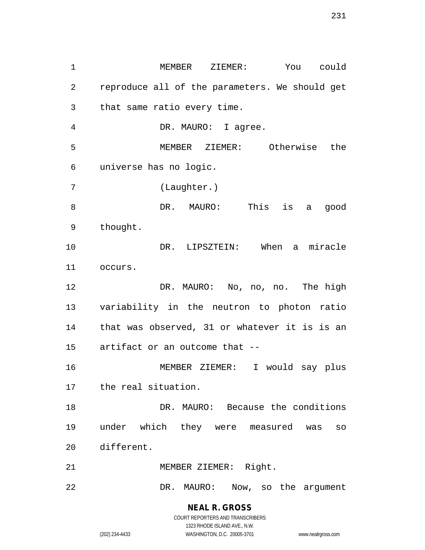MEMBER ZIEMER: You could reproduce all of the parameters. We should get that same ratio every time. DR. MAURO: I agree. MEMBER ZIEMER: Otherwise the universe has no logic. (Laughter.) DR. MAURO: This is a good thought. DR. LIPSZTEIN: When a miracle occurs. DR. MAURO: No, no, no. The high variability in the neutron to photon ratio that was observed, 31 or whatever it is is an artifact or an outcome that -- MEMBER ZIEMER: I would say plus the real situation. DR. MAURO: Because the conditions under which they were measured was so different. MEMBER ZIEMER: Right. DR. MAURO: Now, so the argument

> **NEAL R. GROSS** COURT REPORTERS AND TRANSCRIBERS

> > 1323 RHODE ISLAND AVE., N.W.

(202) 234-4433 WASHINGTON, D.C. 20005-3701 www.nealrgross.com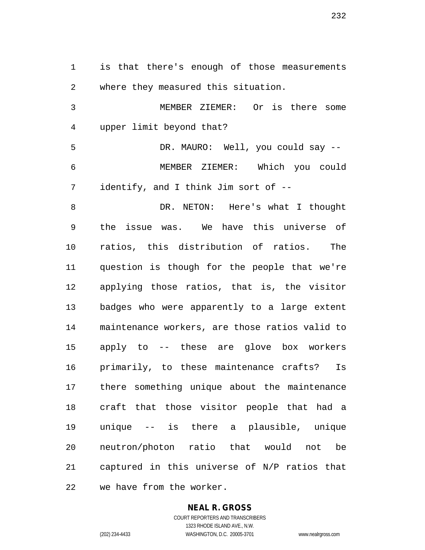is that there's enough of those measurements where they measured this situation. MEMBER ZIEMER: Or is there some upper limit beyond that? DR. MAURO: Well, you could say -- MEMBER ZIEMER: Which you could identify, and I think Jim sort of -- DR. NETON: Here's what I thought the issue was. We have this universe of ratios, this distribution of ratios. The question is though for the people that we're applying those ratios, that is, the visitor badges who were apparently to a large extent maintenance workers, are those ratios valid to apply to -- these are glove box workers primarily, to these maintenance crafts? Is there something unique about the maintenance craft that those visitor people that had a unique -- is there a plausible, unique neutron/photon ratio that would not be captured in this universe of N/P ratios that we have from the worker.

### **NEAL R. GROSS** COURT REPORTERS AND TRANSCRIBERS

1323 RHODE ISLAND AVE., N.W. (202) 234-4433 WASHINGTON, D.C. 20005-3701 www.nealrgross.com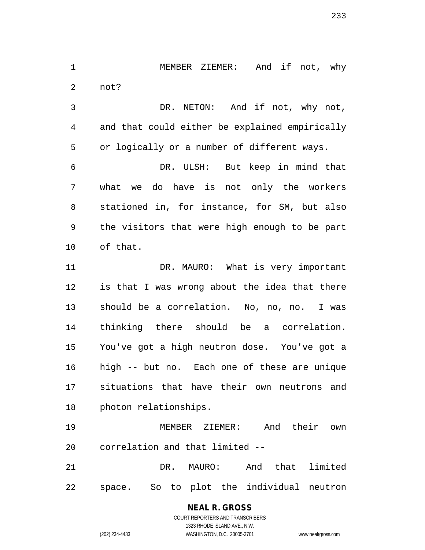MEMBER ZIEMER: And if not, why not?

 DR. NETON: And if not, why not, and that could either be explained empirically or logically or a number of different ways.

 DR. ULSH: But keep in mind that what we do have is not only the workers stationed in, for instance, for SM, but also the visitors that were high enough to be part of that.

11 DR. MAURO: What is very important is that I was wrong about the idea that there should be a correlation. No, no, no. I was thinking there should be a correlation. You've got a high neutron dose. You've got a high -- but no. Each one of these are unique situations that have their own neutrons and photon relationships.

 MEMBER ZIEMER: And their own correlation and that limited --

 DR. MAURO: And that limited space. So to plot the individual neutron

> **NEAL R. GROSS** COURT REPORTERS AND TRANSCRIBERS

1323 RHODE ISLAND AVE., N.W. (202) 234-4433 WASHINGTON, D.C. 20005-3701 www.nealrgross.com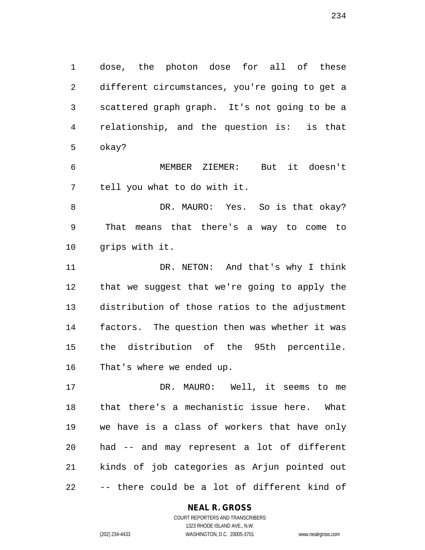dose, the photon dose for all of these different circumstances, you're going to get a scattered graph graph. It's not going to be a relationship, and the question is: is that okay?

 MEMBER ZIEMER: But it doesn't tell you what to do with it.

8 DR. MAURO: Yes. So is that okay? That means that there's a way to come to grips with it.

11 DR. NETON: And that's why I think that we suggest that we're going to apply the distribution of those ratios to the adjustment factors. The question then was whether it was the distribution of the 95th percentile. That's where we ended up.

 DR. MAURO: Well, it seems to me that there's a mechanistic issue here. What we have is a class of workers that have only had -- and may represent a lot of different kinds of job categories as Arjun pointed out -- there could be a lot of different kind of

### **NEAL R. GROSS**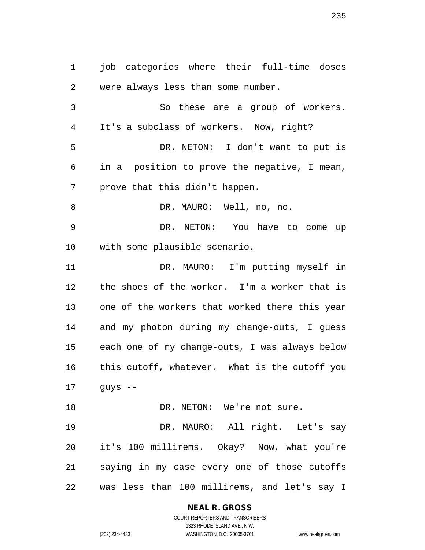job categories where their full-time doses were always less than some number. So these are a group of workers. It's a subclass of workers. Now, right? DR. NETON: I don't want to put is in a position to prove the negative, I mean, prove that this didn't happen. 8 DR. MAURO: Well, no, no. DR. NETON: You have to come up with some plausible scenario. DR. MAURO: I'm putting myself in the shoes of the worker. I'm a worker that is one of the workers that worked there this year and my photon during my change-outs, I guess each one of my change-outs, I was always below this cutoff, whatever. What is the cutoff you guys -- 18 DR. NETON: We're not sure. DR. MAURO: All right. Let's say it's 100 millirems. Okay? Now, what you're saying in my case every one of those cutoffs was less than 100 millirems, and let's say I

**NEAL R. GROSS**

COURT REPORTERS AND TRANSCRIBERS 1323 RHODE ISLAND AVE., N.W. (202) 234-4433 WASHINGTON, D.C. 20005-3701 www.nealrgross.com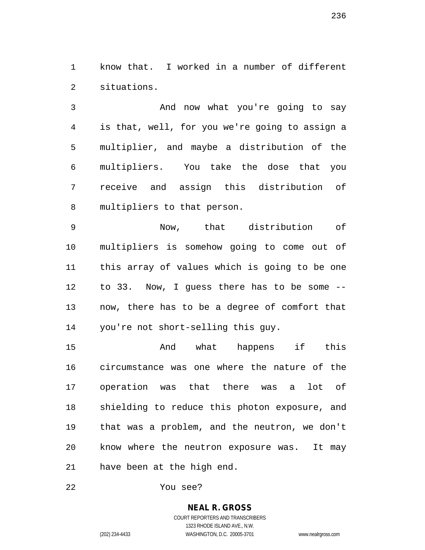know that. I worked in a number of different situations.

 And now what you're going to say is that, well, for you we're going to assign a multiplier, and maybe a distribution of the multipliers. You take the dose that you receive and assign this distribution of multipliers to that person.

 Now, that distribution of multipliers is somehow going to come out of this array of values which is going to be one to 33. Now, I guess there has to be some -- now, there has to be a degree of comfort that you're not short-selling this guy.

15 And what happens if this circumstance was one where the nature of the operation was that there was a lot of shielding to reduce this photon exposure, and that was a problem, and the neutron, we don't know where the neutron exposure was. It may have been at the high end.

You see?

## **NEAL R. GROSS**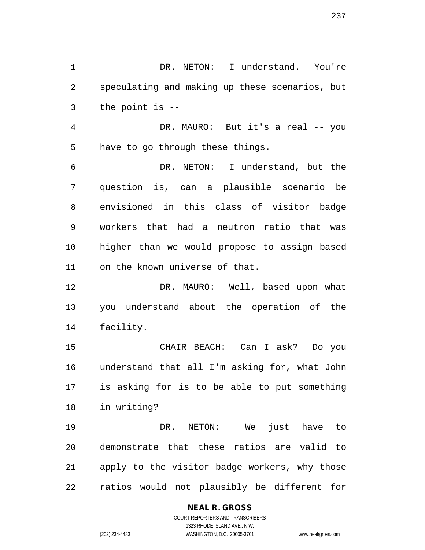DR. NETON: I understand. You're speculating and making up these scenarios, but the point is --

 DR. MAURO: But it's a real -- you have to go through these things.

 DR. NETON: I understand, but the question is, can a plausible scenario be envisioned in this class of visitor badge workers that had a neutron ratio that was higher than we would propose to assign based on the known universe of that.

12 DR. MAURO: Well, based upon what you understand about the operation of the facility.

 CHAIR BEACH: Can I ask? Do you understand that all I'm asking for, what John is asking for is to be able to put something in writing?

 DR. NETON: We just have to demonstrate that these ratios are valid to apply to the visitor badge workers, why those ratios would not plausibly be different for

## **NEAL R. GROSS**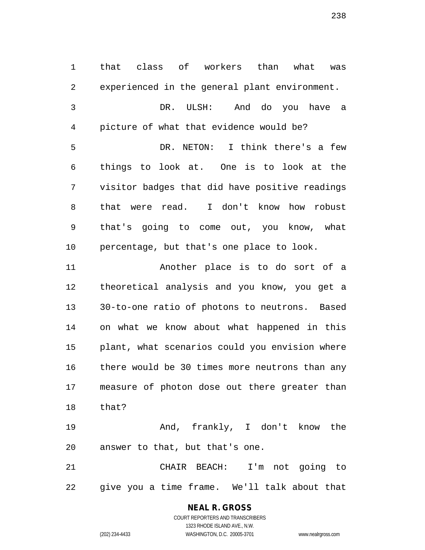that class of workers than what was experienced in the general plant environment. DR. ULSH: And do you have a picture of what that evidence would be? DR. NETON: I think there's a few things to look at. One is to look at the visitor badges that did have positive readings that were read. I don't know how robust that's going to come out, you know, what percentage, but that's one place to look. Another place is to do sort of a theoretical analysis and you know, you get a 30-to-one ratio of photons to neutrons. Based

 on what we know about what happened in this plant, what scenarios could you envision where there would be 30 times more neutrons than any measure of photon dose out there greater than that?

 And, frankly, I don't know the answer to that, but that's one.

 CHAIR BEACH: I'm not going to give you a time frame. We'll talk about that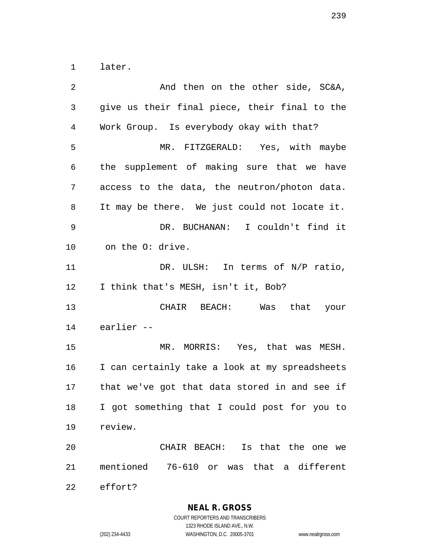later.

2 And then on the other side, SC&A, give us their final piece, their final to the Work Group. Is everybody okay with that? MR. FITZGERALD: Yes, with maybe the supplement of making sure that we have access to the data, the neutron/photon data. It may be there. We just could not locate it. DR. BUCHANAN: I couldn't find it on the O: drive. 11 DR. ULSH: In terms of N/P ratio, I think that's MESH, isn't it, Bob? CHAIR BEACH: Was that your earlier -- MR. MORRIS: Yes, that was MESH. I can certainly take a look at my spreadsheets that we've got that data stored in and see if I got something that I could post for you to review. CHAIR BEACH: Is that the one we mentioned 76-610 or was that a different effort?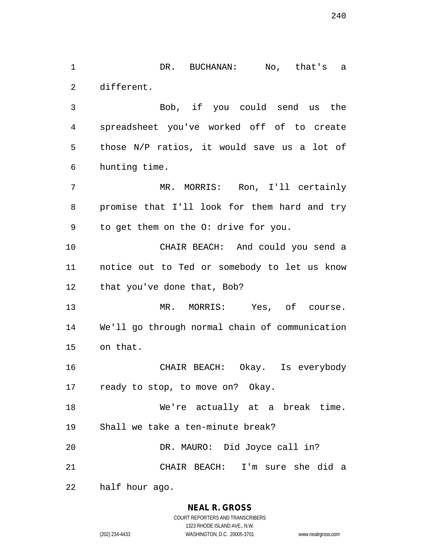DR. BUCHANAN: No, that's a different.

 Bob, if you could send us the spreadsheet you've worked off of to create those N/P ratios, it would save us a lot of hunting time.

 MR. MORRIS: Ron, I'll certainly promise that I'll look for them hard and try to get them on the O: drive for you.

 CHAIR BEACH: And could you send a notice out to Ted or somebody to let us know 12 that you've done that, Bob?

13 MR. MORRIS: Yes, of course. We'll go through normal chain of communication on that.

 CHAIR BEACH: Okay. Is everybody ready to stop, to move on? Okay.

 We're actually at a break time. Shall we take a ten-minute break? DR. MAURO: Did Joyce call in?

CHAIR BEACH: I'm sure she did a

half hour ago.

### **NEAL R. GROSS**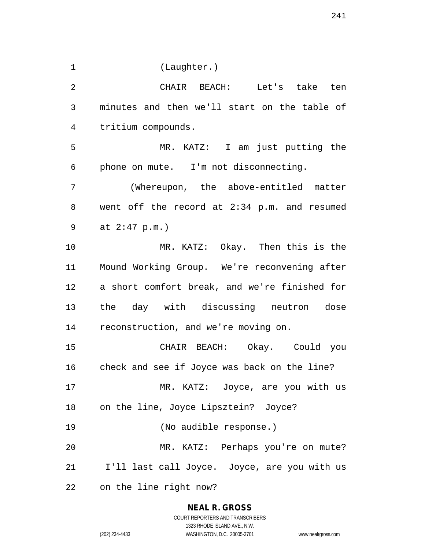(Laughter.)

 CHAIR BEACH: Let's take ten minutes and then we'll start on the table of tritium compounds. MR. KATZ: I am just putting the phone on mute. I'm not disconnecting. (Whereupon, the above-entitled matter went off the record at 2:34 p.m. and resumed at 2:47 p.m.) MR. KATZ: Okay. Then this is the Mound Working Group. We're reconvening after a short comfort break, and we're finished for the day with discussing neutron dose reconstruction, and we're moving on. CHAIR BEACH: Okay. Could you check and see if Joyce was back on the line? MR. KATZ: Joyce, are you with us on the line, Joyce Lipsztein? Joyce? (No audible response.) MR. KATZ: Perhaps you're on mute? 21 I'll last call Joyce. Joyce, are you with us on the line right now?

1323 RHODE ISLAND AVE., N.W.

(202) 234-4433 WASHINGTON, D.C. 20005-3701 www.nealrgross.com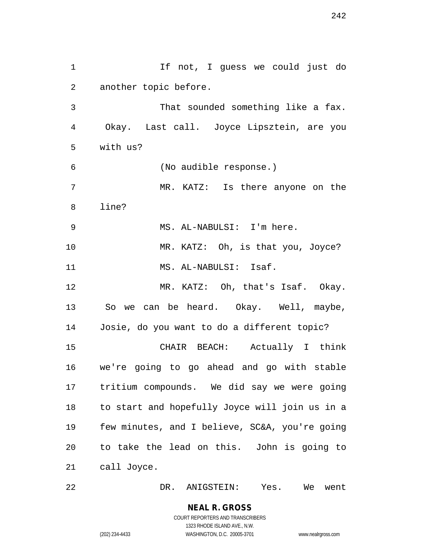1 1 If not, I guess we could just do another topic before. That sounded something like a fax. Okay. Last call. Joyce Lipsztein, are you with us? (No audible response.) MR. KATZ: Is there anyone on the line? MS. AL-NABULSI: I'm here. MR. KATZ: Oh, is that you, Joyce? 11 MS. AL-NABULSI: Isaf. MR. KATZ: Oh, that's Isaf. Okay. So we can be heard. Okay. Well, maybe, Josie, do you want to do a different topic? CHAIR BEACH: Actually I think we're going to go ahead and go with stable tritium compounds. We did say we were going to start and hopefully Joyce will join us in a few minutes, and I believe, SC&A, you're going to take the lead on this. John is going to call Joyce.

DR. ANIGSTEIN: Yes. We went

(202) 234-4433 WASHINGTON, D.C. 20005-3701 www.nealrgross.com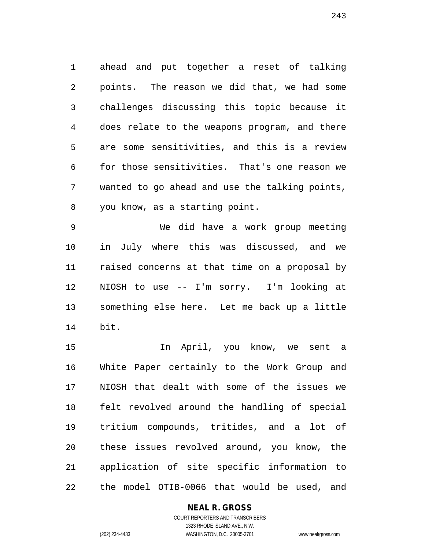ahead and put together a reset of talking points. The reason we did that, we had some challenges discussing this topic because it does relate to the weapons program, and there are some sensitivities, and this is a review for those sensitivities. That's one reason we wanted to go ahead and use the talking points, you know, as a starting point.

 We did have a work group meeting in July where this was discussed, and we raised concerns at that time on a proposal by NIOSH to use -- I'm sorry. I'm looking at something else here. Let me back up a little bit.

 In April, you know, we sent a White Paper certainly to the Work Group and NIOSH that dealt with some of the issues we felt revolved around the handling of special tritium compounds, tritides, and a lot of these issues revolved around, you know, the application of site specific information to the model OTIB-0066 that would be used, and

## **NEAL R. GROSS**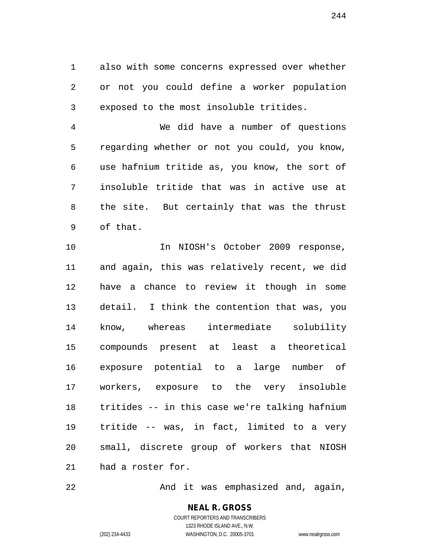also with some concerns expressed over whether or not you could define a worker population exposed to the most insoluble tritides.

 We did have a number of questions regarding whether or not you could, you know, use hafnium tritide as, you know, the sort of insoluble tritide that was in active use at the site. But certainly that was the thrust of that.

10 10 In NIOSH's October 2009 response, and again, this was relatively recent, we did have a chance to review it though in some detail. I think the contention that was, you know, whereas intermediate solubility compounds present at least a theoretical exposure potential to a large number of workers, exposure to the very insoluble tritides -- in this case we're talking hafnium tritide -- was, in fact, limited to a very small, discrete group of workers that NIOSH had a roster for.

22 And it was emphasized and, again,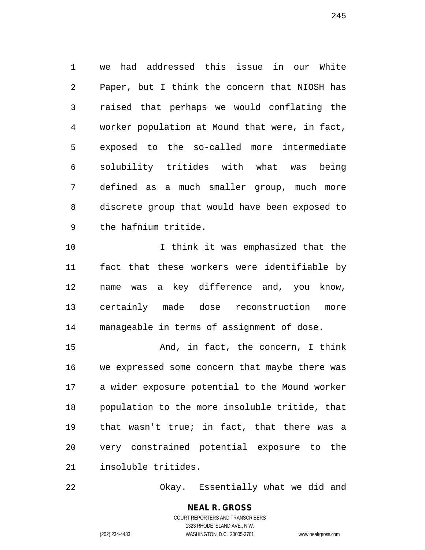we had addressed this issue in our White Paper, but I think the concern that NIOSH has raised that perhaps we would conflating the worker population at Mound that were, in fact, exposed to the so-called more intermediate solubility tritides with what was being defined as a much smaller group, much more discrete group that would have been exposed to the hafnium tritide.

10 10 I think it was emphasized that the fact that these workers were identifiable by name was a key difference and, you know, certainly made dose reconstruction more manageable in terms of assignment of dose.

 And, in fact, the concern, I think we expressed some concern that maybe there was a wider exposure potential to the Mound worker population to the more insoluble tritide, that that wasn't true; in fact, that there was a very constrained potential exposure to the insoluble tritides.

Okay. Essentially what we did and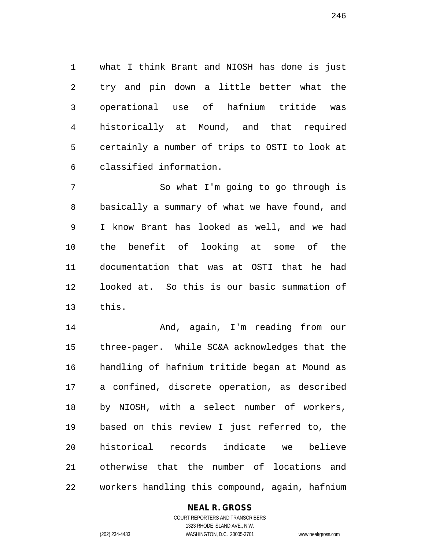what I think Brant and NIOSH has done is just try and pin down a little better what the operational use of hafnium tritide was historically at Mound, and that required certainly a number of trips to OSTI to look at classified information.

 So what I'm going to go through is basically a summary of what we have found, and I know Brant has looked as well, and we had the benefit of looking at some of the documentation that was at OSTI that he had looked at. So this is our basic summation of this.

 And, again, I'm reading from our three-pager. While SC&A acknowledges that the handling of hafnium tritide began at Mound as a confined, discrete operation, as described by NIOSH, with a select number of workers, based on this review I just referred to, the historical records indicate we believe otherwise that the number of locations and workers handling this compound, again, hafnium

## **NEAL R. GROSS**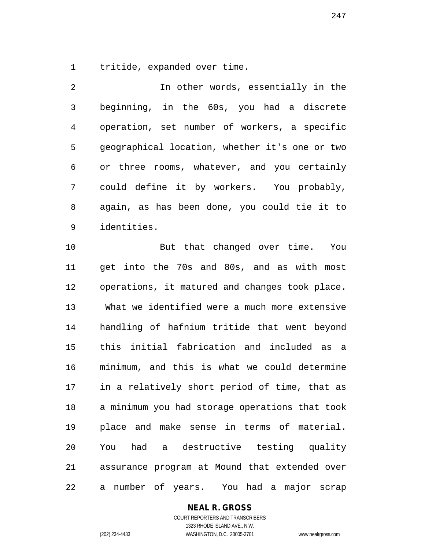tritide, expanded over time.

 In other words, essentially in the beginning, in the 60s, you had a discrete operation, set number of workers, a specific geographical location, whether it's one or two or three rooms, whatever, and you certainly could define it by workers. You probably, again, as has been done, you could tie it to identities.

 But that changed over time. You get into the 70s and 80s, and as with most operations, it matured and changes took place. What we identified were a much more extensive handling of hafnium tritide that went beyond this initial fabrication and included as a minimum, and this is what we could determine in a relatively short period of time, that as a minimum you had storage operations that took place and make sense in terms of material. You had a destructive testing quality assurance program at Mound that extended over a number of years. You had a major scrap

## **NEAL R. GROSS**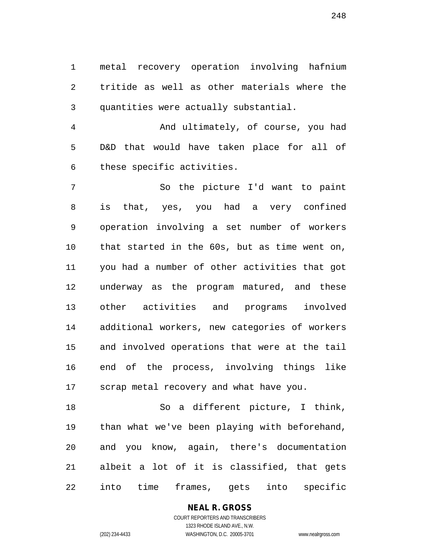metal recovery operation involving hafnium tritide as well as other materials where the quantities were actually substantial.

 And ultimately, of course, you had D&D that would have taken place for all of these specific activities.

 So the picture I'd want to paint is that, yes, you had a very confined operation involving a set number of workers that started in the 60s, but as time went on, you had a number of other activities that got underway as the program matured, and these other activities and programs involved additional workers, new categories of workers and involved operations that were at the tail end of the process, involving things like scrap metal recovery and what have you.

 So a different picture, I think, than what we've been playing with beforehand, and you know, again, there's documentation albeit a lot of it is classified, that gets into time frames, gets into specific

# **NEAL R. GROSS**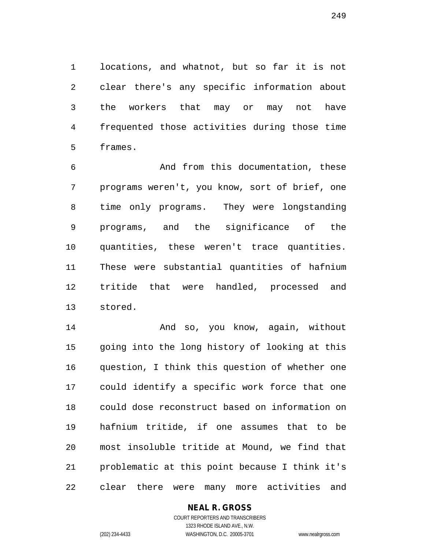locations, and whatnot, but so far it is not clear there's any specific information about the workers that may or may not have frequented those activities during those time frames.

 And from this documentation, these programs weren't, you know, sort of brief, one time only programs. They were longstanding programs, and the significance of the quantities, these weren't trace quantities. These were substantial quantities of hafnium tritide that were handled, processed and stored.

 And so, you know, again, without going into the long history of looking at this question, I think this question of whether one could identify a specific work force that one could dose reconstruct based on information on hafnium tritide, if one assumes that to be most insoluble tritide at Mound, we find that problematic at this point because I think it's clear there were many more activities and

> **NEAL R. GROSS** COURT REPORTERS AND TRANSCRIBERS

1323 RHODE ISLAND AVE., N.W. (202) 234-4433 WASHINGTON, D.C. 20005-3701 www.nealrgross.com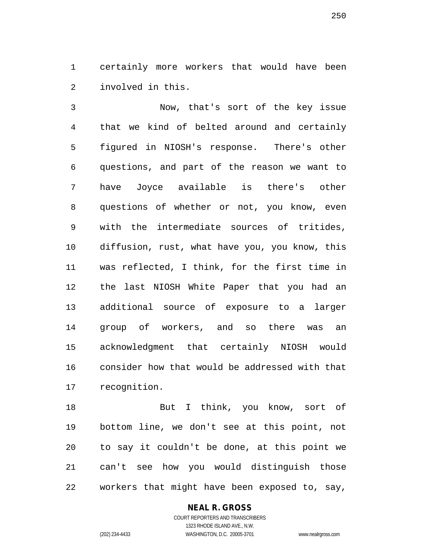certainly more workers that would have been involved in this.

 Now, that's sort of the key issue that we kind of belted around and certainly figured in NIOSH's response. There's other questions, and part of the reason we want to have Joyce available is there's other questions of whether or not, you know, even with the intermediate sources of tritides, diffusion, rust, what have you, you know, this was reflected, I think, for the first time in the last NIOSH White Paper that you had an additional source of exposure to a larger group of workers, and so there was an acknowledgment that certainly NIOSH would consider how that would be addressed with that recognition.

18 But I think, you know, sort of bottom line, we don't see at this point, not to say it couldn't be done, at this point we can't see how you would distinguish those workers that might have been exposed to, say,

### **NEAL R. GROSS**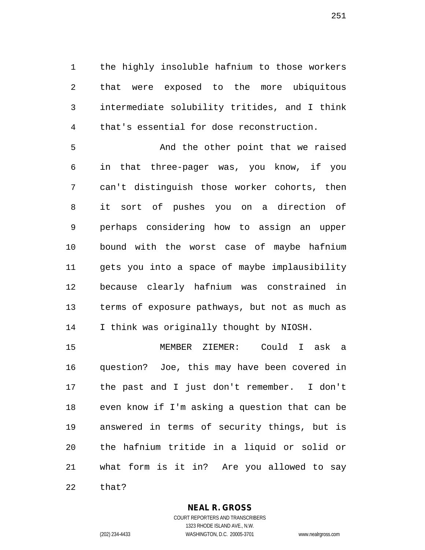the highly insoluble hafnium to those workers that were exposed to the more ubiquitous intermediate solubility tritides, and I think that's essential for dose reconstruction.

5 And the other point that we raised in that three-pager was, you know, if you can't distinguish those worker cohorts, then it sort of pushes you on a direction of perhaps considering how to assign an upper bound with the worst case of maybe hafnium gets you into a space of maybe implausibility because clearly hafnium was constrained in terms of exposure pathways, but not as much as I think was originally thought by NIOSH.

 MEMBER ZIEMER: Could I ask a question? Joe, this may have been covered in the past and I just don't remember. I don't even know if I'm asking a question that can be answered in terms of security things, but is the hafnium tritide in a liquid or solid or what form is it in? Are you allowed to say that?

**NEAL R. GROSS**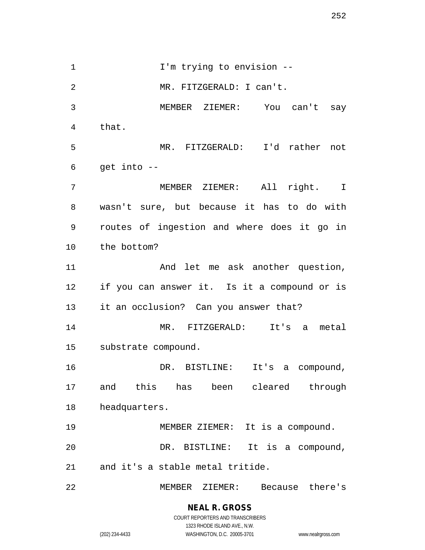1 I'm trying to envision -- MR. FITZGERALD: I can't. MEMBER ZIEMER: You can't say that. MR. FITZGERALD: I'd rather not get into  $-$  MEMBER ZIEMER: All right. I wasn't sure, but because it has to do with routes of ingestion and where does it go in the bottom? 11 And let me ask another question, if you can answer it. Is it a compound or is it an occlusion? Can you answer that? MR. FITZGERALD: It's a metal substrate compound. DR. BISTLINE: It's a compound, and this has been cleared through headquarters. MEMBER ZIEMER: It is a compound. DR. BISTLINE: It is a compound, and it's a stable metal tritide. MEMBER ZIEMER: Because there's

> **NEAL R. GROSS** COURT REPORTERS AND TRANSCRIBERS 1323 RHODE ISLAND AVE., N.W.

(202) 234-4433 WASHINGTON, D.C. 20005-3701 www.nealrgross.com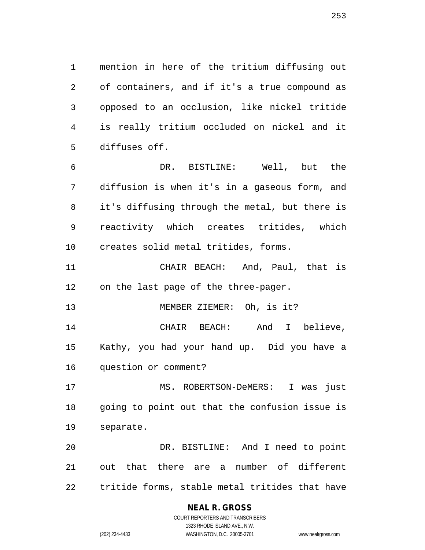mention in here of the tritium diffusing out of containers, and if it's a true compound as opposed to an occlusion, like nickel tritide is really tritium occluded on nickel and it diffuses off.

 DR. BISTLINE: Well, but the diffusion is when it's in a gaseous form, and it's diffusing through the metal, but there is reactivity which creates tritides, which creates solid metal tritides, forms.

 CHAIR BEACH: And, Paul, that is on the last page of the three-pager.

MEMBER ZIEMER: Oh, is it?

 CHAIR BEACH: And I believe, Kathy, you had your hand up. Did you have a question or comment?

 MS. ROBERTSON-DeMERS: I was just going to point out that the confusion issue is separate.

 DR. BISTLINE: And I need to point out that there are a number of different tritide forms, stable metal tritides that have

# **NEAL R. GROSS**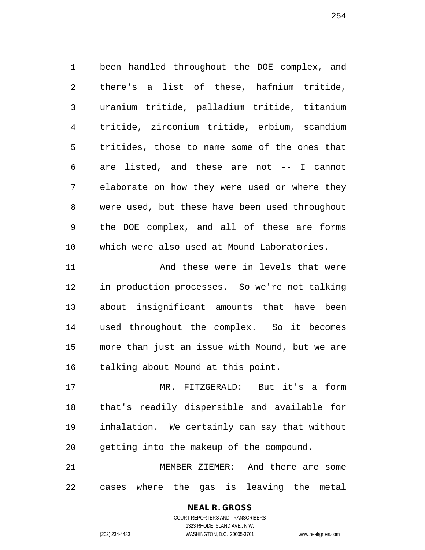been handled throughout the DOE complex, and there's a list of these, hafnium tritide, uranium tritide, palladium tritide, titanium tritide, zirconium tritide, erbium, scandium tritides, those to name some of the ones that are listed, and these are not -- I cannot elaborate on how they were used or where they were used, but these have been used throughout the DOE complex, and all of these are forms which were also used at Mound Laboratories.

 And these were in levels that were in production processes. So we're not talking about insignificant amounts that have been used throughout the complex. So it becomes more than just an issue with Mound, but we are talking about Mound at this point.

 MR. FITZGERALD: But it's a form that's readily dispersible and available for inhalation. We certainly can say that without getting into the makeup of the compound.

 MEMBER ZIEMER: And there are some cases where the gas is leaving the metal

# **NEAL R. GROSS**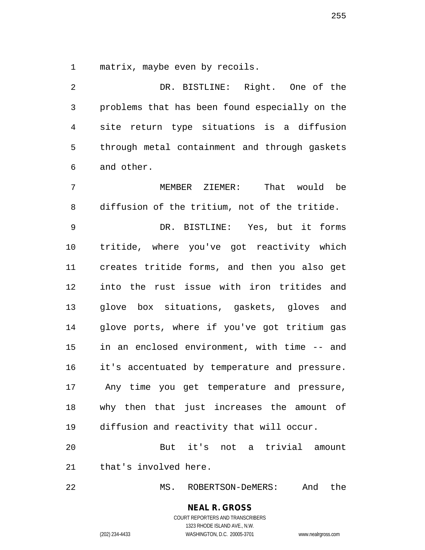matrix, maybe even by recoils.

 DR. BISTLINE: Right. One of the problems that has been found especially on the site return type situations is a diffusion through metal containment and through gaskets and other.

 MEMBER ZIEMER: That would be diffusion of the tritium, not of the tritide.

 DR. BISTLINE: Yes, but it forms tritide, where you've got reactivity which creates tritide forms, and then you also get into the rust issue with iron tritides and glove box situations, gaskets, gloves and glove ports, where if you've got tritium gas in an enclosed environment, with time -- and it's accentuated by temperature and pressure. Any time you get temperature and pressure, why then that just increases the amount of diffusion and reactivity that will occur.

 But it's not a trivial amount that's involved here.

MS. ROBERTSON-DeMERS: And the

**NEAL R. GROSS** COURT REPORTERS AND TRANSCRIBERS

1323 RHODE ISLAND AVE., N.W.

(202) 234-4433 WASHINGTON, D.C. 20005-3701 www.nealrgross.com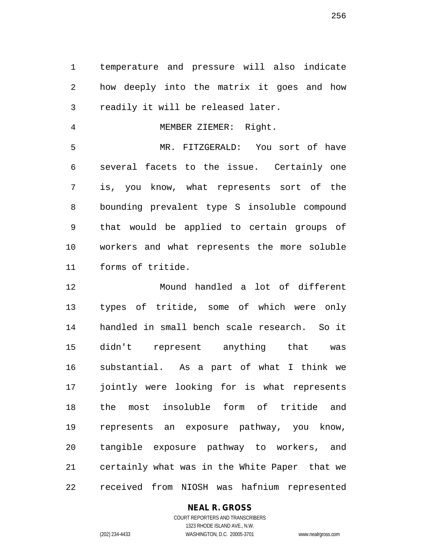temperature and pressure will also indicate how deeply into the matrix it goes and how readily it will be released later.

MEMBER ZIEMER: Right.

 MR. FITZGERALD: You sort of have several facets to the issue. Certainly one is, you know, what represents sort of the bounding prevalent type S insoluble compound that would be applied to certain groups of workers and what represents the more soluble forms of tritide.

 Mound handled a lot of different types of tritide, some of which were only handled in small bench scale research. So it didn't represent anything that was substantial. As a part of what I think we jointly were looking for is what represents the most insoluble form of tritide and represents an exposure pathway, you know, tangible exposure pathway to workers, and certainly what was in the White Paper that we received from NIOSH was hafnium represented

## **NEAL R. GROSS**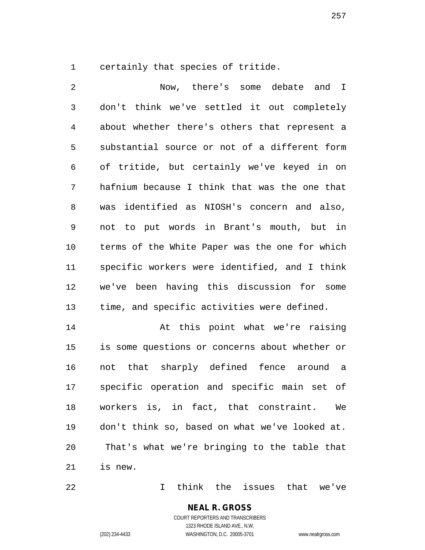certainly that species of tritide.

 Now, there's some debate and I don't think we've settled it out completely about whether there's others that represent a substantial source or not of a different form of tritide, but certainly we've keyed in on hafnium because I think that was the one that was identified as NIOSH's concern and also, not to put words in Brant's mouth, but in terms of the White Paper was the one for which specific workers were identified, and I think we've been having this discussion for some time, and specific activities were defined.

14 At this point what we're raising is some questions or concerns about whether or not that sharply defined fence around a specific operation and specific main set of workers is, in fact, that constraint. We don't think so, based on what we've looked at. That's what we're bringing to the table that is new.

I think the issues that we've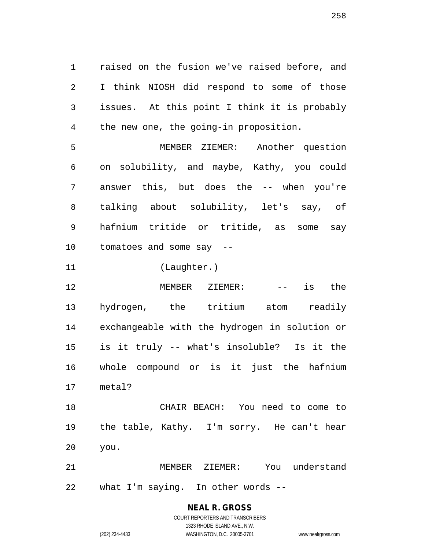raised on the fusion we've raised before, and I think NIOSH did respond to some of those issues. At this point I think it is probably the new one, the going-in proposition.

 MEMBER ZIEMER: Another question on solubility, and maybe, Kathy, you could answer this, but does the -- when you're talking about solubility, let's say, of hafnium tritide or tritide, as some say tomatoes and some say --

(Laughter.)

12 MEMBER ZIEMER: -- is the hydrogen, the tritium atom readily exchangeable with the hydrogen in solution or is it truly -- what's insoluble? Is it the whole compound or is it just the hafnium metal?

 CHAIR BEACH: You need to come to the table, Kathy. I'm sorry. He can't hear you.

 MEMBER ZIEMER: You understand what I'm saying. In other words --

> **NEAL R. GROSS** COURT REPORTERS AND TRANSCRIBERS 1323 RHODE ISLAND AVE., N.W.

(202) 234-4433 WASHINGTON, D.C. 20005-3701 www.nealrgross.com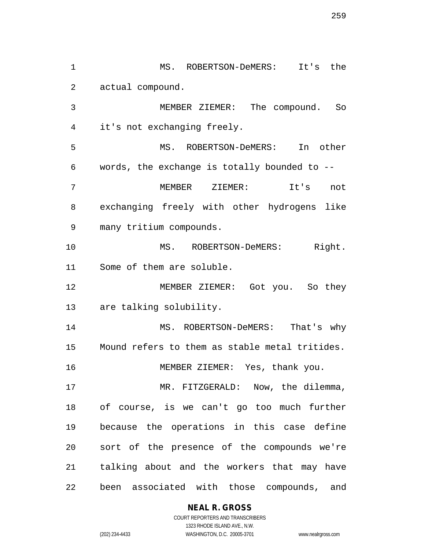MS. ROBERTSON-DeMERS: It's the actual compound. MEMBER ZIEMER: The compound. So it's not exchanging freely. MS. ROBERTSON-DeMERS: In other words, the exchange is totally bounded to -- MEMBER ZIEMER: It's not exchanging freely with other hydrogens like many tritium compounds. 10 MS. ROBERTSON-DeMERS: Right. Some of them are soluble. MEMBER ZIEMER: Got you. So they are talking solubility. 14 MS. ROBERTSON-DeMERS: That's why Mound refers to them as stable metal tritides. MEMBER ZIEMER: Yes, thank you. MR. FITZGERALD: Now, the dilemma, of course, is we can't go too much further because the operations in this case define sort of the presence of the compounds we're talking about and the workers that may have been associated with those compounds, and

**NEAL R. GROSS**

COURT REPORTERS AND TRANSCRIBERS 1323 RHODE ISLAND AVE., N.W. (202) 234-4433 WASHINGTON, D.C. 20005-3701 www.nealrgross.com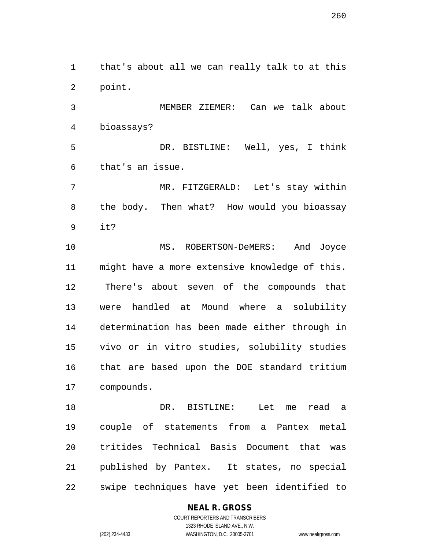that's about all we can really talk to at this point.

 MEMBER ZIEMER: Can we talk about bioassays?

 DR. BISTLINE: Well, yes, I think that's an issue.

 MR. FITZGERALD: Let's stay within the body. Then what? How would you bioassay it?

 MS. ROBERTSON-DeMERS: And Joyce might have a more extensive knowledge of this. There's about seven of the compounds that were handled at Mound where a solubility determination has been made either through in vivo or in vitro studies, solubility studies that are based upon the DOE standard tritium compounds.

 DR. BISTLINE: Let me read a couple of statements from a Pantex metal tritides Technical Basis Document that was published by Pantex. It states, no special swipe techniques have yet been identified to

# **NEAL R. GROSS**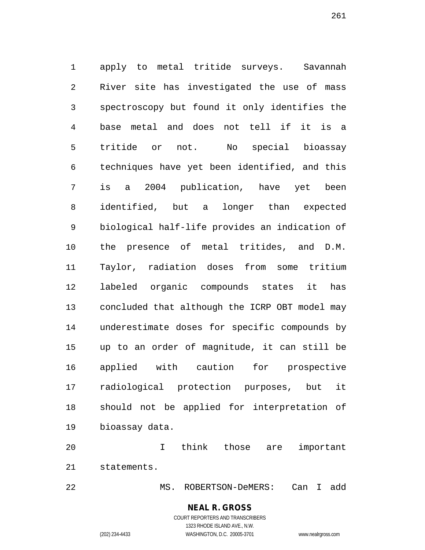apply to metal tritide surveys. Savannah River site has investigated the use of mass spectroscopy but found it only identifies the base metal and does not tell if it is a tritide or not. No special bioassay techniques have yet been identified, and this is a 2004 publication, have yet been identified, but a longer than expected biological half-life provides an indication of the presence of metal tritides, and D.M. Taylor, radiation doses from some tritium labeled organic compounds states it has concluded that although the ICRP OBT model may underestimate doses for specific compounds by up to an order of magnitude, it can still be applied with caution for prospective radiological protection purposes, but it should not be applied for interpretation of bioassay data.

 I think those are important statements.

MS. ROBERTSON-DeMERS: Can I add

**NEAL R. GROSS** COURT REPORTERS AND TRANSCRIBERS

1323 RHODE ISLAND AVE., N.W.

(202) 234-4433 WASHINGTON, D.C. 20005-3701 www.nealrgross.com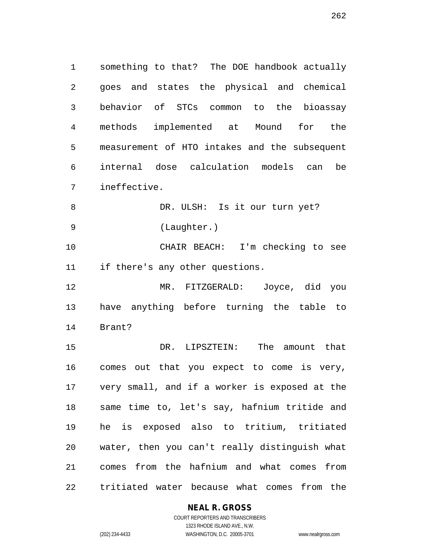something to that? The DOE handbook actually goes and states the physical and chemical behavior of STCs common to the bioassay methods implemented at Mound for the measurement of HTO intakes and the subsequent internal dose calculation models can be ineffective.

8 DR. ULSH: Is it our turn yet? (Laughter.)

 CHAIR BEACH: I'm checking to see if there's any other questions.

 MR. FITZGERALD: Joyce, did you have anything before turning the table to Brant?

 DR. LIPSZTEIN: The amount that comes out that you expect to come is very, very small, and if a worker is exposed at the same time to, let's say, hafnium tritide and he is exposed also to tritium, tritiated water, then you can't really distinguish what comes from the hafnium and what comes from tritiated water because what comes from the

**NEAL R. GROSS**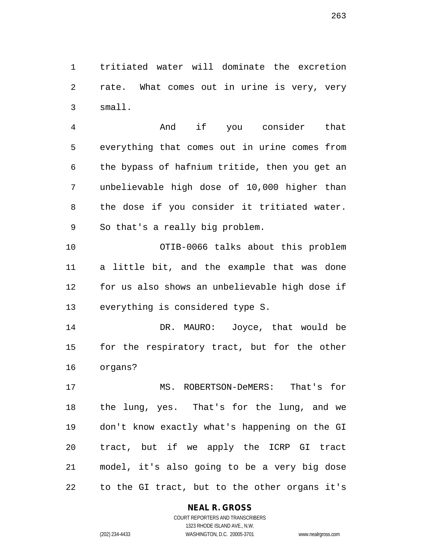tritiated water will dominate the excretion rate. What comes out in urine is very, very small.

 And if you consider that everything that comes out in urine comes from the bypass of hafnium tritide, then you get an unbelievable high dose of 10,000 higher than the dose if you consider it tritiated water. So that's a really big problem.

 OTIB-0066 talks about this problem a little bit, and the example that was done for us also shows an unbelievable high dose if everything is considered type S.

 DR. MAURO: Joyce, that would be for the respiratory tract, but for the other organs?

 MS. ROBERTSON-DeMERS: That's for the lung, yes. That's for the lung, and we don't know exactly what's happening on the GI tract, but if we apply the ICRP GI tract model, it's also going to be a very big dose to the GI tract, but to the other organs it's

## **NEAL R. GROSS**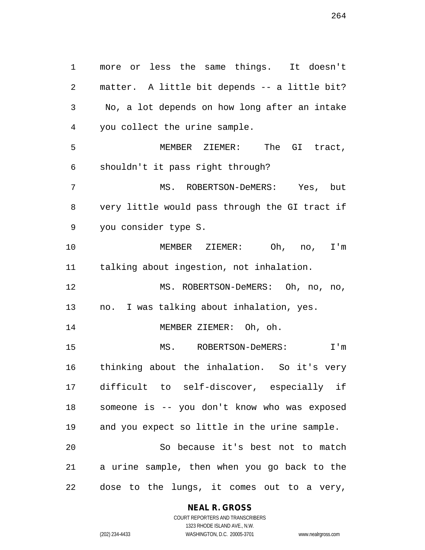more or less the same things. It doesn't matter. A little bit depends -- a little bit? No, a lot depends on how long after an intake you collect the urine sample. MEMBER ZIEMER: The GI tract, shouldn't it pass right through? MS. ROBERTSON-DeMERS: Yes, but very little would pass through the GI tract if you consider type S. MEMBER ZIEMER: Oh, no, I'm talking about ingestion, not inhalation. MS. ROBERTSON-DeMERS: Oh, no, no, no. I was talking about inhalation, yes. 14 MEMBER ZIEMER: Oh, oh. MS. ROBERTSON-DeMERS: I'm thinking about the inhalation. So it's very difficult to self-discover, especially if someone is -- you don't know who was exposed and you expect so little in the urine sample. So because it's best not to match a urine sample, then when you go back to the dose to the lungs, it comes out to a very,

#### **NEAL R. GROSS**

COURT REPORTERS AND TRANSCRIBERS 1323 RHODE ISLAND AVE., N.W. (202) 234-4433 WASHINGTON, D.C. 20005-3701 www.nealrgross.com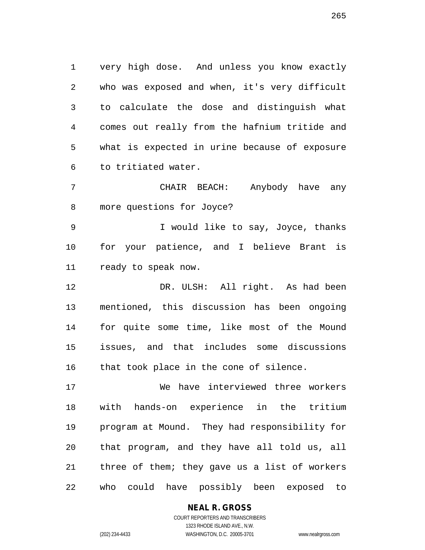very high dose. And unless you know exactly who was exposed and when, it's very difficult to calculate the dose and distinguish what comes out really from the hafnium tritide and what is expected in urine because of exposure to tritiated water.

 CHAIR BEACH: Anybody have any more questions for Joyce?

 I would like to say, Joyce, thanks for your patience, and I believe Brant is ready to speak now.

 DR. ULSH: All right. As had been mentioned, this discussion has been ongoing for quite some time, like most of the Mound issues, and that includes some discussions 16 that took place in the cone of silence.

 We have interviewed three workers with hands-on experience in the tritium program at Mound. They had responsibility for that program, and they have all told us, all three of them; they gave us a list of workers who could have possibly been exposed to

**NEAL R. GROSS**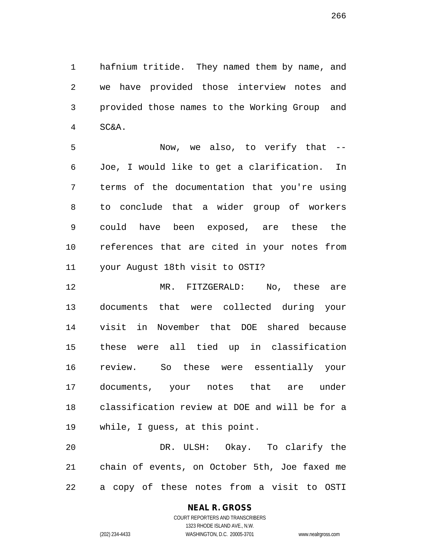hafnium tritide. They named them by name, and we have provided those interview notes and provided those names to the Working Group and SC&A.

 Now, we also, to verify that -- Joe, I would like to get a clarification. In terms of the documentation that you're using to conclude that a wider group of workers could have been exposed, are these the references that are cited in your notes from your August 18th visit to OSTI?

 MR. FITZGERALD: No, these are documents that were collected during your visit in November that DOE shared because these were all tied up in classification review. So these were essentially your documents, your notes that are under classification review at DOE and will be for a while, I guess, at this point.

 DR. ULSH: Okay. To clarify the chain of events, on October 5th, Joe faxed me a copy of these notes from a visit to OSTI

#### **NEAL R. GROSS** COURT REPORTERS AND TRANSCRIBERS

1323 RHODE ISLAND AVE., N.W.

(202) 234-4433 WASHINGTON, D.C. 20005-3701 www.nealrgross.com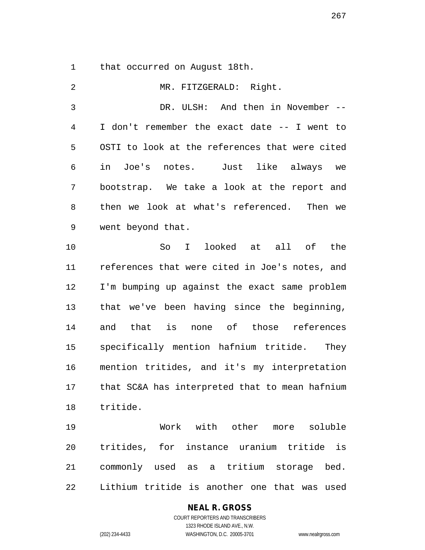that occurred on August 18th.

 MR. FITZGERALD: Right. DR. ULSH: And then in November -- I don't remember the exact date -- I went to OSTI to look at the references that were cited in Joe's notes. Just like always we bootstrap. We take a look at the report and then we look at what's referenced. Then we went beyond that. So I looked at all of the references that were cited in Joe's notes, and I'm bumping up against the exact same problem that we've been having since the beginning, and that is none of those references specifically mention hafnium tritide. They mention tritides, and it's my interpretation that SC&A has interpreted that to mean hafnium tritide. Work with other more soluble tritides, for instance uranium tritide is commonly used as a tritium storage bed.

Lithium tritide is another one that was used

COURT REPORTERS AND TRANSCRIBERS 1323 RHODE ISLAND AVE., N.W. (202) 234-4433 WASHINGTON, D.C. 20005-3701 www.nealrgross.com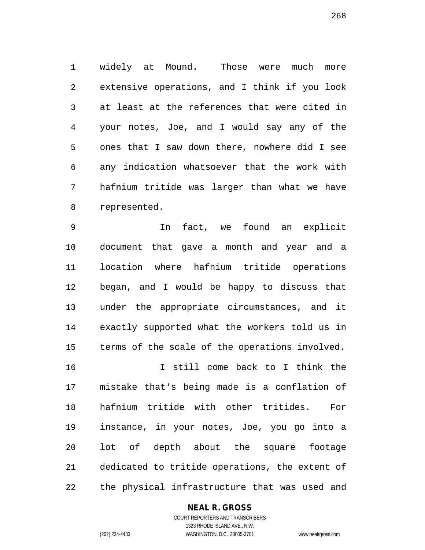widely at Mound. Those were much more extensive operations, and I think if you look at least at the references that were cited in your notes, Joe, and I would say any of the ones that I saw down there, nowhere did I see any indication whatsoever that the work with hafnium tritide was larger than what we have represented.

 In fact, we found an explicit document that gave a month and year and a location where hafnium tritide operations began, and I would be happy to discuss that under the appropriate circumstances, and it exactly supported what the workers told us in terms of the scale of the operations involved.

 I still come back to I think the mistake that's being made is a conflation of hafnium tritide with other tritides. For instance, in your notes, Joe, you go into a lot of depth about the square footage dedicated to tritide operations, the extent of the physical infrastructure that was used and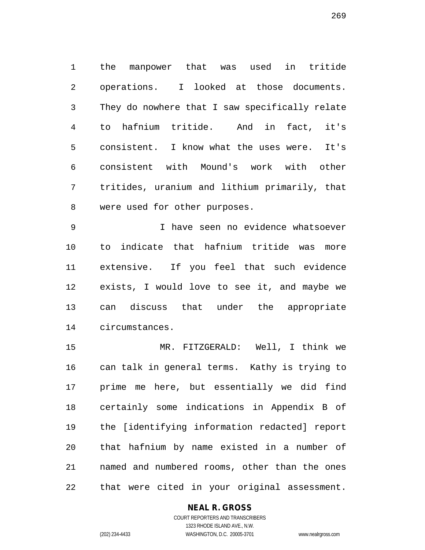the manpower that was used in tritide operations. I looked at those documents. They do nowhere that I saw specifically relate to hafnium tritide. And in fact, it's consistent. I know what the uses were. It's consistent with Mound's work with other tritides, uranium and lithium primarily, that were used for other purposes.

 I have seen no evidence whatsoever to indicate that hafnium tritide was more extensive. If you feel that such evidence exists, I would love to see it, and maybe we can discuss that under the appropriate circumstances.

 MR. FITZGERALD: Well, I think we can talk in general terms. Kathy is trying to prime me here, but essentially we did find certainly some indications in Appendix B of the [identifying information redacted] report that hafnium by name existed in a number of named and numbered rooms, other than the ones that were cited in your original assessment.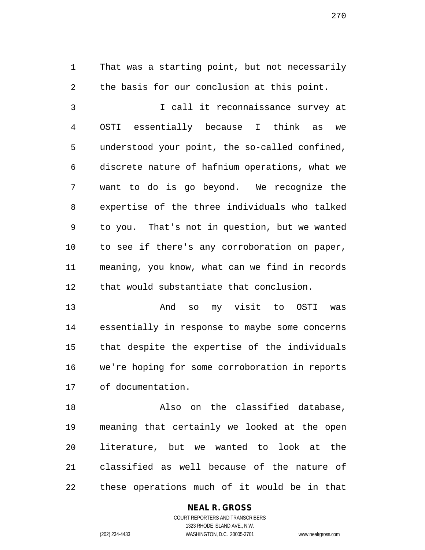That was a starting point, but not necessarily the basis for our conclusion at this point. I call it reconnaissance survey at OSTI essentially because I think as we understood your point, the so-called confined, discrete nature of hafnium operations, what we want to do is go beyond. We recognize the expertise of the three individuals who talked

 to you. That's not in question, but we wanted to see if there's any corroboration on paper, meaning, you know, what can we find in records that would substantiate that conclusion.

 And so my visit to OSTI was essentially in response to maybe some concerns that despite the expertise of the individuals we're hoping for some corroboration in reports of documentation.

 Also on the classified database, meaning that certainly we looked at the open literature, but we wanted to look at the classified as well because of the nature of these operations much of it would be in that

# **NEAL R. GROSS**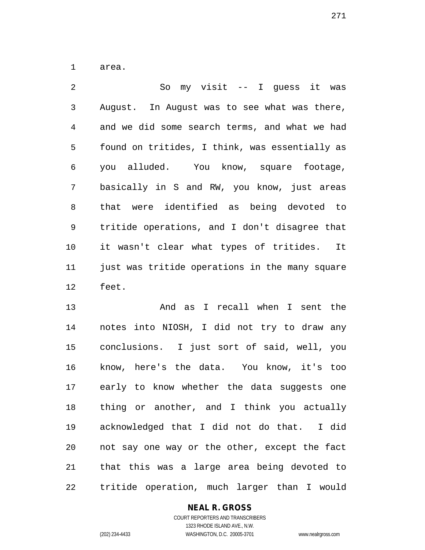area.

 So my visit -- I guess it was August. In August was to see what was there, and we did some search terms, and what we had found on tritides, I think, was essentially as you alluded. You know, square footage, basically in S and RW, you know, just areas that were identified as being devoted to tritide operations, and I don't disagree that it wasn't clear what types of tritides. It just was tritide operations in the many square feet.

 And as I recall when I sent the notes into NIOSH, I did not try to draw any conclusions. I just sort of said, well, you know, here's the data. You know, it's too early to know whether the data suggests one thing or another, and I think you actually acknowledged that I did not do that. I did not say one way or the other, except the fact that this was a large area being devoted to tritide operation, much larger than I would

## **NEAL R. GROSS**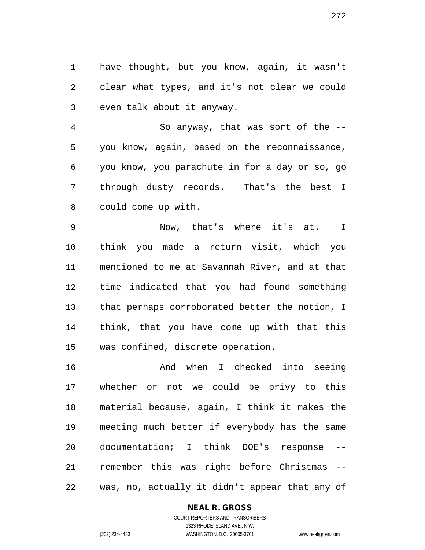have thought, but you know, again, it wasn't clear what types, and it's not clear we could even talk about it anyway.

 So anyway, that was sort of the -- you know, again, based on the reconnaissance, you know, you parachute in for a day or so, go through dusty records. That's the best I could come up with.

 Now, that's where it's at. I think you made a return visit, which you mentioned to me at Savannah River, and at that time indicated that you had found something that perhaps corroborated better the notion, I think, that you have come up with that this was confined, discrete operation.

 And when I checked into seeing whether or not we could be privy to this material because, again, I think it makes the meeting much better if everybody has the same documentation; I think DOE's response -- remember this was right before Christmas -- was, no, actually it didn't appear that any of

## **NEAL R. GROSS**

COURT REPORTERS AND TRANSCRIBERS 1323 RHODE ISLAND AVE., N.W. (202) 234-4433 WASHINGTON, D.C. 20005-3701 www.nealrgross.com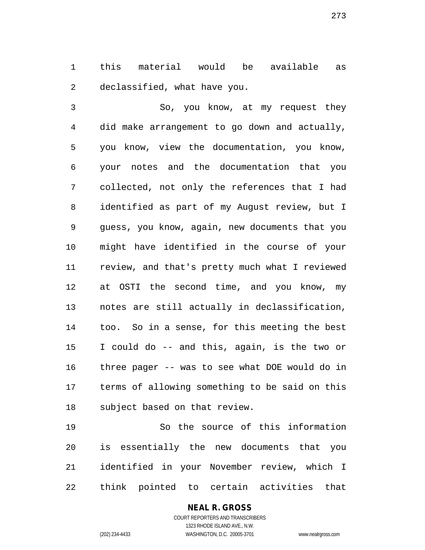this material would be available as declassified, what have you.

 So, you know, at my request they did make arrangement to go down and actually, you know, view the documentation, you know, your notes and the documentation that you collected, not only the references that I had identified as part of my August review, but I guess, you know, again, new documents that you might have identified in the course of your review, and that's pretty much what I reviewed at OSTI the second time, and you know, my notes are still actually in declassification, too. So in a sense, for this meeting the best I could do -- and this, again, is the two or three pager -- was to see what DOE would do in terms of allowing something to be said on this subject based on that review.

 So the source of this information is essentially the new documents that you identified in your November review, which I think pointed to certain activities that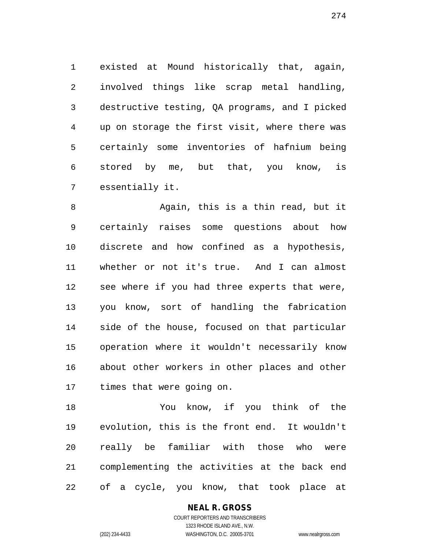existed at Mound historically that, again, involved things like scrap metal handling, destructive testing, QA programs, and I picked up on storage the first visit, where there was certainly some inventories of hafnium being stored by me, but that, you know, is essentially it.

 Again, this is a thin read, but it certainly raises some questions about how discrete and how confined as a hypothesis, whether or not it's true. And I can almost see where if you had three experts that were, you know, sort of handling the fabrication side of the house, focused on that particular operation where it wouldn't necessarily know about other workers in other places and other times that were going on.

 You know, if you think of the evolution, this is the front end. It wouldn't really be familiar with those who were complementing the activities at the back end of a cycle, you know, that took place at

**NEAL R. GROSS**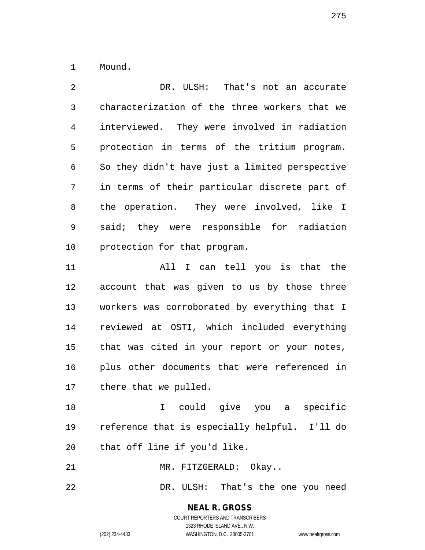Mound.

 DR. ULSH: That's not an accurate characterization of the three workers that we interviewed. They were involved in radiation protection in terms of the tritium program. So they didn't have just a limited perspective in terms of their particular discrete part of the operation. They were involved, like I said; they were responsible for radiation protection for that program. All I can tell you is that the account that was given to us by those three workers was corroborated by everything that I reviewed at OSTI, which included everything that was cited in your report or your notes,

 plus other documents that were referenced in there that we pulled.

 I could give you a specific reference that is especially helpful. I'll do that off line if you'd like.

21 MR. FITZGERALD: Okay..

DR. ULSH: That's the one you need

**NEAL R. GROSS** COURT REPORTERS AND TRANSCRIBERS

1323 RHODE ISLAND AVE., N.W.

(202) 234-4433 WASHINGTON, D.C. 20005-3701 www.nealrgross.com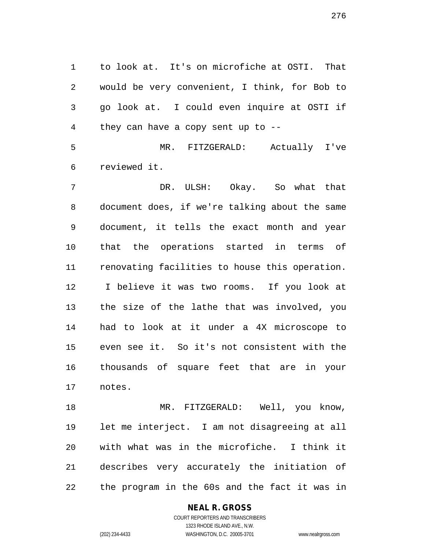to look at. It's on microfiche at OSTI. That would be very convenient, I think, for Bob to go look at. I could even inquire at OSTI if they can have a copy sent up to --

 MR. FITZGERALD: Actually I've reviewed it.

 DR. ULSH: Okay. So what that document does, if we're talking about the same document, it tells the exact month and year that the operations started in terms of renovating facilities to house this operation. I believe it was two rooms. If you look at the size of the lathe that was involved, you had to look at it under a 4X microscope to even see it. So it's not consistent with the thousands of square feet that are in your notes.

18 MR. FITZGERALD: Well, you know, let me interject. I am not disagreeing at all with what was in the microfiche. I think it describes very accurately the initiation of the program in the 60s and the fact it was in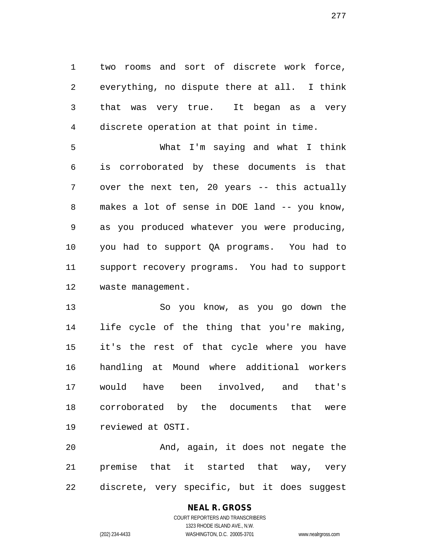two rooms and sort of discrete work force, everything, no dispute there at all. I think that was very true. It began as a very discrete operation at that point in time.

 What I'm saying and what I think is corroborated by these documents is that over the next ten, 20 years -- this actually makes a lot of sense in DOE land -- you know, as you produced whatever you were producing, you had to support QA programs. You had to support recovery programs. You had to support waste management.

 So you know, as you go down the life cycle of the thing that you're making, it's the rest of that cycle where you have handling at Mound where additional workers would have been involved, and that's corroborated by the documents that were reviewed at OSTI.

 And, again, it does not negate the premise that it started that way, very discrete, very specific, but it does suggest

# **NEAL R. GROSS**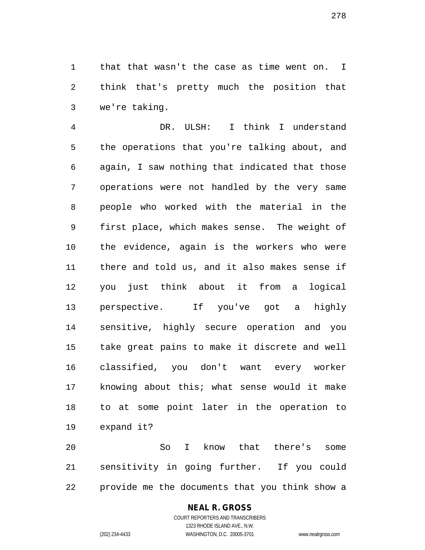that that wasn't the case as time went on. I think that's pretty much the position that we're taking.

 DR. ULSH: I think I understand the operations that you're talking about, and again, I saw nothing that indicated that those operations were not handled by the very same people who worked with the material in the first place, which makes sense. The weight of the evidence, again is the workers who were there and told us, and it also makes sense if you just think about it from a logical perspective. If you've got a highly sensitive, highly secure operation and you take great pains to make it discrete and well classified, you don't want every worker knowing about this; what sense would it make to at some point later in the operation to expand it?

 So I know that there's some sensitivity in going further. If you could provide me the documents that you think show a

## **NEAL R. GROSS**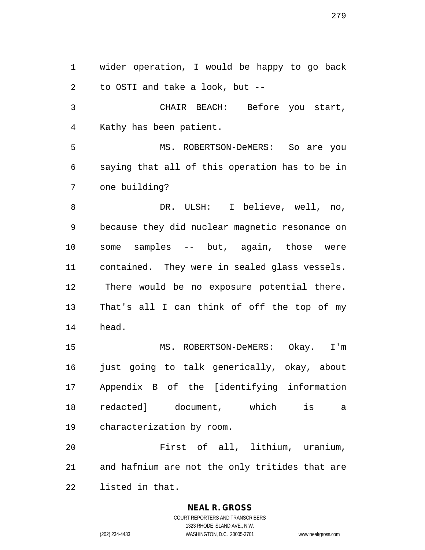wider operation, I would be happy to go back to OSTI and take a look, but -- CHAIR BEACH: Before you start,

Kathy has been patient.

 MS. ROBERTSON-DeMERS: So are you saying that all of this operation has to be in one building?

8 DR. ULSH: I believe, well, no, because they did nuclear magnetic resonance on some samples -- but, again, those were contained. They were in sealed glass vessels. There would be no exposure potential there. That's all I can think of off the top of my head.

 MS. ROBERTSON-DeMERS: Okay. I'm just going to talk generically, okay, about Appendix B of the [identifying information redacted] document, which is a characterization by room.

 First of all, lithium, uranium, and hafnium are not the only tritides that are listed in that.

## **NEAL R. GROSS**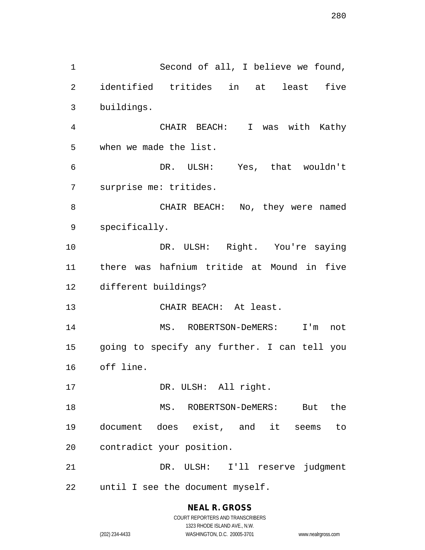Second of all, I believe we found, identified tritides in at least five buildings. CHAIR BEACH: I was with Kathy when we made the list. DR. ULSH: Yes, that wouldn't surprise me: tritides. CHAIR BEACH: No, they were named specifically. DR. ULSH: Right. You're saying there was hafnium tritide at Mound in five different buildings? CHAIR BEACH: At least. MS. ROBERTSON-DeMERS: I'm not going to specify any further. I can tell you off line. 17 DR. ULSH: All right. 18 MS. ROBERTSON-DeMERS: But the document does exist, and it seems to contradict your position. DR. ULSH: I'll reserve judgment until I see the document myself.

> **NEAL R. GROSS** COURT REPORTERS AND TRANSCRIBERS 1323 RHODE ISLAND AVE., N.W. (202) 234-4433 WASHINGTON, D.C. 20005-3701 www.nealrgross.com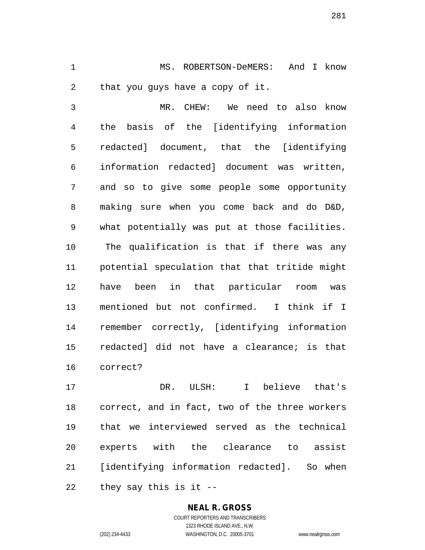MS. ROBERTSON-DeMERS: And I know that you guys have a copy of it.

 MR. CHEW: We need to also know the basis of the [identifying information redacted] document, that the [identifying information redacted] document was written, and so to give some people some opportunity making sure when you come back and do D&D, what potentially was put at those facilities. The qualification is that if there was any potential speculation that that tritide might have been in that particular room was mentioned but not confirmed. I think if I remember correctly, [identifying information redacted] did not have a clearance; is that correct?

 DR. ULSH: I believe that's correct, and in fact, two of the three workers that we interviewed served as the technical experts with the clearance to assist [identifying information redacted]. So when they say this is it --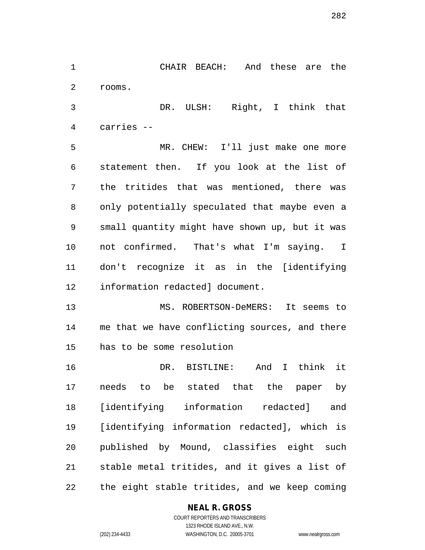CHAIR BEACH: And these are the rooms.

 DR. ULSH: Right, I think that carries --

 MR. CHEW: I'll just make one more statement then. If you look at the list of the tritides that was mentioned, there was only potentially speculated that maybe even a small quantity might have shown up, but it was not confirmed. That's what I'm saying. I don't recognize it as in the [identifying information redacted] document.

 MS. ROBERTSON-DeMERS: It seems to me that we have conflicting sources, and there has to be some resolution

 DR. BISTLINE: And I think it needs to be stated that the paper by [identifying information redacted] and [identifying information redacted], which is published by Mound, classifies eight such stable metal tritides, and it gives a list of the eight stable tritides, and we keep coming

#### **NEAL R. GROSS** COURT REPORTERS AND TRANSCRIBERS

1323 RHODE ISLAND AVE., N.W. (202) 234-4433 WASHINGTON, D.C. 20005-3701 www.nealrgross.com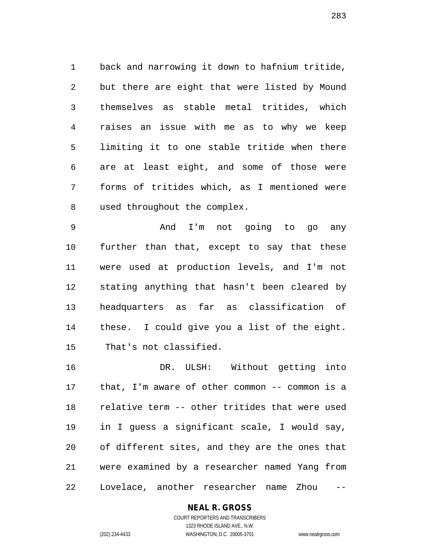back and narrowing it down to hafnium tritide, but there are eight that were listed by Mound themselves as stable metal tritides, which raises an issue with me as to why we keep limiting it to one stable tritide when there are at least eight, and some of those were forms of tritides which, as I mentioned were used throughout the complex.

 And I'm not going to go any further than that, except to say that these were used at production levels, and I'm not stating anything that hasn't been cleared by headquarters as far as classification of these. I could give you a list of the eight. That's not classified.

 DR. ULSH: Without getting into that, I'm aware of other common -- common is a relative term -- other tritides that were used in I guess a significant scale, I would say, of different sites, and they are the ones that were examined by a researcher named Yang from Lovelace, another researcher name Zhou --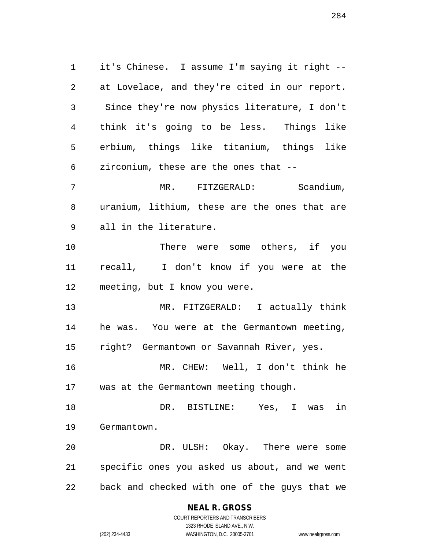it's Chinese. I assume I'm saying it right -- at Lovelace, and they're cited in our report. Since they're now physics literature, I don't think it's going to be less. Things like erbium, things like titanium, things like zirconium, these are the ones that -- MR. FITZGERALD: Scandium, uranium, lithium, these are the ones that are all in the literature. There were some others, if you recall, I don't know if you were at the meeting, but I know you were. MR. FITZGERALD: I actually think he was. You were at the Germantown meeting, right? Germantown or Savannah River, yes. MR. CHEW: Well, I don't think he was at the Germantown meeting though. DR. BISTLINE: Yes, I was in Germantown. DR. ULSH: Okay. There were some specific ones you asked us about, and we went back and checked with one of the guys that we

## **NEAL R. GROSS**

COURT REPORTERS AND TRANSCRIBERS 1323 RHODE ISLAND AVE., N.W. (202) 234-4433 WASHINGTON, D.C. 20005-3701 www.nealrgross.com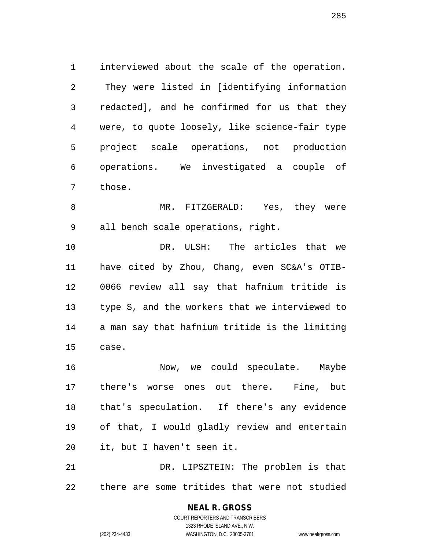interviewed about the scale of the operation. They were listed in [identifying information redacted], and he confirmed for us that they were, to quote loosely, like science-fair type project scale operations, not production operations. We investigated a couple of those.

8 MR. FITZGERALD: Yes, they were all bench scale operations, right.

 DR. ULSH: The articles that we have cited by Zhou, Chang, even SC&A's OTIB- 0066 review all say that hafnium tritide is type S, and the workers that we interviewed to a man say that hafnium tritide is the limiting case.

 Now, we could speculate. Maybe there's worse ones out there. Fine, but that's speculation. If there's any evidence of that, I would gladly review and entertain it, but I haven't seen it.

 DR. LIPSZTEIN: The problem is that there are some tritides that were not studied

> COURT REPORTERS AND TRANSCRIBERS 1323 RHODE ISLAND AVE., N.W. (202) 234-4433 WASHINGTON, D.C. 20005-3701 www.nealrgross.com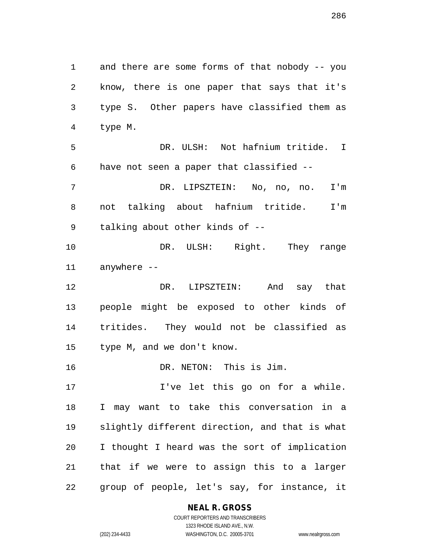and there are some forms of that nobody -- you know, there is one paper that says that it's type S. Other papers have classified them as type M. DR. ULSH: Not hafnium tritide. I have not seen a paper that classified -- DR. LIPSZTEIN: No, no, no. I'm not talking about hafnium tritide. I'm talking about other kinds of -- DR. ULSH: Right. They range anywhere -- DR. LIPSZTEIN: And say that people might be exposed to other kinds of tritides. They would not be classified as type M, and we don't know. DR. NETON: This is Jim. I've let this go on for a while. I may want to take this conversation in a slightly different direction, and that is what I thought I heard was the sort of implication that if we were to assign this to a larger group of people, let's say, for instance, it

#### **NEAL R. GROSS**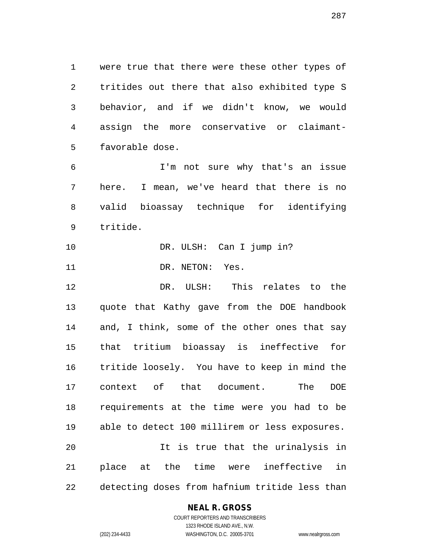were true that there were these other types of tritides out there that also exhibited type S behavior, and if we didn't know, we would assign the more conservative or claimant-favorable dose.

 I'm not sure why that's an issue here. I mean, we've heard that there is no valid bioassay technique for identifying tritide.

10 DR. ULSH: Can I jump in?

11 DR. NETON: Yes.

 DR. ULSH: This relates to the quote that Kathy gave from the DOE handbook and, I think, some of the other ones that say that tritium bioassay is ineffective for tritide loosely. You have to keep in mind the context of that document. The DOE requirements at the time were you had to be able to detect 100 millirem or less exposures. It is true that the urinalysis in place at the time were ineffective in detecting doses from hafnium tritide less than

## **NEAL R. GROSS**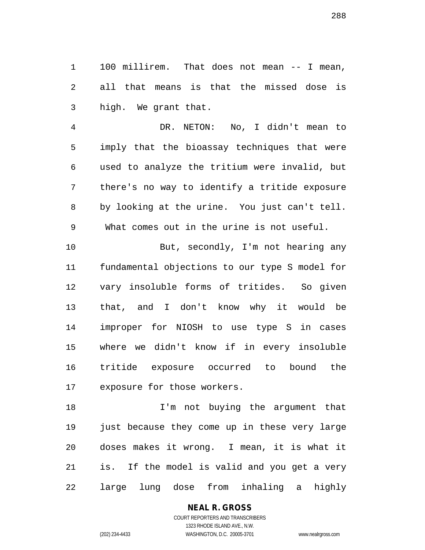100 millirem. That does not mean -- I mean, all that means is that the missed dose is high. We grant that.

 DR. NETON: No, I didn't mean to imply that the bioassay techniques that were used to analyze the tritium were invalid, but there's no way to identify a tritide exposure by looking at the urine. You just can't tell.

What comes out in the urine is not useful.

 But, secondly, I'm not hearing any fundamental objections to our type S model for vary insoluble forms of tritides. So given that, and I don't know why it would be improper for NIOSH to use type S in cases where we didn't know if in every insoluble tritide exposure occurred to bound the exposure for those workers.

 I'm not buying the argument that just because they come up in these very large doses makes it wrong. I mean, it is what it is. If the model is valid and you get a very large lung dose from inhaling a highly

**NEAL R. GROSS**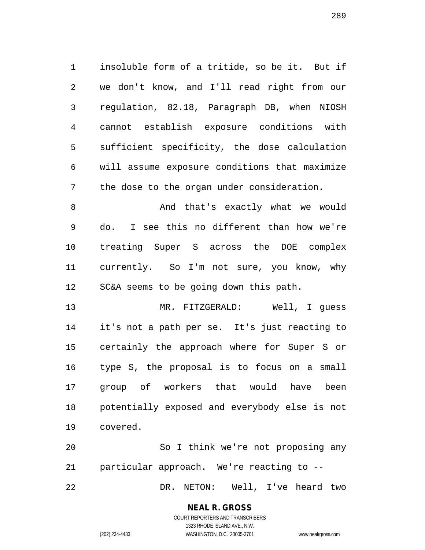insoluble form of a tritide, so be it. But if we don't know, and I'll read right from our regulation, 82.18, Paragraph DB, when NIOSH cannot establish exposure conditions with sufficient specificity, the dose calculation will assume exposure conditions that maximize the dose to the organ under consideration.

8 And that's exactly what we would do. I see this no different than how we're treating Super S across the DOE complex currently. So I'm not sure, you know, why SC&A seems to be going down this path.

 MR. FITZGERALD: Well, I guess it's not a path per se. It's just reacting to certainly the approach where for Super S or type S, the proposal is to focus on a small group of workers that would have been potentially exposed and everybody else is not covered.

 So I think we're not proposing any particular approach. We're reacting to -- DR. NETON: Well, I've heard two

## **NEAL R. GROSS**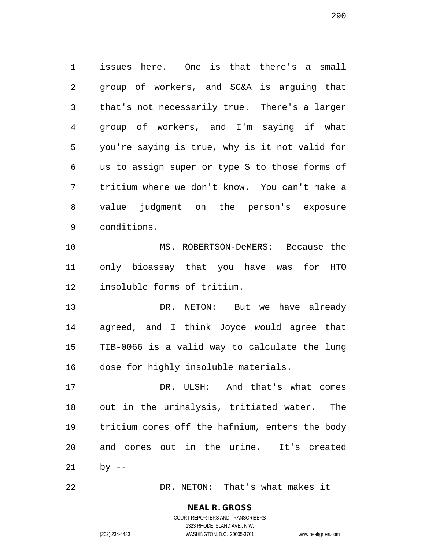issues here. One is that there's a small group of workers, and SC&A is arguing that that's not necessarily true. There's a larger group of workers, and I'm saying if what you're saying is true, why is it not valid for us to assign super or type S to those forms of tritium where we don't know. You can't make a value judgment on the person's exposure conditions.

 MS. ROBERTSON-DeMERS: Because the only bioassay that you have was for HTO insoluble forms of tritium.

 DR. NETON: But we have already agreed, and I think Joyce would agree that TIB-0066 is a valid way to calculate the lung dose for highly insoluble materials.

 DR. ULSH: And that's what comes out in the urinalysis, tritiated water. The tritium comes off the hafnium, enters the body and comes out in the urine. It's created by --

DR. NETON: That's what makes it

## **NEAL R. GROSS**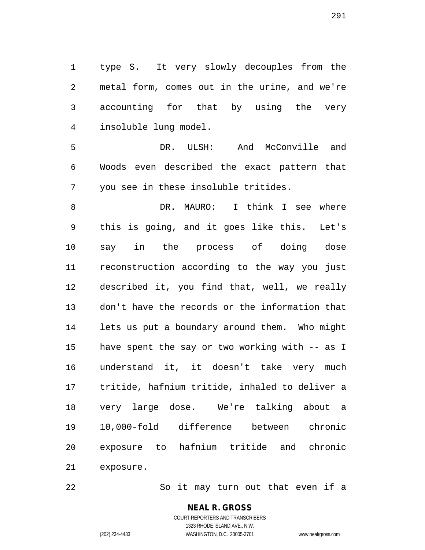type S. It very slowly decouples from the metal form, comes out in the urine, and we're accounting for that by using the very insoluble lung model.

 DR. ULSH: And McConville and Woods even described the exact pattern that you see in these insoluble tritides.

 DR. MAURO: I think I see where this is going, and it goes like this. Let's say in the process of doing dose reconstruction according to the way you just described it, you find that, well, we really don't have the records or the information that lets us put a boundary around them. Who might have spent the say or two working with -- as I understand it, it doesn't take very much tritide, hafnium tritide, inhaled to deliver a very large dose. We're talking about a 10,000-fold difference between chronic exposure to hafnium tritide and chronic exposure.

22 So it may turn out that even if a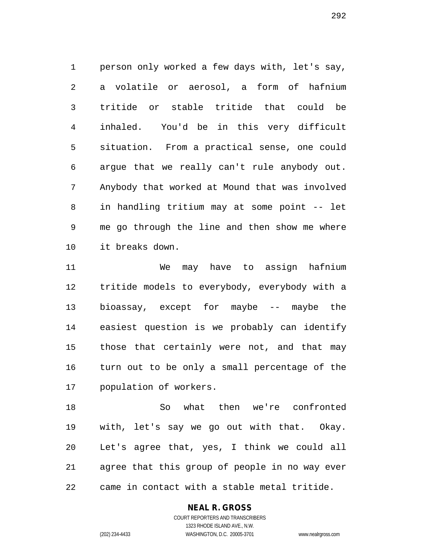person only worked a few days with, let's say, a volatile or aerosol, a form of hafnium tritide or stable tritide that could be inhaled. You'd be in this very difficult situation. From a practical sense, one could argue that we really can't rule anybody out. Anybody that worked at Mound that was involved in handling tritium may at some point -- let me go through the line and then show me where it breaks down.

 We may have to assign hafnium tritide models to everybody, everybody with a bioassay, except for maybe -- maybe the easiest question is we probably can identify those that certainly were not, and that may turn out to be only a small percentage of the population of workers.

 So what then we're confronted with, let's say we go out with that. Okay. Let's agree that, yes, I think we could all agree that this group of people in no way ever came in contact with a stable metal tritide.

#### **NEAL R. GROSS**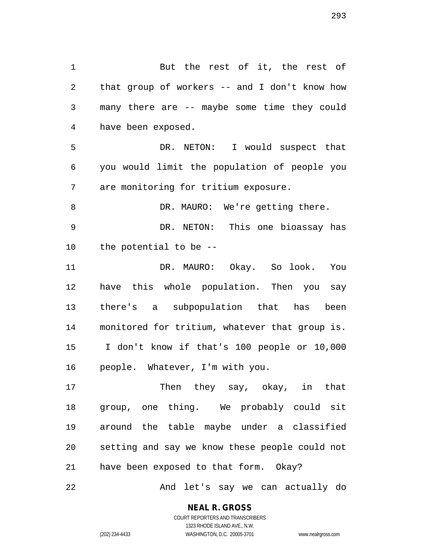But the rest of it, the rest of that group of workers -- and I don't know how many there are -- maybe some time they could have been exposed. DR. NETON: I would suspect that you would limit the population of people you are monitoring for tritium exposure. 8 DR. MAURO: We're getting there. DR. NETON: This one bioassay has the potential to be -- DR. MAURO: Okay. So look. You have this whole population. Then you say there's a subpopulation that has been monitored for tritium, whatever that group is. I don't know if that's 100 people or 10,000

17 Then they say, okay, in that group, one thing. We probably could sit around the table maybe under a classified setting and say we know these people could not have been exposed to that form. Okay?

people. Whatever, I'm with you.

And let's say we can actually do

# **NEAL R. GROSS**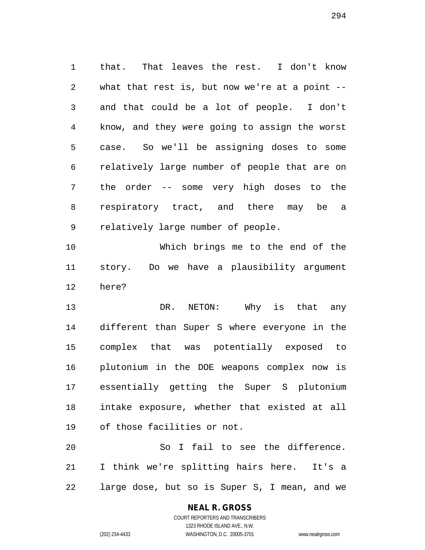that. That leaves the rest. I don't know what that rest is, but now we're at a point -- and that could be a lot of people. I don't know, and they were going to assign the worst case. So we'll be assigning doses to some relatively large number of people that are on the order -- some very high doses to the respiratory tract, and there may be a relatively large number of people.

 Which brings me to the end of the story. Do we have a plausibility argument here?

 DR. NETON: Why is that any different than Super S where everyone in the complex that was potentially exposed to plutonium in the DOE weapons complex now is essentially getting the Super S plutonium intake exposure, whether that existed at all of those facilities or not.

 So I fail to see the difference. I think we're splitting hairs here. It's a large dose, but so is Super S, I mean, and we

# **NEAL R. GROSS**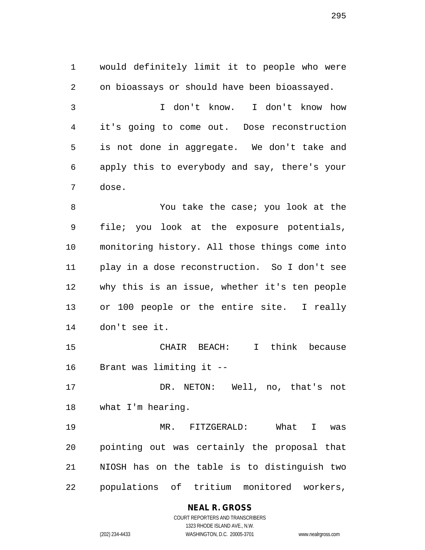would definitely limit it to people who were on bioassays or should have been bioassayed. I don't know. I don't know how it's going to come out. Dose reconstruction is not done in aggregate. We don't take and apply this to everybody and say, there's your dose. 8 You take the case; you look at the file; you look at the exposure potentials, monitoring history. All those things come into

 play in a dose reconstruction. So I don't see why this is an issue, whether it's ten people or 100 people or the entire site. I really don't see it.

 CHAIR BEACH: I think because Brant was limiting it --

 DR. NETON: Well, no, that's not what I'm hearing.

 MR. FITZGERALD: What I was pointing out was certainly the proposal that NIOSH has on the table is to distinguish two populations of tritium monitored workers,

#### **NEAL R. GROSS** COURT REPORTERS AND TRANSCRIBERS

1323 RHODE ISLAND AVE., N.W. (202) 234-4433 WASHINGTON, D.C. 20005-3701 www.nealrgross.com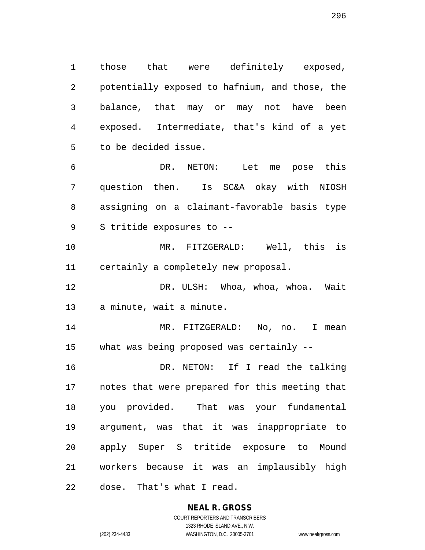those that were definitely exposed, potentially exposed to hafnium, and those, the balance, that may or may not have been exposed. Intermediate, that's kind of a yet to be decided issue.

 DR. NETON: Let me pose this question then. Is SC&A okay with NIOSH assigning on a claimant-favorable basis type S tritide exposures to --

 MR. FITZGERALD: Well, this is certainly a completely new proposal.

 DR. ULSH: Whoa, whoa, whoa. Wait a minute, wait a minute.

 MR. FITZGERALD: No, no. I mean what was being proposed was certainly --

 DR. NETON: If I read the talking notes that were prepared for this meeting that you provided. That was your fundamental argument, was that it was inappropriate to apply Super S tritide exposure to Mound workers because it was an implausibly high dose. That's what I read.

> **NEAL R. GROSS** COURT REPORTERS AND TRANSCRIBERS 1323 RHODE ISLAND AVE., N.W.

(202) 234-4433 WASHINGTON, D.C. 20005-3701 www.nealrgross.com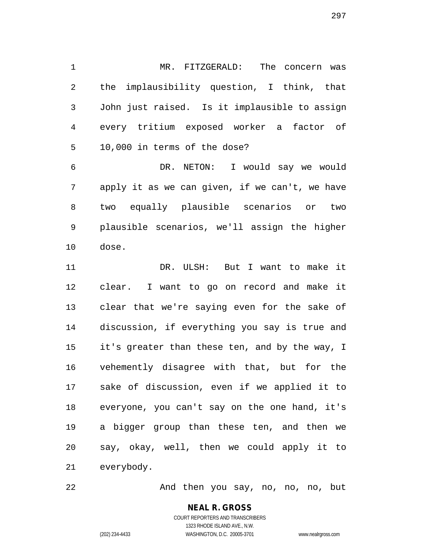MR. FITZGERALD: The concern was the implausibility question, I think, that John just raised. Is it implausible to assign every tritium exposed worker a factor of 10,000 in terms of the dose?

 DR. NETON: I would say we would apply it as we can given, if we can't, we have two equally plausible scenarios or two plausible scenarios, we'll assign the higher dose.

 DR. ULSH: But I want to make it clear. I want to go on record and make it clear that we're saying even for the sake of discussion, if everything you say is true and it's greater than these ten, and by the way, I vehemently disagree with that, but for the sake of discussion, even if we applied it to everyone, you can't say on the one hand, it's a bigger group than these ten, and then we say, okay, well, then we could apply it to everybody.

22 And then you say, no, no, no, but

**NEAL R. GROSS** COURT REPORTERS AND TRANSCRIBERS 1323 RHODE ISLAND AVE., N.W.

(202) 234-4433 WASHINGTON, D.C. 20005-3701 www.nealrgross.com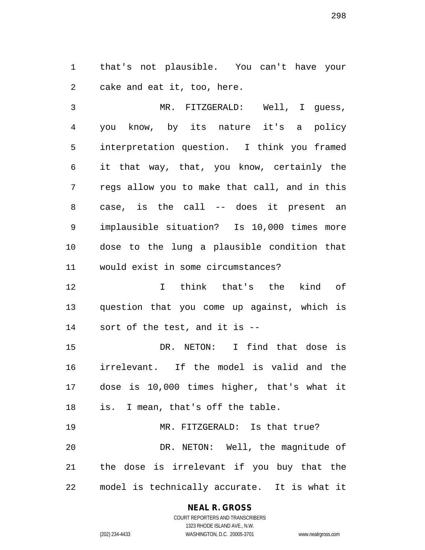that's not plausible. You can't have your cake and eat it, too, here.

 MR. FITZGERALD: Well, I guess, you know, by its nature it's a policy interpretation question. I think you framed it that way, that, you know, certainly the regs allow you to make that call, and in this case, is the call -- does it present an implausible situation? Is 10,000 times more dose to the lung a plausible condition that would exist in some circumstances?

 I think that's the kind of question that you come up against, which is sort of the test, and it is --

 DR. NETON: I find that dose is irrelevant. If the model is valid and the dose is 10,000 times higher, that's what it is. I mean, that's off the table.

 MR. FITZGERALD: Is that true? DR. NETON: Well, the magnitude of the dose is irrelevant if you buy that the model is technically accurate. It is what it

#### **NEAL R. GROSS** COURT REPORTERS AND TRANSCRIBERS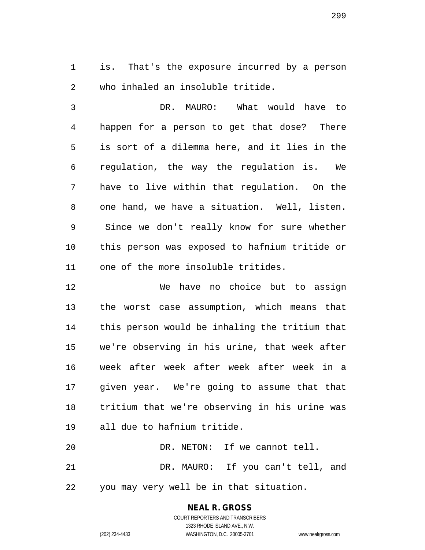is. That's the exposure incurred by a person who inhaled an insoluble tritide.

 DR. MAURO: What would have to happen for a person to get that dose? There is sort of a dilemma here, and it lies in the regulation, the way the regulation is. We have to live within that regulation. On the one hand, we have a situation. Well, listen. Since we don't really know for sure whether this person was exposed to hafnium tritide or one of the more insoluble tritides.

 We have no choice but to assign the worst case assumption, which means that this person would be inhaling the tritium that we're observing in his urine, that week after week after week after week after week in a given year. We're going to assume that that tritium that we're observing in his urine was all due to hafnium tritide. DR. NETON: If we cannot tell.

 DR. MAURO: If you can't tell, and you may very well be in that situation.

#### **NEAL R. GROSS** COURT REPORTERS AND TRANSCRIBERS

1323 RHODE ISLAND AVE., N.W. (202) 234-4433 WASHINGTON, D.C. 20005-3701 www.nealrgross.com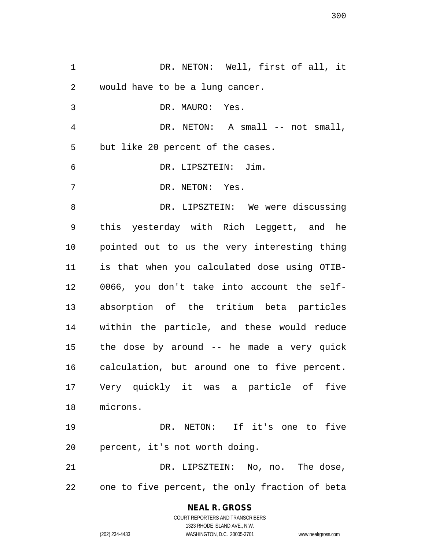DR. NETON: Well, first of all, it would have to be a lung cancer. DR. MAURO: Yes. DR. NETON: A small -- not small, but like 20 percent of the cases. DR. LIPSZTEIN: Jim. DR. NETON: Yes. 8 DR. LIPSZTEIN: We were discussing this yesterday with Rich Leggett, and he pointed out to us the very interesting thing is that when you calculated dose using OTIB- 0066, you don't take into account the self- absorption of the tritium beta particles within the particle, and these would reduce the dose by around -- he made a very quick calculation, but around one to five percent. Very quickly it was a particle of five microns. DR. NETON: If it's one to five percent, it's not worth doing. DR. LIPSZTEIN: No, no. The dose, one to five percent, the only fraction of beta

> **NEAL R. GROSS** COURT REPORTERS AND TRANSCRIBERS 1323 RHODE ISLAND AVE., N.W. (202) 234-4433 WASHINGTON, D.C. 20005-3701 www.nealrgross.com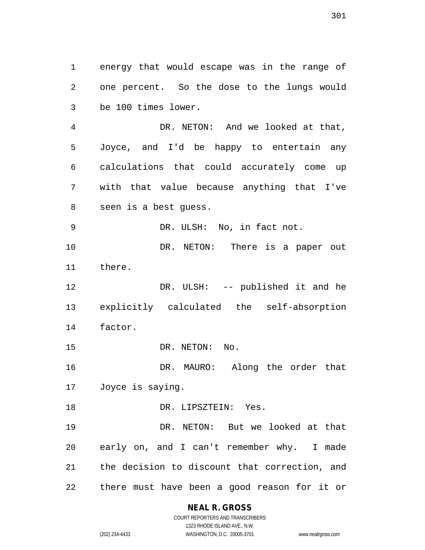energy that would escape was in the range of one percent. So the dose to the lungs would be 100 times lower.

 DR. NETON: And we looked at that, Joyce, and I'd be happy to entertain any calculations that could accurately come up with that value because anything that I've seen is a best guess.

DR. ULSH: No, in fact not.

10 DR. NETON: There is a paper out there.

12 DR. ULSH: -- published it and he explicitly calculated the self-absorption factor.

15 DR. NETON: No.

 DR. MAURO: Along the order that Joyce is saying.

18 DR. LIPSZTEIN: Yes.

 DR. NETON: But we looked at that early on, and I can't remember why. I made the decision to discount that correction, and there must have been a good reason for it or

**NEAL R. GROSS**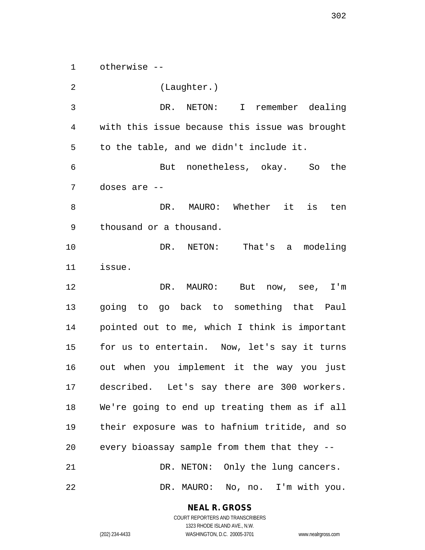otherwise --

 (Laughter.) DR. NETON: I remember dealing with this issue because this issue was brought to the table, and we didn't include it. But nonetheless, okay. So the doses are -- DR. MAURO: Whether it is ten thousand or a thousand. DR. NETON: That's a modeling issue. DR. MAURO: But now, see, I'm going to go back to something that Paul pointed out to me, which I think is important for us to entertain. Now, let's say it turns out when you implement it the way you just described. Let's say there are 300 workers. We're going to end up treating them as if all their exposure was to hafnium tritide, and so every bioassay sample from them that they -- DR. NETON: Only the lung cancers. DR. MAURO: No, no. I'm with you.

**NEAL R. GROSS**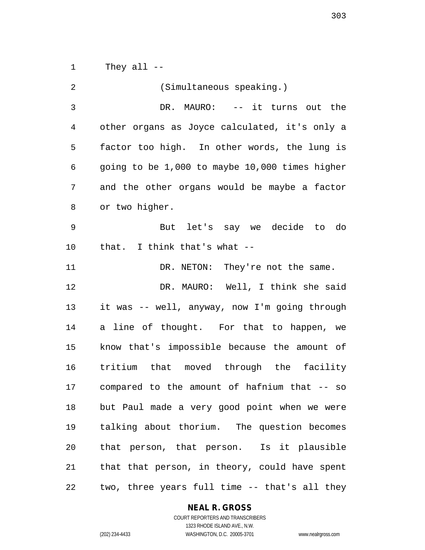They all --

| 2  | (Simultaneous speaking.)                       |
|----|------------------------------------------------|
| 3  | DR. MAURO: -- it turns out the                 |
| 4  | other organs as Joyce calculated, it's only a  |
| 5  | factor too high. In other words, the lung is   |
| 6  | going to be 1,000 to maybe 10,000 times higher |
| 7  | and the other organs would be maybe a factor   |
| 8  | or two higher.                                 |
| 9  | But let's say we decide to do                  |
| 10 | that. I think that's what --                   |
| 11 | DR. NETON: They're not the same.               |
| 12 | DR. MAURO: Well, I think she said              |
| 13 | it was -- well, anyway, now I'm going through  |
| 14 | a line of thought. For that to happen, we      |
| 15 | know that's impossible because the amount of   |
| 16 | tritium that moved through the facility        |
| 17 | compared to the amount of hafnium that -- so   |
| 18 | but Paul made a very good point when we were   |
| 19 | talking about thorium. The question becomes    |
| 20 | that person, that person. Is it plausible      |
| 21 | that that person, in theory, could have spent  |
| 22 | two, three years full time -- that's all they  |

# **NEAL R. GROSS**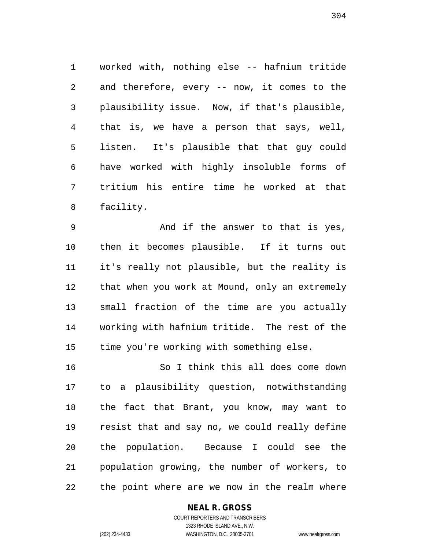worked with, nothing else -- hafnium tritide and therefore, every -- now, it comes to the plausibility issue. Now, if that's plausible, that is, we have a person that says, well, listen. It's plausible that that guy could have worked with highly insoluble forms of tritium his entire time he worked at that facility.

 And if the answer to that is yes, then it becomes plausible. If it turns out it's really not plausible, but the reality is that when you work at Mound, only an extremely small fraction of the time are you actually working with hafnium tritide. The rest of the time you're working with something else.

 So I think this all does come down to a plausibility question, notwithstanding the fact that Brant, you know, may want to resist that and say no, we could really define the population. Because I could see the population growing, the number of workers, to the point where are we now in the realm where

#### **NEAL R. GROSS**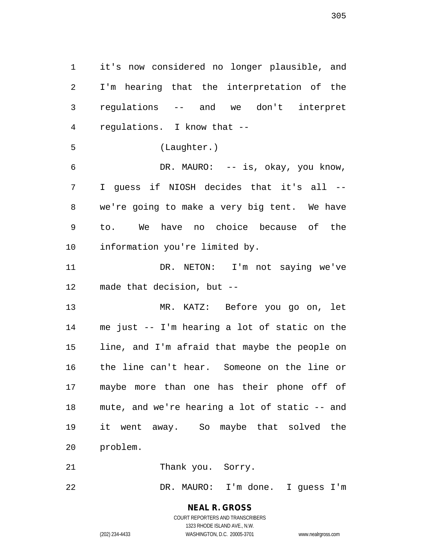it's now considered no longer plausible, and I'm hearing that the interpretation of the regulations -- and we don't interpret regulations. I know that -- (Laughter.) DR. MAURO: -- is, okay, you know, I guess if NIOSH decides that it's all -- we're going to make a very big tent. We have to. We have no choice because of the information you're limited by.

 DR. NETON: I'm not saying we've made that decision, but --

 MR. KATZ: Before you go on, let me just -- I'm hearing a lot of static on the line, and I'm afraid that maybe the people on the line can't hear. Someone on the line or maybe more than one has their phone off of mute, and we're hearing a lot of static -- and it went away. So maybe that solved the problem.

21 Thank you. Sorry.

DR. MAURO: I'm done. I guess I'm

# **NEAL R. GROSS**

COURT REPORTERS AND TRANSCRIBERS 1323 RHODE ISLAND AVE., N.W. (202) 234-4433 WASHINGTON, D.C. 20005-3701 www.nealrgross.com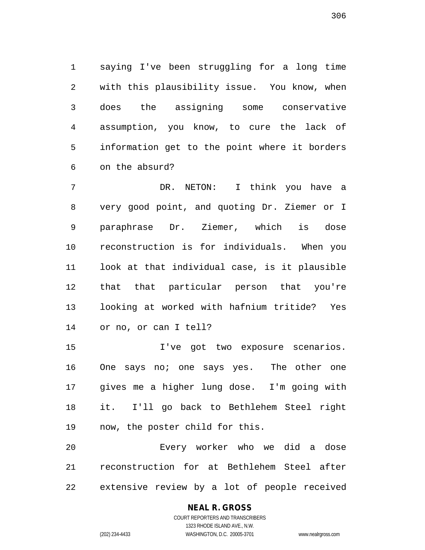saying I've been struggling for a long time with this plausibility issue. You know, when does the assigning some conservative assumption, you know, to cure the lack of information get to the point where it borders on the absurd?

 DR. NETON: I think you have a very good point, and quoting Dr. Ziemer or I paraphrase Dr. Ziemer, which is dose reconstruction is for individuals. When you look at that individual case, is it plausible that that particular person that you're looking at worked with hafnium tritide? Yes or no, or can I tell?

 I've got two exposure scenarios. 16 One says no; one says yes. The other one gives me a higher lung dose. I'm going with it. I'll go back to Bethlehem Steel right now, the poster child for this.

 Every worker who we did a dose reconstruction for at Bethlehem Steel after extensive review by a lot of people received

## **NEAL R. GROSS**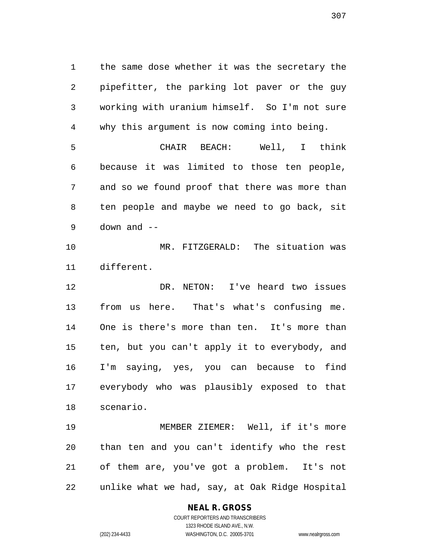the same dose whether it was the secretary the pipefitter, the parking lot paver or the guy working with uranium himself. So I'm not sure why this argument is now coming into being. CHAIR BEACH: Well, I think because it was limited to those ten people, and so we found proof that there was more than ten people and maybe we need to go back, sit down and -- MR. FITZGERALD: The situation was different. DR. NETON: I've heard two issues from us here. That's what's confusing me. One is there's more than ten. It's more than ten, but you can't apply it to everybody, and I'm saying, yes, you can because to find everybody who was plausibly exposed to that

 MEMBER ZIEMER: Well, if it's more than ten and you can't identify who the rest of them are, you've got a problem. It's not unlike what we had, say, at Oak Ridge Hospital

## **NEAL R. GROSS**

scenario.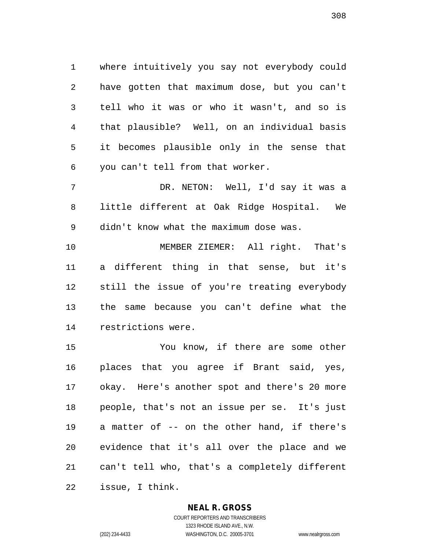where intuitively you say not everybody could have gotten that maximum dose, but you can't tell who it was or who it wasn't, and so is that plausible? Well, on an individual basis it becomes plausible only in the sense that you can't tell from that worker.

 DR. NETON: Well, I'd say it was a little different at Oak Ridge Hospital. We didn't know what the maximum dose was.

 MEMBER ZIEMER: All right. That's a different thing in that sense, but it's still the issue of you're treating everybody the same because you can't define what the restrictions were.

 You know, if there are some other places that you agree if Brant said, yes, okay. Here's another spot and there's 20 more people, that's not an issue per se. It's just a matter of -- on the other hand, if there's evidence that it's all over the place and we can't tell who, that's a completely different issue, I think.

#### **NEAL R. GROSS**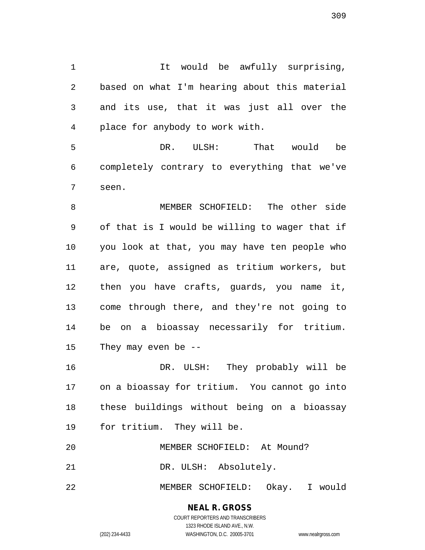It would be awfully surprising, based on what I'm hearing about this material and its use, that it was just all over the place for anybody to work with.

 DR. ULSH: That would be completely contrary to everything that we've seen.

 MEMBER SCHOFIELD: The other side of that is I would be willing to wager that if you look at that, you may have ten people who are, quote, assigned as tritium workers, but then you have crafts, guards, you name it, come through there, and they're not going to be on a bioassay necessarily for tritium. They may even be --

 DR. ULSH: They probably will be on a bioassay for tritium. You cannot go into these buildings without being on a bioassay for tritium. They will be.

MEMBER SCHOFIELD: At Mound?

DR. ULSH: Absolutely.

MEMBER SCHOFIELD: Okay. I would

## **NEAL R. GROSS**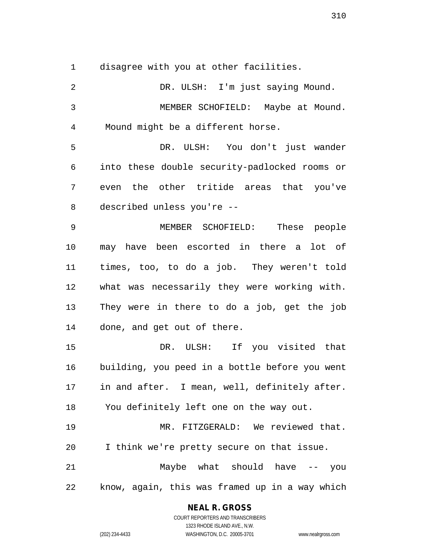disagree with you at other facilities.

 DR. ULSH: I'm just saying Mound. MEMBER SCHOFIELD: Maybe at Mound. Mound might be a different horse. DR. ULSH: You don't just wander into these double security-padlocked rooms or even the other tritide areas that you've described unless you're -- MEMBER SCHOFIELD: These people may have been escorted in there a lot of times, too, to do a job. They weren't told what was necessarily they were working with. They were in there to do a job, get the job done, and get out of there. DR. ULSH: If you visited that building, you peed in a bottle before you went in and after. I mean, well, definitely after. You definitely left one on the way out. MR. FITZGERALD: We reviewed that. I think we're pretty secure on that issue. Maybe what should have -- you know, again, this was framed up in a way which

#### **NEAL R. GROSS**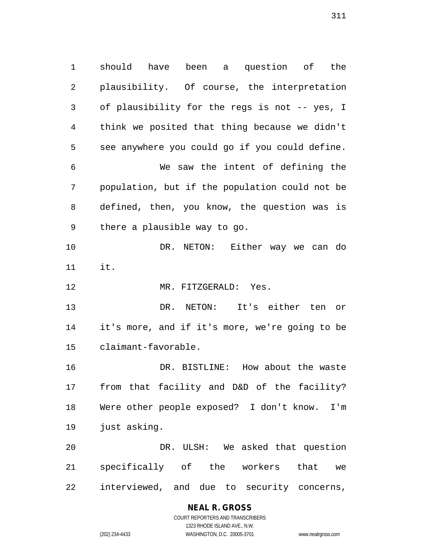should have been a question of the plausibility. Of course, the interpretation of plausibility for the regs is not -- yes, I think we posited that thing because we didn't see anywhere you could go if you could define. We saw the intent of defining the population, but if the population could not be defined, then, you know, the question was is there a plausible way to go. DR. NETON: Either way we can do it. MR. FITZGERALD: Yes. DR. NETON: It's either ten or it's more, and if it's more, we're going to be claimant-favorable. DR. BISTLINE: How about the waste from that facility and D&D of the facility? Were other people exposed? I don't know. I'm just asking. DR. ULSH: We asked that question specifically of the workers that we interviewed, and due to security concerns,

## **NEAL R. GROSS**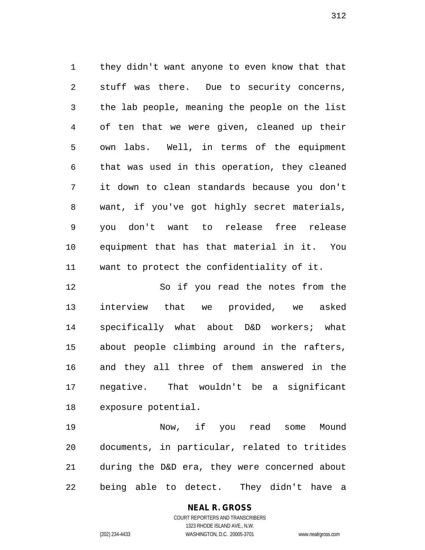they didn't want anyone to even know that that stuff was there. Due to security concerns, the lab people, meaning the people on the list of ten that we were given, cleaned up their own labs. Well, in terms of the equipment that was used in this operation, they cleaned it down to clean standards because you don't want, if you've got highly secret materials, you don't want to release free release equipment that has that material in it. You want to protect the confidentiality of it.

 So if you read the notes from the interview that we provided, we asked specifically what about D&D workers; what about people climbing around in the rafters, and they all three of them answered in the negative. That wouldn't be a significant exposure potential.

 Now, if you read some Mound documents, in particular, related to tritides during the D&D era, they were concerned about being able to detect. They didn't have a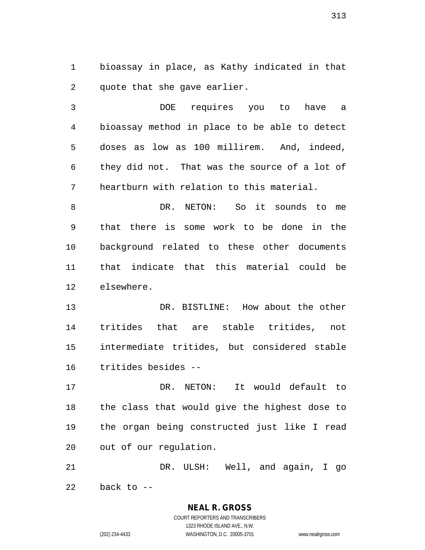bioassay in place, as Kathy indicated in that quote that she gave earlier.

 DOE requires you to have a bioassay method in place to be able to detect doses as low as 100 millirem. And, indeed, they did not. That was the source of a lot of heartburn with relation to this material.

 DR. NETON: So it sounds to me that there is some work to be done in the background related to these other documents that indicate that this material could be elsewhere.

 DR. BISTLINE: How about the other tritides that are stable tritides, not intermediate tritides, but considered stable tritides besides --

 DR. NETON: It would default to the class that would give the highest dose to the organ being constructed just like I read out of our regulation.

 DR. ULSH: Well, and again, I go back to  $-$ 

> COURT REPORTERS AND TRANSCRIBERS 1323 RHODE ISLAND AVE., N.W. (202) 234-4433 WASHINGTON, D.C. 20005-3701 www.nealrgross.com

**NEAL R. GROSS**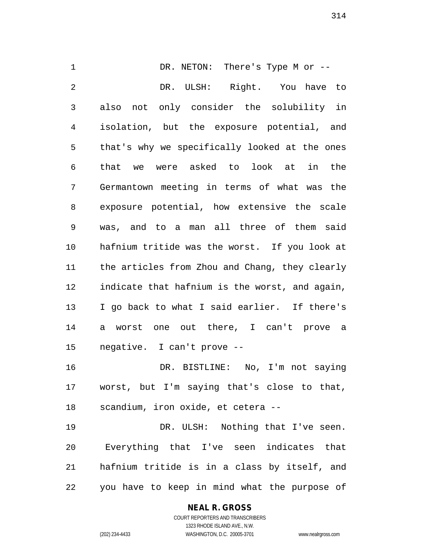DR. NETON: There's Type M or -- DR. ULSH: Right. You have to also not only consider the solubility in isolation, but the exposure potential, and that's why we specifically looked at the ones that we were asked to look at in the Germantown meeting in terms of what was the exposure potential, how extensive the scale was, and to a man all three of them said hafnium tritide was the worst. If you look at the articles from Zhou and Chang, they clearly indicate that hafnium is the worst, and again, I go back to what I said earlier. If there's a worst one out there, I can't prove a negative. I can't prove -- DR. BISTLINE: No, I'm not saying worst, but I'm saying that's close to that, scandium, iron oxide, et cetera -- 19 DR. ULSH: Nothing that I've seen.

 Everything that I've seen indicates that hafnium tritide is in a class by itself, and you have to keep in mind what the purpose of

## **NEAL R. GROSS**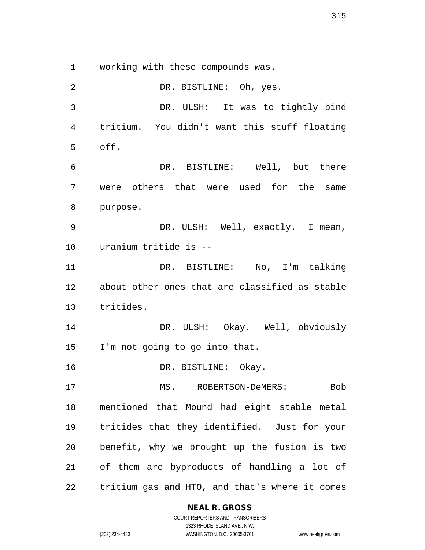working with these compounds was.

 DR. BISTLINE: Oh, yes. DR. ULSH: It was to tightly bind tritium. You didn't want this stuff floating off. DR. BISTLINE: Well, but there were others that were used for the same purpose. DR. ULSH: Well, exactly. I mean, uranium tritide is -- DR. BISTLINE: No, I'm talking about other ones that are classified as stable tritides. DR. ULSH: Okay. Well, obviously I'm not going to go into that. DR. BISTLINE: Okay. MS. ROBERTSON-DeMERS: Bob mentioned that Mound had eight stable metal tritides that they identified. Just for your benefit, why we brought up the fusion is two of them are byproducts of handling a lot of tritium gas and HTO, and that's where it comes

#### **NEAL R. GROSS**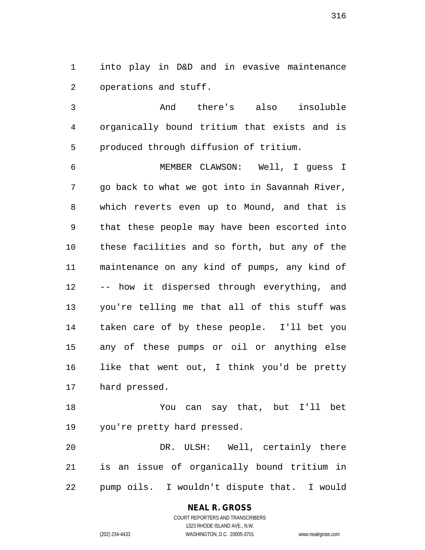into play in D&D and in evasive maintenance operations and stuff.

 And there's also insoluble organically bound tritium that exists and is produced through diffusion of tritium.

 MEMBER CLAWSON: Well, I guess I go back to what we got into in Savannah River, which reverts even up to Mound, and that is that these people may have been escorted into these facilities and so forth, but any of the maintenance on any kind of pumps, any kind of -- how it dispersed through everything, and you're telling me that all of this stuff was taken care of by these people. I'll bet you any of these pumps or oil or anything else like that went out, I think you'd be pretty hard pressed.

 You can say that, but I'll bet you're pretty hard pressed.

 DR. ULSH: Well, certainly there is an issue of organically bound tritium in pump oils. I wouldn't dispute that. I would

## **NEAL R. GROSS**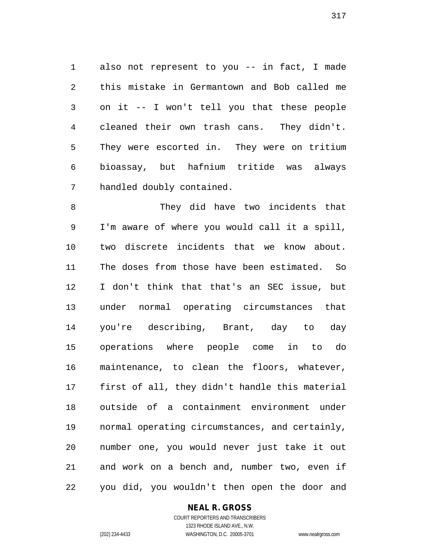also not represent to you -- in fact, I made this mistake in Germantown and Bob called me on it -- I won't tell you that these people cleaned their own trash cans. They didn't. They were escorted in. They were on tritium bioassay, but hafnium tritide was always handled doubly contained.

 They did have two incidents that I'm aware of where you would call it a spill, two discrete incidents that we know about. The doses from those have been estimated. So I don't think that that's an SEC issue, but under normal operating circumstances that you're describing, Brant, day to day operations where people come in to do maintenance, to clean the floors, whatever, first of all, they didn't handle this material outside of a containment environment under normal operating circumstances, and certainly, number one, you would never just take it out and work on a bench and, number two, even if you did, you wouldn't then open the door and

#### **NEAL R. GROSS**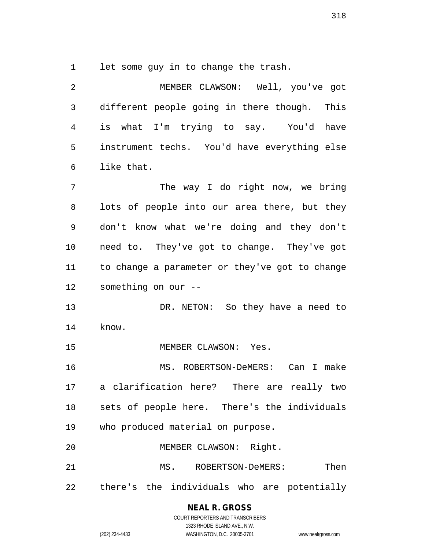let some guy in to change the trash.

 MEMBER CLAWSON: Well, you've got different people going in there though. This is what I'm trying to say. You'd have instrument techs. You'd have everything else like that. The way I do right now, we bring lots of people into our area there, but they don't know what we're doing and they don't need to. They've got to change. They've got to change a parameter or they've got to change something on our -- 13 DR. NETON: So they have a need to know. MEMBER CLAWSON: Yes. MS. ROBERTSON-DeMERS: Can I make a clarification here? There are really two sets of people here. There's the individuals who produced material on purpose. MEMBER CLAWSON: Right. MS. ROBERTSON-DeMERS: Then there's the individuals who are potentially

# **NEAL R. GROSS**

COURT REPORTERS AND TRANSCRIBERS 1323 RHODE ISLAND AVE., N.W. (202) 234-4433 WASHINGTON, D.C. 20005-3701 www.nealrgross.com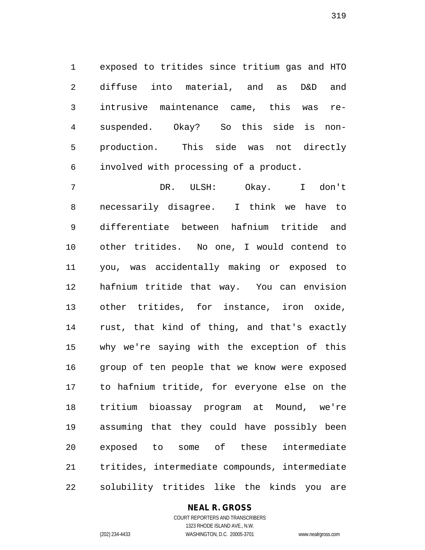exposed to tritides since tritium gas and HTO diffuse into material, and as D&D and intrusive maintenance came, this was re- suspended. Okay? So this side is non- production. This side was not directly involved with processing of a product.

 DR. ULSH: Okay. I don't necessarily disagree. I think we have to differentiate between hafnium tritide and other tritides. No one, I would contend to you, was accidentally making or exposed to hafnium tritide that way. You can envision other tritides, for instance, iron oxide, rust, that kind of thing, and that's exactly why we're saying with the exception of this group of ten people that we know were exposed to hafnium tritide, for everyone else on the tritium bioassay program at Mound, we're assuming that they could have possibly been exposed to some of these intermediate tritides, intermediate compounds, intermediate solubility tritides like the kinds you are

#### **NEAL R. GROSS**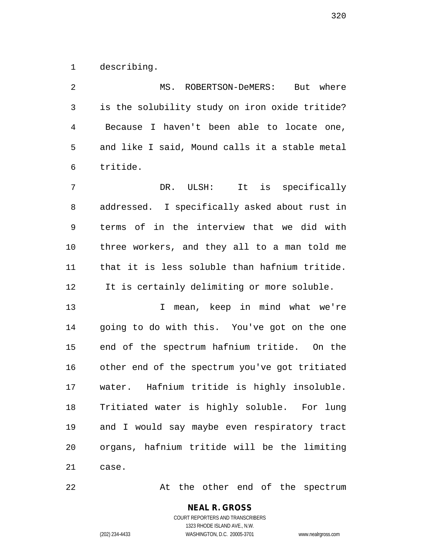describing.

 MS. ROBERTSON-DeMERS: But where is the solubility study on iron oxide tritide? Because I haven't been able to locate one, and like I said, Mound calls it a stable metal tritide. DR. ULSH: It is specifically addressed. I specifically asked about rust in terms of in the interview that we did with three workers, and they all to a man told me that it is less soluble than hafnium tritide. It is certainly delimiting or more soluble. I mean, keep in mind what we're going to do with this. You've got on the one end of the spectrum hafnium tritide. On the other end of the spectrum you've got tritiated water. Hafnium tritide is highly insoluble. Tritiated water is highly soluble. For lung and I would say maybe even respiratory tract organs, hafnium tritide will be the limiting case.

22 At the other end of the spectrum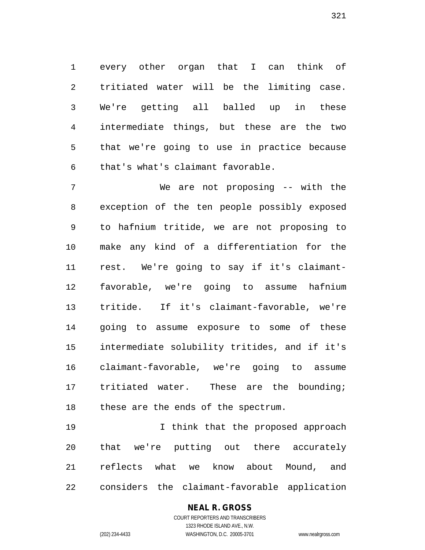every other organ that I can think of tritiated water will be the limiting case. We're getting all balled up in these intermediate things, but these are the two that we're going to use in practice because that's what's claimant favorable.

 We are not proposing -- with the exception of the ten people possibly exposed to hafnium tritide, we are not proposing to make any kind of a differentiation for the rest. We're going to say if it's claimant- favorable, we're going to assume hafnium tritide. If it's claimant-favorable, we're going to assume exposure to some of these intermediate solubility tritides, and if it's claimant-favorable, we're going to assume tritiated water. These are the bounding; these are the ends of the spectrum.

 I think that the proposed approach that we're putting out there accurately reflects what we know about Mound, and considers the claimant-favorable application

## **NEAL R. GROSS**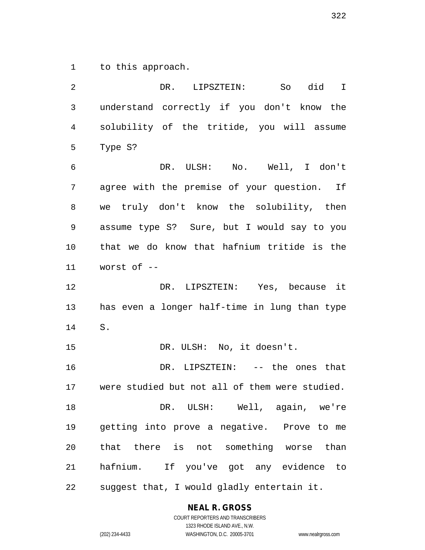to this approach.

 DR. LIPSZTEIN: So did I understand correctly if you don't know the solubility of the tritide, you will assume Type S? DR. ULSH: No. Well, I don't agree with the premise of your question. If we truly don't know the solubility, then assume type S? Sure, but I would say to you that we do know that hafnium tritide is the worst of -- DR. LIPSZTEIN: Yes, because it has even a longer half-time in lung than type S. DR. ULSH: No, it doesn't. DR. LIPSZTEIN: -- the ones that were studied but not all of them were studied. DR. ULSH: Well, again, we're getting into prove a negative. Prove to me that there is not something worse than hafnium. If you've got any evidence to suggest that, I would gladly entertain it.

**NEAL R. GROSS**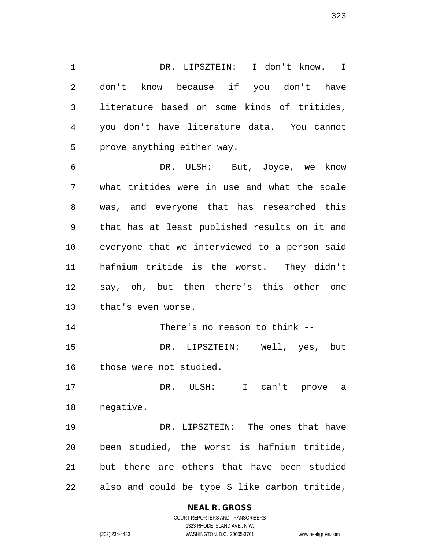DR. LIPSZTEIN: I don't know. I don't know because if you don't have literature based on some kinds of tritides, you don't have literature data. You cannot prove anything either way.

 DR. ULSH: But, Joyce, we know what tritides were in use and what the scale was, and everyone that has researched this that has at least published results on it and everyone that we interviewed to a person said hafnium tritide is the worst. They didn't say, oh, but then there's this other one that's even worse.

 There's no reason to think -- DR. LIPSZTEIN: Well, yes, but those were not studied.

 DR. ULSH: I can't prove a negative.

 DR. LIPSZTEIN: The ones that have been studied, the worst is hafnium tritide, but there are others that have been studied also and could be type S like carbon tritide,

#### **NEAL R. GROSS**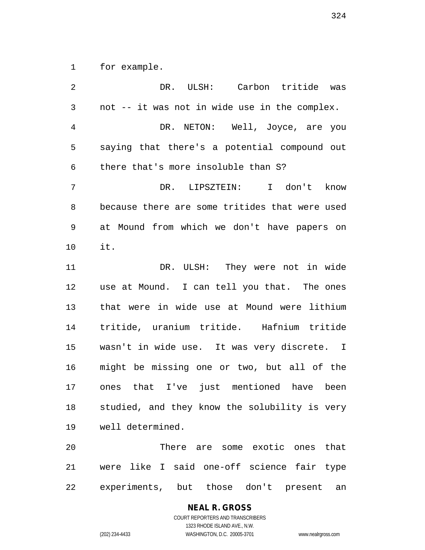for example.

| $\overline{2}$ | DR. ULSH: Carbon tritide was                   |
|----------------|------------------------------------------------|
| 3              | not -- it was not in wide use in the complex.  |
| $\overline{4}$ | DR. NETON: Well, Joyce, are you                |
| 5              | saying that there's a potential compound out   |
| 6              | there that's more insoluble than S?            |
| 7              | DR. LIPSZTEIN: I don't know                    |
| 8              | because there are some tritides that were used |
| 9              | at Mound from which we don't have papers on    |
| 10             | it.                                            |
| 11             | DR. ULSH: They were not in wide                |
| 12             | use at Mound. I can tell you that. The ones    |
| 13             | that were in wide use at Mound were lithium    |
| 14             | tritide, uranium tritide. Hafnium tritide      |
| 15             | wasn't in wide use. It was very discrete. I    |
| 16             | might be missing one or two, but all of the    |
| 17             | ones that I've just mentioned have been        |
| 18             | studied, and they know the solubility is very  |
| 19             | well determined.                               |
| 20             | There are some exotic ones that                |
| 21             | were like I said one-off science fair type     |
| 22             | experiments, but those don't present<br>an     |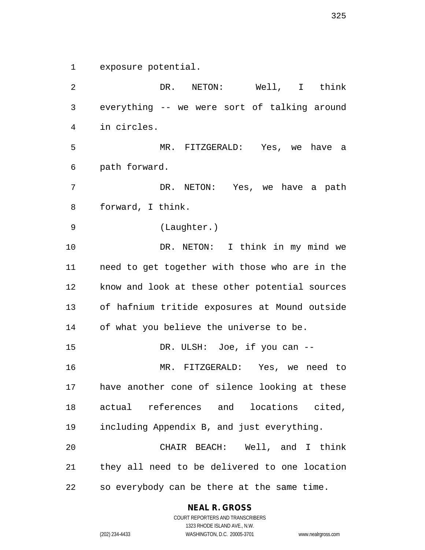exposure potential.

2 DR. NETON: Well, I think everything -- we were sort of talking around in circles. MR. FITZGERALD: Yes, we have a path forward. DR. NETON: Yes, we have a path forward, I think. (Laughter.) DR. NETON: I think in my mind we need to get together with those who are in the know and look at these other potential sources of hafnium tritide exposures at Mound outside of what you believe the universe to be. 15 DR. ULSH: Joe, if you can -- MR. FITZGERALD: Yes, we need to have another cone of silence looking at these actual references and locations cited, including Appendix B, and just everything. CHAIR BEACH: Well, and I think they all need to be delivered to one location so everybody can be there at the same time.

**NEAL R. GROSS**

COURT REPORTERS AND TRANSCRIBERS 1323 RHODE ISLAND AVE., N.W. (202) 234-4433 WASHINGTON, D.C. 20005-3701 www.nealrgross.com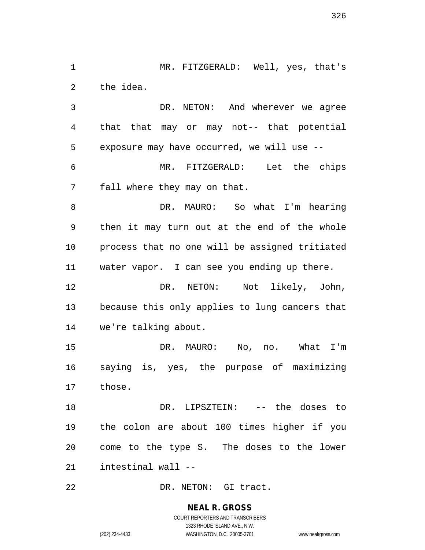MR. FITZGERALD: Well, yes, that's the idea.

 DR. NETON: And wherever we agree that that may or may not-- that potential exposure may have occurred, we will use --

 MR. FITZGERALD: Let the chips fall where they may on that.

 DR. MAURO: So what I'm hearing then it may turn out at the end of the whole process that no one will be assigned tritiated water vapor. I can see you ending up there.

 DR. NETON: Not likely, John, because this only applies to lung cancers that we're talking about.

 DR. MAURO: No, no. What I'm saying is, yes, the purpose of maximizing those.

 DR. LIPSZTEIN: -- the doses to the colon are about 100 times higher if you come to the type S. The doses to the lower intestinal wall --

22 DR. NETON: GI tract.

**NEAL R. GROSS** COURT REPORTERS AND TRANSCRIBERS

1323 RHODE ISLAND AVE., N.W.

(202) 234-4433 WASHINGTON, D.C. 20005-3701 www.nealrgross.com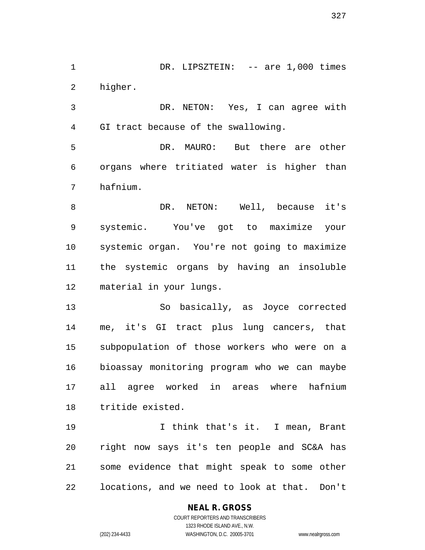1 DR. LIPSZTEIN: -- are 1,000 times higher.

 DR. NETON: Yes, I can agree with GI tract because of the swallowing.

 DR. MAURO: But there are other organs where tritiated water is higher than hafnium.

 DR. NETON: Well, because it's systemic. You've got to maximize your systemic organ. You're not going to maximize the systemic organs by having an insoluble material in your lungs.

 So basically, as Joyce corrected me, it's GI tract plus lung cancers, that subpopulation of those workers who were on a bioassay monitoring program who we can maybe all agree worked in areas where hafnium tritide existed.

 I think that's it. I mean, Brant right now says it's ten people and SC&A has some evidence that might speak to some other locations, and we need to look at that. Don't

#### **NEAL R. GROSS** COURT REPORTERS AND TRANSCRIBERS

1323 RHODE ISLAND AVE., N.W.

(202) 234-4433 WASHINGTON, D.C. 20005-3701 www.nealrgross.com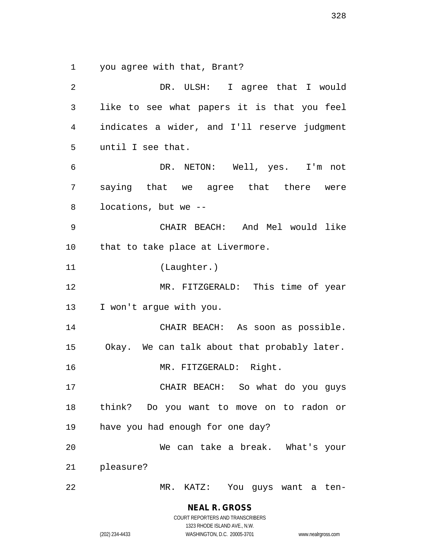you agree with that, Brant?

 DR. ULSH: I agree that I would like to see what papers it is that you feel indicates a wider, and I'll reserve judgment until I see that. DR. NETON: Well, yes. I'm not saying that we agree that there were locations, but we -- CHAIR BEACH: And Mel would like that to take place at Livermore. (Laughter.) MR. FITZGERALD: This time of year I won't argue with you. CHAIR BEACH: As soon as possible. Okay. We can talk about that probably later. MR. FITZGERALD: Right. CHAIR BEACH: So what do you guys think? Do you want to move on to radon or have you had enough for one day? We can take a break. What's your pleasure? MR. KATZ: You guys want a ten-

COURT REPORTERS AND TRANSCRIBERS 1323 RHODE ISLAND AVE., N.W. (202) 234-4433 WASHINGTON, D.C. 20005-3701 www.nealrgross.com

**NEAL R. GROSS**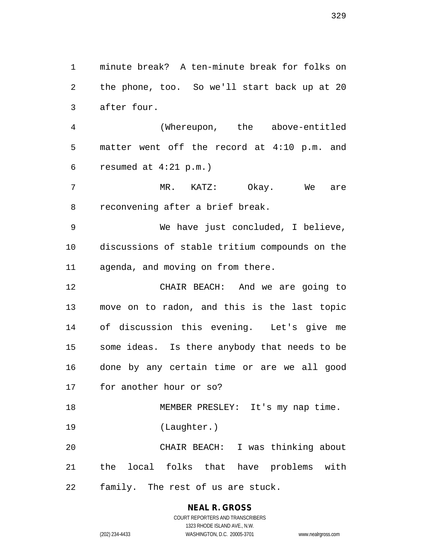minute break? A ten-minute break for folks on the phone, too. So we'll start back up at 20 after four.

 (Whereupon, the above-entitled matter went off the record at 4:10 p.m. and resumed at 4:21 p.m.)

 MR. KATZ: Okay. We are reconvening after a brief break.

 We have just concluded, I believe, discussions of stable tritium compounds on the agenda, and moving on from there.

 CHAIR BEACH: And we are going to move on to radon, and this is the last topic of discussion this evening. Let's give me some ideas. Is there anybody that needs to be done by any certain time or are we all good for another hour or so?

18 MEMBER PRESLEY: It's my nap time. (Laughter.)

 CHAIR BEACH: I was thinking about the local folks that have problems with family. The rest of us are stuck.

# **NEAL R. GROSS**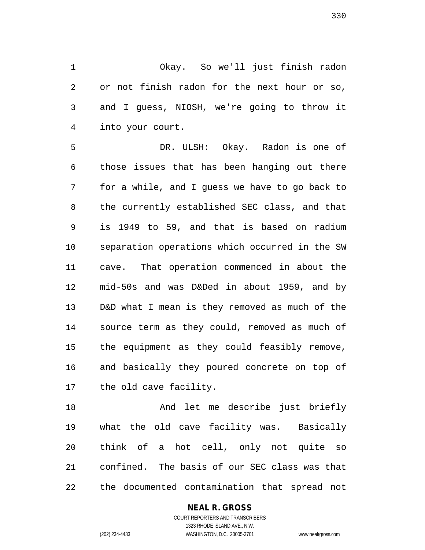Okay. So we'll just finish radon or not finish radon for the next hour or so, and I guess, NIOSH, we're going to throw it into your court.

 DR. ULSH: Okay. Radon is one of those issues that has been hanging out there for a while, and I guess we have to go back to the currently established SEC class, and that is 1949 to 59, and that is based on radium separation operations which occurred in the SW cave. That operation commenced in about the mid-50s and was D&Ded in about 1959, and by D&D what I mean is they removed as much of the source term as they could, removed as much of the equipment as they could feasibly remove, and basically they poured concrete on top of the old cave facility.

 And let me describe just briefly what the old cave facility was. Basically think of a hot cell, only not quite so confined. The basis of our SEC class was that the documented contamination that spread not

## **NEAL R. GROSS**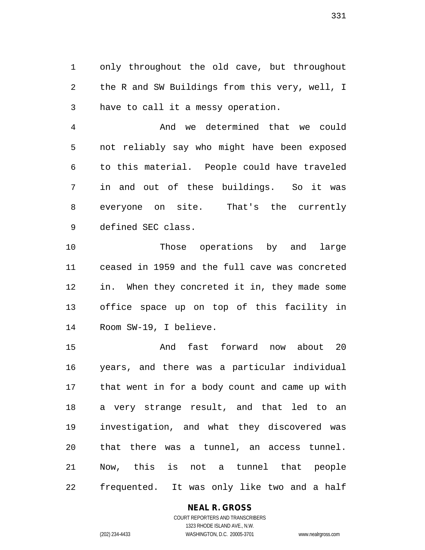only throughout the old cave, but throughout the R and SW Buildings from this very, well, I have to call it a messy operation.

 And we determined that we could not reliably say who might have been exposed to this material. People could have traveled in and out of these buildings. So it was everyone on site. That's the currently defined SEC class.

 Those operations by and large ceased in 1959 and the full cave was concreted in. When they concreted it in, they made some office space up on top of this facility in Room SW-19, I believe.

 And fast forward now about 20 years, and there was a particular individual that went in for a body count and came up with a very strange result, and that led to an investigation, and what they discovered was that there was a tunnel, an access tunnel. Now, this is not a tunnel that people frequented. It was only like two and a half

#### **NEAL R. GROSS**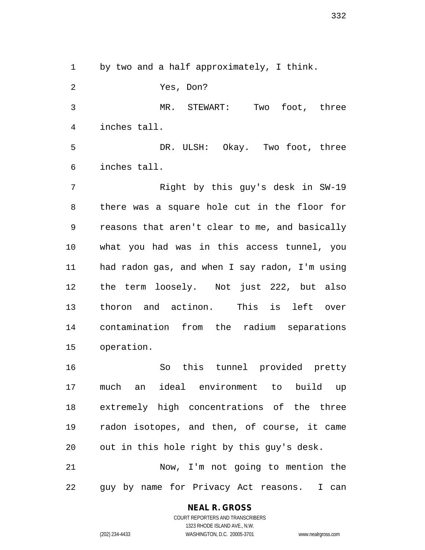by two and a half approximately, I think.

 Yes, Don? MR. STEWART: Two foot, three inches tall. DR. ULSH: Okay. Two foot, three inches tall. Right by this guy's desk in SW-19 there was a square hole cut in the floor for reasons that aren't clear to me, and basically what you had was in this access tunnel, you had radon gas, and when I say radon, I'm using the term loosely. Not just 222, but also thoron and actinon. This is left over contamination from the radium separations operation. So this tunnel provided pretty much an ideal environment to build up

 extremely high concentrations of the three radon isotopes, and then, of course, it came out in this hole right by this guy's desk. Now, I'm not going to mention the

guy by name for Privacy Act reasons. I can

## **NEAL R. GROSS**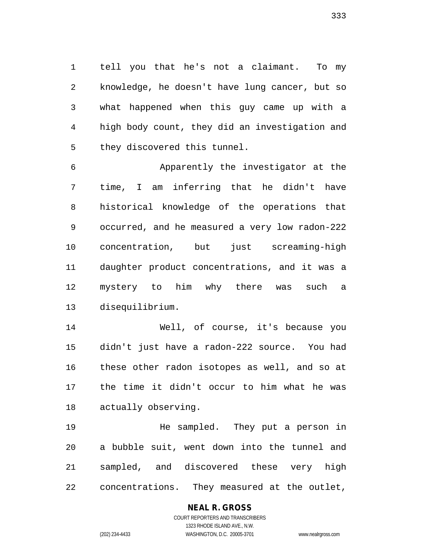tell you that he's not a claimant. To my knowledge, he doesn't have lung cancer, but so what happened when this guy came up with a high body count, they did an investigation and they discovered this tunnel.

 Apparently the investigator at the time, I am inferring that he didn't have historical knowledge of the operations that occurred, and he measured a very low radon-222 concentration, but just screaming-high daughter product concentrations, and it was a mystery to him why there was such a disequilibrium.

 Well, of course, it's because you didn't just have a radon-222 source. You had these other radon isotopes as well, and so at the time it didn't occur to him what he was actually observing.

 He sampled. They put a person in a bubble suit, went down into the tunnel and sampled, and discovered these very high concentrations. They measured at the outlet,

## **NEAL R. GROSS**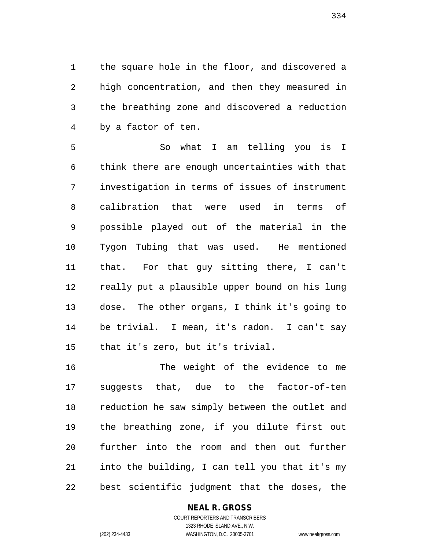the square hole in the floor, and discovered a high concentration, and then they measured in the breathing zone and discovered a reduction by a factor of ten.

 So what I am telling you is I think there are enough uncertainties with that investigation in terms of issues of instrument calibration that were used in terms of possible played out of the material in the Tygon Tubing that was used. He mentioned that. For that guy sitting there, I can't really put a plausible upper bound on his lung dose. The other organs, I think it's going to be trivial. I mean, it's radon. I can't say that it's zero, but it's trivial.

 The weight of the evidence to me suggests that, due to the factor-of-ten reduction he saw simply between the outlet and the breathing zone, if you dilute first out further into the room and then out further into the building, I can tell you that it's my best scientific judgment that the doses, the

**NEAL R. GROSS**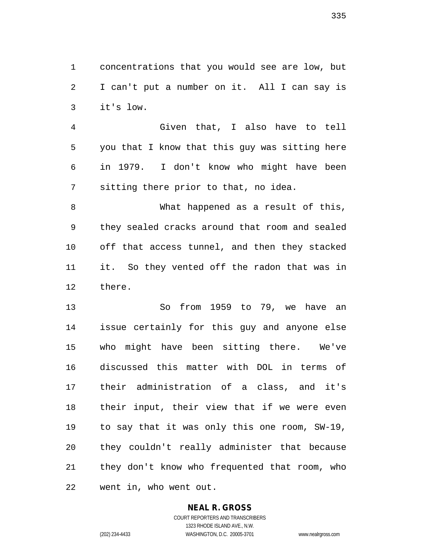concentrations that you would see are low, but I can't put a number on it. All I can say is it's low.

 Given that, I also have to tell you that I know that this guy was sitting here in 1979. I don't know who might have been sitting there prior to that, no idea.

 What happened as a result of this, they sealed cracks around that room and sealed off that access tunnel, and then they stacked it. So they vented off the radon that was in there.

 So from 1959 to 79, we have an issue certainly for this guy and anyone else who might have been sitting there. We've discussed this matter with DOL in terms of their administration of a class, and it's their input, their view that if we were even to say that it was only this one room, SW-19, they couldn't really administer that because they don't know who frequented that room, who went in, who went out.

## **NEAL R. GROSS**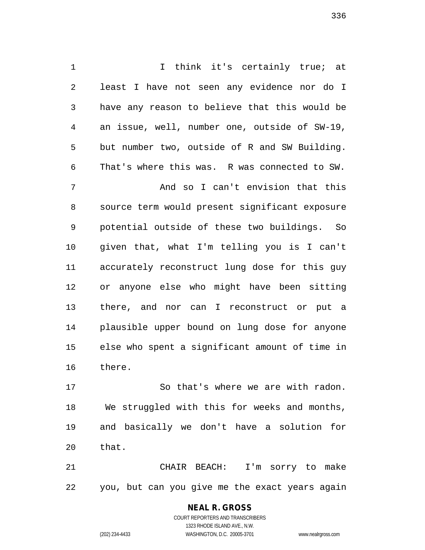I think it's certainly true; at least I have not seen any evidence nor do I have any reason to believe that this would be an issue, well, number one, outside of SW-19, but number two, outside of R and SW Building. That's where this was. R was connected to SW. And so I can't envision that this source term would present significant exposure potential outside of these two buildings. So given that, what I'm telling you is I can't accurately reconstruct lung dose for this guy or anyone else who might have been sitting there, and nor can I reconstruct or put a plausible upper bound on lung dose for anyone else who spent a significant amount of time in there.

 So that's where we are with radon. We struggled with this for weeks and months, and basically we don't have a solution for that.

 CHAIR BEACH: I'm sorry to make you, but can you give me the exact years again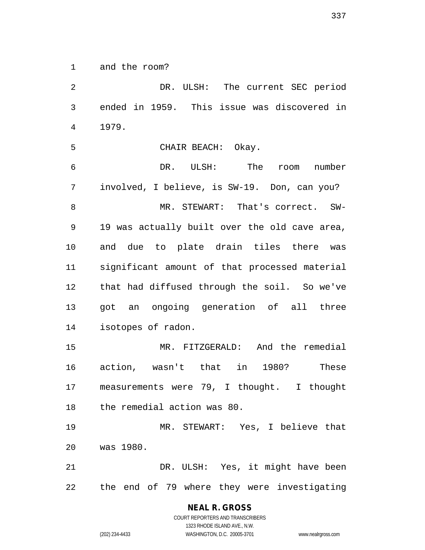and the room?

 DR. ULSH: The current SEC period ended in 1959. This issue was discovered in 1979.

CHAIR BEACH: Okay.

 DR. ULSH: The room number involved, I believe, is SW-19. Don, can you? MR. STEWART: That's correct. SW- 19 was actually built over the old cave area, and due to plate drain tiles there was significant amount of that processed material that had diffused through the soil. So we've got an ongoing generation of all three isotopes of radon.

 MR. FITZGERALD: And the remedial action, wasn't that in 1980? These measurements were 79, I thought. I thought the remedial action was 80.

 MR. STEWART: Yes, I believe that was 1980.

 DR. ULSH: Yes, it might have been the end of 79 where they were investigating

# **NEAL R. GROSS**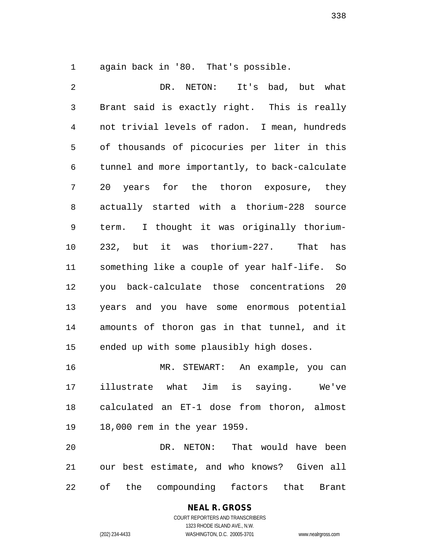again back in '80. That's possible.

 DR. NETON: It's bad, but what Brant said is exactly right. This is really not trivial levels of radon. I mean, hundreds of thousands of picocuries per liter in this tunnel and more importantly, to back-calculate 20 years for the thoron exposure, they actually started with a thorium-228 source term. I thought it was originally thorium- 232, but it was thorium-227. That has something like a couple of year half-life. So you back-calculate those concentrations 20 years and you have some enormous potential amounts of thoron gas in that tunnel, and it ended up with some plausibly high doses. MR. STEWART: An example, you can

 illustrate what Jim is saying. We've calculated an ET-1 dose from thoron, almost 18,000 rem in the year 1959.

 DR. NETON: That would have been our best estimate, and who knows? Given all of the compounding factors that Brant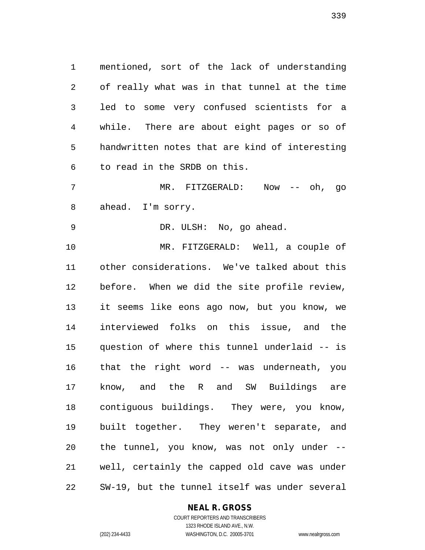mentioned, sort of the lack of understanding of really what was in that tunnel at the time led to some very confused scientists for a while. There are about eight pages or so of handwritten notes that are kind of interesting to read in the SRDB on this.

 MR. FITZGERALD: Now -- oh, go ahead. I'm sorry.

DR. ULSH: No, go ahead.

 MR. FITZGERALD: Well, a couple of other considerations. We've talked about this before. When we did the site profile review, it seems like eons ago now, but you know, we interviewed folks on this issue, and the question of where this tunnel underlaid -- is that the right word -- was underneath, you know, and the R and SW Buildings are contiguous buildings. They were, you know, built together. They weren't separate, and the tunnel, you know, was not only under -- well, certainly the capped old cave was under SW-19, but the tunnel itself was under several

#### **NEAL R. GROSS**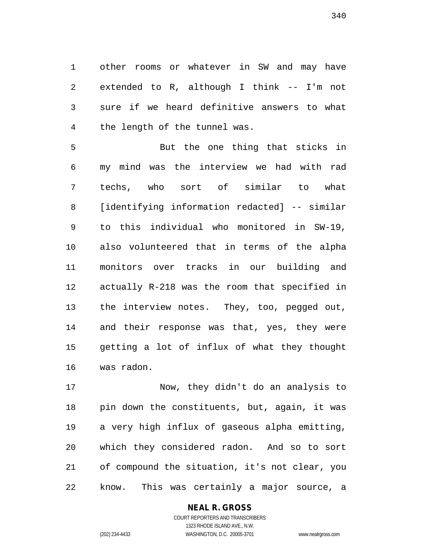other rooms or whatever in SW and may have extended to R, although I think -- I'm not sure if we heard definitive answers to what the length of the tunnel was.

 But the one thing that sticks in my mind was the interview we had with rad techs, who sort of similar to what [identifying information redacted] -- similar to this individual who monitored in SW-19, also volunteered that in terms of the alpha monitors over tracks in our building and actually R-218 was the room that specified in the interview notes. They, too, pegged out, and their response was that, yes, they were getting a lot of influx of what they thought was radon.

 Now, they didn't do an analysis to pin down the constituents, but, again, it was a very high influx of gaseous alpha emitting, which they considered radon. And so to sort of compound the situation, it's not clear, you know. This was certainly a major source, a

#### **NEAL R. GROSS**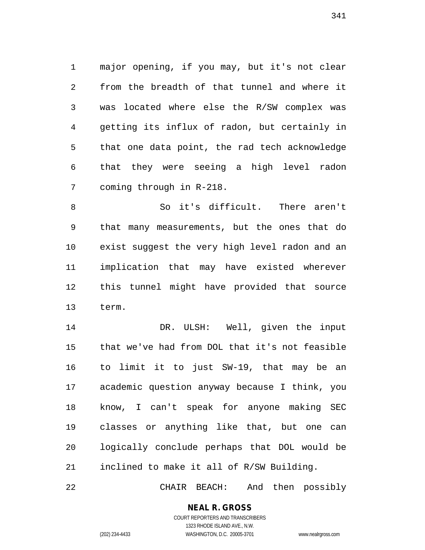major opening, if you may, but it's not clear from the breadth of that tunnel and where it was located where else the R/SW complex was getting its influx of radon, but certainly in that one data point, the rad tech acknowledge that they were seeing a high level radon coming through in R-218.

 So it's difficult. There aren't that many measurements, but the ones that do exist suggest the very high level radon and an implication that may have existed wherever this tunnel might have provided that source term.

 DR. ULSH: Well, given the input that we've had from DOL that it's not feasible to limit it to just SW-19, that may be an academic question anyway because I think, you know, I can't speak for anyone making SEC classes or anything like that, but one can logically conclude perhaps that DOL would be inclined to make it all of R/SW Building.

CHAIR BEACH: And then possibly

**NEAL R. GROSS** COURT REPORTERS AND TRANSCRIBERS

1323 RHODE ISLAND AVE., N.W.

(202) 234-4433 WASHINGTON, D.C. 20005-3701 www.nealrgross.com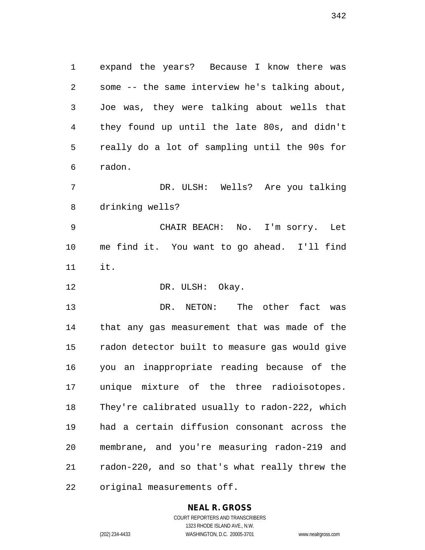expand the years? Because I know there was some -- the same interview he's talking about, Joe was, they were talking about wells that they found up until the late 80s, and didn't really do a lot of sampling until the 90s for radon.

 DR. ULSH: Wells? Are you talking drinking wells?

 CHAIR BEACH: No. I'm sorry. Let me find it. You want to go ahead. I'll find it.

12 DR. ULSH: Okay.

 DR. NETON: The other fact was that any gas measurement that was made of the radon detector built to measure gas would give you an inappropriate reading because of the unique mixture of the three radioisotopes. They're calibrated usually to radon-222, which had a certain diffusion consonant across the membrane, and you're measuring radon-219 and radon-220, and so that's what really threw the original measurements off.

#### **NEAL R. GROSS**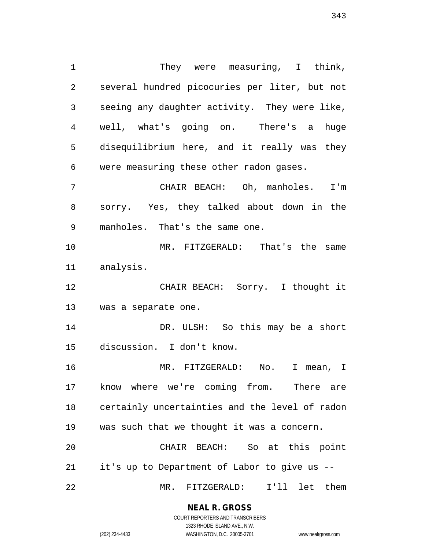They were measuring, I think, several hundred picocuries per liter, but not seeing any daughter activity. They were like, well, what's going on. There's a huge disequilibrium here, and it really was they were measuring these other radon gases. CHAIR BEACH: Oh, manholes. I'm sorry. Yes, they talked about down in the manholes. That's the same one. MR. FITZGERALD: That's the same analysis. CHAIR BEACH: Sorry. I thought it was a separate one. 14 DR. ULSH: So this may be a short discussion. I don't know. MR. FITZGERALD: No. I mean, I know where we're coming from. There are certainly uncertainties and the level of radon was such that we thought it was a concern. CHAIR BEACH: So at this point it's up to Department of Labor to give us -- MR. FITZGERALD: I'll let them

#### **NEAL R. GROSS**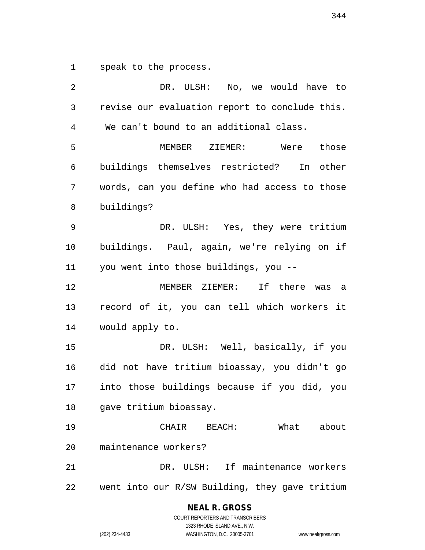speak to the process.

 DR. ULSH: No, we would have to revise our evaluation report to conclude this. We can't bound to an additional class. MEMBER ZIEMER: Were those buildings themselves restricted? In other words, can you define who had access to those buildings? DR. ULSH: Yes, they were tritium buildings. Paul, again, we're relying on if you went into those buildings, you -- MEMBER ZIEMER: If there was a record of it, you can tell which workers it would apply to. DR. ULSH: Well, basically, if you did not have tritium bioassay, you didn't go into those buildings because if you did, you gave tritium bioassay. CHAIR BEACH: What about maintenance workers? DR. ULSH: If maintenance workers went into our R/SW Building, they gave tritium

> **NEAL R. GROSS** COURT REPORTERS AND TRANSCRIBERS

1323 RHODE ISLAND AVE., N.W. (202) 234-4433 WASHINGTON, D.C. 20005-3701 www.nealrgross.com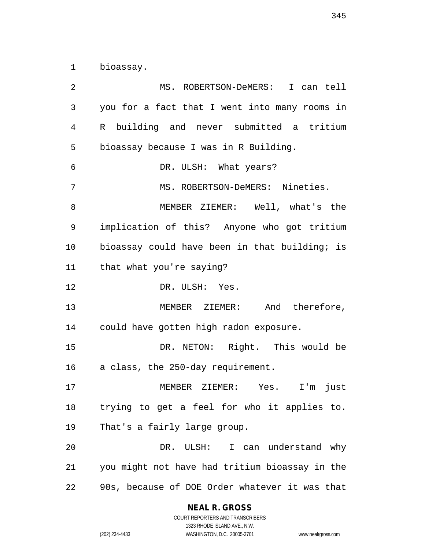bioassay.

 MS. ROBERTSON-DeMERS: I can tell you for a fact that I went into many rooms in R building and never submitted a tritium bioassay because I was in R Building. DR. ULSH: What years? MS. ROBERTSON-DeMERS: Nineties. MEMBER ZIEMER: Well, what's the implication of this? Anyone who got tritium 10 bioassay could have been in that building; is that what you're saying? DR. ULSH: Yes. MEMBER ZIEMER: And therefore, could have gotten high radon exposure. DR. NETON: Right. This would be a class, the 250-day requirement. MEMBER ZIEMER: Yes. I'm just trying to get a feel for who it applies to. That's a fairly large group. DR. ULSH: I can understand why you might not have had tritium bioassay in the 90s, because of DOE Order whatever it was that

#### **NEAL R. GROSS**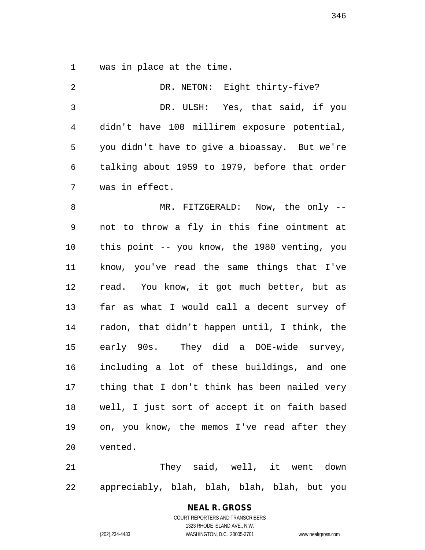was in place at the time.

2 DR. NETON: Eight thirty-five? DR. ULSH: Yes, that said, if you didn't have 100 millirem exposure potential, you didn't have to give a bioassay. But we're talking about 1959 to 1979, before that order was in effect. MR. FITZGERALD: Now, the only -- not to throw a fly in this fine ointment at this point -- you know, the 1980 venting, you know, you've read the same things that I've read. You know, it got much better, but as far as what I would call a decent survey of radon, that didn't happen until, I think, the early 90s. They did a DOE-wide survey, including a lot of these buildings, and one thing that I don't think has been nailed very well, I just sort of accept it on faith based on, you know, the memos I've read after they vented.

 They said, well, it went down appreciably, blah, blah, blah, blah, but you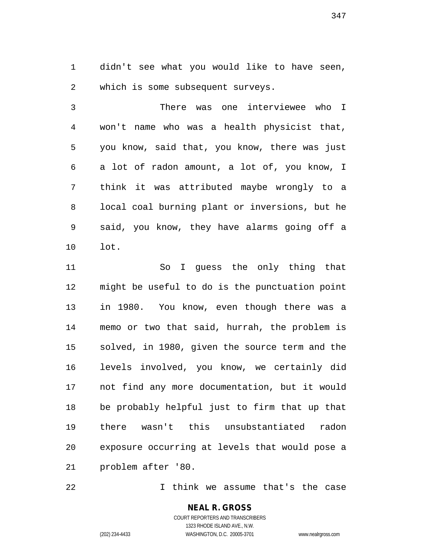didn't see what you would like to have seen, which is some subsequent surveys.

 There was one interviewee who I won't name who was a health physicist that, you know, said that, you know, there was just a lot of radon amount, a lot of, you know, I think it was attributed maybe wrongly to a local coal burning plant or inversions, but he said, you know, they have alarms going off a lot.

 So I guess the only thing that might be useful to do is the punctuation point in 1980. You know, even though there was a memo or two that said, hurrah, the problem is solved, in 1980, given the source term and the levels involved, you know, we certainly did not find any more documentation, but it would be probably helpful just to firm that up that there wasn't this unsubstantiated radon exposure occurring at levels that would pose a problem after '80.

I think we assume that's the case

**NEAL R. GROSS** COURT REPORTERS AND TRANSCRIBERS 1323 RHODE ISLAND AVE., N.W. (202) 234-4433 WASHINGTON, D.C. 20005-3701 www.nealrgross.com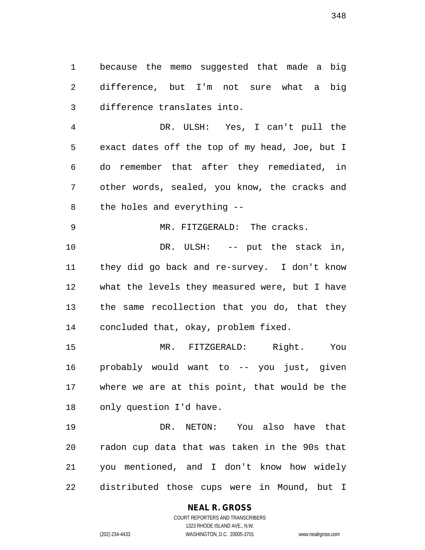because the memo suggested that made a big difference, but I'm not sure what a big difference translates into.

 DR. ULSH: Yes, I can't pull the exact dates off the top of my head, Joe, but I do remember that after they remediated, in other words, sealed, you know, the cracks and the holes and everything --

 DR. ULSH: -- put the stack in, they did go back and re-survey. I don't know what the levels they measured were, but I have the same recollection that you do, that they concluded that, okay, problem fixed.

MR. FITZGERALD: The cracks.

 MR. FITZGERALD: Right. You probably would want to -- you just, given where we are at this point, that would be the only question I'd have.

 DR. NETON: You also have that radon cup data that was taken in the 90s that you mentioned, and I don't know how widely distributed those cups were in Mound, but I

# **NEAL R. GROSS**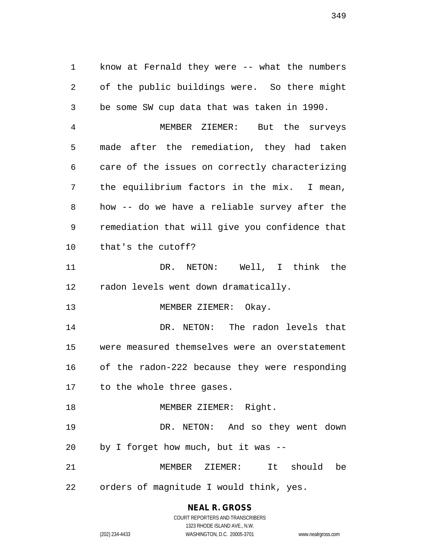know at Fernald they were -- what the numbers of the public buildings were. So there might be some SW cup data that was taken in 1990. MEMBER ZIEMER: But the surveys made after the remediation, they had taken care of the issues on correctly characterizing the equilibrium factors in the mix. I mean, how -- do we have a reliable survey after the remediation that will give you confidence that that's the cutoff? DR. NETON: Well, I think the radon levels went down dramatically. 13 MEMBER ZIEMER: Okay. DR. NETON: The radon levels that were measured themselves were an overstatement of the radon-222 because they were responding to the whole three gases. 18 MEMBER ZIEMER: Right. DR. NETON: And so they went down by I forget how much, but it was -- MEMBER ZIEMER: It should be orders of magnitude I would think, yes.

> **NEAL R. GROSS** COURT REPORTERS AND TRANSCRIBERS

1323 RHODE ISLAND AVE., N.W. (202) 234-4433 WASHINGTON, D.C. 20005-3701 www.nealrgross.com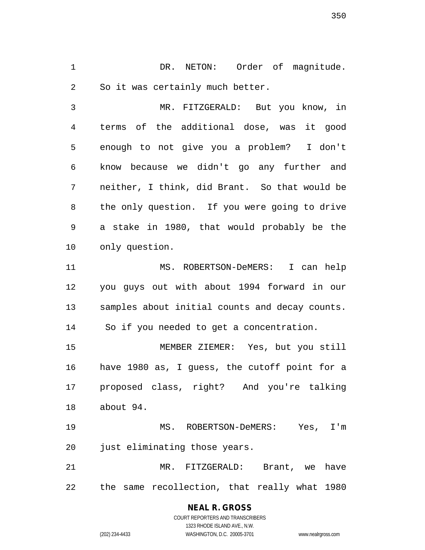DR. NETON: Order of magnitude. So it was certainly much better.

 MR. FITZGERALD: But you know, in terms of the additional dose, was it good enough to not give you a problem? I don't know because we didn't go any further and neither, I think, did Brant. So that would be the only question. If you were going to drive a stake in 1980, that would probably be the only question.

 MS. ROBERTSON-DeMERS: I can help you guys out with about 1994 forward in our samples about initial counts and decay counts. So if you needed to get a concentration.

 MEMBER ZIEMER: Yes, but you still have 1980 as, I guess, the cutoff point for a proposed class, right? And you're talking about 94.

 MS. ROBERTSON-DeMERS: Yes, I'm 20 just eliminating those years.

 MR. FITZGERALD: Brant, we have the same recollection, that really what 1980

> **NEAL R. GROSS** COURT REPORTERS AND TRANSCRIBERS 1323 RHODE ISLAND AVE., N.W. (202) 234-4433 WASHINGTON, D.C. 20005-3701 www.nealrgross.com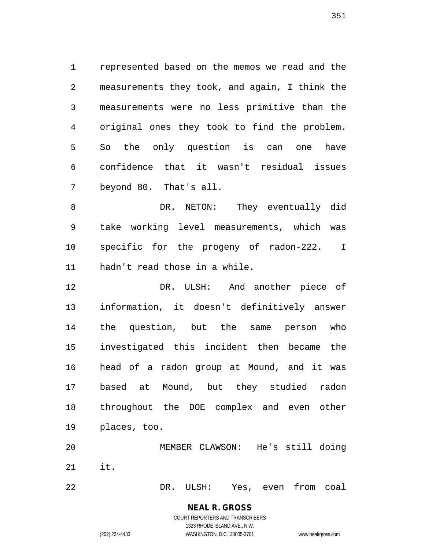represented based on the memos we read and the measurements they took, and again, I think the measurements were no less primitive than the original ones they took to find the problem. So the only question is can one have confidence that it wasn't residual issues beyond 80. That's all.

8 DR. NETON: They eventually did take working level measurements, which was specific for the progeny of radon-222. I hadn't read those in a while.

 DR. ULSH: And another piece of information, it doesn't definitively answer the question, but the same person who investigated this incident then became the head of a radon group at Mound, and it was based at Mound, but they studied radon throughout the DOE complex and even other places, too.

 MEMBER CLAWSON: He's still doing it.

DR. ULSH: Yes, even from coal

# **NEAL R. GROSS**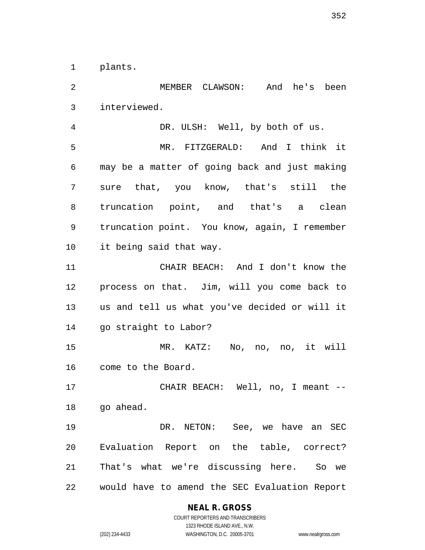plants.

 MEMBER CLAWSON: And he's been interviewed. DR. ULSH: Well, by both of us. MR. FITZGERALD: And I think it may be a matter of going back and just making sure that, you know, that's still the truncation point, and that's a clean truncation point. You know, again, I remember it being said that way. CHAIR BEACH: And I don't know the process on that. Jim, will you come back to us and tell us what you've decided or will it go straight to Labor? MR. KATZ: No, no, no, it will come to the Board. CHAIR BEACH: Well, no, I meant -- 18 go ahead. DR. NETON: See, we have an SEC Evaluation Report on the table, correct?

would have to amend the SEC Evaluation Report

That's what we're discussing here. So we

#### **NEAL R. GROSS**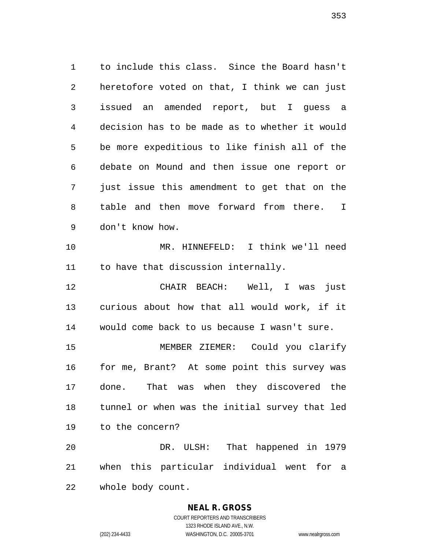to include this class. Since the Board hasn't heretofore voted on that, I think we can just issued an amended report, but I guess a decision has to be made as to whether it would be more expeditious to like finish all of the debate on Mound and then issue one report or just issue this amendment to get that on the table and then move forward from there. I don't know how. MR. HINNEFELD: I think we'll need 11 to have that discussion internally. CHAIR BEACH: Well, I was just curious about how that all would work, if it would come back to us because I wasn't sure. MEMBER ZIEMER: Could you clarify for me, Brant? At some point this survey was done. That was when they discovered the tunnel or when was the initial survey that led to the concern? DR. ULSH: That happened in 1979 when this particular individual went for a

whole body count.

#### **NEAL R. GROSS**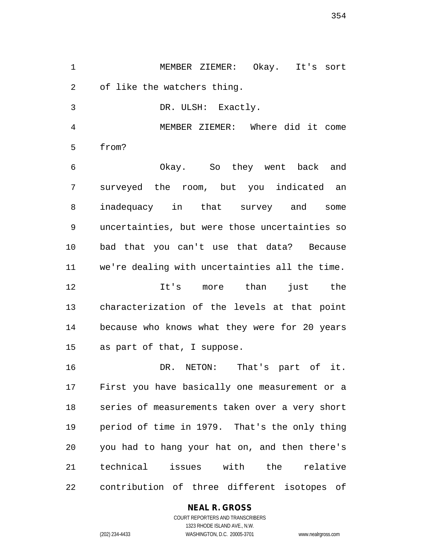MEMBER ZIEMER: Okay. It's sort of like the watchers thing.

DR. ULSH: Exactly.

 MEMBER ZIEMER: Where did it come from?

 Okay. So they went back and surveyed the room, but you indicated an inadequacy in that survey and some uncertainties, but were those uncertainties so bad that you can't use that data? Because we're dealing with uncertainties all the time. It's more than just the characterization of the levels at that point because who knows what they were for 20 years

as part of that, I suppose.

 DR. NETON: That's part of it. First you have basically one measurement or a series of measurements taken over a very short period of time in 1979. That's the only thing you had to hang your hat on, and then there's technical issues with the relative contribution of three different isotopes of

#### **NEAL R. GROSS**

COURT REPORTERS AND TRANSCRIBERS 1323 RHODE ISLAND AVE., N.W. (202) 234-4433 WASHINGTON, D.C. 20005-3701 www.nealrgross.com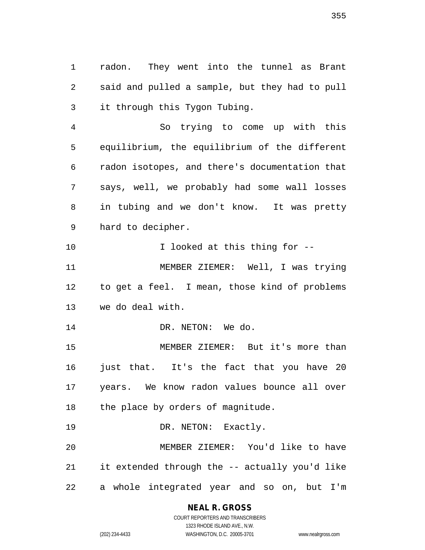radon. They went into the tunnel as Brant said and pulled a sample, but they had to pull it through this Tygon Tubing.

 So trying to come up with this equilibrium, the equilibrium of the different radon isotopes, and there's documentation that says, well, we probably had some wall losses in tubing and we don't know. It was pretty hard to decipher.

10 100 I looked at this thing for  $-$  MEMBER ZIEMER: Well, I was trying to get a feel. I mean, those kind of problems we do deal with.

14 DR. NETON: We do.

 MEMBER ZIEMER: But it's more than 16 just that. It's the fact that you have 20 years. We know radon values bounce all over 18 the place by orders of magnitude.

19 DR. NETON: Exactly.

 MEMBER ZIEMER: You'd like to have it extended through the -- actually you'd like a whole integrated year and so on, but I'm

**NEAL R. GROSS**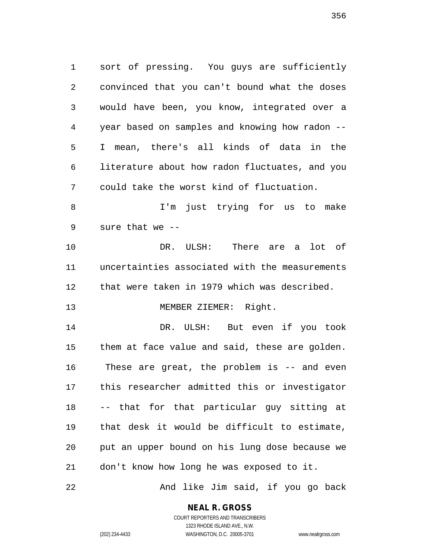sort of pressing. You guys are sufficiently convinced that you can't bound what the doses would have been, you know, integrated over a year based on samples and knowing how radon -- I mean, there's all kinds of data in the literature about how radon fluctuates, and you could take the worst kind of fluctuation.

 I'm just trying for us to make sure that we --

 DR. ULSH: There are a lot of uncertainties associated with the measurements that were taken in 1979 which was described.

13 MEMBER ZIEMER: Right.

 DR. ULSH: But even if you took them at face value and said, these are golden. These are great, the problem is -- and even this researcher admitted this or investigator -- that for that particular guy sitting at that desk it would be difficult to estimate, put an upper bound on his lung dose because we don't know how long he was exposed to it.

And like Jim said, if you go back

**NEAL R. GROSS**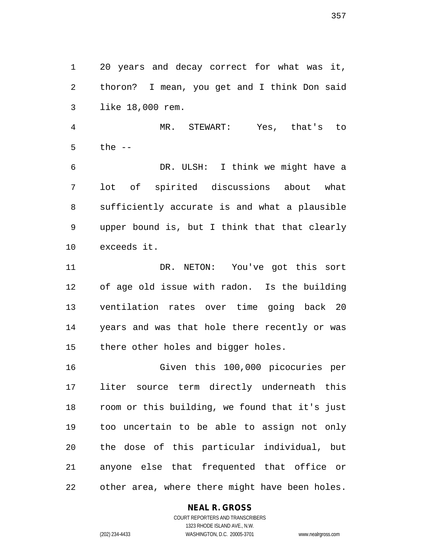20 years and decay correct for what was it, thoron? I mean, you get and I think Don said like 18,000 rem.

 MR. STEWART: Yes, that's to the --

 DR. ULSH: I think we might have a lot of spirited discussions about what sufficiently accurate is and what a plausible upper bound is, but I think that that clearly exceeds it.

 DR. NETON: You've got this sort of age old issue with radon. Is the building ventilation rates over time going back 20 years and was that hole there recently or was there other holes and bigger holes.

 Given this 100,000 picocuries per liter source term directly underneath this room or this building, we found that it's just too uncertain to be able to assign not only the dose of this particular individual, but anyone else that frequented that office or other area, where there might have been holes.

#### **NEAL R. GROSS**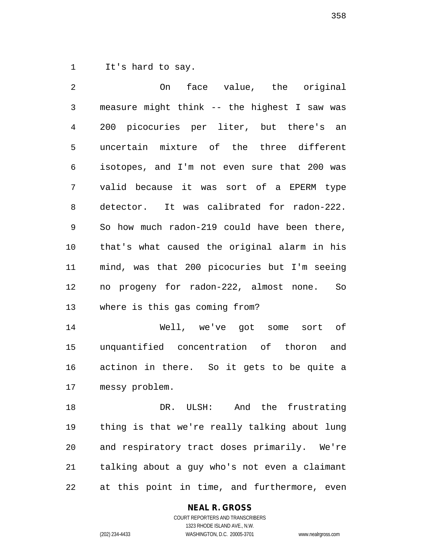It's hard to say.

 On face value, the original measure might think -- the highest I saw was 200 picocuries per liter, but there's an uncertain mixture of the three different isotopes, and I'm not even sure that 200 was valid because it was sort of a EPERM type detector. It was calibrated for radon-222. So how much radon-219 could have been there, that's what caused the original alarm in his mind, was that 200 picocuries but I'm seeing no progeny for radon-222, almost none. So where is this gas coming from? Well, we've got some sort of unquantified concentration of thoron and actinon in there. So it gets to be quite a messy problem. DR. ULSH: And the frustrating thing is that we're really talking about lung and respiratory tract doses primarily. We're

 talking about a guy who's not even a claimant at this point in time, and furthermore, even

#### **NEAL R. GROSS**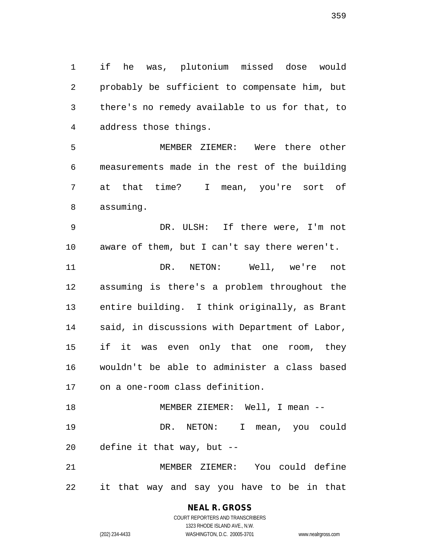if he was, plutonium missed dose would probably be sufficient to compensate him, but there's no remedy available to us for that, to address those things.

 MEMBER ZIEMER: Were there other measurements made in the rest of the building at that time? I mean, you're sort of assuming.

 DR. ULSH: If there were, I'm not aware of them, but I can't say there weren't. DR. NETON: Well, we're not assuming is there's a problem throughout the entire building. I think originally, as Brant said, in discussions with Department of Labor, if it was even only that one room, they wouldn't be able to administer a class based on a one-room class definition. 18 MEMBER ZIEMER: Well, I mean --

 DR. NETON: I mean, you could define it that way, but --

 MEMBER ZIEMER: You could define it that way and say you have to be in that

> **NEAL R. GROSS** COURT REPORTERS AND TRANSCRIBERS

1323 RHODE ISLAND AVE., N.W. (202) 234-4433 WASHINGTON, D.C. 20005-3701 www.nealrgross.com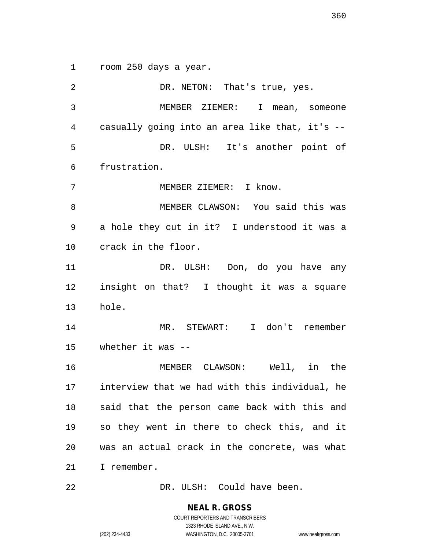room 250 days a year.

2 DR. NETON: That's true, yes. MEMBER ZIEMER: I mean, someone casually going into an area like that, it's -- DR. ULSH: It's another point of frustration. MEMBER ZIEMER: I know. MEMBER CLAWSON: You said this was a hole they cut in it? I understood it was a crack in the floor. DR. ULSH: Don, do you have any insight on that? I thought it was a square hole. MR. STEWART: I don't remember whether it was -- MEMBER CLAWSON: Well, in the interview that we had with this individual, he said that the person came back with this and so they went in there to check this, and it was an actual crack in the concrete, was what I remember. DR. ULSH: Could have been.

**NEAL R. GROSS**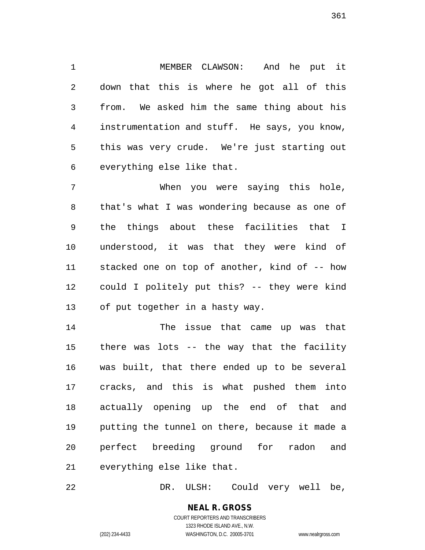MEMBER CLAWSON: And he put it down that this is where he got all of this from. We asked him the same thing about his instrumentation and stuff. He says, you know, this was very crude. We're just starting out everything else like that.

 When you were saying this hole, that's what I was wondering because as one of the things about these facilities that I understood, it was that they were kind of stacked one on top of another, kind of -- how could I politely put this? -- they were kind of put together in a hasty way.

 The issue that came up was that there was lots -- the way that the facility was built, that there ended up to be several cracks, and this is what pushed them into actually opening up the end of that and putting the tunnel on there, because it made a perfect breeding ground for radon and everything else like that.

DR. ULSH: Could very well be,

**NEAL R. GROSS** COURT REPORTERS AND TRANSCRIBERS 1323 RHODE ISLAND AVE., N.W. (202) 234-4433 WASHINGTON, D.C. 20005-3701 www.nealrgross.com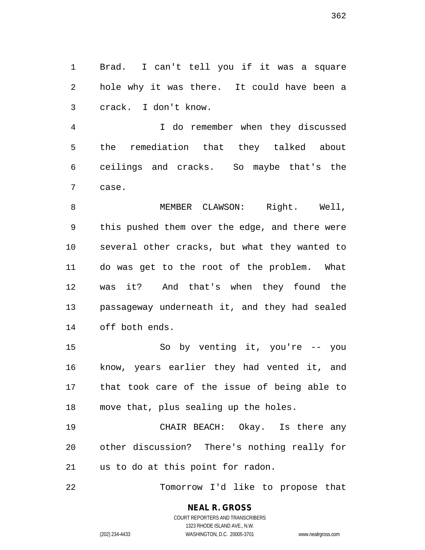Brad. I can't tell you if it was a square hole why it was there. It could have been a crack. I don't know.

 I do remember when they discussed the remediation that they talked about ceilings and cracks. So maybe that's the case.

8 MEMBER CLAWSON: Right. Well, this pushed them over the edge, and there were several other cracks, but what they wanted to do was get to the root of the problem. What was it? And that's when they found the passageway underneath it, and they had sealed off both ends.

 So by venting it, you're -- you know, years earlier they had vented it, and that took care of the issue of being able to move that, plus sealing up the holes.

 CHAIR BEACH: Okay. Is there any other discussion? There's nothing really for us to do at this point for radon.

Tomorrow I'd like to propose that

## **NEAL R. GROSS**

COURT REPORTERS AND TRANSCRIBERS 1323 RHODE ISLAND AVE., N.W. (202) 234-4433 WASHINGTON, D.C. 20005-3701 www.nealrgross.com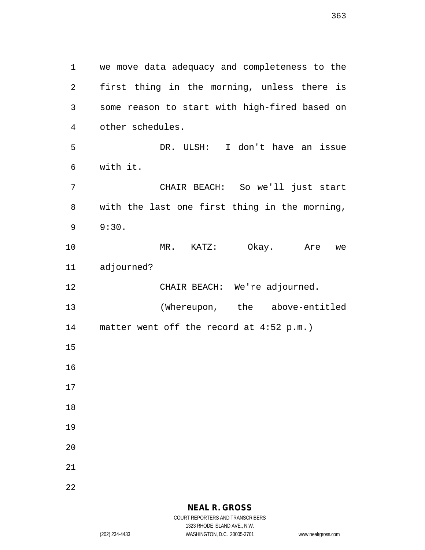we move data adequacy and completeness to the first thing in the morning, unless there is some reason to start with high-fired based on other schedules. DR. ULSH: I don't have an issue with it. CHAIR BEACH: So we'll just start with the last one first thing in the morning, 9:30. MR. KATZ: Okay. Are we adjourned? 12 CHAIR BEACH: We're adjourned. (Whereupon, the above-entitled matter went off the record at 4:52 p.m.)